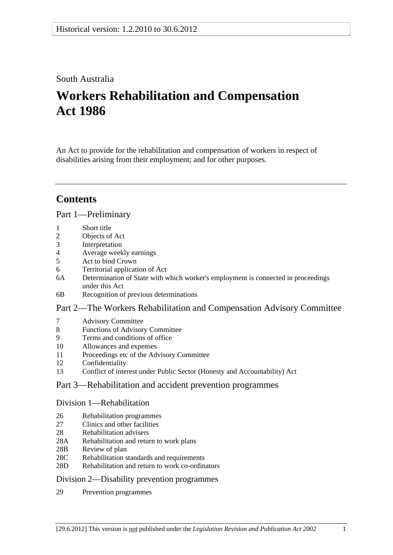# South Australia

# **Workers Rehabilitation and Compensation Act 1986**

An Act to provide for the rehabilitation and compensation of workers in respect of disabilities arising from their employment; and for other purposes.

# **Contents**

## [Part 1—Preliminary](#page-8-0)

- [1 Short title](#page-8-0)
- [2 Objects of Act](#page-8-0)
- [3 Interpretation](#page-8-0)
- [4 Average weekly earnings](#page-17-0)
- [5 Act to bind Crown](#page-19-0)
- [6 Territorial application of Act](#page-20-0)
- [6A Determination of State with which worker's employment is connected in proceedings](#page-21-0)  [under this Act](#page-21-0)
- [6B Recognition of previous determinations](#page-21-0)

## [Part 2—The Workers Rehabilitation and Compensation Advisory Committee](#page-22-0)

- [7 Advisory Committee](#page-22-0)
- [8 Functions of Advisory Committee](#page-22-0)
- [9 Terms and conditions of office](#page-23-0)
- [10 Allowances and expenses](#page-23-0)
- [11 Proceedings etc of the Advisory Committee](#page-23-0)
- [12 Confidentiality](#page-24-0)
- [13 Conflict of interest under Public Sector \(Honesty and Accountability\) Act](#page-24-0)

## [Part 3—Rehabilitation and accident prevention programmes](#page-26-0)

#### [Division 1—Rehabilitation](#page-26-0)

- [26 Rehabilitation programmes](#page-26-0)
- 27 Clinics and other facilities
- [28 Rehabilitation advisers](#page-27-0)
- [28A Rehabilitation and return to work plans](#page-27-0)
- [28B Review of plan](#page-28-0)
- [28C Rehabilitation standards and requirements](#page-28-0)
- [28D Rehabilitation and return to work co-ordinators](#page-29-0)

## [Division 2—Disability prevention programmes](#page-30-0)

[29 Prevention programmes](#page-30-0)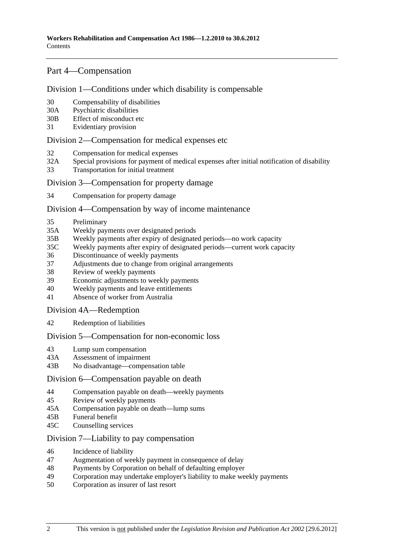## [Part 4—Compensation](#page-32-0)

#### [Division 1—Conditions under which disability is compensable](#page-32-0)

- [30 Compensability of disabilities](#page-32-0)
- [30A Psychiatric disabilities](#page-33-0)
- [30B Effect of misconduct etc](#page-33-0)
- [31 Evidentiary provision](#page-34-0)

#### [Division 2—Compensation for medical expenses etc](#page-34-0)

- [32 Compensation for medical expenses](#page-34-0)
- [32A Special provisions for payment of medical expenses after initial notification of disability](#page-37-0)
- [33 Transportation for initial treatment](#page-38-0)

#### [Division 3—Compensation for property damage](#page-38-0)

[34 Compensation for property damage](#page-38-0) 

#### [Division 4—Compensation by way of income maintenance](#page-38-0)

- [35 Preliminary](#page-38-0)
- [35A Weekly payments over designated periods](#page-40-0)
- [35B Weekly payments after expiry of designated periods—no work capacity](#page-41-0)
- [35C Weekly payments after expiry of designated periods—current work capacity](#page-42-0)
- [36 Discontinuance of weekly payments](#page-43-0)
- [37 Adjustments due to change from original arrangements](#page-49-0)
- [38 Review of weekly payments](#page-50-0)
- [39 Economic adjustments to weekly payments](#page-50-0)
- [40 Weekly payments and leave entitlements](#page-51-0)
- [41 Absence of worker from Australia](#page-52-0)

#### [Division 4A—Redemption](#page-52-0)

[42 Redemption of liabilities](#page-52-0)

#### [Division 5—Compensation for non-economic loss](#page-54-0)

- [43 Lump sum compensation](#page-54-0)
- [43A Assessment of impairment](#page-55-0)
- [43B No disadvantage—compensation table](#page-56-0)

#### [Division 6—Compensation payable on death](#page-57-0)

- [44 Compensation payable on death—weekly payments](#page-57-0)
- [45 Review of weekly payments](#page-59-0)
- [45A Compensation payable on death—lump sums](#page-60-0)
- [45B Funeral benefit](#page-62-0)
- [45C Counselling services](#page-63-0)

## [Division 7—Liability to pay compensation](#page-63-0)

- [46 Incidence of liability](#page-63-0)
- [47 Augmentation of weekly payment in consequence of delay](#page-64-0)
- [48 Payments by Corporation on behalf of defaulting employer](#page-65-0)
- [49 Corporation may undertake employer's liability to make weekly payments](#page-65-0)
- [50 Corporation as insurer of last resort](#page-65-0)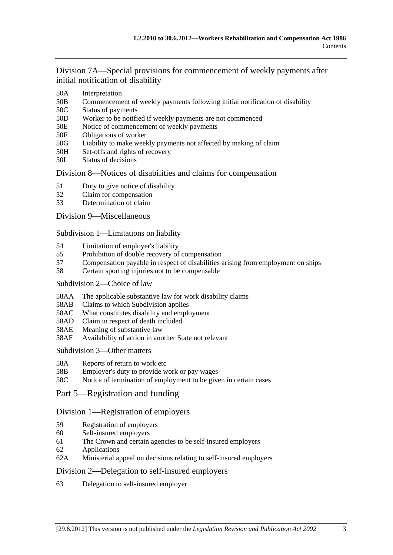[Division 7A—Special provisions for commencement of weekly payments after](#page-66-0)  [initial notification of disability](#page-66-0)

- [50A Interpretation](#page-66-0)
- [50B Commencement of weekly payments following initial notification of disability](#page-66-0)
- [50C Status of payments](#page-66-0)
- [50D Worker to be notified if weekly payments are not commenced](#page-67-0)
- [50E Notice of commencement of weekly payments](#page-67-0)
- [50F Obligations of worker](#page-67-0)
- [50G Liability to make weekly payments not affected by making of claim](#page-67-0)
- [50H Set-offs and rights of recovery](#page-67-0)
- [50I Status of decisions](#page-68-0)

## [Division 8—Notices of disabilities and claims for compensation](#page-68-0)

- [51 Duty to give notice of disability](#page-68-0)
- [52 Claim for compensation](#page-69-0)
- [53 Determination of claim](#page-71-0)

## [Division 9—Miscellaneous](#page-72-0)

[Subdivision 1—Limitations on liability](#page-72-0)

- [54 Limitation of employer's liability](#page-72-0)
- [55 Prohibition of double recovery of compensation](#page-75-0)
- [57 Compensation payable in respect of disabilities arising from employment on ships](#page-76-0)
- [58 Certain sporting injuries not to be compensable](#page-76-0)

#### [Subdivision 2—Choice of law](#page-77-0)

- [58AA The applicable substantive law for work disability claims](#page-77-0)
- [58AB Claims to which Subdivision applies](#page-77-0)
- [58AC What constitutes disability and employment](#page-78-0)
- [58AD Claim in respect of death included](#page-78-0)
- [58AE Meaning of substantive law](#page-78-0)
- [58AF Availability of action in another State not relevant](#page-79-0)

#### [Subdivision 3—Other matters](#page-79-0)

- [58A Reports of return to work etc](#page-79-0)
- [58B Employer's duty to provide work or pay wages](#page-80-0)
- [58C Notice of termination of employment to be given in certain cases](#page-80-0)
- [Part 5—Registration and funding](#page-82-0)

## [Division 1—Registration of employers](#page-82-0)

- [59 Registration of employers](#page-82-0)
- [60 Self-insured employers](#page-82-0)
- [61 The Crown and certain agencies to be self-insured employers](#page-85-0)
- [62 Applications](#page-85-0)
- [62A Ministerial appeal on decisions relating to self-insured employers](#page-86-0)

## [Division 2—Delegation to self-insured employers](#page-86-0)

[63 Delegation to self-insured employer](#page-86-0)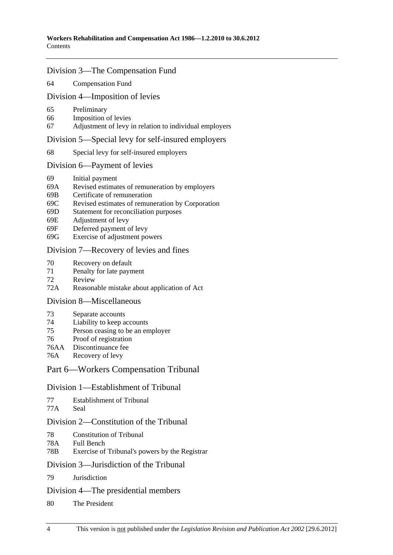## [Division 3—The Compensation Fund](#page-88-0)

#### [64 Compensation Fund](#page-88-0)

#### [Division 4—Imposition of levies](#page-90-0)

- [65 Preliminary](#page-90-0)
- [66 Imposition of levies](#page-90-0)
- [67 Adjustment of levy in relation to individual employers](#page-92-0)

#### [Division 5—Special levy for self-insured employers](#page-93-0)

[68 Special levy for self-insured employers](#page-93-0) 

#### [Division 6—Payment of levies](#page-94-0)

- [69 Initial payment](#page-94-0)
- [69A Revised estimates of remuneration by employers](#page-95-0)
- [69B Certificate of remuneration](#page-95-0)
- [69C Revised estimates of remuneration by Corporation](#page-95-0)
- [69D Statement for reconciliation purposes](#page-95-0)
- [69E Adjustment of levy](#page-96-0)
- [69F Deferred payment of levy](#page-96-0)
- [69G Exercise of adjustment powers](#page-97-0)

## [Division 7—Recovery of levies and fines](#page-97-0)

- [70 Recovery on default](#page-97-0)
- [71 Penalty for late payment](#page-97-0)
- [72 Review](#page-98-0)
- [72A Reasonable mistake about application of Act](#page-98-0)

#### [Division 8—Miscellaneous](#page-99-0)

- [73 Separate accounts](#page-99-0)
- [74 Liability to keep accounts](#page-99-0)
- [75 Person ceasing to be an employer](#page-100-0)
- [76 Proof of registration](#page-100-0)
- [76AA Discontinuance fee](#page-100-0)
- [76A Recovery of levy](#page-100-0)

## [Part 6—Workers Compensation Tribunal](#page-102-0)

#### [Division 1—Establishment of Tribunal](#page-102-0)

| 77 | Establishment of Tribunal |
|----|---------------------------|
|----|---------------------------|

[77A Seal](#page-102-0) 

## [Division 2—Constitution of the Tribunal](#page-102-0)

- [78 Constitution of Tribunal](#page-102-0)
- [78A Full Bench](#page-102-0)
- [78B Exercise of Tribunal's powers by the Registrar](#page-102-0)

#### [Division 3—Jurisdiction of the Tribunal](#page-102-0)

[79 Jurisdiction](#page-102-0)

#### [Division 4—The presidential members](#page-102-0)

[80 The President](#page-102-0)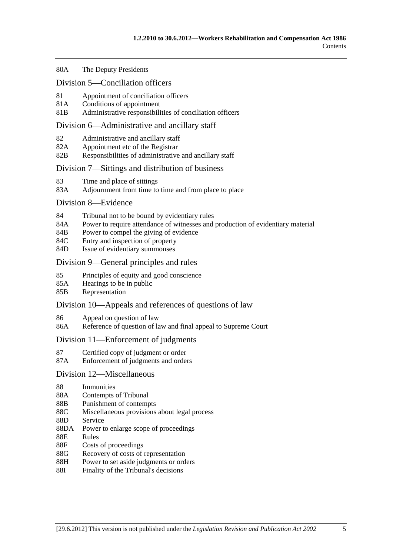#### [80A The Deputy Presidents](#page-103-0)

#### [Division 5—Conciliation officers](#page-104-0)

- [81 Appointment of conciliation officers](#page-104-0)
- [81A Conditions of appointment](#page-104-0)
- [81B Administrative responsibilities of conciliation officers](#page-105-0)

#### [Division 6—Administrative and ancillary staff](#page-105-0)

- [82 Administrative and ancillary staff](#page-105-0)
- [82A Appointment etc of the Registrar](#page-105-0)
- [82B Responsibilities of administrative and ancillary staff](#page-105-0)

#### [Division 7—Sittings and distribution of business](#page-105-0)

- [83 Time and place of sittings](#page-105-0)
- [83A Adjournment from time to time and from place to place](#page-106-0)

#### [Division 8—Evidence](#page-106-0)

- [84 Tribunal not to be bound by evidentiary rules](#page-106-0)
- [84A Power to require attendance of witnesses and production of evidentiary material](#page-106-0)
- [84B Power to compel the giving of evidence](#page-106-0)
- [84C Entry and inspection of property](#page-106-0)
- [84D Issue of evidentiary summonses](#page-107-0)

#### [Division 9—General principles and rules](#page-107-0)

- [85 Principles of equity and good conscience](#page-107-0)
- [85A Hearings to be in public](#page-107-0)
- [85B Representation](#page-107-0)

#### [Division 10—Appeals and references of questions of law](#page-108-0)

- [86 Appeal on question of law](#page-108-0)
- [86A Reference of question of law and final appeal to Supreme Court](#page-108-0)

#### [Division 11—Enforcement of judgments](#page-108-0)

- [87 Certified copy of judgment or order](#page-108-0)
- [87A Enforcement of judgments and orders](#page-108-0)

#### [Division 12—Miscellaneous](#page-108-0)

- [88 Immunities](#page-108-0)
- [88A Contempts of Tribunal](#page-109-0)
- [88B Punishment of contempts](#page-109-0)
- [88C Miscellaneous provisions about legal process](#page-109-0)
- [88D Service](#page-109-0)
- [88DA Power to enlarge scope of proceedings](#page-109-0)
- [88E Rules](#page-110-0)
- [88F Costs of proceedings](#page-110-0)
- [88G Recovery of costs of representation](#page-110-0)
- [88H Power to set aside judgments or orders](#page-110-0)
- [88I Finality of the Tribunal's decisions](#page-111-0)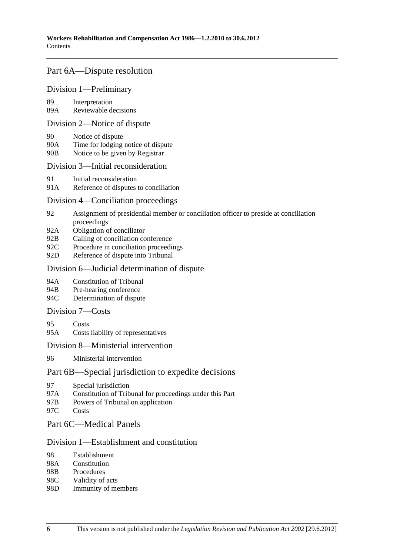## [Part 6A—Dispute resolution](#page-112-0)

## [Division 1—Preliminary](#page-112-0)

[89 Interpretation](#page-112-0) 

[89A Reviewable decisions](#page-112-0)

#### [Division 2—Notice of dispute](#page-113-0)

- [90 Notice of dispute](#page-113-0)
- [90A Time for lodging notice of dispute](#page-113-0)
- [90B Notice to be given by Registrar](#page-113-0)

#### [Division 3—Initial reconsideration](#page-113-0)

- [91 Initial reconsideration](#page-113-0)
- [91A Reference of disputes to conciliation](#page-114-0)

## [Division 4—Conciliation proceedings](#page-115-0)

- [92 Assignment of presidential member or conciliation officer to preside at conciliation](#page-115-0)  [proceedings](#page-115-0)
- [92A Obligation of conciliator](#page-115-0)
- [92B Calling of conciliation conference](#page-115-0)
- [92C Procedure in conciliation proceedings](#page-115-0)
- [92D Reference of dispute into Tribunal](#page-116-0)

#### [Division 6—Judicial determination of dispute](#page-116-0)

- [94A Constitution of Tribunal](#page-116-0)
- [94B Pre-hearing conference](#page-116-0)
- [94C Determination of dispute](#page-116-0)

## [Division 7—Costs](#page-117-0)

- [95 Costs](#page-117-0)
- [95A Costs liability of representatives](#page-117-0)

#### [Division 8—Ministerial intervention](#page-118-0)

[96 Ministerial intervention](#page-118-0) 

## [Part 6B—Special jurisdiction to expedite decisions](#page-120-0)

- [97 Special jurisdiction](#page-120-0)
- [97A Constitution of Tribunal for proceedings under this Part](#page-120-0)
- [97B Powers of Tribunal on application](#page-120-0)
- [97C Costs](#page-120-0)

## [Part 6C—Medical Panels](#page-122-0)

#### [Division 1—Establishment and constitution](#page-122-0)

- [98 Establishment](#page-122-0)
- [98A Constitution](#page-123-0)
- [98B Procedures](#page-123-0)
- [98C Validity of acts](#page-123-0)
- [98D Immunity of members](#page-124-0)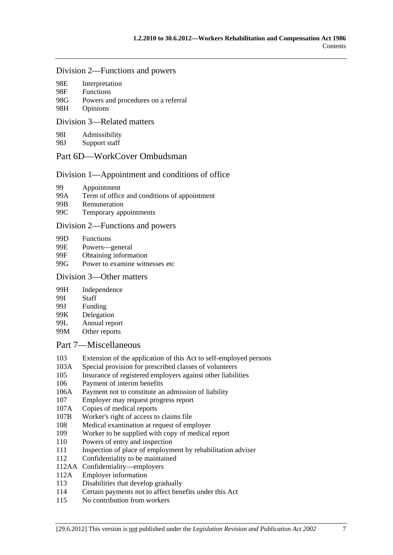#### [Division 2—Functions and powers](#page-124-0)

| 98E | Interpretation |
|-----|----------------|
|-----|----------------|

| 98F - | <b>Functions</b>                    |
|-------|-------------------------------------|
| 98G   | Powers and procedures on a referral |
| 98H   | Opinions                            |

#### [Division 3—Related matters](#page-127-0)

[98I Admissibility](#page-127-0) 

[98J Support staff](#page-127-0) 

## [Part 6D—WorkCover Ombudsman](#page-128-0)

## [Division 1—Appointment and conditions of office](#page-128-0)

- [99 Appointment](#page-128-0)
- [99A Term of office and conditions of appointment](#page-128-0)
- [99B Remuneration](#page-129-0)
- [99C Temporary appointments](#page-129-0)

#### [Division 2—Functions and powers](#page-129-0)

- [99D Functions](#page-129-0)
- [99E Powers—general](#page-131-0)
- [99F Obtaining information](#page-131-0)
- [99G Power to examine witnesses etc](#page-131-0)

## [Division 3—Other matters](#page-132-0)

- [99H Independence](#page-132-0)
- [99I Staff](#page-132-0)
- [99J Funding](#page-132-0)
- [99K Delegation](#page-132-0)
- [99L Annual report](#page-133-0)
- [99M Other reports](#page-133-0)

## [Part 7—Miscellaneous](#page-134-0)

- [103 Extension of the application of this Act to self-employed persons](#page-134-0)
- [103A Special provision for prescribed classes of volunteers](#page-134-0)
- [105 Insurance of registered employers against other liabilities](#page-135-0)
- [106 Payment of interim benefits](#page-135-0)
- [106A Payment not to constitute an admission of liability](#page-135-0)
- [107 Employer may request progress report](#page-135-0)
- [107A Copies of medical reports](#page-136-0)
- [107B Worker's right of access to claims file](#page-136-0)
- [108 Medical examination at request of employer](#page-136-0)
- [109 Worker to be supplied with copy of medical report](#page-137-0)
- [110 Powers of entry and inspection](#page-137-0)
- [111 Inspection of place of employment by rehabilitation adviser](#page-139-0)
- [112 Confidentiality to be maintained](#page-139-0)
- [112AA Confidentiality—employers](#page-140-0)
- [112A Employer information](#page-141-0)
- [113 Disabilities that develop gradually](#page-141-0)
- [114 Certain payments not to affect benefits under this Act](#page-142-0)
- [115 No contribution from workers](#page-142-0)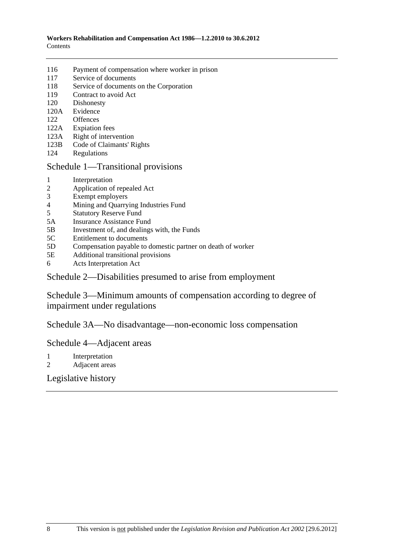- [116 Payment of compensation where worker in prison](#page-143-0)
- [117 Service of documents](#page-143-0)
- [118 Service of documents on the Corporation](#page-143-0)
- [119 Contract to avoid Act](#page-143-0)
- [120 Dishonesty](#page-144-0)
- [120A Evidence](#page-145-0)
- [122 Offences](#page-145-0)
- [122A Expiation fees](#page-145-0)
- [123A Right of intervention](#page-146-0)
- [123B Code of Claimants' Rights](#page-146-0)
- [124 Regulations](#page-146-0)

## [Schedule 1—Transitional provisions](#page-148-0)

- [1 Interpretation](#page-148-0)
- [2 Application of repealed Act](#page-148-0)
- [3 Exempt employers](#page-149-0)
- [4 Mining and Quarrying Industries Fund](#page-150-0)
- [5 Statutory Reserve Fund](#page-151-0)
- [5A Insurance Assistance Fund](#page-152-0)
- [5B Investment of, and dealings with, the Funds](#page-152-0)
- [5C Entitlement to documents](#page-152-0)
- [5D Compensation payable to domestic partner on death of worker](#page-153-0)
- [5E Additional transitional provisions](#page-153-0)
- [6 Acts Interpretation Act](#page-153-0)

## [Schedule 2—Disabilities presumed to arise from employment](#page-153-0)

[Schedule 3—Minimum amounts of compensation according to degree of](#page-155-0)  [impairment under regulations](#page-155-0) 

[Schedule 3A—No disadvantage—non-economic loss compensation](#page-155-0)

## [Schedule 4—Adjacent areas](#page-156-0)

- [1 Interpretation](#page-156-0)
- [2 Adjacent areas](#page-157-0)

# [Legislative history](#page-158-0)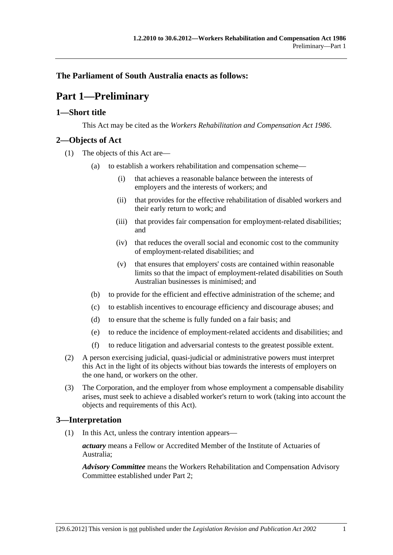# <span id="page-8-0"></span>**The Parliament of South Australia enacts as follows:**

# **Part 1—Preliminary**

## **1—Short title**

This Act may be cited as the *Workers Rehabilitation and Compensation Act 1986*.

## **2—Objects of Act**

- (1) The objects of this Act are—
	- (a) to establish a workers rehabilitation and compensation scheme—
		- (i) that achieves a reasonable balance between the interests of employers and the interests of workers; and
		- (ii) that provides for the effective rehabilitation of disabled workers and their early return to work; and
		- (iii) that provides fair compensation for employment-related disabilities; and
		- (iv) that reduces the overall social and economic cost to the community of employment-related disabilities; and
		- (v) that ensures that employers' costs are contained within reasonable limits so that the impact of employment-related disabilities on South Australian businesses is minimised; and
	- (b) to provide for the efficient and effective administration of the scheme; and
	- (c) to establish incentives to encourage efficiency and discourage abuses; and
	- (d) to ensure that the scheme is fully funded on a fair basis; and
	- (e) to reduce the incidence of employment-related accidents and disabilities; and
	- (f) to reduce litigation and adversarial contests to the greatest possible extent.
- (2) A person exercising judicial, quasi-judicial or administrative powers must interpret this Act in the light of its objects without bias towards the interests of employers on the one hand, or workers on the other.
- (3) The Corporation, and the employer from whose employment a compensable disability arises, must seek to achieve a disabled worker's return to work (taking into account the objects and requirements of this Act).

# **3—Interpretation**

(1) In this Act, unless the contrary intention appears—

*actuary* means a Fellow or Accredited Member of the Institute of Actuaries of Australia;

*Advisory Committee* means the Workers Rehabilitation and Compensation Advisory Committee established under [Part 2](#page-22-0);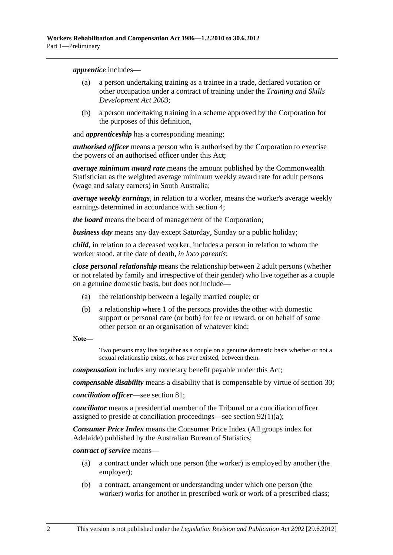<span id="page-9-0"></span>*apprentice* includes—

- (a) a person undertaking training as a trainee in a trade, declared vocation or other occupation under a contract of training under the *[Training and Skills](http://www.legislation.sa.gov.au/index.aspx?action=legref&type=act&legtitle=Training%20and%20Skills%20Development%20Act%202003)  [Development Act 2003](http://www.legislation.sa.gov.au/index.aspx?action=legref&type=act&legtitle=Training%20and%20Skills%20Development%20Act%202003)*;
- (b) a person undertaking training in a scheme approved by the Corporation for the purposes of this definition,

and *apprenticeship* has a corresponding meaning;

*authorised officer* means a person who is authorised by the Corporation to exercise the powers of an authorised officer under this Act;

*average minimum award rate* means the amount published by the Commonwealth Statistician as the weighted average minimum weekly award rate for adult persons (wage and salary earners) in South Australia;

*average weekly earnings*, in relation to a worker, means the worker's average weekly earnings determined in accordance with [section 4;](#page-17-0)

*the board* means the board of management of the Corporation;

*business day* means any day except Saturday, Sunday or a public holiday;

*child*, in relation to a deceased worker, includes a person in relation to whom the worker stood, at the date of death, *in loco parentis*;

*close personal relationship* means the relationship between 2 adult persons (whether or not related by family and irrespective of their gender) who live together as a couple on a genuine domestic basis, but does not include—

- (a) the relationship between a legally married couple; or
- (b) a relationship where 1 of the persons provides the other with domestic support or personal care (or both) for fee or reward, or on behalf of some other person or an organisation of whatever kind;

**Note—** 

Two persons may live together as a couple on a genuine domestic basis whether or not a sexual relationship exists, or has ever existed, between them.

*compensation* includes any monetary benefit payable under this Act;

*compensable disability* means a disability that is compensable by virtue of [section 30](#page-32-0);

*conciliation officer*—see [section 81](#page-104-0);

*conciliator* means a presidential member of the Tribunal or a conciliation officer assigned to preside at conciliation proceedings—see [section 92\(1\)\(a\)](#page-115-0);

*Consumer Price Index* means the Consumer Price Index (All groups index for Adelaide) published by the Australian Bureau of Statistics;

*contract of service* means—

- (a) a contract under which one person (the worker) is employed by another (the employer);
- (b) a contract, arrangement or understanding under which one person (the worker) works for another in prescribed work or work of a prescribed class;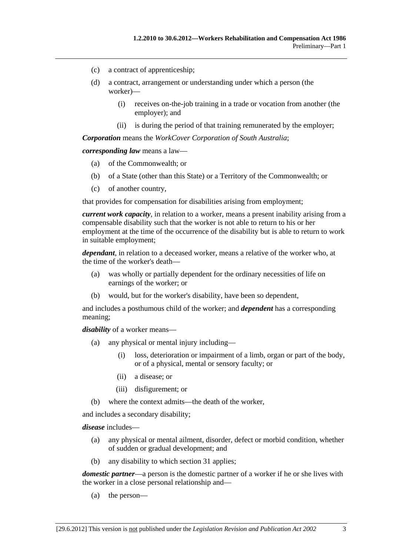- (c) a contract of apprenticeship;
- (d) a contract, arrangement or understanding under which a person (the worker)—
	- (i) receives on-the-job training in a trade or vocation from another (the employer); and
	- (ii) is during the period of that training remunerated by the employer;

*Corporation* means the *WorkCover Corporation of South Australia*;

*corresponding law* means a law—

- (a) of the Commonwealth; or
- (b) of a State (other than this State) or a Territory of the Commonwealth; or
- (c) of another country,

that provides for compensation for disabilities arising from employment;

*current work capacity*, in relation to a worker, means a present inability arising from a compensable disability such that the worker is not able to return to his or her employment at the time of the occurrence of the disability but is able to return to work in suitable employment;

*dependant*, in relation to a deceased worker, means a relative of the worker who, at the time of the worker's death—

- (a) was wholly or partially dependent for the ordinary necessities of life on earnings of the worker; or
- (b) would, but for the worker's disability, have been so dependent,

and includes a posthumous child of the worker; and *dependent* has a corresponding meaning;

*disability* of a worker means—

- (a) any physical or mental injury including—
	- (i) loss, deterioration or impairment of a limb, organ or part of the body, or of a physical, mental or sensory faculty; or
	- (ii) a disease; or
	- (iii) disfigurement; or
- (b) where the context admits—the death of the worker,

and includes a secondary disability;

*disease* includes—

- (a) any physical or mental ailment, disorder, defect or morbid condition, whether of sudden or gradual development; and
- (b) any disability to which [section 31](#page-34-0) applies;

*domestic partner*—a person is the domestic partner of a worker if he or she lives with the worker in a close personal relationship and—

(a) the person—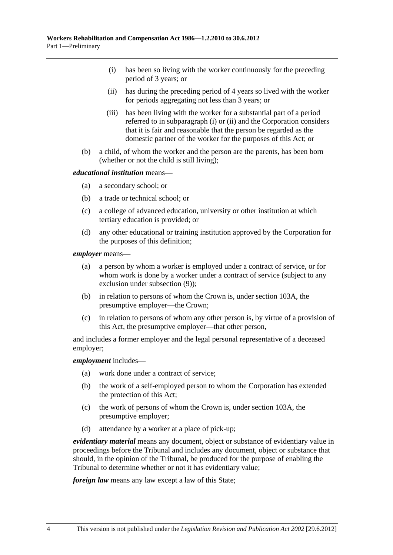- <span id="page-11-0"></span> (i) has been so living with the worker continuously for the preceding period of 3 years; or
- (ii) has during the preceding period of 4 years so lived with the worker for periods aggregating not less than 3 years; or
- (iii) has been living with the worker for a substantial part of a period referred to in [subparagraph \(i\)](#page-11-0) or [\(ii\)](#page-11-0) and the Corporation considers that it is fair and reasonable that the person be regarded as the domestic partner of the worker for the purposes of this Act; or
- (b) a child, of whom the worker and the person are the parents, has been born (whether or not the child is still living);

#### *educational institution* means—

- (a) a secondary school; or
- (b) a trade or technical school; or
- (c) a college of advanced education, university or other institution at which tertiary education is provided; or
- (d) any other educational or training institution approved by the Corporation for the purposes of this definition;

*employer* means—

- (a) a person by whom a worker is employed under a contract of service, or for whom work is done by a worker under a contract of service (subject to any exclusion under [subsection \(9\)](#page-15-0));
- (b) in relation to persons of whom the Crown is, under [section 103A,](#page-134-0) the presumptive employer—the Crown;
- (c) in relation to persons of whom any other person is, by virtue of a provision of this Act, the presumptive employer—that other person,

and includes a former employer and the legal personal representative of a deceased employer;

#### *employment* includes—

- (a) work done under a contract of service;
- (b) the work of a self-employed person to whom the Corporation has extended the protection of this Act;
- (c) the work of persons of whom the Crown is, under [section 103A,](#page-134-0) the presumptive employer;
- (d) attendance by a worker at a place of pick-up;

*evidentiary material* means any document, object or substance of evidentiary value in proceedings before the Tribunal and includes any document, object or substance that should, in the opinion of the Tribunal, be produced for the purpose of enabling the Tribunal to determine whether or not it has evidentiary value;

*foreign law* means any law except a law of this State;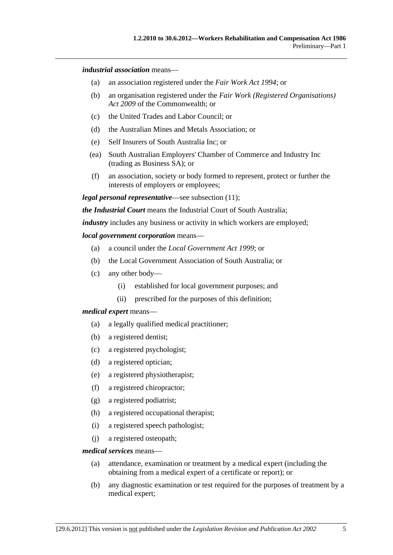*industrial association* means—

- (a) an association registered under the *[Fair Work Act 1994](http://www.legislation.sa.gov.au/index.aspx?action=legref&type=act&legtitle=Fair%20Work%20Act%201994)*; or
- (b) an organisation registered under the *Fair Work (Registered Organisations) Act 2009* of the Commonwealth; or
- (c) the United Trades and Labor Council; or
- (d) the Australian Mines and Metals Association; or
- (e) Self Insurers of South Australia Inc; or
- (ea) South Australian Employers' Chamber of Commerce and Industry Inc (trading as Business SA); or
- (f) an association, society or body formed to represent, protect or further the interests of employers or employees;

*legal personal representative*—see [subsection \(11\);](#page-16-0)

*the Industrial Court* means the Industrial Court of South Australia;

*industry* includes any business or activity in which workers are employed;

#### *local government corporation* means—

- (a) a council under the *[Local Government Act 1999](http://www.legislation.sa.gov.au/index.aspx?action=legref&type=act&legtitle=Local%20Government%20Act%201999)*; or
- (b) the Local Government Association of South Australia; or
- (c) any other body—
	- (i) established for local government purposes; and
	- (ii) prescribed for the purposes of this definition;

#### *medical expert* means—

- (a) a legally qualified medical practitioner;
- (b) a registered dentist;
- (c) a registered psychologist;
- (d) a registered optician;
- (e) a registered physiotherapist;
- (f) a registered chiropractor;
- (g) a registered podiatrist;
- (h) a registered occupational therapist;
- (i) a registered speech pathologist;
- (j) a registered osteopath;

#### *medical services* means—

- (a) attendance, examination or treatment by a medical expert (including the obtaining from a medical expert of a certificate or report); or
- (b) any diagnostic examination or test required for the purposes of treatment by a medical expert;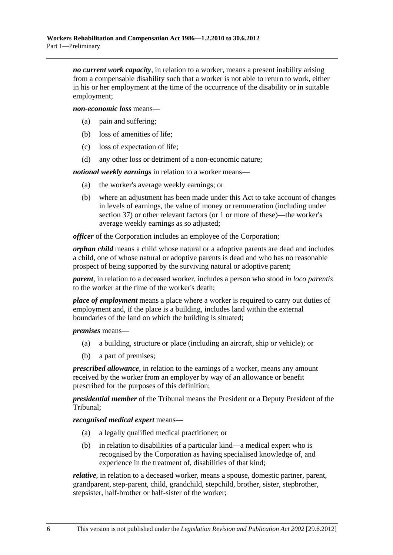*no current work capacity*, in relation to a worker, means a present inability arising from a compensable disability such that a worker is not able to return to work, either in his or her employment at the time of the occurrence of the disability or in suitable employment;

*non-economic loss* means—

- (a) pain and suffering;
- (b) loss of amenities of life;
- (c) loss of expectation of life;
- (d) any other loss or detriment of a non-economic nature;

*notional weekly earnings* in relation to a worker means—

- (a) the worker's average weekly earnings; or
- (b) where an adjustment has been made under this Act to take account of changes in levels of earnings, the value of money or remuneration (including under [section 37](#page-49-0)) or other relevant factors (or 1 or more of these)—the worker's average weekly earnings as so adjusted;

*officer* of the Corporation includes an employee of the Corporation;

*orphan child* means a child whose natural or a adoptive parents are dead and includes a child, one of whose natural or adoptive parents is dead and who has no reasonable prospect of being supported by the surviving natural or adoptive parent;

*parent*, in relation to a deceased worker, includes a person who stood *in loco parentis* to the worker at the time of the worker's death;

*place of employment* means a place where a worker is required to carry out duties of employment and, if the place is a building, includes land within the external boundaries of the land on which the building is situated;

*premises* means—

- (a) a building, structure or place (including an aircraft, ship or vehicle); or
- (b) a part of premises;

*prescribed allowance*, in relation to the earnings of a worker, means any amount received by the worker from an employer by way of an allowance or benefit prescribed for the purposes of this definition;

*presidential member* of the Tribunal means the President or a Deputy President of the Tribunal;

*recognised medical expert* means—

- (a) a legally qualified medical practitioner; or
- (b) in relation to disabilities of a particular kind—a medical expert who is recognised by the Corporation as having specialised knowledge of, and experience in the treatment of, disabilities of that kind;

*relative*, in relation to a deceased worker, means a spouse, domestic partner, parent, grandparent, step-parent, child, grandchild, stepchild, brother, sister, stepbrother, stepsister, half-brother or half-sister of the worker;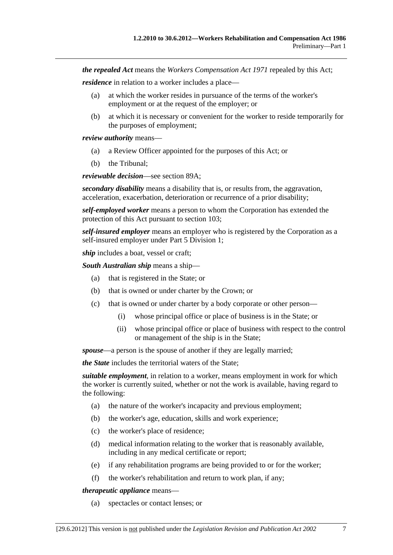*the repealed Act* means the *[Workers Compensation Act 1971](http://www.legislation.sa.gov.au/index.aspx?action=legref&type=act&legtitle=Workers%20Compensation%20Act%201971)* repealed by this Act;

*residence* in relation to a worker includes a place—

- (a) at which the worker resides in pursuance of the terms of the worker's employment or at the request of the employer; or
- (b) at which it is necessary or convenient for the worker to reside temporarily for the purposes of employment;

*review authority* means—

- (a) a Review Officer appointed for the purposes of this Act; or
- (b) the Tribunal;

*reviewable decision*—see [section 89A;](#page-112-0)

*secondary disability* means a disability that is, or results from, the aggravation, acceleration, exacerbation, deterioration or recurrence of a prior disability;

*self-employed worker* means a person to whom the Corporation has extended the protection of this Act pursuant to [section 103;](#page-134-0)

*self-insured employer* means an employer who is registered by the Corporation as a self-insured employer under [Part 5 Division 1;](#page-82-0)

*ship* includes a boat, vessel or craft;

*South Australian ship* means a ship—

- (a) that is registered in the State; or
- (b) that is owned or under charter by the Crown; or
- (c) that is owned or under charter by a body corporate or other person—
	- (i) whose principal office or place of business is in the State; or
	- (ii) whose principal office or place of business with respect to the control or management of the ship is in the State;

*spouse*—a person is the spouse of another if they are legally married;

*the State* includes the territorial waters of the State;

*suitable employment*, in relation to a worker, means employment in work for which the worker is currently suited, whether or not the work is available, having regard to the following:

- (a) the nature of the worker's incapacity and previous employment;
- (b) the worker's age, education, skills and work experience;
- (c) the worker's place of residence;
- (d) medical information relating to the worker that is reasonably available, including in any medical certificate or report;
- (e) if any rehabilitation programs are being provided to or for the worker;
- (f) the worker's rehabilitation and return to work plan, if any;

*therapeutic appliance* means—

(a) spectacles or contact lenses; or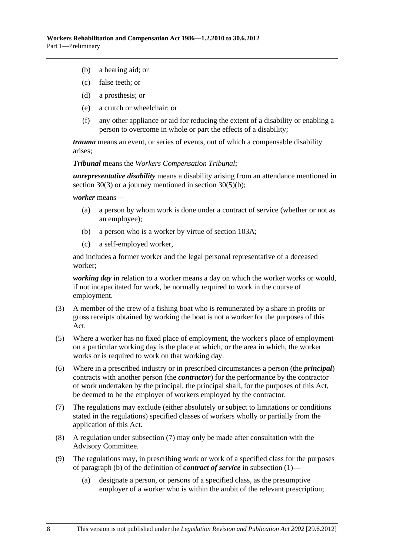- <span id="page-15-0"></span>(b) a hearing aid; or
- (c) false teeth; or
- (d) a prosthesis; or
- (e) a crutch or wheelchair; or
- (f) any other appliance or aid for reducing the extent of a disability or enabling a person to overcome in whole or part the effects of a disability;

*trauma* means an event, or series of events, out of which a compensable disability arises;

*Tribunal* means the *Workers Compensation Tribunal*;

*unrepresentative disability* means a disability arising from an attendance mentioned in [section 30\(3\)](#page-32-0) or a journey mentioned in [section 30\(5\)\(b\)](#page-32-0);

#### *worker* means—

- (a) a person by whom work is done under a contract of service (whether or not as an employee);
- (b) a person who is a worker by virtue of [section 103A](#page-134-0);
- (c) a self-employed worker,

and includes a former worker and the legal personal representative of a deceased worker;

*working day* in relation to a worker means a day on which the worker works or would, if not incapacitated for work, be normally required to work in the course of employment.

- (3) A member of the crew of a fishing boat who is remunerated by a share in profits or gross receipts obtained by working the boat is not a worker for the purposes of this Act.
- (5) Where a worker has no fixed place of employment, the worker's place of employment on a particular working day is the place at which, or the area in which, the worker works or is required to work on that working day.
- (6) Where in a prescribed industry or in prescribed circumstances a person (the *principal*) contracts with another person (the *contractor*) for the performance by the contractor of work undertaken by the principal, the principal shall, for the purposes of this Act, be deemed to be the employer of workers employed by the contractor.
- (7) The regulations may exclude (either absolutely or subject to limitations or conditions stated in the regulations) specified classes of workers wholly or partially from the application of this Act.
- (8) A regulation under [subsection \(7\)](#page-15-0) may only be made after consultation with the Advisory Committee.
- (9) The regulations may, in prescribing work or work of a specified class for the purposes of [paragraph \(b\)](#page-9-0) of the definition of *contract of service* in [subsection \(1\)](#page-8-0)—
	- (a) designate a person, or persons of a specified class, as the presumptive employer of a worker who is within the ambit of the relevant prescription;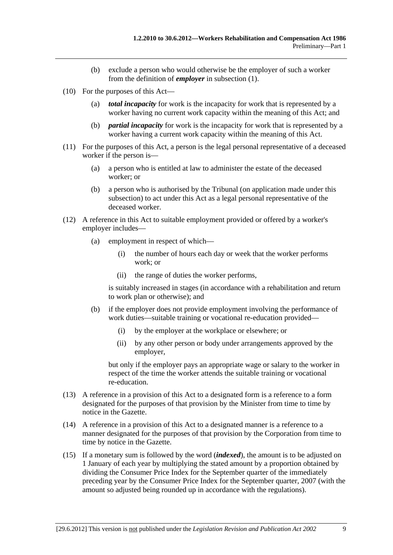- (b) exclude a person who would otherwise be the employer of such a worker from the definition of *employer* in [subsection \(1\).](#page-8-0)
- <span id="page-16-0"></span> (10) For the purposes of this Act—
	- (a) *total incapacity* for work is the incapacity for work that is represented by a worker having no current work capacity within the meaning of this Act; and
	- (b) *partial incapacity* for work is the incapacity for work that is represented by a worker having a current work capacity within the meaning of this Act.
- (11) For the purposes of this Act, a person is the legal personal representative of a deceased worker if the person is—
	- (a) a person who is entitled at law to administer the estate of the deceased worker; or
	- (b) a person who is authorised by the Tribunal (on application made under this subsection) to act under this Act as a legal personal representative of the deceased worker.
- (12) A reference in this Act to suitable employment provided or offered by a worker's employer includes—
	- (a) employment in respect of which—
		- (i) the number of hours each day or week that the worker performs work; or
		- (ii) the range of duties the worker performs,

is suitably increased in stages (in accordance with a rehabilitation and return to work plan or otherwise); and

- (b) if the employer does not provide employment involving the performance of work duties—suitable training or vocational re-education provided—
	- (i) by the employer at the workplace or elsewhere; or
	- (ii) by any other person or body under arrangements approved by the employer,

but only if the employer pays an appropriate wage or salary to the worker in respect of the time the worker attends the suitable training or vocational re-education.

- (13) A reference in a provision of this Act to a designated form is a reference to a form designated for the purposes of that provision by the Minister from time to time by notice in the Gazette.
- (14) A reference in a provision of this Act to a designated manner is a reference to a manner designated for the purposes of that provision by the Corporation from time to time by notice in the Gazette.
- (15) If a monetary sum is followed by the word (*indexed*), the amount is to be adjusted on 1 January of each year by multiplying the stated amount by a proportion obtained by dividing the Consumer Price Index for the September quarter of the immediately preceding year by the Consumer Price Index for the September quarter, 2007 (with the amount so adjusted being rounded up in accordance with the regulations).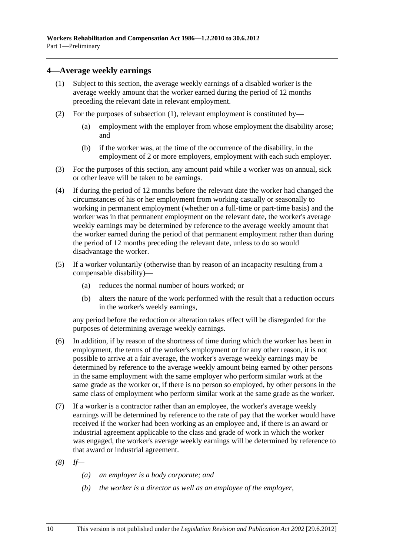## <span id="page-17-0"></span>**4—Average weekly earnings**

- (1) Subject to this section, the average weekly earnings of a disabled worker is the average weekly amount that the worker earned during the period of 12 months preceding the relevant date in relevant employment.
- (2) For the purposes of [subsection \(1\)](#page-17-0), relevant employment is constituted by—
	- (a) employment with the employer from whose employment the disability arose; and
	- (b) if the worker was, at the time of the occurrence of the disability, in the employment of 2 or more employers, employment with each such employer.
- (3) For the purposes of this section, any amount paid while a worker was on annual, sick or other leave will be taken to be earnings.
- (4) If during the period of 12 months before the relevant date the worker had changed the circumstances of his or her employment from working casually or seasonally to working in permanent employment (whether on a full-time or part-time basis) and the worker was in that permanent employment on the relevant date, the worker's average weekly earnings may be determined by reference to the average weekly amount that the worker earned during the period of that permanent employment rather than during the period of 12 months preceding the relevant date, unless to do so would disadvantage the worker.
- (5) If a worker voluntarily (otherwise than by reason of an incapacity resulting from a compensable disability)—
	- (a) reduces the normal number of hours worked; or
	- (b) alters the nature of the work performed with the result that a reduction occurs in the worker's weekly earnings,

any period before the reduction or alteration takes effect will be disregarded for the purposes of determining average weekly earnings.

- (6) In addition, if by reason of the shortness of time during which the worker has been in employment, the terms of the worker's employment or for any other reason, it is not possible to arrive at a fair average, the worker's average weekly earnings may be determined by reference to the average weekly amount being earned by other persons in the same employment with the same employer who perform similar work at the same grade as the worker or, if there is no person so employed, by other persons in the same class of employment who perform similar work at the same grade as the worker.
- (7) If a worker is a contractor rather than an employee, the worker's average weekly earnings will be determined by reference to the rate of pay that the worker would have received if the worker had been working as an employee and, if there is an award or industrial agreement applicable to the class and grade of work in which the worker was engaged, the worker's average weekly earnings will be determined by reference to that award or industrial agreement.
- *(8) If—* 
	- *(a) an employer is a body corporate; and*
	- *(b) the worker is a director as well as an employee of the employer,*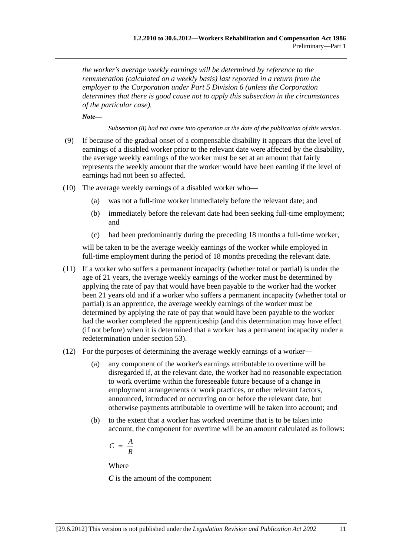*the worker's average weekly earnings will be determined by reference to the remuneration (calculated on a weekly basis) last reported in a return from the employer to the Corporation under [Part 5 Division 6](#page-94-0) (unless the Corporation determines that there is good cause not to apply this subsection in the circumstances of the particular case).* 

*Note—* 

*Subsection (8) had not come into operation at the date of the publication of this version.* 

- (9) If because of the gradual onset of a compensable disability it appears that the level of earnings of a disabled worker prior to the relevant date were affected by the disability, the average weekly earnings of the worker must be set at an amount that fairly represents the weekly amount that the worker would have been earning if the level of earnings had not been so affected.
- (10) The average weekly earnings of a disabled worker who—
	- (a) was not a full-time worker immediately before the relevant date; and
	- (b) immediately before the relevant date had been seeking full-time employment; and
	- (c) had been predominantly during the preceding 18 months a full-time worker,

will be taken to be the average weekly earnings of the worker while employed in full-time employment during the period of 18 months preceding the relevant date.

- (11) If a worker who suffers a permanent incapacity (whether total or partial) is under the age of 21 years, the average weekly earnings of the worker must be determined by applying the rate of pay that would have been payable to the worker had the worker been 21 years old and if a worker who suffers a permanent incapacity (whether total or partial) is an apprentice, the average weekly earnings of the worker must be determined by applying the rate of pay that would have been payable to the worker had the worker completed the apprenticeship (and this determination may have effect (if not before) when it is determined that a worker has a permanent incapacity under a redetermination under [section 53\)](#page-71-0).
- (12) For the purposes of determining the average weekly earnings of a worker—
	- (a) any component of the worker's earnings attributable to overtime will be disregarded if, at the relevant date, the worker had no reasonable expectation to work overtime within the foreseeable future because of a change in employment arrangements or work practices, or other relevant factors, announced, introduced or occurring on or before the relevant date, but otherwise payments attributable to overtime will be taken into account; and
	- (b) to the extent that a worker has worked overtime that is to be taken into account, the component for overtime will be an amount calculated as follows:

$$
C = \frac{A}{B}
$$

Where

*C* is the amount of the component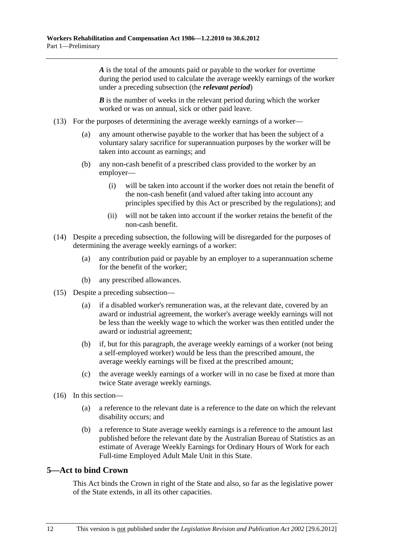<span id="page-19-0"></span>*A* is the total of the amounts paid or payable to the worker for overtime during the period used to calculate the average weekly earnings of the worker under a preceding subsection (the *relevant period*)

*B* is the number of weeks in the relevant period during which the worker worked or was on annual, sick or other paid leave.

- (13) For the purposes of determining the average weekly earnings of a worker—
	- (a) any amount otherwise payable to the worker that has been the subject of a voluntary salary sacrifice for superannuation purposes by the worker will be taken into account as earnings; and
	- (b) any non-cash benefit of a prescribed class provided to the worker by an employer—
		- (i) will be taken into account if the worker does not retain the benefit of the non-cash benefit (and valued after taking into account any principles specified by this Act or prescribed by the regulations); and
		- (ii) will not be taken into account if the worker retains the benefit of the non-cash benefit.
- (14) Despite a preceding subsection, the following will be disregarded for the purposes of determining the average weekly earnings of a worker:
	- (a) any contribution paid or payable by an employer to a superannuation scheme for the benefit of the worker;
	- (b) any prescribed allowances.
- (15) Despite a preceding subsection—
	- (a) if a disabled worker's remuneration was, at the relevant date, covered by an award or industrial agreement, the worker's average weekly earnings will not be less than the weekly wage to which the worker was then entitled under the award or industrial agreement;
	- (b) if, but for this paragraph, the average weekly earnings of a worker (not being a self-employed worker) would be less than the prescribed amount, the average weekly earnings will be fixed at the prescribed amount;
	- (c) the average weekly earnings of a worker will in no case be fixed at more than twice State average weekly earnings.
- (16) In this section—
	- (a) a reference to the relevant date is a reference to the date on which the relevant disability occurs; and
	- (b) a reference to State average weekly earnings is a reference to the amount last published before the relevant date by the Australian Bureau of Statistics as an estimate of Average Weekly Earnings for Ordinary Hours of Work for each Full-time Employed Adult Male Unit in this State.

## **5—Act to bind Crown**

This Act binds the Crown in right of the State and also, so far as the legislative power of the State extends, in all its other capacities.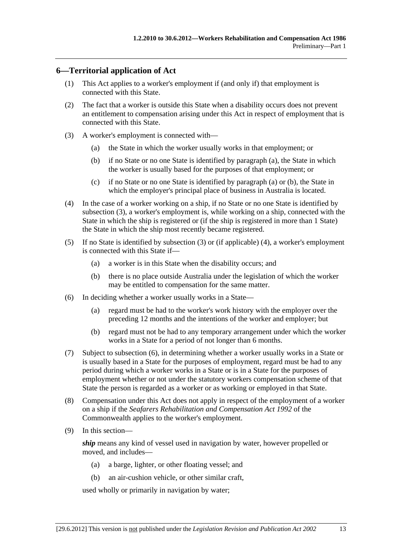## <span id="page-20-0"></span>**6—Territorial application of Act**

- (1) This Act applies to a worker's employment if (and only if) that employment is connected with this State.
- (2) The fact that a worker is outside this State when a disability occurs does not prevent an entitlement to compensation arising under this Act in respect of employment that is connected with this State.
- (3) A worker's employment is connected with—
	- (a) the State in which the worker usually works in that employment; or
	- (b) if no State or no one State is identified by [paragraph \(a\)](#page-20-0), the State in which the worker is usually based for the purposes of that employment; or
	- (c) if no State or no one State is identified by [paragraph \(a\)](#page-20-0) or [\(b\),](#page-20-0) the State in which the employer's principal place of business in Australia is located.
- (4) In the case of a worker working on a ship, if no State or no one State is identified by [subsection \(3\),](#page-20-0) a worker's employment is, while working on a ship, connected with the State in which the ship is registered or (if the ship is registered in more than 1 State) the State in which the ship most recently became registered.
- (5) If no State is identified by [subsection \(3\)](#page-20-0) or (if applicable) [\(4\),](#page-20-0) a worker's employment is connected with this State if—
	- (a) a worker is in this State when the disability occurs; and
	- (b) there is no place outside Australia under the legislation of which the worker may be entitled to compensation for the same matter.
- (6) In deciding whether a worker usually works in a State—
	- (a) regard must be had to the worker's work history with the employer over the preceding 12 months and the intentions of the worker and employer; but
	- (b) regard must not be had to any temporary arrangement under which the worker works in a State for a period of not longer than 6 months.
- (7) Subject to [subsection \(6\),](#page-20-0) in determining whether a worker usually works in a State or is usually based in a State for the purposes of employment, regard must be had to any period during which a worker works in a State or is in a State for the purposes of employment whether or not under the statutory workers compensation scheme of that State the person is regarded as a worker or as working or employed in that State.
- (8) Compensation under this Act does not apply in respect of the employment of a worker on a ship if the *Seafarers Rehabilitation and Compensation Act 1992* of the Commonwealth applies to the worker's employment.
- (9) In this section—

*ship* means any kind of vessel used in navigation by water, however propelled or moved, and includes—

- (a) a barge, lighter, or other floating vessel; and
- (b) an air-cushion vehicle, or other similar craft,

used wholly or primarily in navigation by water;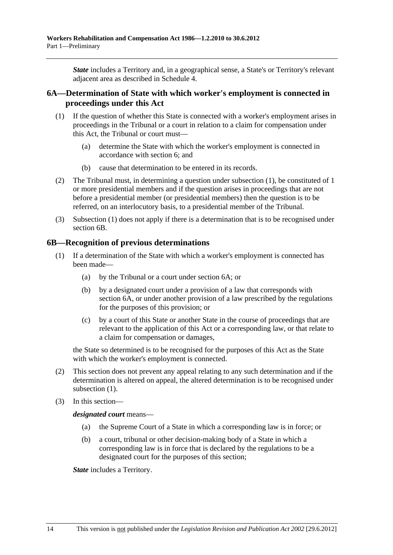<span id="page-21-0"></span>*State* includes a Territory and, in a geographical sense, a State's or Territory's relevant adjacent area as described in [Schedule 4.](#page-156-0)

## **6A—Determination of State with which worker's employment is connected in proceedings under this Act**

- (1) If the question of whether this State is connected with a worker's employment arises in proceedings in the Tribunal or a court in relation to a claim for compensation under this Act, the Tribunal or court must—
	- (a) determine the State with which the worker's employment is connected in accordance with [section 6](#page-20-0); and
	- (b) cause that determination to be entered in its records.
- (2) The Tribunal must, in determining a question under [subsection \(1\)](#page-21-0), be constituted of 1 or more presidential members and if the question arises in proceedings that are not before a presidential member (or presidential members) then the question is to be referred, on an interlocutory basis, to a presidential member of the Tribunal.
- (3) [Subsection \(1\)](#page-21-0) does not apply if there is a determination that is to be recognised under [section 6B.](#page-21-0)

#### **6B—Recognition of previous determinations**

- (1) If a determination of the State with which a worker's employment is connected has been made—
	- (a) by the Tribunal or a court under [section 6A;](#page-21-0) or
	- (b) by a designated court under a provision of a law that corresponds with [section 6A,](#page-21-0) or under another provision of a law prescribed by the regulations for the purposes of this provision; or
	- (c) by a court of this State or another State in the course of proceedings that are relevant to the application of this Act or a corresponding law, or that relate to a claim for compensation or damages,

the State so determined is to be recognised for the purposes of this Act as the State with which the worker's employment is connected.

- (2) This section does not prevent any appeal relating to any such determination and if the determination is altered on appeal, the altered determination is to be recognised under subsection  $(1)$ .
- (3) In this section—

*designated court* means—

- (a) the Supreme Court of a State in which a corresponding law is in force; or
- (b) a court, tribunal or other decision-making body of a State in which a corresponding law is in force that is declared by the regulations to be a designated court for the purposes of this section;

*State* includes a Territory.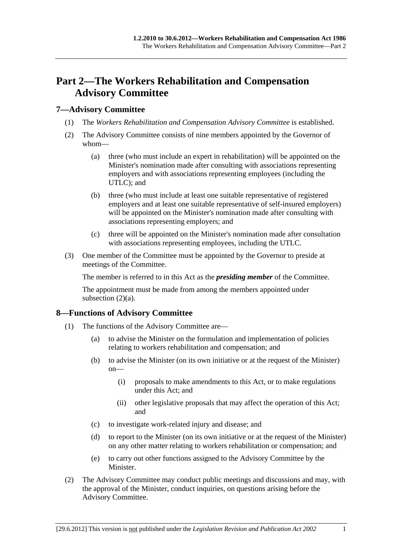# <span id="page-22-0"></span>**Part 2—The Workers Rehabilitation and Compensation Advisory Committee**

## **7—Advisory Committee**

- (1) The *Workers Rehabilitation and Compensation Advisory Committee* is established.
- (2) The Advisory Committee consists of nine members appointed by the Governor of whom—
	- (a) three (who must include an expert in rehabilitation) will be appointed on the Minister's nomination made after consulting with associations representing employers and with associations representing employees (including the UTLC); and
	- (b) three (who must include at least one suitable representative of registered employers and at least one suitable representative of self-insured employers) will be appointed on the Minister's nomination made after consulting with associations representing employers; and
	- (c) three will be appointed on the Minister's nomination made after consultation with associations representing employees, including the UTLC.
- (3) One member of the Committee must be appointed by the Governor to preside at meetings of the Committee.

The member is referred to in this Act as the *presiding member* of the Committee.

The appointment must be made from among the members appointed under subsection  $(2)(a)$ .

## **8—Functions of Advisory Committee**

- (1) The functions of the Advisory Committee are—
	- (a) to advise the Minister on the formulation and implementation of policies relating to workers rehabilitation and compensation; and
	- (b) to advise the Minister (on its own initiative or at the request of the Minister) on—
		- (i) proposals to make amendments to this Act, or to make regulations under this Act; and
		- (ii) other legislative proposals that may affect the operation of this Act; and
	- (c) to investigate work-related injury and disease; and
	- (d) to report to the Minister (on its own initiative or at the request of the Minister) on any other matter relating to workers rehabilitation or compensation; and
	- (e) to carry out other functions assigned to the Advisory Committee by the Minister.
- (2) The Advisory Committee may conduct public meetings and discussions and may, with the approval of the Minister, conduct inquiries, on questions arising before the Advisory Committee.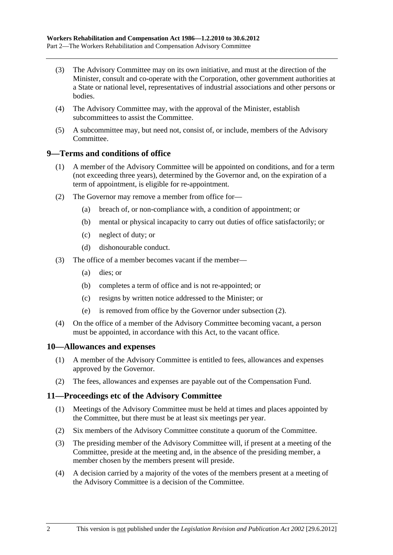- <span id="page-23-0"></span> (3) The Advisory Committee may on its own initiative, and must at the direction of the Minister, consult and co-operate with the Corporation, other government authorities at a State or national level, representatives of industrial associations and other persons or bodies.
- (4) The Advisory Committee may, with the approval of the Minister, establish subcommittees to assist the Committee.
- (5) A subcommittee may, but need not, consist of, or include, members of the Advisory Committee.

## **9—Terms and conditions of office**

- (1) A member of the Advisory Committee will be appointed on conditions, and for a term (not exceeding three years), determined by the Governor and, on the expiration of a term of appointment, is eligible for re-appointment.
- (2) The Governor may remove a member from office for—
	- (a) breach of, or non-compliance with, a condition of appointment; or
	- (b) mental or physical incapacity to carry out duties of office satisfactorily; or
	- (c) neglect of duty; or
	- (d) dishonourable conduct.
- (3) The office of a member becomes vacant if the member—
	- (a) dies; or
	- (b) completes a term of office and is not re-appointed; or
	- (c) resigns by written notice addressed to the Minister; or
	- (e) is removed from office by the Governor under [subsection \(2\)](#page-23-0).
- (4) On the office of a member of the Advisory Committee becoming vacant, a person must be appointed, in accordance with this Act, to the vacant office.

## **10—Allowances and expenses**

- (1) A member of the Advisory Committee is entitled to fees, allowances and expenses approved by the Governor.
- (2) The fees, allowances and expenses are payable out of the Compensation Fund.

#### **11—Proceedings etc of the Advisory Committee**

- (1) Meetings of the Advisory Committee must be held at times and places appointed by the Committee, but there must be at least six meetings per year.
- (2) Six members of the Advisory Committee constitute a quorum of the Committee.
- (3) The presiding member of the Advisory Committee will, if present at a meeting of the Committee, preside at the meeting and, in the absence of the presiding member, a member chosen by the members present will preside.
- (4) A decision carried by a majority of the votes of the members present at a meeting of the Advisory Committee is a decision of the Committee.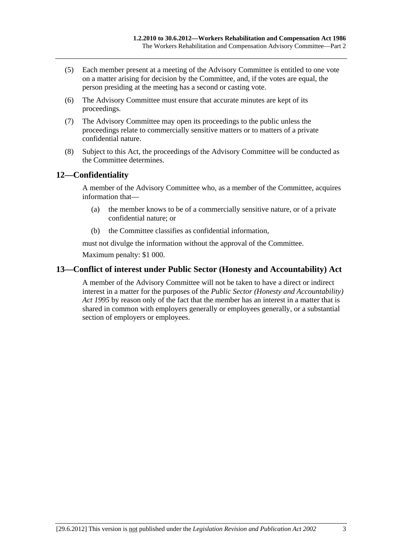- <span id="page-24-0"></span> (5) Each member present at a meeting of the Advisory Committee is entitled to one vote on a matter arising for decision by the Committee, and, if the votes are equal, the person presiding at the meeting has a second or casting vote.
- (6) The Advisory Committee must ensure that accurate minutes are kept of its proceedings.
- (7) The Advisory Committee may open its proceedings to the public unless the proceedings relate to commercially sensitive matters or to matters of a private confidential nature.
- (8) Subject to this Act, the proceedings of the Advisory Committee will be conducted as the Committee determines.

## **12—Confidentiality**

A member of the Advisory Committee who, as a member of the Committee, acquires information that—

- (a) the member knows to be of a commercially sensitive nature, or of a private confidential nature; or
- (b) the Committee classifies as confidential information,

must not divulge the information without the approval of the Committee. Maximum penalty: \$1 000.

## **13—Conflict of interest under Public Sector (Honesty and Accountability) Act**

A member of the Advisory Committee will not be taken to have a direct or indirect interest in a matter for the purposes of the *[Public Sector \(Honesty and Accountability\)](http://www.legislation.sa.gov.au/index.aspx?action=legref&type=act&legtitle=Public%20Sector%20(Honesty%20and%20Accountability)%20Act%201995)  [Act 1995](http://www.legislation.sa.gov.au/index.aspx?action=legref&type=act&legtitle=Public%20Sector%20(Honesty%20and%20Accountability)%20Act%201995)* by reason only of the fact that the member has an interest in a matter that is shared in common with employers generally or employees generally, or a substantial section of employers or employees.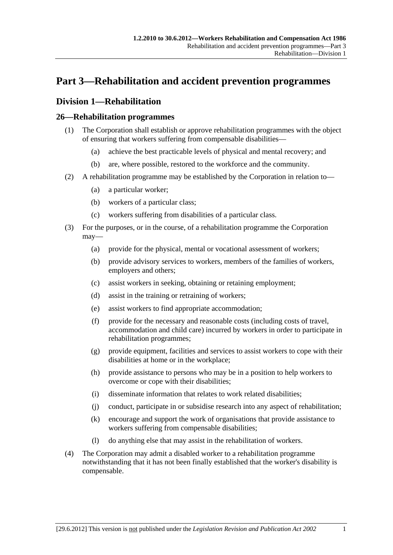# <span id="page-26-0"></span>**Part 3—Rehabilitation and accident prevention programmes**

# **Division 1—Rehabilitation**

## **26—Rehabilitation programmes**

- (1) The Corporation shall establish or approve rehabilitation programmes with the object of ensuring that workers suffering from compensable disabilities—
	- (a) achieve the best practicable levels of physical and mental recovery; and
	- (b) are, where possible, restored to the workforce and the community.
- (2) A rehabilitation programme may be established by the Corporation in relation to—
	- (a) a particular worker;
	- (b) workers of a particular class;
	- (c) workers suffering from disabilities of a particular class.
- (3) For the purposes, or in the course, of a rehabilitation programme the Corporation may—
	- (a) provide for the physical, mental or vocational assessment of workers;
	- (b) provide advisory services to workers, members of the families of workers, employers and others;
	- (c) assist workers in seeking, obtaining or retaining employment;
	- (d) assist in the training or retraining of workers;
	- (e) assist workers to find appropriate accommodation;
	- (f) provide for the necessary and reasonable costs (including costs of travel, accommodation and child care) incurred by workers in order to participate in rehabilitation programmes;
	- (g) provide equipment, facilities and services to assist workers to cope with their disabilities at home or in the workplace;
	- (h) provide assistance to persons who may be in a position to help workers to overcome or cope with their disabilities;
	- (i) disseminate information that relates to work related disabilities;
	- (j) conduct, participate in or subsidise research into any aspect of rehabilitation;
	- (k) encourage and support the work of organisations that provide assistance to workers suffering from compensable disabilities;
	- (l) do anything else that may assist in the rehabilitation of workers.
- (4) The Corporation may admit a disabled worker to a rehabilitation programme notwithstanding that it has not been finally established that the worker's disability is compensable.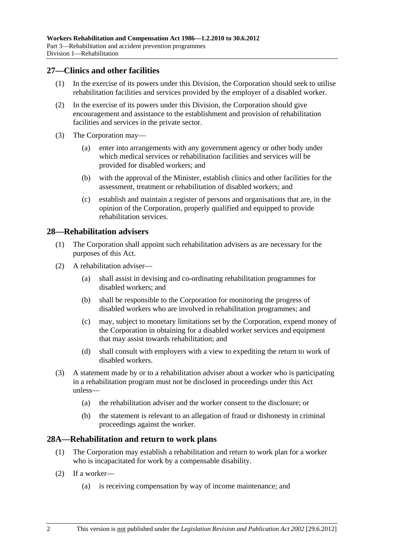## <span id="page-27-0"></span>**27—Clinics and other facilities**

- (1) In the exercise of its powers under this Division, the Corporation should seek to utilise rehabilitation facilities and services provided by the employer of a disabled worker.
- (2) In the exercise of its powers under this Division, the Corporation should give encouragement and assistance to the establishment and provision of rehabilitation facilities and services in the private sector.
- (3) The Corporation may—
	- (a) enter into arrangements with any government agency or other body under which medical services or rehabilitation facilities and services will be provided for disabled workers; and
	- (b) with the approval of the Minister, establish clinics and other facilities for the assessment, treatment or rehabilitation of disabled workers; and
	- (c) establish and maintain a register of persons and organisations that are, in the opinion of the Corporation, properly qualified and equipped to provide rehabilitation services.

## **28—Rehabilitation advisers**

- (1) The Corporation shall appoint such rehabilitation advisers as are necessary for the purposes of this Act.
- (2) A rehabilitation adviser—
	- (a) shall assist in devising and co-ordinating rehabilitation programmes for disabled workers; and
	- (b) shall be responsible to the Corporation for monitoring the progress of disabled workers who are involved in rehabilitation programmes; and
	- (c) may, subject to monetary limitations set by the Corporation, expend money of the Corporation in obtaining for a disabled worker services and equipment that may assist towards rehabilitation; and
	- (d) shall consult with employers with a view to expediting the return to work of disabled workers.
- (3) A statement made by or to a rehabilitation adviser about a worker who is participating in a rehabilitation program must not be disclosed in proceedings under this Act unless—
	- (a) the rehabilitation adviser and the worker consent to the disclosure; or
	- (b) the statement is relevant to an allegation of fraud or dishonesty in criminal proceedings against the worker.

#### **28A—Rehabilitation and return to work plans**

- (1) The Corporation may establish a rehabilitation and return to work plan for a worker who is incapacitated for work by a compensable disability.
- (2) If a worker—
	- (a) is receiving compensation by way of income maintenance; and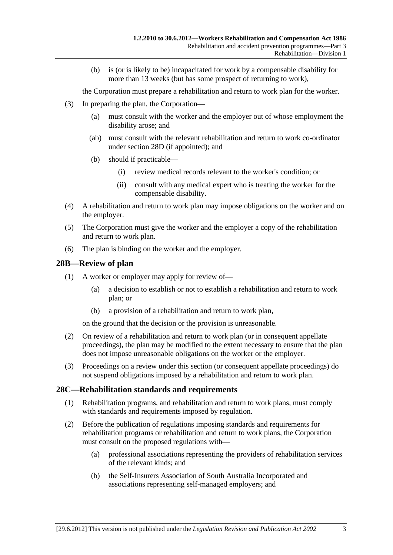<span id="page-28-0"></span> (b) is (or is likely to be) incapacitated for work by a compensable disability for more than 13 weeks (but has some prospect of returning to work),

the Corporation must prepare a rehabilitation and return to work plan for the worker.

- (3) In preparing the plan, the Corporation—
	- (a) must consult with the worker and the employer out of whose employment the disability arose; and
	- (ab) must consult with the relevant rehabilitation and return to work co-ordinator under [section 28D](#page-29-0) (if appointed); and
	- (b) should if practicable—
		- (i) review medical records relevant to the worker's condition; or
		- (ii) consult with any medical expert who is treating the worker for the compensable disability.
- (4) A rehabilitation and return to work plan may impose obligations on the worker and on the employer.
- (5) The Corporation must give the worker and the employer a copy of the rehabilitation and return to work plan.
- (6) The plan is binding on the worker and the employer.

## **28B—Review of plan**

- (1) A worker or employer may apply for review of—
	- (a) a decision to establish or not to establish a rehabilitation and return to work plan; or
	- (b) a provision of a rehabilitation and return to work plan,

on the ground that the decision or the provision is unreasonable.

- (2) On review of a rehabilitation and return to work plan (or in consequent appellate proceedings), the plan may be modified to the extent necessary to ensure that the plan does not impose unreasonable obligations on the worker or the employer.
- (3) Proceedings on a review under this section (or consequent appellate proceedings) do not suspend obligations imposed by a rehabilitation and return to work plan.

#### **28C—Rehabilitation standards and requirements**

- (1) Rehabilitation programs, and rehabilitation and return to work plans, must comply with standards and requirements imposed by regulation.
- (2) Before the publication of regulations imposing standards and requirements for rehabilitation programs or rehabilitation and return to work plans, the Corporation must consult on the proposed regulations with—
	- (a) professional associations representing the providers of rehabilitation services of the relevant kinds; and
	- (b) the Self-Insurers Association of South Australia Incorporated and associations representing self-managed employers; and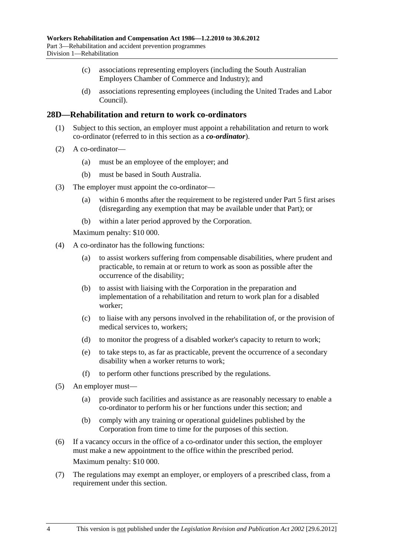- <span id="page-29-0"></span> (c) associations representing employers (including the South Australian Employers Chamber of Commerce and Industry); and
- (d) associations representing employees (including the United Trades and Labor Council).

## **28D—Rehabilitation and return to work co-ordinators**

- (1) Subject to this section, an employer must appoint a rehabilitation and return to work co-ordinator (referred to in this section as a *co-ordinator*).
- (2) A co-ordinator—
	- (a) must be an employee of the employer; and
	- (b) must be based in South Australia.
- (3) The employer must appoint the co-ordinator—
	- (a) within 6 months after the requirement to be registered under [Part 5](#page-82-0) first arises (disregarding any exemption that may be available under that Part); or
	- (b) within a later period approved by the Corporation.

Maximum penalty: \$10 000.

- (4) A co-ordinator has the following functions:
	- (a) to assist workers suffering from compensable disabilities, where prudent and practicable, to remain at or return to work as soon as possible after the occurrence of the disability;
	- (b) to assist with liaising with the Corporation in the preparation and implementation of a rehabilitation and return to work plan for a disabled worker;
	- (c) to liaise with any persons involved in the rehabilitation of, or the provision of medical services to, workers;
	- (d) to monitor the progress of a disabled worker's capacity to return to work;
	- (e) to take steps to, as far as practicable, prevent the occurrence of a secondary disability when a worker returns to work;
	- (f) to perform other functions prescribed by the regulations.
- (5) An employer must—
	- (a) provide such facilities and assistance as are reasonably necessary to enable a co-ordinator to perform his or her functions under this section; and
	- (b) comply with any training or operational guidelines published by the Corporation from time to time for the purposes of this section.
- (6) If a vacancy occurs in the office of a co-ordinator under this section, the employer must make a new appointment to the office within the prescribed period. Maximum penalty: \$10 000.
- (7) The regulations may exempt an employer, or employers of a prescribed class, from a requirement under this section.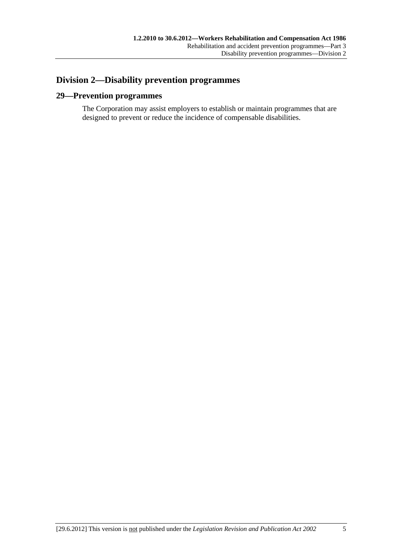# <span id="page-30-0"></span>**Division 2—Disability prevention programmes**

## **29—Prevention programmes**

The Corporation may assist employers to establish or maintain programmes that are designed to prevent or reduce the incidence of compensable disabilities.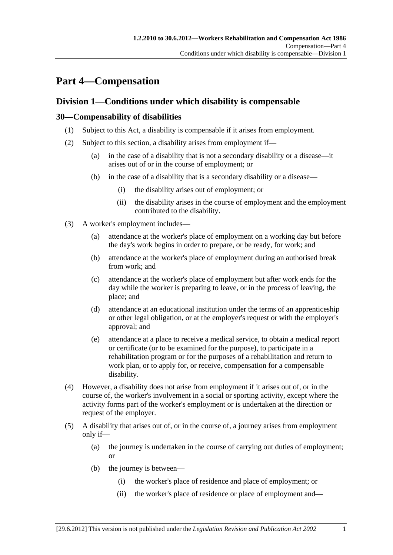# <span id="page-32-0"></span>**Part 4—Compensation**

# **Division 1—Conditions under which disability is compensable**

## **30—Compensability of disabilities**

- (1) Subject to this Act, a disability is compensable if it arises from employment.
- (2) Subject to this section, a disability arises from employment if—
	- (a) in the case of a disability that is not a secondary disability or a disease—it arises out of or in the course of employment; or
	- (b) in the case of a disability that is a secondary disability or a disease—
		- (i) the disability arises out of employment; or
		- (ii) the disability arises in the course of employment and the employment contributed to the disability.
- (3) A worker's employment includes—
	- (a) attendance at the worker's place of employment on a working day but before the day's work begins in order to prepare, or be ready, for work; and
	- (b) attendance at the worker's place of employment during an authorised break from work; and
	- (c) attendance at the worker's place of employment but after work ends for the day while the worker is preparing to leave, or in the process of leaving, the place; and
	- (d) attendance at an educational institution under the terms of an apprenticeship or other legal obligation, or at the employer's request or with the employer's approval; and
	- (e) attendance at a place to receive a medical service, to obtain a medical report or certificate (or to be examined for the purpose), to participate in a rehabilitation program or for the purposes of a rehabilitation and return to work plan, or to apply for, or receive, compensation for a compensable disability.
- (4) However, a disability does not arise from employment if it arises out of, or in the course of, the worker's involvement in a social or sporting activity, except where the activity forms part of the worker's employment or is undertaken at the direction or request of the employer.
- (5) A disability that arises out of, or in the course of, a journey arises from employment only if—
	- (a) the journey is undertaken in the course of carrying out duties of employment; or
	- (b) the journey is between—
		- (i) the worker's place of residence and place of employment; or
		- (ii) the worker's place of residence or place of employment and—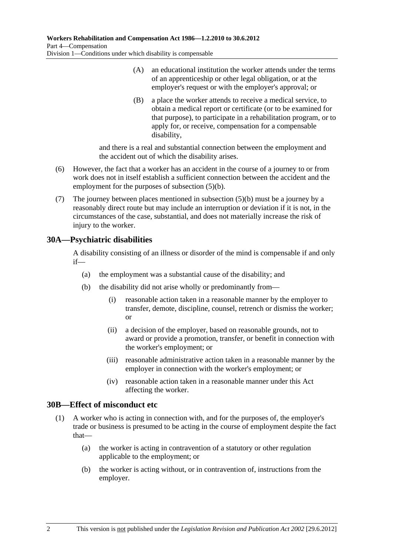- <span id="page-33-0"></span> (A) an educational institution the worker attends under the terms of an apprenticeship or other legal obligation, or at the employer's request or with the employer's approval; or
- (B) a place the worker attends to receive a medical service, to obtain a medical report or certificate (or to be examined for that purpose), to participate in a rehabilitation program, or to apply for, or receive, compensation for a compensable disability,

and there is a real and substantial connection between the employment and the accident out of which the disability arises.

- (6) However, the fact that a worker has an accident in the course of a journey to or from work does not in itself establish a sufficient connection between the accident and the employment for the purposes of [subsection \(5\)\(b\).](#page-32-0)
- (7) The journey between places mentioned in [subsection \(5\)\(b\)](#page-32-0) must be a journey by a reasonably direct route but may include an interruption or deviation if it is not, in the circumstances of the case, substantial, and does not materially increase the risk of injury to the worker.

# **30A—Psychiatric disabilities**

A disability consisting of an illness or disorder of the mind is compensable if and only if—

- (a) the employment was a substantial cause of the disability; and
- (b) the disability did not arise wholly or predominantly from—
	- (i) reasonable action taken in a reasonable manner by the employer to transfer, demote, discipline, counsel, retrench or dismiss the worker; or
	- (ii) a decision of the employer, based on reasonable grounds, not to award or provide a promotion, transfer, or benefit in connection with the worker's employment; or
	- (iii) reasonable administrative action taken in a reasonable manner by the employer in connection with the worker's employment; or
	- (iv) reasonable action taken in a reasonable manner under this Act affecting the worker.

## **30B—Effect of misconduct etc**

- (1) A worker who is acting in connection with, and for the purposes of, the employer's trade or business is presumed to be acting in the course of employment despite the fact that—
	- (a) the worker is acting in contravention of a statutory or other regulation applicable to the employment; or
	- (b) the worker is acting without, or in contravention of, instructions from the employer.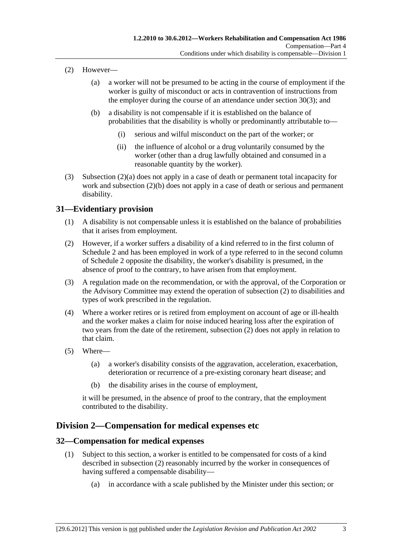- <span id="page-34-0"></span> (2) However—
	- (a) a worker will not be presumed to be acting in the course of employment if the worker is guilty of misconduct or acts in contravention of instructions from the employer during the course of an attendance under [section 30\(3\)](#page-32-0); and
	- (b) a disability is not compensable if it is established on the balance of probabilities that the disability is wholly or predominantly attributable to—
		- (i) serious and wilful misconduct on the part of the worker; or
		- (ii) the influence of alcohol or a drug voluntarily consumed by the worker (other than a drug lawfully obtained and consumed in a reasonable quantity by the worker).
- (3) [Subsection \(2\)\(a\)](#page-34-0) does not apply in a case of death or permanent total incapacity for work and [subsection \(2\)\(b\)](#page-34-0) does not apply in a case of death or serious and permanent disability.

## **31—Evidentiary provision**

- (1) A disability is not compensable unless it is established on the balance of probabilities that it arises from employment.
- (2) However, if a worker suffers a disability of a kind referred to in the first column of [Schedule 2](#page-153-0) and has been employed in work of a type referred to in the second column of [Schedule 2](#page-153-0) opposite the disability, the worker's disability is presumed, in the absence of proof to the contrary, to have arisen from that employment.
- (3) A regulation made on the recommendation, or with the approval, of the Corporation or the Advisory Committee may extend the operation of [subsection \(2\)](#page-34-0) to disabilities and types of work prescribed in the regulation.
- (4) Where a worker retires or is retired from employment on account of age or ill-health and the worker makes a claim for noise induced hearing loss after the expiration of two years from the date of the retirement, [subsection \(2\)](#page-34-0) does not apply in relation to that claim.
- (5) Where—
	- (a) a worker's disability consists of the aggravation, acceleration, exacerbation, deterioration or recurrence of a pre-existing coronary heart disease; and
	- (b) the disability arises in the course of employment,

it will be presumed, in the absence of proof to the contrary, that the employment contributed to the disability.

# **Division 2—Compensation for medical expenses etc**

## **32—Compensation for medical expenses**

- (1) Subject to this section, a worker is entitled to be compensated for costs of a kind described in [subsection \(2\)](#page-35-0) reasonably incurred by the worker in consequences of having suffered a compensable disability—
	- (a) in accordance with a scale published by the Minister under this section; or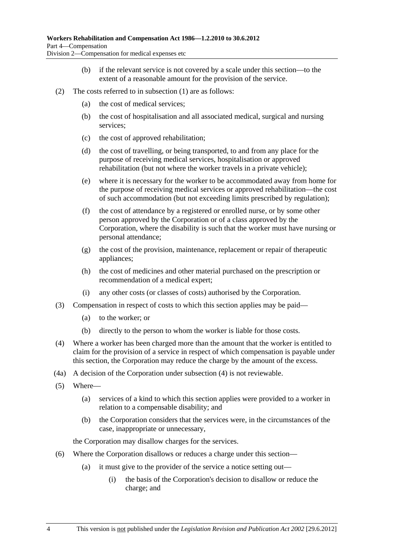- (b) if the relevant service is not covered by a scale under this section—to the extent of a reasonable amount for the provision of the service.
- <span id="page-35-0"></span> (2) The costs referred to in [subsection \(1\)](#page-34-0) are as follows:
	- (a) the cost of medical services;
	- (b) the cost of hospitalisation and all associated medical, surgical and nursing services;
	- (c) the cost of approved rehabilitation;
	- (d) the cost of travelling, or being transported, to and from any place for the purpose of receiving medical services, hospitalisation or approved rehabilitation (but not where the worker travels in a private vehicle);
	- (e) where it is necessary for the worker to be accommodated away from home for the purpose of receiving medical services or approved rehabilitation—the cost of such accommodation (but not exceeding limits prescribed by regulation);
	- (f) the cost of attendance by a registered or enrolled nurse, or by some other person approved by the Corporation or of a class approved by the Corporation, where the disability is such that the worker must have nursing or personal attendance;
	- (g) the cost of the provision, maintenance, replacement or repair of therapeutic appliances;
	- (h) the cost of medicines and other material purchased on the prescription or recommendation of a medical expert;
	- (i) any other costs (or classes of costs) authorised by the Corporation.
- (3) Compensation in respect of costs to which this section applies may be paid—
	- (a) to the worker; or
	- (b) directly to the person to whom the worker is liable for those costs.
- (4) Where a worker has been charged more than the amount that the worker is entitled to claim for the provision of a service in respect of which compensation is payable under this section, the Corporation may reduce the charge by the amount of the excess.
- (4a) A decision of the Corporation under [subsection \(4\)](#page-35-0) is not reviewable.
- (5) Where—
	- (a) services of a kind to which this section applies were provided to a worker in relation to a compensable disability; and
	- (b) the Corporation considers that the services were, in the circumstances of the case, inappropriate or unnecessary,

the Corporation may disallow charges for the services.

- (6) Where the Corporation disallows or reduces a charge under this section—
	- (a) it must give to the provider of the service a notice setting out—
		- (i) the basis of the Corporation's decision to disallow or reduce the charge; and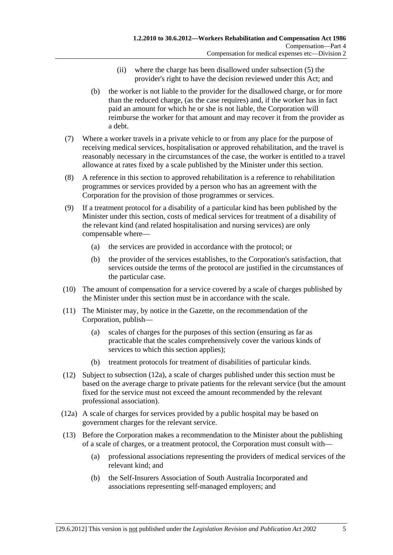- (ii) where the charge has been disallowed under [subsection \(5\)](#page-35-0) the provider's right to have the decision reviewed under this Act; and
- <span id="page-36-0"></span> (b) the worker is not liable to the provider for the disallowed charge, or for more than the reduced charge, (as the case requires) and, if the worker has in fact paid an amount for which he or she is not liable, the Corporation will reimburse the worker for that amount and may recover it from the provider as a debt.
- (7) Where a worker travels in a private vehicle to or from any place for the purpose of receiving medical services, hospitalisation or approved rehabilitation, and the travel is reasonably necessary in the circumstances of the case, the worker is entitled to a travel allowance at rates fixed by a scale published by the Minister under this section.
- (8) A reference in this section to approved rehabilitation is a reference to rehabilitation programmes or services provided by a person who has an agreement with the Corporation for the provision of those programmes or services.
- (9) If a treatment protocol for a disability of a particular kind has been published by the Minister under this section, costs of medical services for treatment of a disability of the relevant kind (and related hospitalisation and nursing services) are only compensable where—
	- (a) the services are provided in accordance with the protocol; or
	- (b) the provider of the services establishes, to the Corporation's satisfaction, that services outside the terms of the protocol are justified in the circumstances of the particular case.
- (10) The amount of compensation for a service covered by a scale of charges published by the Minister under this section must be in accordance with the scale.
- (11) The Minister may, by notice in the Gazette, on the recommendation of the Corporation, publish—
	- (a) scales of charges for the purposes of this section (ensuring as far as practicable that the scales comprehensively cover the various kinds of services to which this section applies);
	- (b) treatment protocols for treatment of disabilities of particular kinds.
- (12) Subject to [subsection \(12a\),](#page-36-0) a scale of charges published under this section must be based on the average charge to private patients for the relevant service (but the amount fixed for the service must not exceed the amount recommended by the relevant professional association).
- (12a) A scale of charges for services provided by a public hospital may be based on government charges for the relevant service.
- (13) Before the Corporation makes a recommendation to the Minister about the publishing of a scale of charges, or a treatment protocol, the Corporation must consult with—
	- (a) professional associations representing the providers of medical services of the relevant kind; and
	- (b) the Self-Insurers Association of South Australia Incorporated and associations representing self-managed employers; and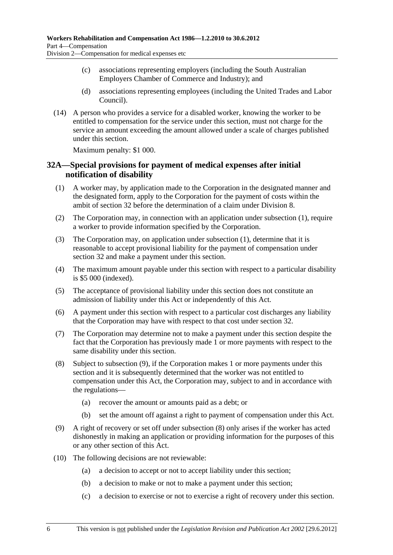- <span id="page-37-0"></span> (c) associations representing employers (including the South Australian Employers Chamber of Commerce and Industry); and
- (d) associations representing employees (including the United Trades and Labor Council).
- (14) A person who provides a service for a disabled worker, knowing the worker to be entitled to compensation for the service under this section, must not charge for the service an amount exceeding the amount allowed under a scale of charges published under this section.

Maximum penalty: \$1 000.

## **32A—Special provisions for payment of medical expenses after initial notification of disability**

- (1) A worker may, by application made to the Corporation in the designated manner and the designated form, apply to the Corporation for the payment of costs within the ambit of [section 32](#page-34-0) before the determination of a claim under [Division 8](#page-68-0).
- (2) The Corporation may, in connection with an application under [subsection \(1\),](#page-37-0) require a worker to provide information specified by the Corporation.
- (3) The Corporation may, on application under [subsection \(1\),](#page-37-0) determine that it is reasonable to accept provisional liability for the payment of compensation under [section 32](#page-34-0) and make a payment under this section.
- (4) The maximum amount payable under this section with respect to a particular disability is \$5 000 (indexed).
- (5) The acceptance of provisional liability under this section does not constitute an admission of liability under this Act or independently of this Act.
- (6) A payment under this section with respect to a particular cost discharges any liability that the Corporation may have with respect to that cost under [section 32.](#page-34-0)
- (7) The Corporation may determine not to make a payment under this section despite the fact that the Corporation has previously made 1 or more payments with respect to the same disability under this section.
- (8) Subject to [subsection \(9\),](#page-37-0) if the Corporation makes 1 or more payments under this section and it is subsequently determined that the worker was not entitled to compensation under this Act, the Corporation may, subject to and in accordance with the regulations—
	- (a) recover the amount or amounts paid as a debt; or
	- (b) set the amount off against a right to payment of compensation under this Act.
- (9) A right of recovery or set off under [subsection \(8\)](#page-37-0) only arises if the worker has acted dishonestly in making an application or providing information for the purposes of this or any other section of this Act.
- (10) The following decisions are not reviewable:
	- (a) a decision to accept or not to accept liability under this section;
	- (b) a decision to make or not to make a payment under this section;
	- (c) a decision to exercise or not to exercise a right of recovery under this section.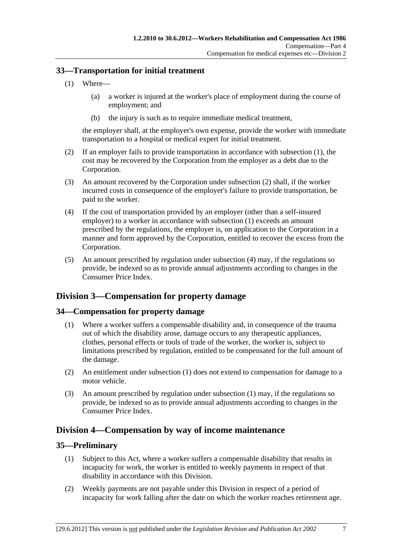## <span id="page-38-0"></span>**33—Transportation for initial treatment**

- (1) Where—
	- (a) a worker is injured at the worker's place of employment during the course of employment; and
	- (b) the injury is such as to require immediate medical treatment,

the employer shall, at the employer's own expense, provide the worker with immediate transportation to a hospital or medical expert for initial treatment.

- (2) If an employer fails to provide transportation in accordance with [subsection \(1\)](#page-38-0), the cost may be recovered by the Corporation from the employer as a debt due to the Corporation.
- (3) An amount recovered by the Corporation under [subsection \(2\)](#page-38-0) shall, if the worker incurred costs in consequence of the employer's failure to provide transportation, be paid to the worker.
- (4) If the cost of transportation provided by an employer (other than a self-insured employer) to a worker in accordance with [subsection \(1\)](#page-38-0) exceeds an amount prescribed by the regulations, the employer is, on application to the Corporation in a manner and form approved by the Corporation, entitled to recover the excess from the Corporation.
- (5) An amount prescribed by regulation under [subsection \(4\)](#page-38-0) may, if the regulations so provide, be indexed so as to provide annual adjustments according to changes in the Consumer Price Index.

# **Division 3—Compensation for property damage**

# **34—Compensation for property damage**

- (1) Where a worker suffers a compensable disability and, in consequence of the trauma out of which the disability arose, damage occurs to any therapeutic appliances, clothes, personal effects or tools of trade of the worker, the worker is, subject to limitations prescribed by regulation, entitled to be compensated for the full amount of the damage.
- (2) An entitlement under [subsection \(1\)](#page-38-0) does not extend to compensation for damage to a motor vehicle.
- (3) An amount prescribed by regulation under [subsection \(1\)](#page-38-0) may, if the regulations so provide, be indexed so as to provide annual adjustments according to changes in the Consumer Price Index.

# **Division 4—Compensation by way of income maintenance**

## **35—Preliminary**

- (1) Subject to this Act, where a worker suffers a compensable disability that results in incapacity for work, the worker is entitled to weekly payments in respect of that disability in accordance with this Division.
- (2) Weekly payments are not payable under this Division in respect of a period of incapacity for work falling after the date on which the worker reaches retirement age.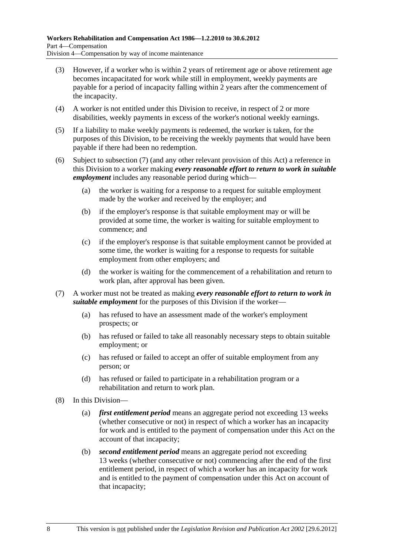- <span id="page-39-0"></span> (3) However, if a worker who is within 2 years of retirement age or above retirement age becomes incapacitated for work while still in employment, weekly payments are payable for a period of incapacity falling within 2 years after the commencement of the incapacity.
- (4) A worker is not entitled under this Division to receive, in respect of 2 or more disabilities, weekly payments in excess of the worker's notional weekly earnings.
- (5) If a liability to make weekly payments is redeemed, the worker is taken, for the purposes of this Division, to be receiving the weekly payments that would have been payable if there had been no redemption.
- (6) Subject to [subsection \(7\)](#page-39-0) (and any other relevant provision of this Act) a reference in this Division to a worker making *every reasonable effort to return to work in suitable employment* includes any reasonable period during which—
	- (a) the worker is waiting for a response to a request for suitable employment made by the worker and received by the employer; and
	- (b) if the employer's response is that suitable employment may or will be provided at some time, the worker is waiting for suitable employment to commence; and
	- (c) if the employer's response is that suitable employment cannot be provided at some time, the worker is waiting for a response to requests for suitable employment from other employers; and
	- (d) the worker is waiting for the commencement of a rehabilitation and return to work plan, after approval has been given.
- (7) A worker must not be treated as making *every reasonable effort to return to work in suitable employment* for the purposes of this Division if the worker—
	- (a) has refused to have an assessment made of the worker's employment prospects; or
	- (b) has refused or failed to take all reasonably necessary steps to obtain suitable employment; or
	- (c) has refused or failed to accept an offer of suitable employment from any person; or
	- (d) has refused or failed to participate in a rehabilitation program or a rehabilitation and return to work plan.
- (8) In this Division—
	- (a) *first entitlement period* means an aggregate period not exceeding 13 weeks (whether consecutive or not) in respect of which a worker has an incapacity for work and is entitled to the payment of compensation under this Act on the account of that incapacity;
	- (b) *second entitlement period* means an aggregate period not exceeding 13 weeks (whether consecutive or not) commencing after the end of the first entitlement period, in respect of which a worker has an incapacity for work and is entitled to the payment of compensation under this Act on account of that incapacity;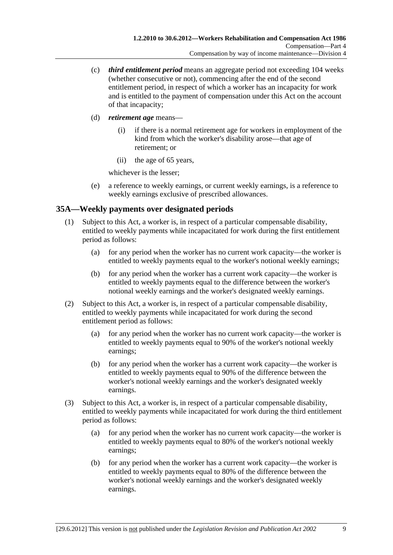- <span id="page-40-0"></span> (c) *third entitlement period* means an aggregate period not exceeding 104 weeks (whether consecutive or not), commencing after the end of the second entitlement period, in respect of which a worker has an incapacity for work and is entitled to the payment of compensation under this Act on the account of that incapacity;
- (d) *retirement age* means—
	- (i) if there is a normal retirement age for workers in employment of the kind from which the worker's disability arose—that age of retirement; or
	- (ii) the age of 65 years,

whichever is the lesser;

 (e) a reference to weekly earnings, or current weekly earnings, is a reference to weekly earnings exclusive of prescribed allowances.

# **35A—Weekly payments over designated periods**

- (1) Subject to this Act, a worker is, in respect of a particular compensable disability, entitled to weekly payments while incapacitated for work during the first entitlement period as follows:
	- (a) for any period when the worker has no current work capacity—the worker is entitled to weekly payments equal to the worker's notional weekly earnings;
	- (b) for any period when the worker has a current work capacity—the worker is entitled to weekly payments equal to the difference between the worker's notional weekly earnings and the worker's designated weekly earnings.
- (2) Subject to this Act, a worker is, in respect of a particular compensable disability, entitled to weekly payments while incapacitated for work during the second entitlement period as follows:
	- (a) for any period when the worker has no current work capacity—the worker is entitled to weekly payments equal to 90% of the worker's notional weekly earnings;
	- (b) for any period when the worker has a current work capacity—the worker is entitled to weekly payments equal to 90% of the difference between the worker's notional weekly earnings and the worker's designated weekly earnings.
- (3) Subject to this Act, a worker is, in respect of a particular compensable disability, entitled to weekly payments while incapacitated for work during the third entitlement period as follows:
	- (a) for any period when the worker has no current work capacity—the worker is entitled to weekly payments equal to 80% of the worker's notional weekly earnings;
	- (b) for any period when the worker has a current work capacity—the worker is entitled to weekly payments equal to 80% of the difference between the worker's notional weekly earnings and the worker's designated weekly earnings.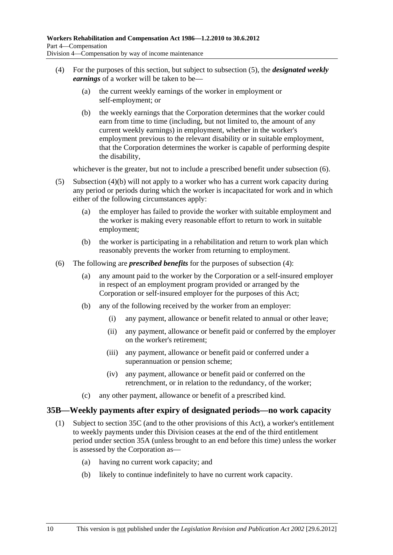- <span id="page-41-0"></span> (4) For the purposes of this section, but subject to [subsection \(5\)](#page-41-0), the *designated weekly earnings* of a worker will be taken to be—
	- (a) the current weekly earnings of the worker in employment or self-employment; or
	- (b) the weekly earnings that the Corporation determines that the worker could earn from time to time (including, but not limited to, the amount of any current weekly earnings) in employment, whether in the worker's employment previous to the relevant disability or in suitable employment, that the Corporation determines the worker is capable of performing despite the disability,

whichever is the greater, but not to include a prescribed benefit under subsection  $(6)$ .

- (5) [Subsection \(4\)\(b\)](#page-41-0) will not apply to a worker who has a current work capacity during any period or periods during which the worker is incapacitated for work and in which either of the following circumstances apply:
	- (a) the employer has failed to provide the worker with suitable employment and the worker is making every reasonable effort to return to work in suitable employment;
	- (b) the worker is participating in a rehabilitation and return to work plan which reasonably prevents the worker from returning to employment.
- (6) The following are *prescribed benefits* for the purposes of [subsection \(4\)](#page-41-0):
	- (a) any amount paid to the worker by the Corporation or a self-insured employer in respect of an employment program provided or arranged by the Corporation or self-insured employer for the purposes of this Act;
	- (b) any of the following received by the worker from an employer:
		- (i) any payment, allowance or benefit related to annual or other leave;
		- (ii) any payment, allowance or benefit paid or conferred by the employer on the worker's retirement;
		- (iii) any payment, allowance or benefit paid or conferred under a superannuation or pension scheme;
		- (iv) any payment, allowance or benefit paid or conferred on the retrenchment, or in relation to the redundancy, of the worker;
	- (c) any other payment, allowance or benefit of a prescribed kind.

## **35B—Weekly payments after expiry of designated periods—no work capacity**

- (1) Subject to [section 35C](#page-42-0) (and to the other provisions of this Act), a worker's entitlement to weekly payments under this Division ceases at the end of the third entitlement period under [section 35A](#page-40-0) (unless brought to an end before this time) unless the worker is assessed by the Corporation as—
	- (a) having no current work capacity; and
	- (b) likely to continue indefinitely to have no current work capacity.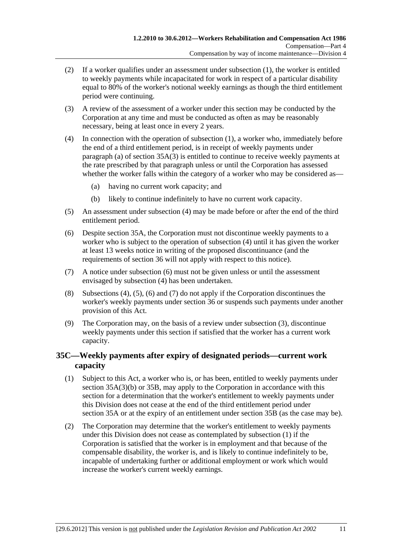- <span id="page-42-0"></span> (2) If a worker qualifies under an assessment under [subsection \(1\),](#page-41-0) the worker is entitled to weekly payments while incapacitated for work in respect of a particular disability equal to 80% of the worker's notional weekly earnings as though the third entitlement period were continuing.
- (3) A review of the assessment of a worker under this section may be conducted by the Corporation at any time and must be conducted as often as may be reasonably necessary, being at least once in every 2 years.
- (4) In connection with the operation of [subsection \(1\)](#page-41-0), a worker who, immediately before the end of a third entitlement period, is in receipt of weekly payments under [paragraph \(a\)](#page-40-0) of section  $35A(3)$  is entitled to continue to receive weekly payments at the rate prescribed by that paragraph unless or until the Corporation has assessed whether the worker falls within the category of a worker who may be considered as—
	- (a) having no current work capacity; and
	- (b) likely to continue indefinitely to have no current work capacity.
- (5) An assessment under [subsection \(4\)](#page-42-0) may be made before or after the end of the third entitlement period.
- (6) Despite [section 35A](#page-40-0), the Corporation must not discontinue weekly payments to a worker who is subject to the operation of [subsection \(4\)](#page-42-0) until it has given the worker at least 13 weeks notice in writing of the proposed discontinuance (and the requirements of [section 36](#page-43-0) will not apply with respect to this notice).
- (7) A notice under [subsection \(6\)](#page-42-0) must not be given unless or until the assessment envisaged by [subsection \(4\)](#page-42-0) has been undertaken.
- (8) [Subsections \(4\)](#page-42-0), [\(5\)](#page-42-0), [\(6\)](#page-42-0) and [\(7\)](#page-42-0) do not apply if the Corporation discontinues the worker's weekly payments under [section 36](#page-43-0) or suspends such payments under another provision of this Act.
- (9) The Corporation may, on the basis of a review under [subsection \(3\)](#page-42-0), discontinue weekly payments under this section if satisfied that the worker has a current work capacity.

# **35C—Weekly payments after expiry of designated periods—current work capacity**

- (1) Subject to this Act, a worker who is, or has been, entitled to weekly payments under [section 35A\(3\)\(b\)](#page-40-0) or [35B](#page-41-0), may apply to the Corporation in accordance with this section for a determination that the worker's entitlement to weekly payments under this Division does not cease at the end of the third entitlement period under [section 35A](#page-40-0) or at the expiry of an entitlement under [section 35B](#page-41-0) (as the case may be).
- (2) The Corporation may determine that the worker's entitlement to weekly payments under this Division does not cease as contemplated by [subsection \(1\)](#page-42-0) if the Corporation is satisfied that the worker is in employment and that because of the compensable disability, the worker is, and is likely to continue indefinitely to be, incapable of undertaking further or additional employment or work which would increase the worker's current weekly earnings.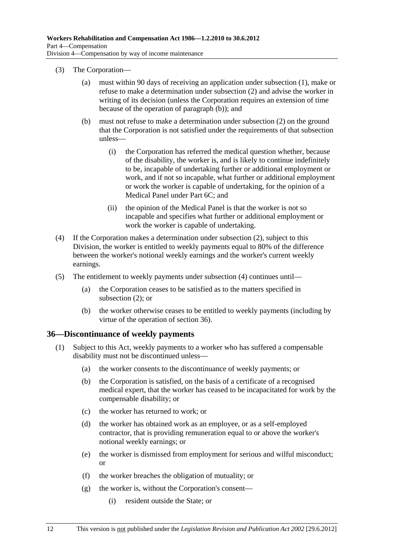- <span id="page-43-0"></span> (3) The Corporation—
	- (a) must within 90 days of receiving an application under [subsection \(1\),](#page-42-0) make or refuse to make a determination under [subsection \(2\)](#page-42-0) and advise the worker in writing of its decision (unless the Corporation requires an extension of time because of the operation of [paragraph \(b\)](#page-43-0)); and
	- (b) must not refuse to make a determination under [subsection \(2\)](#page-42-0) on the ground that the Corporation is not satisfied under the requirements of that subsection unless—
		- (i) the Corporation has referred the medical question whether, because of the disability, the worker is, and is likely to continue indefinitely to be, incapable of undertaking further or additional employment or work, and if not so incapable, what further or additional employment or work the worker is capable of undertaking, for the opinion of a Medical Panel under [Part 6C;](#page-122-0) and
		- (ii) the opinion of the Medical Panel is that the worker is not so incapable and specifies what further or additional employment or work the worker is capable of undertaking.
- (4) If the Corporation makes a determination under [subsection \(2\)](#page-42-0), subject to this Division, the worker is entitled to weekly payments equal to 80% of the difference between the worker's notional weekly earnings and the worker's current weekly earnings.
- (5) The entitlement to weekly payments under [subsection \(4\)](#page-43-0) continues until—
	- (a) the Corporation ceases to be satisfied as to the matters specified in [subsection \(2\)](#page-42-0); or
	- (b) the worker otherwise ceases to be entitled to weekly payments (including by virtue of the operation of [section 36](#page-43-0)).

## **36—Discontinuance of weekly payments**

- (1) Subject to this Act, weekly payments to a worker who has suffered a compensable disability must not be discontinued unless—
	- (a) the worker consents to the discontinuance of weekly payments; or
	- (b) the Corporation is satisfied, on the basis of a certificate of a recognised medical expert, that the worker has ceased to be incapacitated for work by the compensable disability; or
	- (c) the worker has returned to work; or
	- (d) the worker has obtained work as an employee, or as a self-employed contractor, that is providing remuneration equal to or above the worker's notional weekly earnings; or
	- (e) the worker is dismissed from employment for serious and wilful misconduct; or
	- (f) the worker breaches the obligation of mutuality; or
	- (g) the worker is, without the Corporation's consent—
		- (i) resident outside the State; or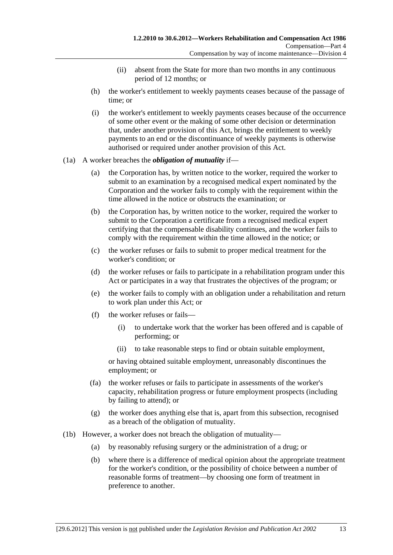- (ii) absent from the State for more than two months in any continuous period of 12 months; or
- (h) the worker's entitlement to weekly payments ceases because of the passage of time; or
- (i) the worker's entitlement to weekly payments ceases because of the occurrence of some other event or the making of some other decision or determination that, under another provision of this Act, brings the entitlement to weekly payments to an end or the discontinuance of weekly payments is otherwise authorised or required under another provision of this Act.

#### (1a) A worker breaches the *obligation of mutuality* if—

- (a) the Corporation has, by written notice to the worker, required the worker to submit to an examination by a recognised medical expert nominated by the Corporation and the worker fails to comply with the requirement within the time allowed in the notice or obstructs the examination; or
- (b) the Corporation has, by written notice to the worker, required the worker to submit to the Corporation a certificate from a recognised medical expert certifying that the compensable disability continues, and the worker fails to comply with the requirement within the time allowed in the notice; or
- (c) the worker refuses or fails to submit to proper medical treatment for the worker's condition; or
- (d) the worker refuses or fails to participate in a rehabilitation program under this Act or participates in a way that frustrates the objectives of the program; or
- (e) the worker fails to comply with an obligation under a rehabilitation and return to work plan under this Act; or
- (f) the worker refuses or fails—
	- (i) to undertake work that the worker has been offered and is capable of performing; or
	- (ii) to take reasonable steps to find or obtain suitable employment,

or having obtained suitable employment, unreasonably discontinues the employment; or

- (fa) the worker refuses or fails to participate in assessments of the worker's capacity, rehabilitation progress or future employment prospects (including by failing to attend); or
- (g) the worker does anything else that is, apart from this subsection, recognised as a breach of the obligation of mutuality.
- (1b) However, a worker does not breach the obligation of mutuality—
	- (a) by reasonably refusing surgery or the administration of a drug; or
	- (b) where there is a difference of medical opinion about the appropriate treatment for the worker's condition, or the possibility of choice between a number of reasonable forms of treatment—by choosing one form of treatment in preference to another.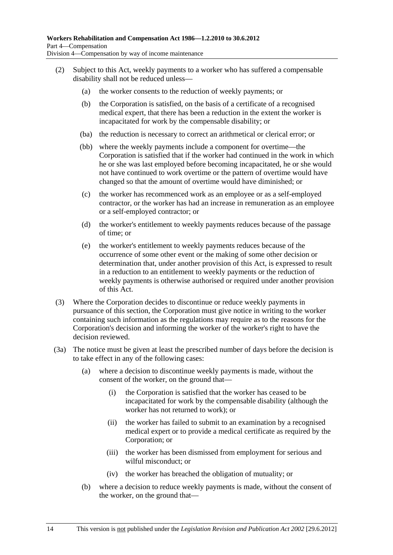- <span id="page-45-0"></span> (2) Subject to this Act, weekly payments to a worker who has suffered a compensable disability shall not be reduced unless—
	- (a) the worker consents to the reduction of weekly payments; or
	- (b) the Corporation is satisfied, on the basis of a certificate of a recognised medical expert, that there has been a reduction in the extent the worker is incapacitated for work by the compensable disability; or
	- (ba) the reduction is necessary to correct an arithmetical or clerical error; or
	- (bb) where the weekly payments include a component for overtime—the Corporation is satisfied that if the worker had continued in the work in which he or she was last employed before becoming incapacitated, he or she would not have continued to work overtime or the pattern of overtime would have changed so that the amount of overtime would have diminished; or
	- (c) the worker has recommenced work as an employee or as a self-employed contractor, or the worker has had an increase in remuneration as an employee or a self-employed contractor; or
	- (d) the worker's entitlement to weekly payments reduces because of the passage of time; or
	- (e) the worker's entitlement to weekly payments reduces because of the occurrence of some other event or the making of some other decision or determination that, under another provision of this Act, is expressed to result in a reduction to an entitlement to weekly payments or the reduction of weekly payments is otherwise authorised or required under another provision of this Act.
- (3) Where the Corporation decides to discontinue or reduce weekly payments in pursuance of this section, the Corporation must give notice in writing to the worker containing such information as the regulations may require as to the reasons for the Corporation's decision and informing the worker of the worker's right to have the decision reviewed.
- (3a) The notice must be given at least the prescribed number of days before the decision is to take effect in any of the following cases:
	- (a) where a decision to discontinue weekly payments is made, without the consent of the worker, on the ground that—
		- (i) the Corporation is satisfied that the worker has ceased to be incapacitated for work by the compensable disability (although the worker has not returned to work); or
		- (ii) the worker has failed to submit to an examination by a recognised medical expert or to provide a medical certificate as required by the Corporation; or
		- (iii) the worker has been dismissed from employment for serious and wilful misconduct; or
		- (iv) the worker has breached the obligation of mutuality; or
	- (b) where a decision to reduce weekly payments is made, without the consent of the worker, on the ground that—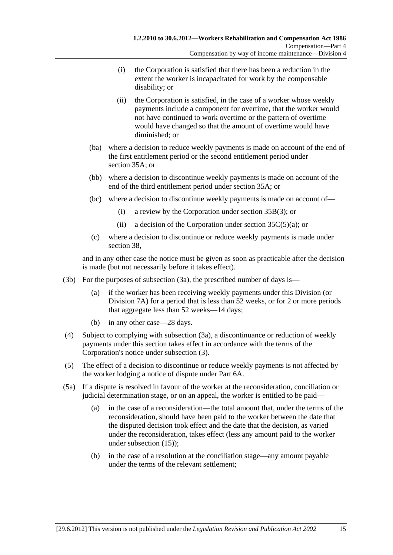- <span id="page-46-0"></span> (i) the Corporation is satisfied that there has been a reduction in the extent the worker is incapacitated for work by the compensable disability; or
- (ii) the Corporation is satisfied, in the case of a worker whose weekly payments include a component for overtime, that the worker would not have continued to work overtime or the pattern of overtime would have changed so that the amount of overtime would have diminished; or
- (ba) where a decision to reduce weekly payments is made on account of the end of the first entitlement period or the second entitlement period under [section 35A;](#page-40-0) or
- (bb) where a decision to discontinue weekly payments is made on account of the end of the third entitlement period under [section 35A](#page-40-0); or
- (bc) where a decision to discontinue weekly payments is made on account of—
	- (i) a review by the Corporation under [section 35B\(3\)](#page-42-0); or
	- (ii) a decision of the Corporation under section  $35C(5)(a)$ ; or
- (c) where a decision to discontinue or reduce weekly payments is made under [section 38](#page-50-0),

and in any other case the notice must be given as soon as practicable after the decision is made (but not necessarily before it takes effect).

- (3b) For the purposes of [subsection \(3a\),](#page-45-0) the prescribed number of days is—
	- (a) if the worker has been receiving weekly payments under this Division (or [Division 7A](#page-66-0)) for a period that is less than 52 weeks, or for 2 or more periods that aggregate less than 52 weeks—14 days;
	- (b) in any other case—28 days.
- (4) Subject to complying with [subsection \(3a\)](#page-45-0), a discontinuance or reduction of weekly payments under this section takes effect in accordance with the terms of the Corporation's notice under [subsection \(3\).](#page-45-0)
- (5) The effect of a decision to discontinue or reduce weekly payments is not affected by the worker lodging a notice of dispute under [Part 6A](#page-112-0).
- (5a) If a dispute is resolved in favour of the worker at the reconsideration, conciliation or judicial determination stage, or on an appeal, the worker is entitled to be paid—
	- (a) in the case of a reconsideration—the total amount that, under the terms of the reconsideration, should have been paid to the worker between the date that the disputed decision took effect and the date that the decision, as varied under the reconsideration, takes effect (less any amount paid to the worker under [subsection \(15\)](#page-48-0));
	- (b) in the case of a resolution at the conciliation stage—any amount payable under the terms of the relevant settlement;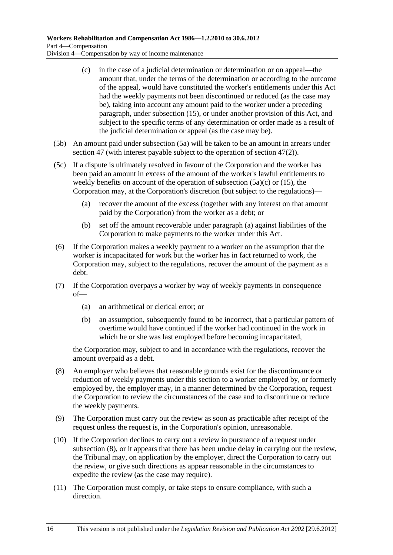- <span id="page-47-0"></span> (c) in the case of a judicial determination or determination or on appeal—the amount that, under the terms of the determination or according to the outcome of the appeal, would have constituted the worker's entitlements under this Act had the weekly payments not been discontinued or reduced (as the case may be), taking into account any amount paid to the worker under a preceding paragraph, under [subsection \(15\),](#page-48-0) or under another provision of this Act, and subject to the specific terms of any determination or order made as a result of the judicial determination or appeal (as the case may be).
- (5b) An amount paid under [subsection \(5a\)](#page-46-0) will be taken to be an amount in arrears under [section 47](#page-64-0) (with interest payable subject to the operation of [section 47\(2\)](#page-65-0)).
- (5c) If a dispute is ultimately resolved in favour of the Corporation and the worker has been paid an amount in excess of the amount of the worker's lawful entitlements to weekly benefits on account of the operation of [subsection \(5a\)\(c\)](#page-47-0) or [\(15\)](#page-48-0), the Corporation may, at the Corporation's discretion (but subject to the regulations)—
	- (a) recover the amount of the excess (together with any interest on that amount paid by the Corporation) from the worker as a debt; or
	- (b) set off the amount recoverable under [paragraph \(a\)](#page-47-0) against liabilities of the Corporation to make payments to the worker under this Act.
- (6) If the Corporation makes a weekly payment to a worker on the assumption that the worker is incapacitated for work but the worker has in fact returned to work, the Corporation may, subject to the regulations, recover the amount of the payment as a debt.
- (7) If the Corporation overpays a worker by way of weekly payments in consequence of—
	- (a) an arithmetical or clerical error; or
	- (b) an assumption, subsequently found to be incorrect, that a particular pattern of overtime would have continued if the worker had continued in the work in which he or she was last employed before becoming incapacitated,

the Corporation may, subject to and in accordance with the regulations, recover the amount overpaid as a debt.

- (8) An employer who believes that reasonable grounds exist for the discontinuance or reduction of weekly payments under this section to a worker employed by, or formerly employed by, the employer may, in a manner determined by the Corporation, request the Corporation to review the circumstances of the case and to discontinue or reduce the weekly payments.
- (9) The Corporation must carry out the review as soon as practicable after receipt of the request unless the request is, in the Corporation's opinion, unreasonable.
- (10) If the Corporation declines to carry out a review in pursuance of a request under [subsection \(8\)](#page-47-0), or it appears that there has been undue delay in carrying out the review, the Tribunal may, on application by the employer, direct the Corporation to carry out the review, or give such directions as appear reasonable in the circumstances to expedite the review (as the case may require).
- (11) The Corporation must comply, or take steps to ensure compliance, with such a direction.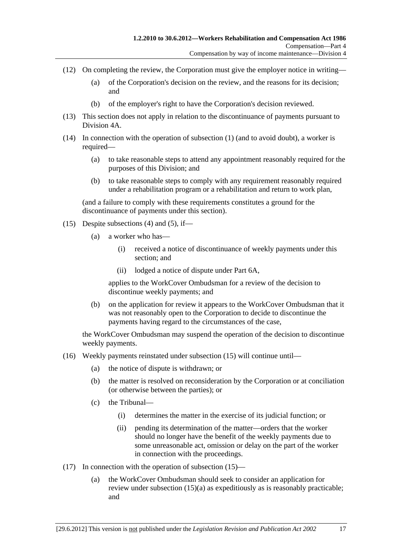- <span id="page-48-0"></span> (12) On completing the review, the Corporation must give the employer notice in writing—
	- (a) of the Corporation's decision on the review, and the reasons for its decision; and
	- (b) of the employer's right to have the Corporation's decision reviewed.
- (13) This section does not apply in relation to the discontinuance of payments pursuant to [Division 4A](#page-52-0).
- (14) In connection with the operation of [subsection \(1\)](#page-43-0) (and to avoid doubt), a worker is required—
	- (a) to take reasonable steps to attend any appointment reasonably required for the purposes of this Division; and
	- (b) to take reasonable steps to comply with any requirement reasonably required under a rehabilitation program or a rehabilitation and return to work plan,

(and a failure to comply with these requirements constitutes a ground for the discontinuance of payments under this section).

- (15) Despite [subsections \(4\)](#page-46-0) and [\(5\),](#page-46-0) if—
	- (a) a worker who has—
		- (i) received a notice of discontinuance of weekly payments under this section; and
		- (ii) lodged a notice of dispute under [Part 6A](#page-112-0),

applies to the WorkCover Ombudsman for a review of the decision to discontinue weekly payments; and

 (b) on the application for review it appears to the WorkCover Ombudsman that it was not reasonably open to the Corporation to decide to discontinue the payments having regard to the circumstances of the case,

the WorkCover Ombudsman may suspend the operation of the decision to discontinue weekly payments.

- (16) Weekly payments reinstated under [subsection \(15\)](#page-48-0) will continue until—
	- (a) the notice of dispute is withdrawn; or
	- (b) the matter is resolved on reconsideration by the Corporation or at conciliation (or otherwise between the parties); or
	- (c) the Tribunal—
		- (i) determines the matter in the exercise of its judicial function; or
		- (ii) pending its determination of the matter—orders that the worker should no longer have the benefit of the weekly payments due to some unreasonable act, omission or delay on the part of the worker in connection with the proceedings.
- (17) In connection with the operation of [subsection \(15\)](#page-48-0)
	- (a) the WorkCover Ombudsman should seek to consider an application for review under [subsection \(15\)\(a\)](#page-48-0) as expeditiously as is reasonably practicable; and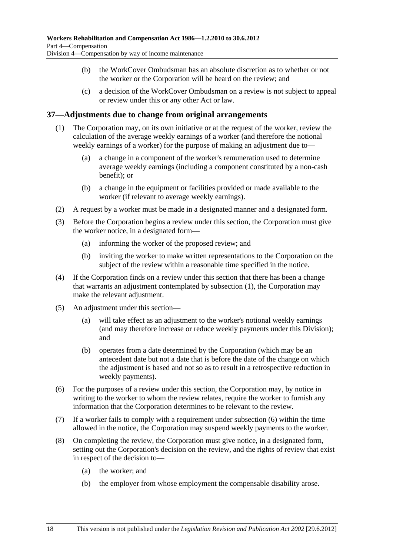- <span id="page-49-0"></span> (b) the WorkCover Ombudsman has an absolute discretion as to whether or not the worker or the Corporation will be heard on the review; and
- (c) a decision of the WorkCover Ombudsman on a review is not subject to appeal or review under this or any other Act or law.

## **37—Adjustments due to change from original arrangements**

- (1) The Corporation may, on its own initiative or at the request of the worker, review the calculation of the average weekly earnings of a worker (and therefore the notional weekly earnings of a worker) for the purpose of making an adjustment due to—
	- (a) a change in a component of the worker's remuneration used to determine average weekly earnings (including a component constituted by a non-cash benefit); or
	- (b) a change in the equipment or facilities provided or made available to the worker (if relevant to average weekly earnings).
- (2) A request by a worker must be made in a designated manner and a designated form.
- (3) Before the Corporation begins a review under this section, the Corporation must give the worker notice, in a designated form—
	- (a) informing the worker of the proposed review; and
	- (b) inviting the worker to make written representations to the Corporation on the subject of the review within a reasonable time specified in the notice.
- (4) If the Corporation finds on a review under this section that there has been a change that warrants an adjustment contemplated by [subsection \(1\)](#page-49-0), the Corporation may make the relevant adjustment.
- (5) An adjustment under this section—
	- (a) will take effect as an adjustment to the worker's notional weekly earnings (and may therefore increase or reduce weekly payments under this Division); and
	- (b) operates from a date determined by the Corporation (which may be an antecedent date but not a date that is before the date of the change on which the adjustment is based and not so as to result in a retrospective reduction in weekly payments).
- (6) For the purposes of a review under this section, the Corporation may, by notice in writing to the worker to whom the review relates, require the worker to furnish any information that the Corporation determines to be relevant to the review.
- (7) If a worker fails to comply with a requirement under [subsection \(6\)](#page-49-0) within the time allowed in the notice, the Corporation may suspend weekly payments to the worker.
- (8) On completing the review, the Corporation must give notice, in a designated form, setting out the Corporation's decision on the review, and the rights of review that exist in respect of the decision to—
	- (a) the worker; and
	- (b) the employer from whose employment the compensable disability arose.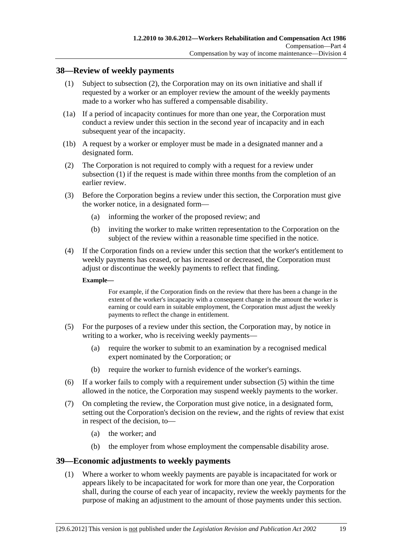## <span id="page-50-0"></span>**38—Review of weekly payments**

- (1) Subject to [subsection \(2\),](#page-50-0) the Corporation may on its own initiative and shall if requested by a worker or an employer review the amount of the weekly payments made to a worker who has suffered a compensable disability.
- (1a) If a period of incapacity continues for more than one year, the Corporation must conduct a review under this section in the second year of incapacity and in each subsequent year of the incapacity.
- (1b) A request by a worker or employer must be made in a designated manner and a designated form.
- (2) The Corporation is not required to comply with a request for a review under [subsection \(1\)](#page-50-0) if the request is made within three months from the completion of an earlier review.
- (3) Before the Corporation begins a review under this section, the Corporation must give the worker notice, in a designated form—
	- (a) informing the worker of the proposed review; and
	- (b) inviting the worker to make written representation to the Corporation on the subject of the review within a reasonable time specified in the notice.
- (4) If the Corporation finds on a review under this section that the worker's entitlement to weekly payments has ceased, or has increased or decreased, the Corporation must adjust or discontinue the weekly payments to reflect that finding.

#### **Example—**

For example, if the Corporation finds on the review that there has been a change in the extent of the worker's incapacity with a consequent change in the amount the worker is earning or could earn in suitable employment, the Corporation must adjust the weekly payments to reflect the change in entitlement.

- (5) For the purposes of a review under this section, the Corporation may, by notice in writing to a worker, who is receiving weekly payments—
	- (a) require the worker to submit to an examination by a recognised medical expert nominated by the Corporation; or
	- (b) require the worker to furnish evidence of the worker's earnings.
- (6) If a worker fails to comply with a requirement under [subsection \(5\)](#page-50-0) within the time allowed in the notice, the Corporation may suspend weekly payments to the worker.
- (7) On completing the review, the Corporation must give notice, in a designated form, setting out the Corporation's decision on the review, and the rights of review that exist in respect of the decision, to—
	- (a) the worker; and
	- (b) the employer from whose employment the compensable disability arose.

#### **39—Economic adjustments to weekly payments**

 (1) Where a worker to whom weekly payments are payable is incapacitated for work or appears likely to be incapacitated for work for more than one year, the Corporation shall, during the course of each year of incapacity, review the weekly payments for the purpose of making an adjustment to the amount of those payments under this section.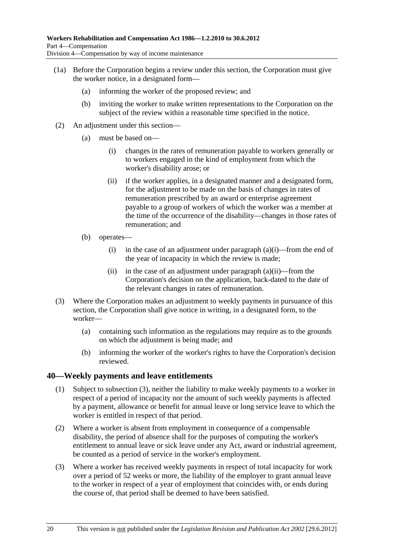- <span id="page-51-0"></span> (1a) Before the Corporation begins a review under this section, the Corporation must give the worker notice, in a designated form—
	- (a) informing the worker of the proposed review; and
	- (b) inviting the worker to make written representations to the Corporation on the subject of the review within a reasonable time specified in the notice.
- (2) An adjustment under this section—
	- (a) must be based on—
		- (i) changes in the rates of remuneration payable to workers generally or to workers engaged in the kind of employment from which the worker's disability arose; or
		- (ii) if the worker applies, in a designated manner and a designated form, for the adjustment to be made on the basis of changes in rates of remuneration prescribed by an award or enterprise agreement payable to a group of workers of which the worker was a member at the time of the occurrence of the disability—changes in those rates of remuneration; and
	- (b) operates—
		- (i) in the case of an adjustment under paragraph  $(a)(i)$ —from the end of the year of incapacity in which the review is made;
		- (ii) in the case of an adjustment under paragraph  $(a)(ii)$ —from the Corporation's decision on the application, back-dated to the date of the relevant changes in rates of remuneration.
- (3) Where the Corporation makes an adjustment to weekly payments in pursuance of this section, the Corporation shall give notice in writing, in a designated form, to the worker—
	- (a) containing such information as the regulations may require as to the grounds on which the adjustment is being made; and
	- (b) informing the worker of the worker's rights to have the Corporation's decision reviewed.

## **40—Weekly payments and leave entitlements**

- (1) Subject to [subsection \(3\),](#page-51-0) neither the liability to make weekly payments to a worker in respect of a period of incapacity nor the amount of such weekly payments is affected by a payment, allowance or benefit for annual leave or long service leave to which the worker is entitled in respect of that period.
- (2) Where a worker is absent from employment in consequence of a compensable disability, the period of absence shall for the purposes of computing the worker's entitlement to annual leave or sick leave under any Act, award or industrial agreement, be counted as a period of service in the worker's employment.
- (3) Where a worker has received weekly payments in respect of total incapacity for work over a period of 52 weeks or more, the liability of the employer to grant annual leave to the worker in respect of a year of employment that coincides with, or ends during the course of, that period shall be deemed to have been satisfied.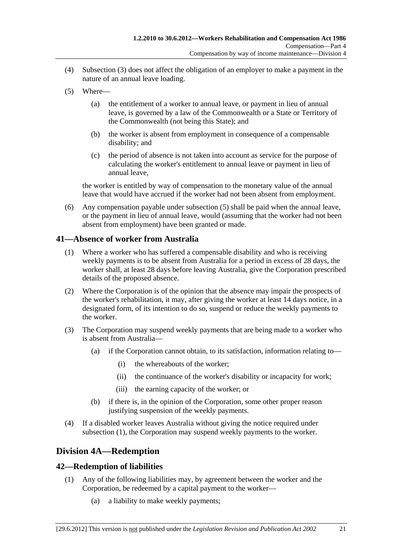- <span id="page-52-0"></span> (4) [Subsection \(3\)](#page-51-0) does not affect the obligation of an employer to make a payment in the nature of an annual leave loading.
- (5) Where—
	- (a) the entitlement of a worker to annual leave, or payment in lieu of annual leave, is governed by a law of the Commonwealth or a State or Territory of the Commonwealth (not being this State); and
	- (b) the worker is absent from employment in consequence of a compensable disability; and
	- (c) the period of absence is not taken into account as service for the purpose of calculating the worker's entitlement to annual leave or payment in lieu of annual leave,

the worker is entitled by way of compensation to the monetary value of the annual leave that would have accrued if the worker had not been absent from employment.

 (6) Any compensation payable under [subsection \(5\)](#page-52-0) shall be paid when the annual leave, or the payment in lieu of annual leave, would (assuming that the worker had not been absent from employment) have been granted or made.

## **41—Absence of worker from Australia**

- (1) Where a worker who has suffered a compensable disability and who is receiving weekly payments is to be absent from Australia for a period in excess of 28 days, the worker shall, at least 28 days before leaving Australia, give the Corporation prescribed details of the proposed absence.
- (2) Where the Corporation is of the opinion that the absence may impair the prospects of the worker's rehabilitation, it may, after giving the worker at least 14 days notice, in a designated form, of its intention to do so, suspend or reduce the weekly payments to the worker.
- (3) The Corporation may suspend weekly payments that are being made to a worker who is absent from Australia—
	- (a) if the Corporation cannot obtain, to its satisfaction, information relating to—
		- (i) the whereabouts of the worker;
		- (ii) the continuance of the worker's disability or incapacity for work;
		- (iii) the earning capacity of the worker; or
	- (b) if there is, in the opinion of the Corporation, some other proper reason justifying suspension of the weekly payments.
- (4) If a disabled worker leaves Australia without giving the notice required under [subsection \(1\),](#page-52-0) the Corporation may suspend weekly payments to the worker.

# **Division 4A—Redemption**

## **42—Redemption of liabilities**

- (1) Any of the following liabilities may, by agreement between the worker and the Corporation, be redeemed by a capital payment to the worker—
	- (a) a liability to make weekly payments;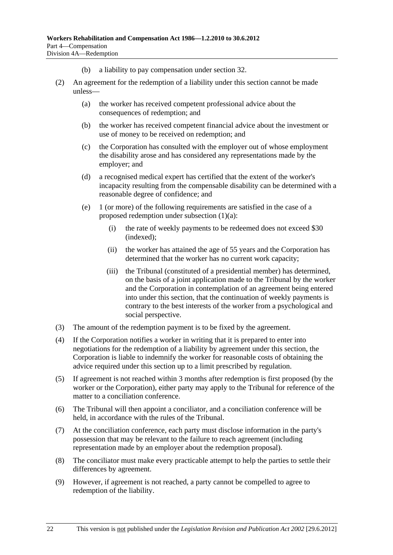- (b) a liability to pay compensation under [section 32.](#page-34-0)
- (2) An agreement for the redemption of a liability under this section cannot be made unless—
	- (a) the worker has received competent professional advice about the consequences of redemption; and
	- (b) the worker has received competent financial advice about the investment or use of money to be received on redemption; and
	- (c) the Corporation has consulted with the employer out of whose employment the disability arose and has considered any representations made by the employer; and
	- (d) a recognised medical expert has certified that the extent of the worker's incapacity resulting from the compensable disability can be determined with a reasonable degree of confidence; and
	- (e) 1 (or more) of the following requirements are satisfied in the case of a proposed redemption under [subsection \(1\)\(a\)](#page-52-0):
		- (i) the rate of weekly payments to be redeemed does not exceed \$30 (indexed);
		- (ii) the worker has attained the age of 55 years and the Corporation has determined that the worker has no current work capacity;
		- (iii) the Tribunal (constituted of a presidential member) has determined, on the basis of a joint application made to the Tribunal by the worker and the Corporation in contemplation of an agreement being entered into under this section, that the continuation of weekly payments is contrary to the best interests of the worker from a psychological and social perspective.
- (3) The amount of the redemption payment is to be fixed by the agreement.
- (4) If the Corporation notifies a worker in writing that it is prepared to enter into negotiations for the redemption of a liability by agreement under this section, the Corporation is liable to indemnify the worker for reasonable costs of obtaining the advice required under this section up to a limit prescribed by regulation.
- (5) If agreement is not reached within 3 months after redemption is first proposed (by the worker or the Corporation), either party may apply to the Tribunal for reference of the matter to a conciliation conference.
- (6) The Tribunal will then appoint a conciliator, and a conciliation conference will be held, in accordance with the rules of the Tribunal.
- (7) At the conciliation conference, each party must disclose information in the party's possession that may be relevant to the failure to reach agreement (including representation made by an employer about the redemption proposal).
- (8) The conciliator must make every practicable attempt to help the parties to settle their differences by agreement.
- (9) However, if agreement is not reached, a party cannot be compelled to agree to redemption of the liability.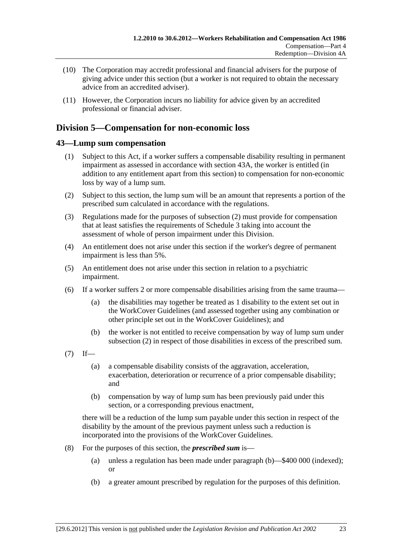- <span id="page-54-0"></span> (10) The Corporation may accredit professional and financial advisers for the purpose of giving advice under this section (but a worker is not required to obtain the necessary advice from an accredited adviser).
- (11) However, the Corporation incurs no liability for advice given by an accredited professional or financial adviser.

# **Division 5—Compensation for non-economic loss**

## **43—Lump sum compensation**

- (1) Subject to this Act, if a worker suffers a compensable disability resulting in permanent impairment as assessed in accordance with [section 43A](#page-55-0), the worker is entitled (in addition to any entitlement apart from this section) to compensation for non-economic loss by way of a lump sum.
- (2) Subject to this section, the lump sum will be an amount that represents a portion of the prescribed sum calculated in accordance with the regulations.
- (3) Regulations made for the purposes of [subsection \(2\)](#page-54-0) must provide for compensation that at least satisfies the requirements of [Schedule 3](#page-155-0) taking into account the assessment of whole of person impairment under this Division.
- (4) An entitlement does not arise under this section if the worker's degree of permanent impairment is less than 5%.
- (5) An entitlement does not arise under this section in relation to a psychiatric impairment.
- (6) If a worker suffers 2 or more compensable disabilities arising from the same trauma—
	- (a) the disabilities may together be treated as 1 disability to the extent set out in the WorkCover Guidelines (and assessed together using any combination or other principle set out in the WorkCover Guidelines); and
	- (b) the worker is not entitled to receive compensation by way of lump sum under [subsection \(2\)](#page-54-0) in respect of those disabilities in excess of the prescribed sum.
- $(7)$  If—
	- (a) a compensable disability consists of the aggravation, acceleration, exacerbation, deterioration or recurrence of a prior compensable disability; and
	- (b) compensation by way of lump sum has been previously paid under this section, or a corresponding previous enactment,

there will be a reduction of the lump sum payable under this section in respect of the disability by the amount of the previous payment unless such a reduction is incorporated into the provisions of the WorkCover Guidelines.

- (8) For the purposes of this section, the *prescribed sum* is—
	- (a) unless a regulation has been made under [paragraph \(b\)](#page-54-0)—\$400 000 (indexed); or
	- (b) a greater amount prescribed by regulation for the purposes of this definition.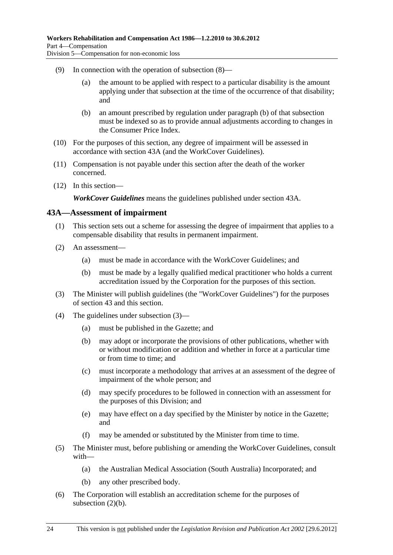- <span id="page-55-0"></span> (9) In connection with the operation of [subsection \(8\)](#page-54-0)—
	- (a) the amount to be applied with respect to a particular disability is the amount applying under that subsection at the time of the occurrence of that disability; and
	- (b) an amount prescribed by regulation under [paragraph \(b\)](#page-54-0) of that subsection must be indexed so as to provide annual adjustments according to changes in the Consumer Price Index.
- (10) For the purposes of this section, any degree of impairment will be assessed in accordance with [section 43A](#page-55-0) (and the WorkCover Guidelines).
- (11) Compensation is not payable under this section after the death of the worker concerned.
- (12) In this section—

*WorkCover Guidelines* means the guidelines published under [section 43A](#page-55-0).

#### **43A—Assessment of impairment**

- (1) This section sets out a scheme for assessing the degree of impairment that applies to a compensable disability that results in permanent impairment.
- (2) An assessment—
	- (a) must be made in accordance with the WorkCover Guidelines; and
	- (b) must be made by a legally qualified medical practitioner who holds a current accreditation issued by the Corporation for the purposes of this section.
- (3) The Minister will publish guidelines (the "WorkCover Guidelines") for the purposes of [section 43](#page-54-0) and this section.
- (4) The guidelines under [subsection \(3\)](#page-55-0)
	- (a) must be published in the Gazette; and
	- (b) may adopt or incorporate the provisions of other publications, whether with or without modification or addition and whether in force at a particular time or from time to time; and
	- (c) must incorporate a methodology that arrives at an assessment of the degree of impairment of the whole person; and
	- (d) may specify procedures to be followed in connection with an assessment for the purposes of this Division; and
	- (e) may have effect on a day specified by the Minister by notice in the Gazette; and
	- (f) may be amended or substituted by the Minister from time to time.
- (5) The Minister must, before publishing or amending the WorkCover Guidelines, consult with—
	- (a) the Australian Medical Association (South Australia) Incorporated; and
	- (b) any other prescribed body.
- (6) The Corporation will establish an accreditation scheme for the purposes of [subsection \(2\)\(b\).](#page-55-0)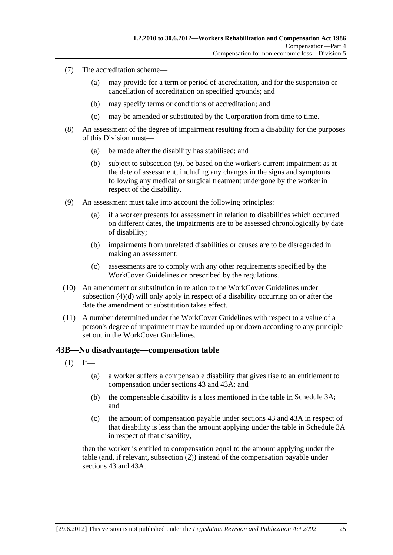- <span id="page-56-0"></span> (7) The accreditation scheme—
	- (a) may provide for a term or period of accreditation, and for the suspension or cancellation of accreditation on specified grounds; and
	- (b) may specify terms or conditions of accreditation; and
	- (c) may be amended or substituted by the Corporation from time to time.
- (8) An assessment of the degree of impairment resulting from a disability for the purposes of this Division must—
	- (a) be made after the disability has stabilised; and
	- (b) subject to [subsection \(9\),](#page-56-0) be based on the worker's current impairment as at the date of assessment, including any changes in the signs and symptoms following any medical or surgical treatment undergone by the worker in respect of the disability.
- (9) An assessment must take into account the following principles:
	- (a) if a worker presents for assessment in relation to disabilities which occurred on different dates, the impairments are to be assessed chronologically by date of disability;
	- (b) impairments from unrelated disabilities or causes are to be disregarded in making an assessment;
	- (c) assessments are to comply with any other requirements specified by the WorkCover Guidelines or prescribed by the regulations.
- (10) An amendment or substitution in relation to the WorkCover Guidelines under [subsection \(4\)\(d\)](#page-55-0) will only apply in respect of a disability occurring on or after the date the amendment or substitution takes effect.
- (11) A number determined under the WorkCover Guidelines with respect to a value of a person's degree of impairment may be rounded up or down according to any principle set out in the WorkCover Guidelines.

#### **43B—No disadvantage—compensation table**

- $(1)$  If—
	- (a) a worker suffers a compensable disability that gives rise to an entitlement to compensation under [sections 43](#page-54-0) and [43A;](#page-55-0) and
	- (b) the compensable disability is a loss mentioned in the table in [Schedule 3A;](#page-155-0) and
	- (c) the amount of compensation payable under [sections 43](#page-54-0) and [43A](#page-55-0) in respect of that disability is less than the amount applying under the table in [Schedule 3A](#page-155-0) in respect of that disability,

then the worker is entitled to compensation equal to the amount applying under the table (and, if relevant, [subsection \(2\)\)](#page-57-0) instead of the compensation payable under [sections 43](#page-54-0) and [43A](#page-55-0).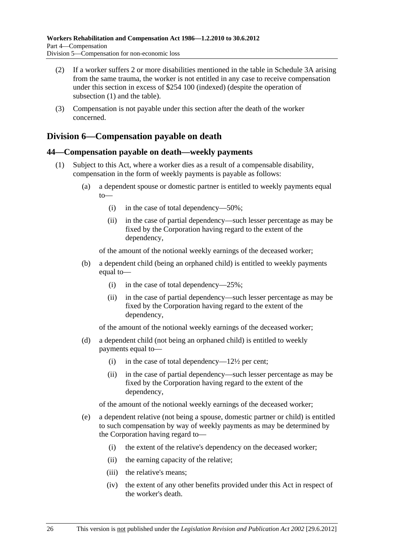- <span id="page-57-0"></span> (2) If a worker suffers 2 or more disabilities mentioned in the table in [Schedule 3A](#page-155-0) arising from the same trauma, the worker is not entitled in any case to receive compensation under this section in excess of \$254 100 (indexed) (despite the operation of [subsection \(1\)](#page-56-0) and the table).
- (3) Compensation is not payable under this section after the death of the worker concerned.

# **Division 6—Compensation payable on death**

## **44—Compensation payable on death—weekly payments**

- (1) Subject to this Act, where a worker dies as a result of a compensable disability, compensation in the form of weekly payments is payable as follows:
	- (a) a dependent spouse or domestic partner is entitled to weekly payments equal to—
		- (i) in the case of total dependency—50%;
		- (ii) in the case of partial dependency—such lesser percentage as may be fixed by the Corporation having regard to the extent of the dependency,

of the amount of the notional weekly earnings of the deceased worker;

- (b) a dependent child (being an orphaned child) is entitled to weekly payments equal to—
	- (i) in the case of total dependency—25%;
	- (ii) in the case of partial dependency—such lesser percentage as may be fixed by the Corporation having regard to the extent of the dependency,

of the amount of the notional weekly earnings of the deceased worker;

- (d) a dependent child (not being an orphaned child) is entitled to weekly payments equal to—
	- (i) in the case of total dependency— $12\frac{1}{2}$  per cent;
	- (ii) in the case of partial dependency—such lesser percentage as may be fixed by the Corporation having regard to the extent of the dependency,

of the amount of the notional weekly earnings of the deceased worker;

- (e) a dependent relative (not being a spouse, domestic partner or child) is entitled to such compensation by way of weekly payments as may be determined by the Corporation having regard to—
	- (i) the extent of the relative's dependency on the deceased worker;
	- (ii) the earning capacity of the relative;
	- (iii) the relative's means;
	- (iv) the extent of any other benefits provided under this Act in respect of the worker's death.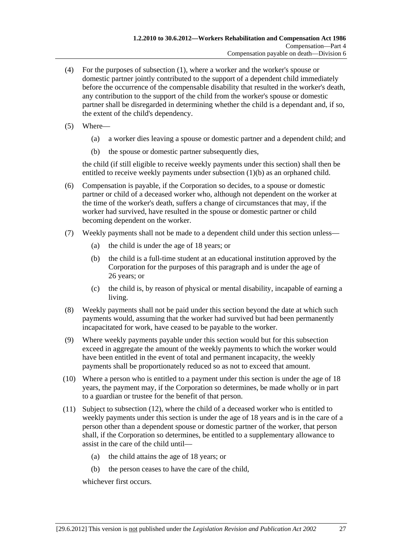- <span id="page-58-0"></span> (4) For the purposes of [subsection \(1\),](#page-57-0) where a worker and the worker's spouse or domestic partner jointly contributed to the support of a dependent child immediately before the occurrence of the compensable disability that resulted in the worker's death, any contribution to the support of the child from the worker's spouse or domestic partner shall be disregarded in determining whether the child is a dependant and, if so, the extent of the child's dependency.
- (5) Where—
	- (a) a worker dies leaving a spouse or domestic partner and a dependent child; and
	- (b) the spouse or domestic partner subsequently dies,

the child (if still eligible to receive weekly payments under this section) shall then be entitled to receive weekly payments under subsection  $(1)(b)$  as an orphaned child.

- (6) Compensation is payable, if the Corporation so decides, to a spouse or domestic partner or child of a deceased worker who, although not dependent on the worker at the time of the worker's death, suffers a change of circumstances that may, if the worker had survived, have resulted in the spouse or domestic partner or child becoming dependent on the worker.
- (7) Weekly payments shall not be made to a dependent child under this section unless—
	- (a) the child is under the age of 18 years; or
	- (b) the child is a full-time student at an educational institution approved by the Corporation for the purposes of this paragraph and is under the age of 26 years; or
	- (c) the child is, by reason of physical or mental disability, incapable of earning a living.
- (8) Weekly payments shall not be paid under this section beyond the date at which such payments would, assuming that the worker had survived but had been permanently incapacitated for work, have ceased to be payable to the worker.
- (9) Where weekly payments payable under this section would but for this subsection exceed in aggregate the amount of the weekly payments to which the worker would have been entitled in the event of total and permanent incapacity, the weekly payments shall be proportionately reduced so as not to exceed that amount.
- (10) Where a person who is entitled to a payment under this section is under the age of 18 years, the payment may, if the Corporation so determines, be made wholly or in part to a guardian or trustee for the benefit of that person.
- (11) Subject to [subsection \(12\),](#page-59-0) where the child of a deceased worker who is entitled to weekly payments under this section is under the age of 18 years and is in the care of a person other than a dependent spouse or domestic partner of the worker, that person shall, if the Corporation so determines, be entitled to a supplementary allowance to assist in the care of the child until—
	- (a) the child attains the age of 18 years; or
	- (b) the person ceases to have the care of the child,

whichever first occurs.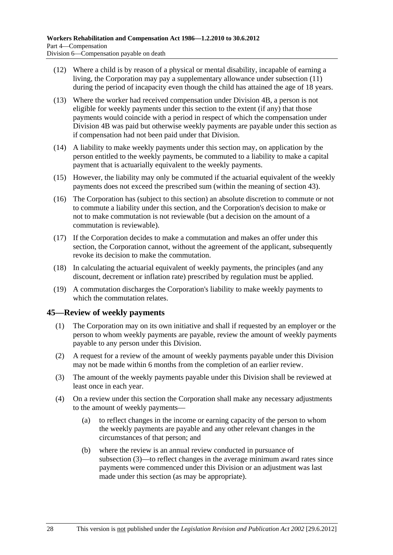- <span id="page-59-0"></span> (12) Where a child is by reason of a physical or mental disability, incapable of earning a living, the Corporation may pay a supplementary allowance under [subsection \(11\)](#page-58-0) during the period of incapacity even though the child has attained the age of 18 years.
- (13) Where the worker had received compensation under Division 4B, a person is not eligible for weekly payments under this section to the extent (if any) that those payments would coincide with a period in respect of which the compensation under Division 4B was paid but otherwise weekly payments are payable under this section as if compensation had not been paid under that Division.
- (14) A liability to make weekly payments under this section may, on application by the person entitled to the weekly payments, be commuted to a liability to make a capital payment that is actuarially equivalent to the weekly payments.
- (15) However, the liability may only be commuted if the actuarial equivalent of the weekly payments does not exceed the prescribed sum (within the meaning of [section 43\)](#page-54-0).
- (16) The Corporation has (subject to this section) an absolute discretion to commute or not to commute a liability under this section, and the Corporation's decision to make or not to make commutation is not reviewable (but a decision on the amount of a commutation is reviewable).
- (17) If the Corporation decides to make a commutation and makes an offer under this section, the Corporation cannot, without the agreement of the applicant, subsequently revoke its decision to make the commutation.
- (18) In calculating the actuarial equivalent of weekly payments, the principles (and any discount, decrement or inflation rate) prescribed by regulation must be applied.
- (19) A commutation discharges the Corporation's liability to make weekly payments to which the commutation relates.

## **45—Review of weekly payments**

- (1) The Corporation may on its own initiative and shall if requested by an employer or the person to whom weekly payments are payable, review the amount of weekly payments payable to any person under this Division.
- (2) A request for a review of the amount of weekly payments payable under this Division may not be made within 6 months from the completion of an earlier review.
- (3) The amount of the weekly payments payable under this Division shall be reviewed at least once in each year.
- (4) On a review under this section the Corporation shall make any necessary adjustments to the amount of weekly payments—
	- (a) to reflect changes in the income or earning capacity of the person to whom the weekly payments are payable and any other relevant changes in the circumstances of that person; and
	- (b) where the review is an annual review conducted in pursuance of [subsection \(3\)](#page-59-0)—to reflect changes in the average minimum award rates since payments were commenced under this Division or an adjustment was last made under this section (as may be appropriate).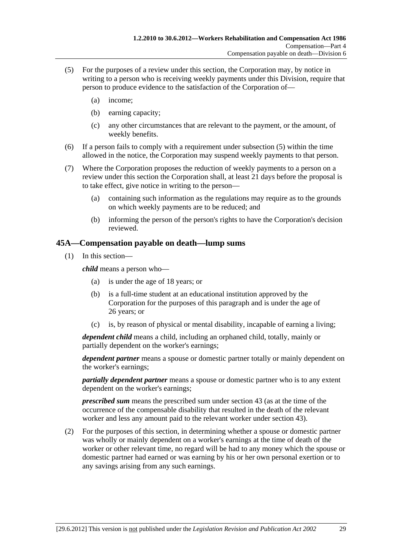- <span id="page-60-0"></span> (5) For the purposes of a review under this section, the Corporation may, by notice in writing to a person who is receiving weekly payments under this Division, require that person to produce evidence to the satisfaction of the Corporation of—
	- (a) income;
	- (b) earning capacity;
	- (c) any other circumstances that are relevant to the payment, or the amount, of weekly benefits.
- (6) If a person fails to comply with a requirement under [subsection \(5\)](#page-60-0) within the time allowed in the notice, the Corporation may suspend weekly payments to that person.
- (7) Where the Corporation proposes the reduction of weekly payments to a person on a review under this section the Corporation shall, at least 21 days before the proposal is to take effect, give notice in writing to the person—
	- (a) containing such information as the regulations may require as to the grounds on which weekly payments are to be reduced; and
	- (b) informing the person of the person's rights to have the Corporation's decision reviewed.

## **45A—Compensation payable on death—lump sums**

(1) In this section—

*child* means a person who—

- (a) is under the age of 18 years; or
- (b) is a full-time student at an educational institution approved by the Corporation for the purposes of this paragraph and is under the age of 26 years; or
- (c) is, by reason of physical or mental disability, incapable of earning a living;

*dependent child* means a child, including an orphaned child, totally, mainly or partially dependent on the worker's earnings;

*dependent partner* means a spouse or domestic partner totally or mainly dependent on the worker's earnings;

*partially dependent partner* means a spouse or domestic partner who is to any extent dependent on the worker's earnings;

*prescribed sum* means the prescribed sum under [section 43](#page-54-0) (as at the time of the occurrence of the compensable disability that resulted in the death of the relevant worker and less any amount paid to the relevant worker under [section 43\)](#page-54-0).

 (2) For the purposes of this section, in determining whether a spouse or domestic partner was wholly or mainly dependent on a worker's earnings at the time of death of the worker or other relevant time, no regard will be had to any money which the spouse or domestic partner had earned or was earning by his or her own personal exertion or to any savings arising from any such earnings.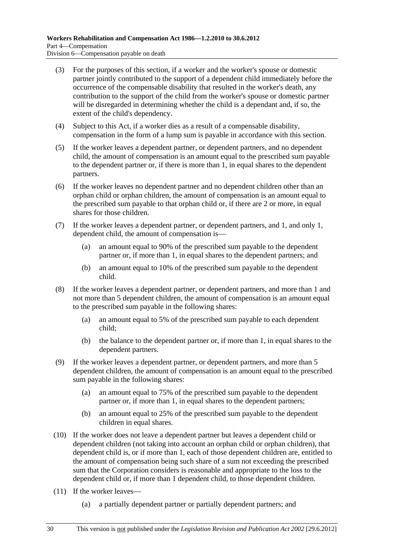- (3) For the purposes of this section, if a worker and the worker's spouse or domestic partner jointly contributed to the support of a dependent child immediately before the occurrence of the compensable disability that resulted in the worker's death, any contribution to the support of the child from the worker's spouse or domestic partner will be disregarded in determining whether the child is a dependant and, if so, the extent of the child's dependency.
- (4) Subject to this Act, if a worker dies as a result of a compensable disability, compensation in the form of a lump sum is payable in accordance with this section.
- (5) If the worker leaves a dependent partner, or dependent partners, and no dependent child, the amount of compensation is an amount equal to the prescribed sum payable to the dependent partner or, if there is more than 1, in equal shares to the dependent partners.
- (6) If the worker leaves no dependent partner and no dependent children other than an orphan child or orphan children, the amount of compensation is an amount equal to the prescribed sum payable to that orphan child or, if there are 2 or more, in equal shares for those children.
- (7) If the worker leaves a dependent partner, or dependent partners, and 1, and only 1, dependent child, the amount of compensation is—
	- (a) an amount equal to 90% of the prescribed sum payable to the dependent partner or, if more than 1, in equal shares to the dependent partners; and
	- (b) an amount equal to 10% of the prescribed sum payable to the dependent child.
- (8) If the worker leaves a dependent partner, or dependent partners, and more than 1 and not more than 5 dependent children, the amount of compensation is an amount equal to the prescribed sum payable in the following shares:
	- (a) an amount equal to 5% of the prescribed sum payable to each dependent child;
	- (b) the balance to the dependent partner or, if more than 1, in equal shares to the dependent partners.
- (9) If the worker leaves a dependent partner, or dependent partners, and more than 5 dependent children, the amount of compensation is an amount equal to the prescribed sum payable in the following shares:
	- (a) an amount equal to 75% of the prescribed sum payable to the dependent partner or, if more than 1, in equal shares to the dependent partners;
	- (b) an amount equal to 25% of the prescribed sum payable to the dependent children in equal shares.
- (10) If the worker does not leave a dependent partner but leaves a dependent child or dependent children (not taking into account an orphan child or orphan children), that dependent child is, or if more than 1, each of those dependent children are, entitled to the amount of compensation being such share of a sum not exceeding the prescribed sum that the Corporation considers is reasonable and appropriate to the loss to the dependent child or, if more than 1 dependent child, to those dependent children.
- (11) If the worker leaves—
	- (a) a partially dependent partner or partially dependent partners; and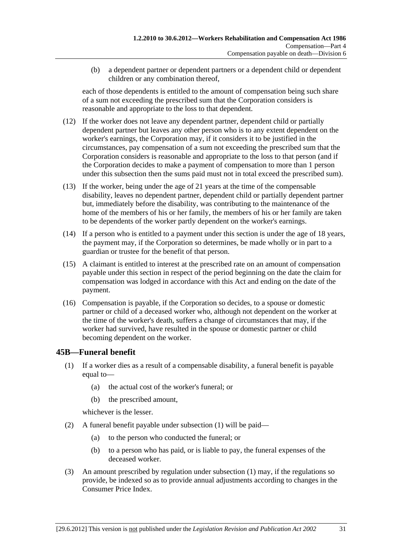<span id="page-62-0"></span> (b) a dependent partner or dependent partners or a dependent child or dependent children or any combination thereof,

each of those dependents is entitled to the amount of compensation being such share of a sum not exceeding the prescribed sum that the Corporation considers is reasonable and appropriate to the loss to that dependent.

- (12) If the worker does not leave any dependent partner, dependent child or partially dependent partner but leaves any other person who is to any extent dependent on the worker's earnings, the Corporation may, if it considers it to be justified in the circumstances, pay compensation of a sum not exceeding the prescribed sum that the Corporation considers is reasonable and appropriate to the loss to that person (and if the Corporation decides to make a payment of compensation to more than 1 person under this subsection then the sums paid must not in total exceed the prescribed sum).
- (13) If the worker, being under the age of 21 years at the time of the compensable disability, leaves no dependent partner, dependent child or partially dependent partner but, immediately before the disability, was contributing to the maintenance of the home of the members of his or her family, the members of his or her family are taken to be dependents of the worker partly dependent on the worker's earnings.
- (14) If a person who is entitled to a payment under this section is under the age of 18 years, the payment may, if the Corporation so determines, be made wholly or in part to a guardian or trustee for the benefit of that person.
- (15) A claimant is entitled to interest at the prescribed rate on an amount of compensation payable under this section in respect of the period beginning on the date the claim for compensation was lodged in accordance with this Act and ending on the date of the payment.
- (16) Compensation is payable, if the Corporation so decides, to a spouse or domestic partner or child of a deceased worker who, although not dependent on the worker at the time of the worker's death, suffers a change of circumstances that may, if the worker had survived, have resulted in the spouse or domestic partner or child becoming dependent on the worker.

## **45B—Funeral benefit**

- (1) If a worker dies as a result of a compensable disability, a funeral benefit is payable equal to—
	- (a) the actual cost of the worker's funeral; or
	- (b) the prescribed amount,

whichever is the lesser.

- (2) A funeral benefit payable under [subsection \(1\)](#page-62-0) will be paid—
	- (a) to the person who conducted the funeral; or
	- (b) to a person who has paid, or is liable to pay, the funeral expenses of the deceased worker.
- (3) An amount prescribed by regulation under [subsection \(1\)](#page-62-0) may, if the regulations so provide, be indexed so as to provide annual adjustments according to changes in the Consumer Price Index.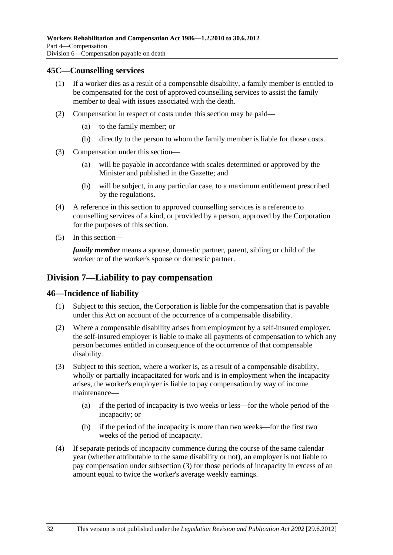#### <span id="page-63-0"></span>**45C—Counselling services**

- (1) If a worker dies as a result of a compensable disability, a family member is entitled to be compensated for the cost of approved counselling services to assist the family member to deal with issues associated with the death.
- (2) Compensation in respect of costs under this section may be paid—
	- (a) to the family member; or
	- (b) directly to the person to whom the family member is liable for those costs.
- (3) Compensation under this section—
	- (a) will be payable in accordance with scales determined or approved by the Minister and published in the Gazette; and
	- (b) will be subject, in any particular case, to a maximum entitlement prescribed by the regulations.
- (4) A reference in this section to approved counselling services is a reference to counselling services of a kind, or provided by a person, approved by the Corporation for the purposes of this section.
- (5) In this section—

*family member* means a spouse, domestic partner, parent, sibling or child of the worker or of the worker's spouse or domestic partner.

## **Division 7—Liability to pay compensation**

#### **46—Incidence of liability**

- (1) Subject to this section, the Corporation is liable for the compensation that is payable under this Act on account of the occurrence of a compensable disability.
- (2) Where a compensable disability arises from employment by a self-insured employer, the self-insured employer is liable to make all payments of compensation to which any person becomes entitled in consequence of the occurrence of that compensable disability.
- (3) Subject to this section, where a worker is, as a result of a compensable disability, wholly or partially incapacitated for work and is in employment when the incapacity arises, the worker's employer is liable to pay compensation by way of income maintenance—
	- (a) if the period of incapacity is two weeks or less—for the whole period of the incapacity; or
	- (b) if the period of the incapacity is more than two weeks—for the first two weeks of the period of incapacity.
- (4) If separate periods of incapacity commence during the course of the same calendar year (whether attributable to the same disability or not), an employer is not liable to pay compensation under [subsection \(3\)](#page-63-0) for those periods of incapacity in excess of an amount equal to twice the worker's average weekly earnings.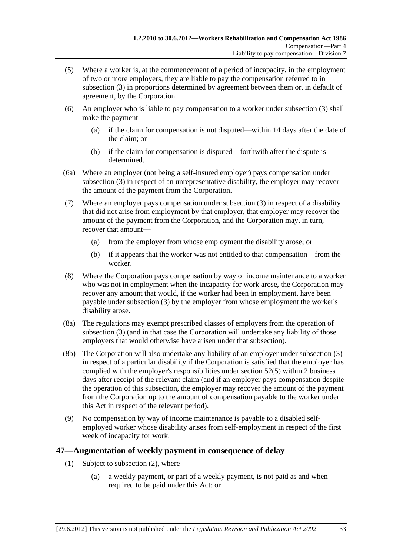- <span id="page-64-0"></span> (5) Where a worker is, at the commencement of a period of incapacity, in the employment of two or more employers, they are liable to pay the compensation referred to in [subsection \(3\)](#page-63-0) in proportions determined by agreement between them or, in default of agreement, by the Corporation.
- (6) An employer who is liable to pay compensation to a worker under [subsection \(3\)](#page-63-0) shall make the payment—
	- (a) if the claim for compensation is not disputed—within 14 days after the date of the claim; or
	- (b) if the claim for compensation is disputed—forthwith after the dispute is determined.
- (6a) Where an employer (not being a self-insured employer) pays compensation under [subsection \(3\)](#page-63-0) in respect of an unrepresentative disability, the employer may recover the amount of the payment from the Corporation.
- (7) Where an employer pays compensation under [subsection \(3\)](#page-63-0) in respect of a disability that did not arise from employment by that employer, that employer may recover the amount of the payment from the Corporation, and the Corporation may, in turn, recover that amount—
	- (a) from the employer from whose employment the disability arose; or
	- (b) if it appears that the worker was not entitled to that compensation—from the worker.
- (8) Where the Corporation pays compensation by way of income maintenance to a worker who was not in employment when the incapacity for work arose, the Corporation may recover any amount that would, if the worker had been in employment, have been payable under [subsection \(3\)](#page-63-0) by the employer from whose employment the worker's disability arose.
- (8a) The regulations may exempt prescribed classes of employers from the operation of [subsection \(3\)](#page-63-0) (and in that case the Corporation will undertake any liability of those employers that would otherwise have arisen under that subsection).
- (8b) The Corporation will also undertake any liability of an employer under [subsection \(3\)](#page-63-0)  in respect of a particular disability if the Corporation is satisfied that the employer has complied with the employer's responsibilities under [section 52\(5\)](#page-70-0) within 2 business days after receipt of the relevant claim (and if an employer pays compensation despite the operation of this subsection, the employer may recover the amount of the payment from the Corporation up to the amount of compensation payable to the worker under this Act in respect of the relevant period).
- (9) No compensation by way of income maintenance is payable to a disabled selfemployed worker whose disability arises from self-employment in respect of the first week of incapacity for work.

## **47—Augmentation of weekly payment in consequence of delay**

- (1) Subject to [subsection \(2\),](#page-65-0) where—
	- (a) a weekly payment, or part of a weekly payment, is not paid as and when required to be paid under this Act; or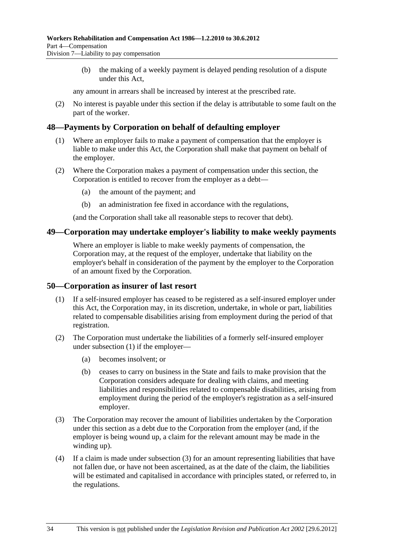<span id="page-65-0"></span> (b) the making of a weekly payment is delayed pending resolution of a dispute under this Act,

any amount in arrears shall be increased by interest at the prescribed rate.

 (2) No interest is payable under this section if the delay is attributable to some fault on the part of the worker.

#### **48—Payments by Corporation on behalf of defaulting employer**

- (1) Where an employer fails to make a payment of compensation that the employer is liable to make under this Act, the Corporation shall make that payment on behalf of the employer.
- (2) Where the Corporation makes a payment of compensation under this section, the Corporation is entitled to recover from the employer as a debt—
	- (a) the amount of the payment; and
	- (b) an administration fee fixed in accordance with the regulations,

(and the Corporation shall take all reasonable steps to recover that debt).

#### **49—Corporation may undertake employer's liability to make weekly payments**

Where an employer is liable to make weekly payments of compensation, the Corporation may, at the request of the employer, undertake that liability on the employer's behalf in consideration of the payment by the employer to the Corporation of an amount fixed by the Corporation.

#### **50—Corporation as insurer of last resort**

- (1) If a self-insured employer has ceased to be registered as a self-insured employer under this Act, the Corporation may, in its discretion, undertake, in whole or part, liabilities related to compensable disabilities arising from employment during the period of that registration.
- (2) The Corporation must undertake the liabilities of a formerly self-insured employer under [subsection \(1\)](#page-65-0) if the employer—
	- (a) becomes insolvent; or
	- (b) ceases to carry on business in the State and fails to make provision that the Corporation considers adequate for dealing with claims, and meeting liabilities and responsibilities related to compensable disabilities, arising from employment during the period of the employer's registration as a self-insured employer.
- (3) The Corporation may recover the amount of liabilities undertaken by the Corporation under this section as a debt due to the Corporation from the employer (and, if the employer is being wound up, a claim for the relevant amount may be made in the winding up).
- (4) If a claim is made under [subsection \(3\)](#page-65-0) for an amount representing liabilities that have not fallen due, or have not been ascertained, as at the date of the claim, the liabilities will be estimated and capitalised in accordance with principles stated, or referred to, in the regulations.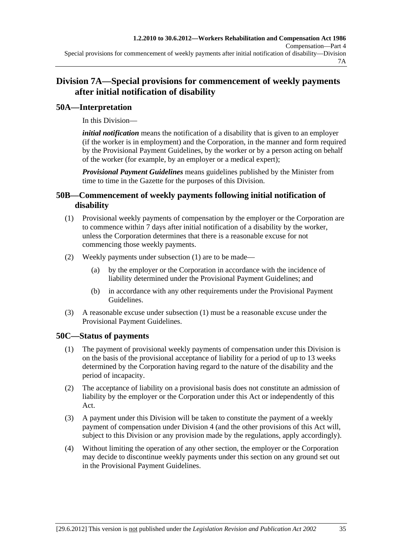# <span id="page-66-0"></span>**Division 7A—Special provisions for commencement of weekly payments after initial notification of disability**

# **50A—Interpretation**

In this Division—

*initial notification* means the notification of a disability that is given to an employer (if the worker is in employment) and the Corporation, in the manner and form required by the Provisional Payment Guidelines, by the worker or by a person acting on behalf of the worker (for example, by an employer or a medical expert);

*Provisional Payment Guidelines* means guidelines published by the Minister from time to time in the Gazette for the purposes of this Division.

## **50B—Commencement of weekly payments following initial notification of disability**

- (1) Provisional weekly payments of compensation by the employer or the Corporation are to commence within 7 days after initial notification of a disability by the worker, unless the Corporation determines that there is a reasonable excuse for not commencing those weekly payments.
- (2) Weekly payments under [subsection \(1\)](#page-66-0) are to be made—
	- (a) by the employer or the Corporation in accordance with the incidence of liability determined under the Provisional Payment Guidelines; and
	- (b) in accordance with any other requirements under the Provisional Payment Guidelines.
- (3) A reasonable excuse under [subsection \(1\)](#page-66-0) must be a reasonable excuse under the Provisional Payment Guidelines.

# **50C—Status of payments**

- (1) The payment of provisional weekly payments of compensation under this Division is on the basis of the provisional acceptance of liability for a period of up to 13 weeks determined by the Corporation having regard to the nature of the disability and the period of incapacity.
- (2) The acceptance of liability on a provisional basis does not constitute an admission of liability by the employer or the Corporation under this Act or independently of this Act.
- (3) A payment under this Division will be taken to constitute the payment of a weekly payment of compensation under [Division 4](#page-38-0) (and the other provisions of this Act will, subject to this Division or any provision made by the regulations, apply accordingly).
- (4) Without limiting the operation of any other section, the employer or the Corporation may decide to discontinue weekly payments under this section on any ground set out in the Provisional Payment Guidelines.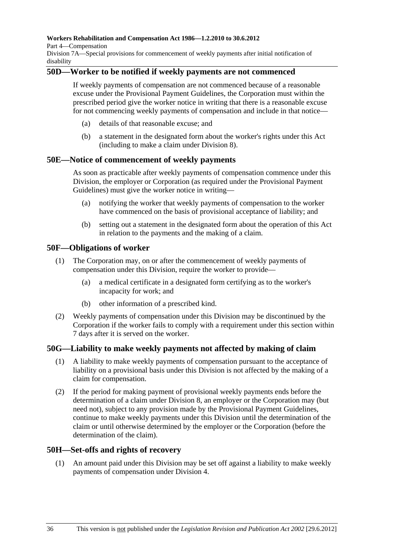<span id="page-67-0"></span>**Workers Rehabilitation and Compensation Act 1986—1.2.2010 to 30.6.2012** 

Part 4—Compensation

Division 7A—Special provisions for commencement of weekly payments after initial notification of disability

## **50D—Worker to be notified if weekly payments are not commenced**

If weekly payments of compensation are not commenced because of a reasonable excuse under the Provisional Payment Guidelines, the Corporation must within the prescribed period give the worker notice in writing that there is a reasonable excuse for not commencing weekly payments of compensation and include in that notice—

- (a) details of that reasonable excuse; and
- (b) a statement in the designated form about the worker's rights under this Act (including to make a claim under [Division 8\)](#page-68-0).

#### **50E—Notice of commencement of weekly payments**

As soon as practicable after weekly payments of compensation commence under this Division, the employer or Corporation (as required under the Provisional Payment Guidelines) must give the worker notice in writing—

- (a) notifying the worker that weekly payments of compensation to the worker have commenced on the basis of provisional acceptance of liability; and
- (b) setting out a statement in the designated form about the operation of this Act in relation to the payments and the making of a claim.

#### **50F—Obligations of worker**

- (1) The Corporation may, on or after the commencement of weekly payments of compensation under this Division, require the worker to provide—
	- (a) a medical certificate in a designated form certifying as to the worker's incapacity for work; and
	- (b) other information of a prescribed kind.
- (2) Weekly payments of compensation under this Division may be discontinued by the Corporation if the worker fails to comply with a requirement under this section within 7 days after it is served on the worker.

## **50G—Liability to make weekly payments not affected by making of claim**

- (1) A liability to make weekly payments of compensation pursuant to the acceptance of liability on a provisional basis under this Division is not affected by the making of a claim for compensation.
- (2) If the period for making payment of provisional weekly payments ends before the determination of a claim under [Division 8,](#page-68-0) an employer or the Corporation may (but need not), subject to any provision made by the Provisional Payment Guidelines, continue to make weekly payments under this Division until the determination of the claim or until otherwise determined by the employer or the Corporation (before the determination of the claim).

## **50H—Set-offs and rights of recovery**

 (1) An amount paid under this Division may be set off against a liability to make weekly payments of compensation under [Division 4](#page-38-0).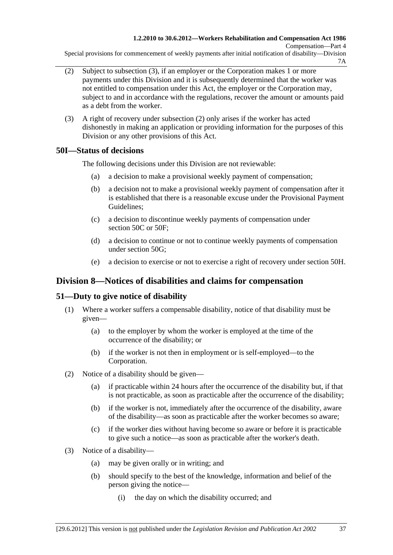<span id="page-68-0"></span>Special provisions for commencement of weekly payments after initial notification of disability—Division 7A

- (2) Subject to [subsection \(3\),](#page-68-0) if an employer or the Corporation makes 1 or more payments under this Division and it is subsequently determined that the worker was not entitled to compensation under this Act, the employer or the Corporation may, subject to and in accordance with the regulations, recover the amount or amounts paid as a debt from the worker.
- (3) A right of recovery under [subsection \(2\)](#page-68-0) only arises if the worker has acted dishonestly in making an application or providing information for the purposes of this Division or any other provisions of this Act.

# **50I—Status of decisions**

The following decisions under this Division are not reviewable:

- (a) a decision to make a provisional weekly payment of compensation;
- (b) a decision not to make a provisional weekly payment of compensation after it is established that there is a reasonable excuse under the Provisional Payment Guidelines;
- (c) a decision to discontinue weekly payments of compensation under [section 50C](#page-66-0) or [50F](#page-67-0):
- (d) a decision to continue or not to continue weekly payments of compensation under [section 50G;](#page-67-0)
- (e) a decision to exercise or not to exercise a right of recovery under [section 50H.](#page-67-0)

# **Division 8—Notices of disabilities and claims for compensation**

# **51—Duty to give notice of disability**

- (1) Where a worker suffers a compensable disability, notice of that disability must be given—
	- (a) to the employer by whom the worker is employed at the time of the occurrence of the disability; or
	- (b) if the worker is not then in employment or is self-employed—to the Corporation.
- (2) Notice of a disability should be given—
	- (a) if practicable within 24 hours after the occurrence of the disability but, if that is not practicable, as soon as practicable after the occurrence of the disability;
	- (b) if the worker is not, immediately after the occurrence of the disability, aware of the disability—as soon as practicable after the worker becomes so aware;
	- (c) if the worker dies without having become so aware or before it is practicable to give such a notice—as soon as practicable after the worker's death.
- (3) Notice of a disability—
	- (a) may be given orally or in writing; and
	- (b) should specify to the best of the knowledge, information and belief of the person giving the notice—
		- (i) the day on which the disability occurred; and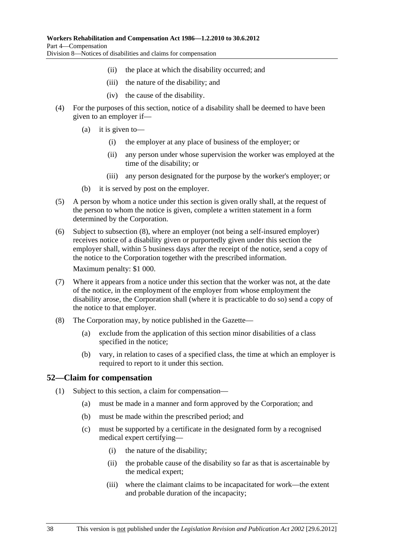- (ii) the place at which the disability occurred; and
- (iii) the nature of the disability; and
- (iv) the cause of the disability.
- <span id="page-69-0"></span> (4) For the purposes of this section, notice of a disability shall be deemed to have been given to an employer if—
	- (a) it is given to—
		- (i) the employer at any place of business of the employer; or
		- (ii) any person under whose supervision the worker was employed at the time of the disability; or
		- (iii) any person designated for the purpose by the worker's employer; or
	- (b) it is served by post on the employer.
- (5) A person by whom a notice under this section is given orally shall, at the request of the person to whom the notice is given, complete a written statement in a form determined by the Corporation.
- (6) Subject to [subsection \(8\),](#page-69-0) where an employer (not being a self-insured employer) receives notice of a disability given or purportedly given under this section the employer shall, within 5 business days after the receipt of the notice, send a copy of the notice to the Corporation together with the prescribed information.

Maximum penalty: \$1 000.

- (7) Where it appears from a notice under this section that the worker was not, at the date of the notice, in the employment of the employer from whose employment the disability arose, the Corporation shall (where it is practicable to do so) send a copy of the notice to that employer.
- (8) The Corporation may, by notice published in the Gazette—
	- (a) exclude from the application of this section minor disabilities of a class specified in the notice;
	- (b) vary, in relation to cases of a specified class, the time at which an employer is required to report to it under this section.

#### **52—Claim for compensation**

- (1) Subject to this section, a claim for compensation—
	- (a) must be made in a manner and form approved by the Corporation; and
	- (b) must be made within the prescribed period; and
	- (c) must be supported by a certificate in the designated form by a recognised medical expert certifying—
		- (i) the nature of the disability;
		- (ii) the probable cause of the disability so far as that is ascertainable by the medical expert;
		- (iii) where the claimant claims to be incapacitated for work—the extent and probable duration of the incapacity;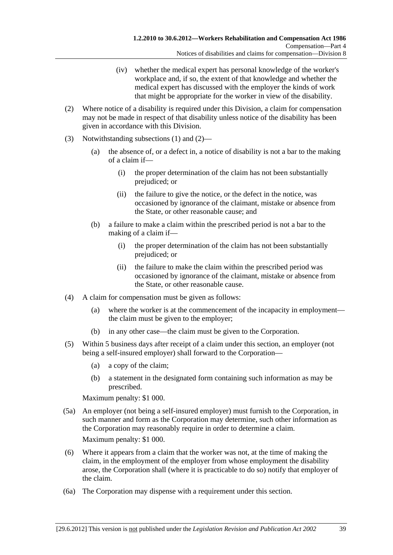- (iv) whether the medical expert has personal knowledge of the worker's workplace and, if so, the extent of that knowledge and whether the medical expert has discussed with the employer the kinds of work that might be appropriate for the worker in view of the disability.
- <span id="page-70-0"></span> (2) Where notice of a disability is required under this Division, a claim for compensation may not be made in respect of that disability unless notice of the disability has been given in accordance with this Division.
- (3) Notwithstanding [subsections \(1\)](#page-69-0) and [\(2\)](#page-70-0)
	- (a) the absence of, or a defect in, a notice of disability is not a bar to the making of a claim if—
		- (i) the proper determination of the claim has not been substantially prejudiced; or
		- (ii) the failure to give the notice, or the defect in the notice, was occasioned by ignorance of the claimant, mistake or absence from the State, or other reasonable cause; and
	- (b) a failure to make a claim within the prescribed period is not a bar to the making of a claim if—
		- (i) the proper determination of the claim has not been substantially prejudiced; or
		- (ii) the failure to make the claim within the prescribed period was occasioned by ignorance of the claimant, mistake or absence from the State, or other reasonable cause.
- (4) A claim for compensation must be given as follows:
	- (a) where the worker is at the commencement of the incapacity in employment the claim must be given to the employer;
	- (b) in any other case—the claim must be given to the Corporation.
- (5) Within 5 business days after receipt of a claim under this section, an employer (not being a self-insured employer) shall forward to the Corporation—
	- (a) a copy of the claim;
	- (b) a statement in the designated form containing such information as may be prescribed.

Maximum penalty: \$1 000.

 (5a) An employer (not being a self-insured employer) must furnish to the Corporation, in such manner and form as the Corporation may determine, such other information as the Corporation may reasonably require in order to determine a claim.

Maximum penalty: \$1 000.

- (6) Where it appears from a claim that the worker was not, at the time of making the claim, in the employment of the employer from whose employment the disability arose, the Corporation shall (where it is practicable to do so) notify that employer of the claim.
- (6a) The Corporation may dispense with a requirement under this section.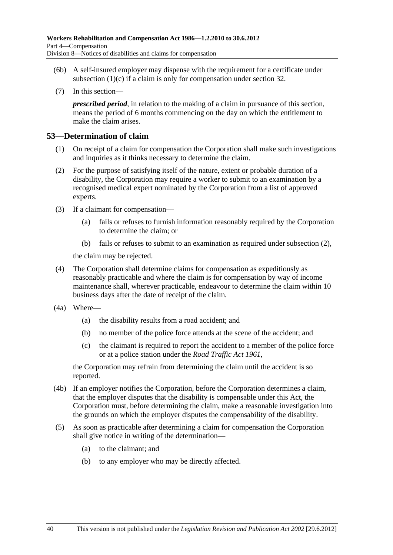- <span id="page-71-0"></span> (6b) A self-insured employer may dispense with the requirement for a certificate under subsection  $(1)(c)$  if a claim is only for compensation under [section 32](#page-34-0).
- (7) In this section—

*prescribed period*, in relation to the making of a claim in pursuance of this section, means the period of 6 months commencing on the day on which the entitlement to make the claim arises.

#### **53—Determination of claim**

- (1) On receipt of a claim for compensation the Corporation shall make such investigations and inquiries as it thinks necessary to determine the claim.
- (2) For the purpose of satisfying itself of the nature, extent or probable duration of a disability, the Corporation may require a worker to submit to an examination by a recognised medical expert nominated by the Corporation from a list of approved experts.
- (3) If a claimant for compensation—
	- (a) fails or refuses to furnish information reasonably required by the Corporation to determine the claim; or
	- (b) fails or refuses to submit to an examination as required under [subsection \(2\),](#page-71-0)

the claim may be rejected.

- (4) The Corporation shall determine claims for compensation as expeditiously as reasonably practicable and where the claim is for compensation by way of income maintenance shall, wherever practicable, endeavour to determine the claim within 10 business days after the date of receipt of the claim.
- (4a) Where—
	- (a) the disability results from a road accident; and
	- (b) no member of the police force attends at the scene of the accident; and
	- (c) the claimant is required to report the accident to a member of the police force or at a police station under the *[Road Traffic Act 1961](http://www.legislation.sa.gov.au/index.aspx?action=legref&type=act&legtitle=Road%20Traffic%20Act%201961)*,

the Corporation may refrain from determining the claim until the accident is so reported.

- (4b) If an employer notifies the Corporation, before the Corporation determines a claim, that the employer disputes that the disability is compensable under this Act, the Corporation must, before determining the claim, make a reasonable investigation into the grounds on which the employer disputes the compensability of the disability.
- (5) As soon as practicable after determining a claim for compensation the Corporation shall give notice in writing of the determination—
	- (a) to the claimant; and
	- (b) to any employer who may be directly affected.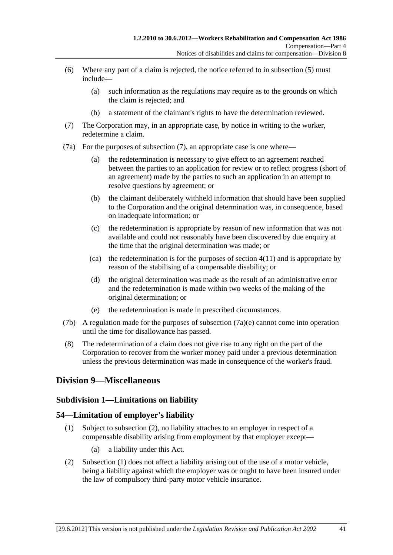- <span id="page-72-0"></span> (6) Where any part of a claim is rejected, the notice referred to in [subsection \(5\)](#page-71-0) must include—
	- (a) such information as the regulations may require as to the grounds on which the claim is rejected; and
	- (b) a statement of the claimant's rights to have the determination reviewed.
- (7) The Corporation may, in an appropriate case, by notice in writing to the worker, redetermine a claim.
- (7a) For the purposes of [subsection \(7\),](#page-72-0) an appropriate case is one where—
	- (a) the redetermination is necessary to give effect to an agreement reached between the parties to an application for review or to reflect progress (short of an agreement) made by the parties to such an application in an attempt to resolve questions by agreement; or
	- (b) the claimant deliberately withheld information that should have been supplied to the Corporation and the original determination was, in consequence, based on inadequate information; or
	- (c) the redetermination is appropriate by reason of new information that was not available and could not reasonably have been discovered by due enquiry at the time that the original determination was made; or
	- (ca) the redetermination is for the purposes of section  $4(11)$  and is appropriate by reason of the stabilising of a compensable disability; or
	- (d) the original determination was made as the result of an administrative error and the redetermination is made within two weeks of the making of the original determination; or
	- (e) the redetermination is made in prescribed circumstances.
- (7b) A regulation made for the purposes of [subsection \(7a\)\(e\)](#page-72-0) cannot come into operation until the time for disallowance has passed.
- (8) The redetermination of a claim does not give rise to any right on the part of the Corporation to recover from the worker money paid under a previous determination unless the previous determination was made in consequence of the worker's fraud.

### **Division 9—Miscellaneous**

#### **Subdivision 1—Limitations on liability**

#### **54—Limitation of employer's liability**

- (1) Subject to [subsection \(2\),](#page-72-0) no liability attaches to an employer in respect of a compensable disability arising from employment by that employer except—
	- (a) a liability under this Act.
- (2) [Subsection \(1\)](#page-72-0) does not affect a liability arising out of the use of a motor vehicle, being a liability against which the employer was or ought to have been insured under the law of compulsory third-party motor vehicle insurance.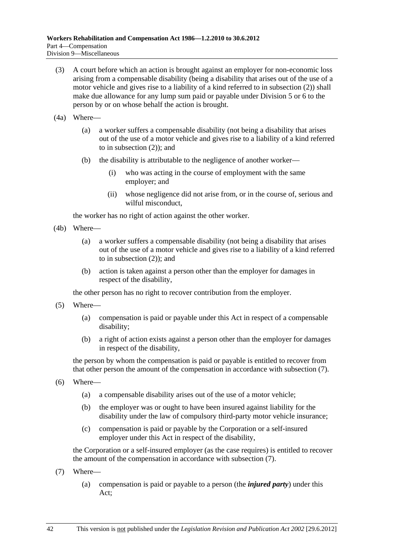- <span id="page-73-0"></span> (3) A court before which an action is brought against an employer for non-economic loss arising from a compensable disability (being a disability that arises out of the use of a motor vehicle and gives rise to a liability of a kind referred to in [subsection \(2\)](#page-72-0)) shall make due allowance for any lump sum paid or payable under [Division 5](#page-54-0) or [6](#page-57-0) to the person by or on whose behalf the action is brought.
- (4a) Where—
	- (a) a worker suffers a compensable disability (not being a disability that arises out of the use of a motor vehicle and gives rise to a liability of a kind referred to in [subsection \(2\)\)](#page-72-0); and
	- (b) the disability is attributable to the negligence of another worker—
		- (i) who was acting in the course of employment with the same employer; and
		- (ii) whose negligence did not arise from, or in the course of, serious and wilful misconduct,

the worker has no right of action against the other worker.

- (4b) Where—
	- (a) a worker suffers a compensable disability (not being a disability that arises out of the use of a motor vehicle and gives rise to a liability of a kind referred to in [subsection \(2\)\)](#page-72-0); and
	- (b) action is taken against a person other than the employer for damages in respect of the disability,

the other person has no right to recover contribution from the employer.

- (5) Where—
	- (a) compensation is paid or payable under this Act in respect of a compensable disability;
	- (b) a right of action exists against a person other than the employer for damages in respect of the disability,

the person by whom the compensation is paid or payable is entitled to recover from that other person the amount of the compensation in accordance with [subsection \(7\).](#page-73-0)

- (6) Where—
	- (a) a compensable disability arises out of the use of a motor vehicle;
	- (b) the employer was or ought to have been insured against liability for the disability under the law of compulsory third-party motor vehicle insurance;
	- (c) compensation is paid or payable by the Corporation or a self-insured employer under this Act in respect of the disability,

the Corporation or a self-insured employer (as the case requires) is entitled to recover the amount of the compensation in accordance with [subsection \(7\).](#page-73-0)

- (7) Where—
	- (a) compensation is paid or payable to a person (the *injured party*) under this Act;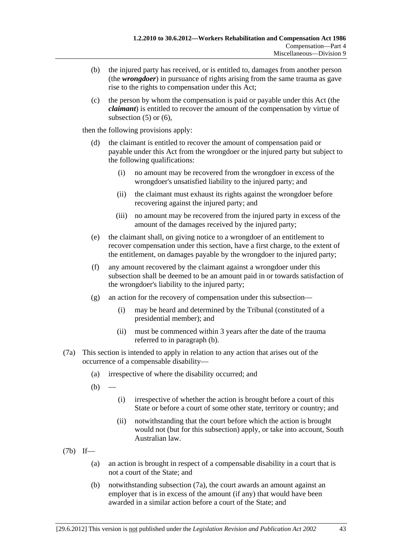- <span id="page-74-0"></span> (b) the injured party has received, or is entitled to, damages from another person (the *wrongdoer*) in pursuance of rights arising from the same trauma as gave rise to the rights to compensation under this Act;
- (c) the person by whom the compensation is paid or payable under this Act (the *claimant*) is entitled to recover the amount of the compensation by virtue of subsection  $(5)$  or  $(6)$ ,

then the following provisions apply:

- (d) the claimant is entitled to recover the amount of compensation paid or payable under this Act from the wrongdoer or the injured party but subject to the following qualifications:
	- (i) no amount may be recovered from the wrongdoer in excess of the wrongdoer's unsatisfied liability to the injured party; and
	- (ii) the claimant must exhaust its rights against the wrongdoer before recovering against the injured party; and
	- (iii) no amount may be recovered from the injured party in excess of the amount of the damages received by the injured party;
- (e) the claimant shall, on giving notice to a wrongdoer of an entitlement to recover compensation under this section, have a first charge, to the extent of the entitlement, on damages payable by the wrongdoer to the injured party;
- (f) any amount recovered by the claimant against a wrongdoer under this subsection shall be deemed to be an amount paid in or towards satisfaction of the wrongdoer's liability to the injured party;
- (g) an action for the recovery of compensation under this subsection—
	- (i) may be heard and determined by the Tribunal (constituted of a presidential member); and
	- (ii) must be commenced within 3 years after the date of the trauma referred to in [paragraph \(b\)](#page-74-0).
- (7a) This section is intended to apply in relation to any action that arises out of the occurrence of a compensable disability—
	- (a) irrespective of where the disability occurred; and
	- $(b)$ 
		- (i) irrespective of whether the action is brought before a court of this State or before a court of some other state, territory or country; and
		- (ii) notwithstanding that the court before which the action is brought would not (but for this subsection) apply, or take into account, South Australian law.
- (7b) If—
	- (a) an action is brought in respect of a compensable disability in a court that is not a court of the State; and
	- (b) notwithstanding [subsection \(7a\)](#page-74-0), the court awards an amount against an employer that is in excess of the amount (if any) that would have been awarded in a similar action before a court of the State; and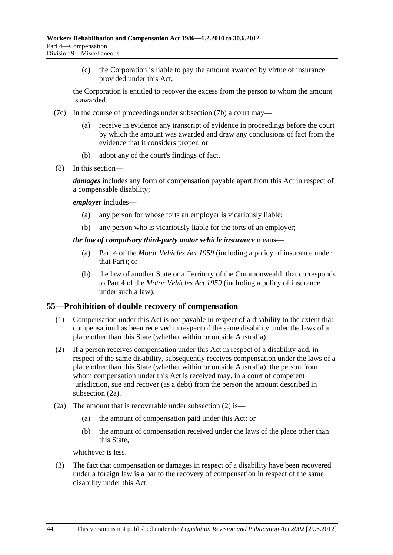<span id="page-75-0"></span> (c) the Corporation is liable to pay the amount awarded by virtue of insurance provided under this Act,

the Corporation is entitled to recover the excess from the person to whom the amount is awarded.

- (7c) In the course of proceedings under [subsection \(7b\)](#page-74-0) a court may
	- receive in evidence any transcript of evidence in proceedings before the court by which the amount was awarded and draw any conclusions of fact from the evidence that it considers proper; or
	- (b) adopt any of the court's findings of fact.
- (8) In this section—

*damages* includes any form of compensation payable apart from this Act in respect of a compensable disability;

*employer* includes—

- (a) any person for whose torts an employer is vicariously liable;
- (b) any person who is vicariously liable for the torts of an employer;

#### *the law of compulsory third-party motor vehicle insurance* means—

- (a) Part 4 of the *[Motor Vehicles Act 1959](http://www.legislation.sa.gov.au/index.aspx?action=legref&type=act&legtitle=Motor%20Vehicles%20Act%201959)* (including a policy of insurance under that Part); or
- (b) the law of another State or a Territory of the Commonwealth that corresponds to Part 4 of the *[Motor Vehicles Act 1959](http://www.legislation.sa.gov.au/index.aspx?action=legref&type=act&legtitle=Motor%20Vehicles%20Act%201959)* (including a policy of insurance under such a law).

#### **55—Prohibition of double recovery of compensation**

- (1) Compensation under this Act is not payable in respect of a disability to the extent that compensation has been received in respect of the same disability under the laws of a place other than this State (whether within or outside Australia).
- (2) If a person receives compensation under this Act in respect of a disability and, in respect of the same disability, subsequently receives compensation under the laws of a place other than this State (whether within or outside Australia), the person from whom compensation under this Act is received may, in a court of competent jurisdiction, sue and recover (as a debt) from the person the amount described in [subsection \(2a\).](#page-75-0)
- (2a) The amount that is recoverable under [subsection \(2\)](#page-75-0) is—
	- (a) the amount of compensation paid under this Act; or
	- (b) the amount of compensation received under the laws of the place other than this State,

whichever is less.

 (3) The fact that compensation or damages in respect of a disability have been recovered under a foreign law is a bar to the recovery of compensation in respect of the same disability under this Act.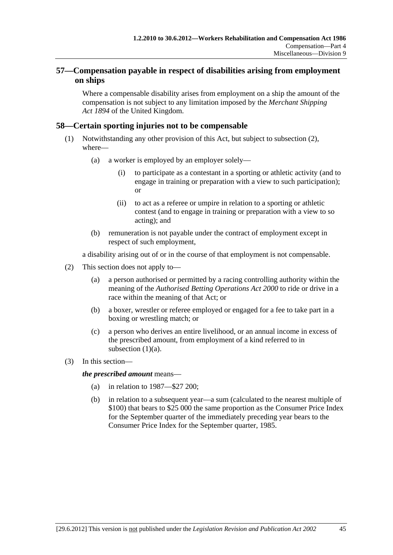### <span id="page-76-0"></span>**57—Compensation payable in respect of disabilities arising from employment on ships**

Where a compensable disability arises from employment on a ship the amount of the compensation is not subject to any limitation imposed by the *Merchant Shipping Act 1894* of the United Kingdom.

### **58—Certain sporting injuries not to be compensable**

- (1) Notwithstanding any other provision of this Act, but subject to [subsection \(2\),](#page-76-0) where—
	- (a) a worker is employed by an employer solely—
		- (i) to participate as a contestant in a sporting or athletic activity (and to engage in training or preparation with a view to such participation); or
		- (ii) to act as a referee or umpire in relation to a sporting or athletic contest (and to engage in training or preparation with a view to so acting); and
	- (b) remuneration is not payable under the contract of employment except in respect of such employment,

a disability arising out of or in the course of that employment is not compensable.

- (2) This section does not apply to—
	- (a) a person authorised or permitted by a racing controlling authority within the meaning of the *[Authorised Betting Operations Act 2000](http://www.legislation.sa.gov.au/index.aspx?action=legref&type=act&legtitle=Authorised%20Betting%20Operations%20Act%202000)* to ride or drive in a race within the meaning of that Act; or
	- (b) a boxer, wrestler or referee employed or engaged for a fee to take part in a boxing or wrestling match; or
	- (c) a person who derives an entire livelihood, or an annual income in excess of the prescribed amount, from employment of a kind referred to in subsection  $(1)(a)$ .
- (3) In this section—

*the prescribed amount* means—

- (a) in relation to 1987—\$27 200;
- (b) in relation to a subsequent year—a sum (calculated to the nearest multiple of \$100) that bears to \$25 000 the same proportion as the Consumer Price Index for the September quarter of the immediately preceding year bears to the Consumer Price Index for the September quarter, 1985.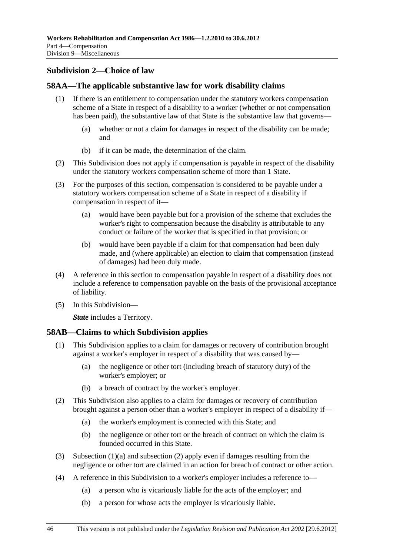## <span id="page-77-0"></span>**Subdivision 2—Choice of law**

### **58AA—The applicable substantive law for work disability claims**

- (1) If there is an entitlement to compensation under the statutory workers compensation scheme of a State in respect of a disability to a worker (whether or not compensation has been paid), the substantive law of that State is the substantive law that governs—
	- (a) whether or not a claim for damages in respect of the disability can be made; and
	- (b) if it can be made, the determination of the claim.
- (2) This Subdivision does not apply if compensation is payable in respect of the disability under the statutory workers compensation scheme of more than 1 State.
- (3) For the purposes of this section, compensation is considered to be payable under a statutory workers compensation scheme of a State in respect of a disability if compensation in respect of it—
	- (a) would have been payable but for a provision of the scheme that excludes the worker's right to compensation because the disability is attributable to any conduct or failure of the worker that is specified in that provision; or
	- (b) would have been payable if a claim for that compensation had been duly made, and (where applicable) an election to claim that compensation (instead of damages) had been duly made.
- (4) A reference in this section to compensation payable in respect of a disability does not include a reference to compensation payable on the basis of the provisional acceptance of liability.
- (5) In this Subdivision—

*State* includes a Territory.

### **58AB—Claims to which Subdivision applies**

- (1) This Subdivision applies to a claim for damages or recovery of contribution brought against a worker's employer in respect of a disability that was caused by—
	- (a) the negligence or other tort (including breach of statutory duty) of the worker's employer; or
	- (b) a breach of contract by the worker's employer.
- (2) This Subdivision also applies to a claim for damages or recovery of contribution brought against a person other than a worker's employer in respect of a disability if—
	- (a) the worker's employment is connected with this State; and
	- (b) the negligence or other tort or the breach of contract on which the claim is founded occurred in this State.
- (3) [Subsection \(1\)\(a\)](#page-77-0) and [subsection \(2\)](#page-77-0) apply even if damages resulting from the negligence or other tort are claimed in an action for breach of contract or other action.
- (4) A reference in this Subdivision to a worker's employer includes a reference to—
	- (a) a person who is vicariously liable for the acts of the employer; and
	- (b) a person for whose acts the employer is vicariously liable.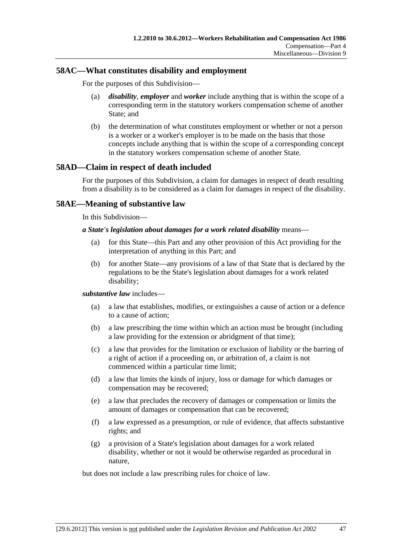### **58AC—What constitutes disability and employment**

For the purposes of this Subdivision—

- (a) *disability*, *employer* and *worker* include anything that is within the scope of a corresponding term in the statutory workers compensation scheme of another State; and
- (b) the determination of what constitutes employment or whether or not a person is a worker or a worker's employer is to be made on the basis that those concepts include anything that is within the scope of a corresponding concept in the statutory workers compensation scheme of another State.

### **58AD—Claim in respect of death included**

For the purposes of this Subdivision, a claim for damages in respect of death resulting from a disability is to be considered as a claim for damages in respect of the disability.

### **58AE—Meaning of substantive law**

In this Subdivision—

#### *a State's legislation about damages for a work related disability* means—

- (a) for this State—this Part and any other provision of this Act providing for the interpretation of anything in this Part; and
- (b) for another State—any provisions of a law of that State that is declared by the regulations to be the State's legislation about damages for a work related disability;

#### *substantive law* includes—

- (a) a law that establishes, modifies, or extinguishes a cause of action or a defence to a cause of action;
- (b) a law prescribing the time within which an action must be brought (including a law providing for the extension or abridgment of that time);
- (c) a law that provides for the limitation or exclusion of liability or the barring of a right of action if a proceeding on, or arbitration of, a claim is not commenced within a particular time limit;
- (d) a law that limits the kinds of injury, loss or damage for which damages or compensation may be recovered;
- (e) a law that precludes the recovery of damages or compensation or limits the amount of damages or compensation that can be recovered;
- (f) a law expressed as a presumption, or rule of evidence, that affects substantive rights; and
- (g) a provision of a State's legislation about damages for a work related disability, whether or not it would be otherwise regarded as procedural in nature,

but does not include a law prescribing rules for choice of law.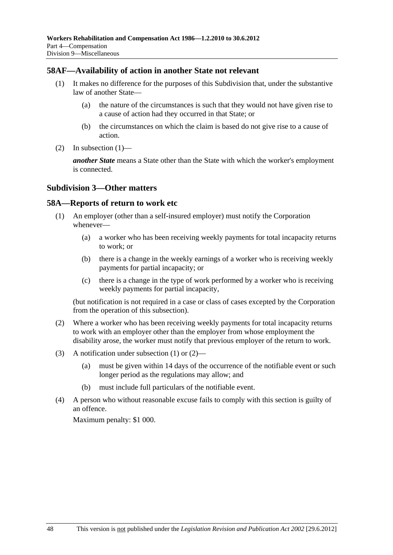### <span id="page-79-0"></span>**58AF—Availability of action in another State not relevant**

- (1) It makes no difference for the purposes of this Subdivision that, under the substantive law of another State—
	- (a) the nature of the circumstances is such that they would not have given rise to a cause of action had they occurred in that State; or
	- (b) the circumstances on which the claim is based do not give rise to a cause of action.
- (2) In subsection  $(1)$ —

*another State* means a State other than the State with which the worker's employment is connected.

#### **Subdivision 3—Other matters**

#### **58A—Reports of return to work etc**

- (1) An employer (other than a self-insured employer) must notify the Corporation whenever—
	- (a) a worker who has been receiving weekly payments for total incapacity returns to work; or
	- (b) there is a change in the weekly earnings of a worker who is receiving weekly payments for partial incapacity; or
	- (c) there is a change in the type of work performed by a worker who is receiving weekly payments for partial incapacity,

(but notification is not required in a case or class of cases excepted by the Corporation from the operation of this subsection).

- (2) Where a worker who has been receiving weekly payments for total incapacity returns to work with an employer other than the employer from whose employment the disability arose, the worker must notify that previous employer of the return to work.
- (3) A notification under [subsection \(1\)](#page-79-0) or [\(2\)](#page-79-0)
	- (a) must be given within 14 days of the occurrence of the notifiable event or such longer period as the regulations may allow; and
	- (b) must include full particulars of the notifiable event.
- (4) A person who without reasonable excuse fails to comply with this section is guilty of an offence.

Maximum penalty: \$1 000.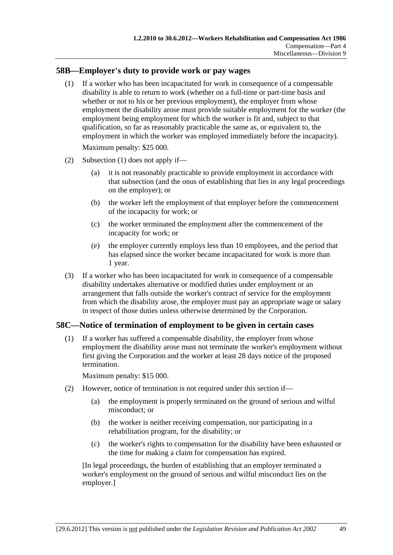### <span id="page-80-0"></span>**58B—Employer's duty to provide work or pay wages**

 (1) If a worker who has been incapacitated for work in consequence of a compensable disability is able to return to work (whether on a full-time or part-time basis and whether or not to his or her previous employment), the employer from whose employment the disability arose must provide suitable employment for the worker (the employment being employment for which the worker is fit and, subject to that qualification, so far as reasonably practicable the same as, or equivalent to, the employment in which the worker was employed immediately before the incapacity).

Maximum penalty: \$25 000.

- (2) [Subsection \(1\)](#page-80-0) does not apply if—
	- (a) it is not reasonably practicable to provide employment in accordance with that subsection (and the onus of establishing that lies in any legal proceedings on the employer); or
	- (b) the worker left the employment of that employer before the commencement of the incapacity for work; or
	- (c) the worker terminated the employment after the commencement of the incapacity for work; or
	- (e) the employer currently employs less than 10 employees, and the period that has elapsed since the worker became incapacitated for work is more than 1 year.
- (3) If a worker who has been incapacitated for work in consequence of a compensable disability undertakes alternative or modified duties under employment or an arrangement that falls outside the worker's contract of service for the employment from which the disability arose, the employer must pay an appropriate wage or salary in respect of those duties unless otherwise determined by the Corporation.

### **58C—Notice of termination of employment to be given in certain cases**

 (1) If a worker has suffered a compensable disability, the employer from whose employment the disability arose must not terminate the worker's employment without first giving the Corporation and the worker at least 28 days notice of the proposed termination.

Maximum penalty: \$15 000.

- (2) However, notice of termination is not required under this section if—
	- (a) the employment is properly terminated on the ground of serious and wilful misconduct; or
	- (b) the worker is neither receiving compensation, nor participating in a rehabilitation program, for the disability; or
	- (c) the worker's rights to compensation for the disability have been exhausted or the time for making a claim for compensation has expired.

[In legal proceedings, the burden of establishing that an employer terminated a worker's employment on the ground of serious and wilful misconduct lies on the employer.]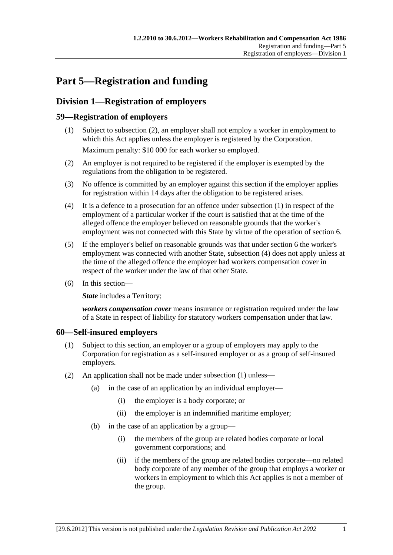# <span id="page-82-0"></span>**Part 5—Registration and funding**

# **Division 1—Registration of employers**

### **59—Registration of employers**

- (1) Subject to [subsection \(2\),](#page-82-0) an employer shall not employ a worker in employment to which this Act applies unless the employer is registered by the Corporation. Maximum penalty: \$10 000 for each worker so employed.
- (2) An employer is not required to be registered if the employer is exempted by the regulations from the obligation to be registered.
- (3) No offence is committed by an employer against this section if the employer applies for registration within 14 days after the obligation to be registered arises.
- (4) It is a defence to a prosecution for an offence under [subsection \(1\)](#page-82-0) in respect of the employment of a particular worker if the court is satisfied that at the time of the alleged offence the employer believed on reasonable grounds that the worker's employment was not connected with this State by virtue of the operation of [section 6](#page-20-0).
- (5) If the employer's belief on reasonable grounds was that under [section 6](#page-20-0) the worker's employment was connected with another State, [subsection \(4\)](#page-82-0) does not apply unless at the time of the alleged offence the employer had workers compensation cover in respect of the worker under the law of that other State.
- (6) In this section—

**State** includes a Territory;

*workers compensation cover* means insurance or registration required under the law of a State in respect of liability for statutory workers compensation under that law.

### **60—Self-insured employers**

- (1) Subject to this section, an employer or a group of employers may apply to the Corporation for registration as a self-insured employer or as a group of self-insured employers.
- (2) An application shall not be made under [subsection \(1\)](#page-82-0) unless—
	- (a) in the case of an application by an individual employer—
		- (i) the employer is a body corporate; or
		- (ii) the employer is an indemnified maritime employer;
	- (b) in the case of an application by a group—
		- (i) the members of the group are related bodies corporate or local government corporations; and
		- (ii) if the members of the group are related bodies corporate—no related body corporate of any member of the group that employs a worker or workers in employment to which this Act applies is not a member of the group.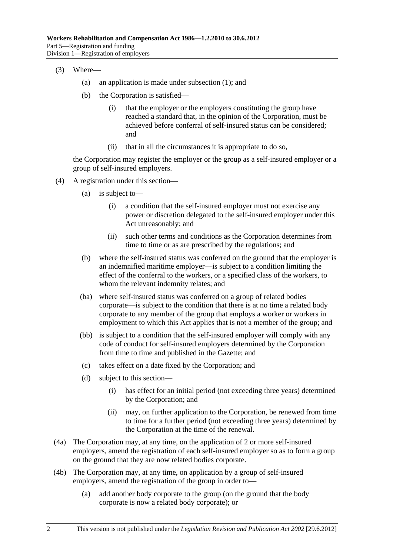- (3) Where—
	- (a) an application is made under [subsection \(1\)](#page-82-0); and
	- (b) the Corporation is satisfied—
		- (i) that the employer or the employers constituting the group have reached a standard that, in the opinion of the Corporation, must be achieved before conferral of self-insured status can be considered; and
		- (ii) that in all the circumstances it is appropriate to do so,

the Corporation may register the employer or the group as a self-insured employer or a group of self-insured employers.

- (4) A registration under this section—
	- (a) is subject to—
		- (i) a condition that the self-insured employer must not exercise any power or discretion delegated to the self-insured employer under this Act unreasonably; and
		- (ii) such other terms and conditions as the Corporation determines from time to time or as are prescribed by the regulations; and
	- (b) where the self-insured status was conferred on the ground that the employer is an indemnified maritime employer—is subject to a condition limiting the effect of the conferral to the workers, or a specified class of the workers, to whom the relevant indemnity relates; and
	- (ba) where self-insured status was conferred on a group of related bodies corporate—is subject to the condition that there is at no time a related body corporate to any member of the group that employs a worker or workers in employment to which this Act applies that is not a member of the group; and
	- (bb) is subject to a condition that the self-insured employer will comply with any code of conduct for self-insured employers determined by the Corporation from time to time and published in the Gazette; and
	- (c) takes effect on a date fixed by the Corporation; and
	- (d) subject to this section—
		- (i) has effect for an initial period (not exceeding three years) determined by the Corporation; and
		- (ii) may, on further application to the Corporation, be renewed from time to time for a further period (not exceeding three years) determined by the Corporation at the time of the renewal.
- (4a) The Corporation may, at any time, on the application of 2 or more self-insured employers, amend the registration of each self-insured employer so as to form a group on the ground that they are now related bodies corporate.
- (4b) The Corporation may, at any time, on application by a group of self-insured employers, amend the registration of the group in order to—
	- (a) add another body corporate to the group (on the ground that the body corporate is now a related body corporate); or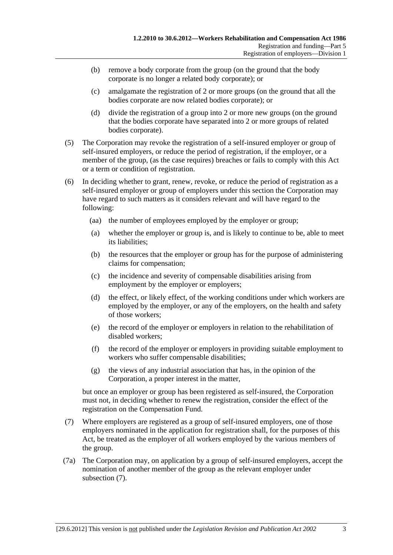- <span id="page-84-0"></span> (b) remove a body corporate from the group (on the ground that the body corporate is no longer a related body corporate); or
- (c) amalgamate the registration of 2 or more groups (on the ground that all the bodies corporate are now related bodies corporate); or
- (d) divide the registration of a group into 2 or more new groups (on the ground that the bodies corporate have separated into 2 or more groups of related bodies corporate).
- (5) The Corporation may revoke the registration of a self-insured employer or group of self-insured employers, or reduce the period of registration, if the employer, or a member of the group, (as the case requires) breaches or fails to comply with this Act or a term or condition of registration.
- (6) In deciding whether to grant, renew, revoke, or reduce the period of registration as a self-insured employer or group of employers under this section the Corporation may have regard to such matters as it considers relevant and will have regard to the following:
	- (aa) the number of employees employed by the employer or group;
	- (a) whether the employer or group is, and is likely to continue to be, able to meet its liabilities;
	- (b) the resources that the employer or group has for the purpose of administering claims for compensation;
	- (c) the incidence and severity of compensable disabilities arising from employment by the employer or employers;
	- (d) the effect, or likely effect, of the working conditions under which workers are employed by the employer, or any of the employers, on the health and safety of those workers;
	- (e) the record of the employer or employers in relation to the rehabilitation of disabled workers;
	- (f) the record of the employer or employers in providing suitable employment to workers who suffer compensable disabilities;
	- (g) the views of any industrial association that has, in the opinion of the Corporation, a proper interest in the matter,

but once an employer or group has been registered as self-insured, the Corporation must not, in deciding whether to renew the registration, consider the effect of the registration on the Compensation Fund.

- (7) Where employers are registered as a group of self-insured employers, one of those employers nominated in the application for registration shall, for the purposes of this Act, be treated as the employer of all workers employed by the various members of the group.
- (7a) The Corporation may, on application by a group of self-insured employers, accept the nomination of another member of the group as the relevant employer under [subsection \(7\).](#page-84-0)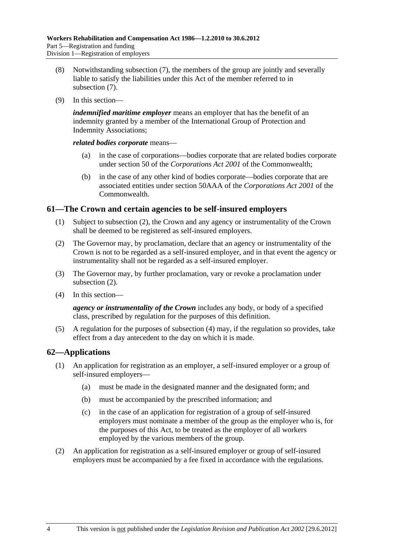- <span id="page-85-0"></span> (8) Notwithstanding [subsection \(7\)](#page-84-0), the members of the group are jointly and severally liable to satisfy the liabilities under this Act of the member referred to in [subsection \(7\).](#page-84-0)
- (9) In this section—

*indemnified maritime employer* means an employer that has the benefit of an indemnity granted by a member of the International Group of Protection and Indemnity Associations;

*related bodies corporate* means—

- (a) in the case of corporations—bodies corporate that are related bodies corporate under section 50 of the *Corporations Act 2001* of the Commonwealth;
- (b) in the case of any other kind of bodies corporate—bodies corporate that are associated entities under section 50AAA of the *Corporations Act 2001* of the **Commonwealth**

### **61—The Crown and certain agencies to be self-insured employers**

- (1) Subject to [subsection \(2\),](#page-85-0) the Crown and any agency or instrumentality of the Crown shall be deemed to be registered as self-insured employers.
- (2) The Governor may, by proclamation, declare that an agency or instrumentality of the Crown is not to be regarded as a self-insured employer, and in that event the agency or instrumentality shall not be regarded as a self-insured employer.
- (3) The Governor may, by further proclamation, vary or revoke a proclamation under [subsection \(2\).](#page-85-0)
- (4) In this section—

*agency or instrumentality of the Crown* includes any body, or body of a specified class, prescribed by regulation for the purposes of this definition.

 (5) A regulation for the purposes of [subsection \(4\)](#page-85-0) may, if the regulation so provides, take effect from a day antecedent to the day on which it is made.

### **62—Applications**

- (1) An application for registration as an employer, a self-insured employer or a group of self-insured employers—
	- (a) must be made in the designated manner and the designated form; and
	- (b) must be accompanied by the prescribed information; and
	- (c) in the case of an application for registration of a group of self-insured employers must nominate a member of the group as the employer who is, for the purposes of this Act, to be treated as the employer of all workers employed by the various members of the group.
- (2) An application for registration as a self-insured employer or group of self-insured employers must be accompanied by a fee fixed in accordance with the regulations.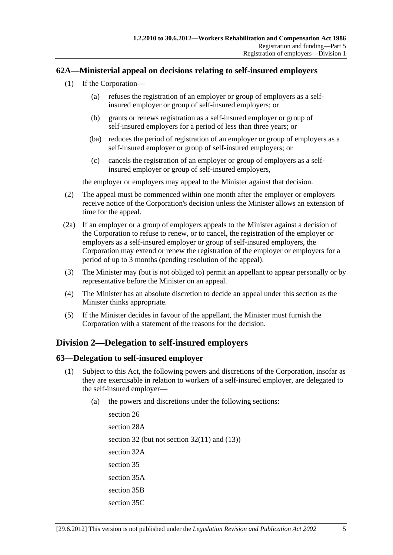### <span id="page-86-0"></span>**62A—Ministerial appeal on decisions relating to self-insured employers**

- (1) If the Corporation—
	- (a) refuses the registration of an employer or group of employers as a selfinsured employer or group of self-insured employers; or
	- (b) grants or renews registration as a self-insured employer or group of self-insured employers for a period of less than three years; or
	- (ba) reduces the period of registration of an employer or group of employers as a self-insured employer or group of self-insured employers; or
	- (c) cancels the registration of an employer or group of employers as a selfinsured employer or group of self-insured employers,

the employer or employers may appeal to the Minister against that decision.

- (2) The appeal must be commenced within one month after the employer or employers receive notice of the Corporation's decision unless the Minister allows an extension of time for the appeal.
- (2a) If an employer or a group of employers appeals to the Minister against a decision of the Corporation to refuse to renew, or to cancel, the registration of the employer or employers as a self-insured employer or group of self-insured employers, the Corporation may extend or renew the registration of the employer or employers for a period of up to 3 months (pending resolution of the appeal).
- (3) The Minister may (but is not obliged to) permit an appellant to appear personally or by representative before the Minister on an appeal.
- (4) The Minister has an absolute discretion to decide an appeal under this section as the Minister thinks appropriate.
- (5) If the Minister decides in favour of the appellant, the Minister must furnish the Corporation with a statement of the reasons for the decision.

### **Division 2—Delegation to self-insured employers**

### **63—Delegation to self-insured employer**

- (1) Subject to this Act, the following powers and discretions of the Corporation, insofar as they are exercisable in relation to workers of a self-insured employer, are delegated to the self-insured employer—
	- (a) the powers and discretions under the following sections:

[section 26](#page-26-0) [section 28A](#page-27-0)  [section 32](#page-34-0) (but not [section 32\(11\)](#page-36-0) and [\(13\)\)](#page-36-0) [section 32A](#page-37-0)  [section 35](#page-38-0) [section 35A](#page-40-0)  [section 35B](#page-41-0) [section 35C](#page-42-0)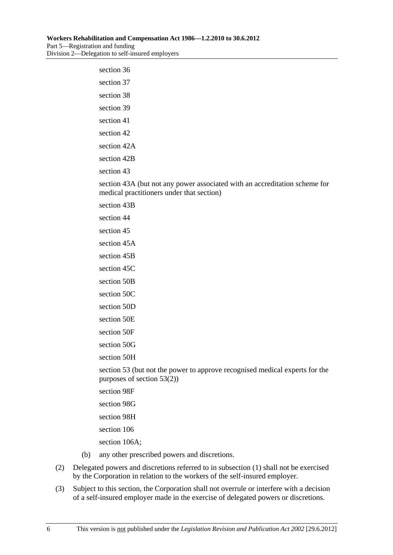| section 36                                                                                                              |
|-------------------------------------------------------------------------------------------------------------------------|
| section 37                                                                                                              |
| section 38                                                                                                              |
| section 39                                                                                                              |
| section 41                                                                                                              |
| section 42                                                                                                              |
| section 42A                                                                                                             |
| section 42B                                                                                                             |
| section 43                                                                                                              |
| section 43A (but not any power associated with an accreditation scheme for<br>medical practitioners under that section) |
| section 43B                                                                                                             |
| section 44                                                                                                              |
| section 45                                                                                                              |
| section 45A                                                                                                             |
| section 45B                                                                                                             |
| section 45C                                                                                                             |
| section 50B                                                                                                             |
| section 50C                                                                                                             |
| section 50D                                                                                                             |
| section 50E                                                                                                             |
| section 50F                                                                                                             |
| section 50G                                                                                                             |
| section 50H                                                                                                             |
| section 53 (but not the power to approve recognised medical experts for the<br>purposes of section $53(2)$ )            |
| section 98F                                                                                                             |
| section 98G                                                                                                             |
| section 98H                                                                                                             |

[section 106](#page-135-0)

[section 106A](#page-135-0);

- (b) any other prescribed powers and discretions.
- (2) Delegated powers and discretions referred to in [subsection \(1\)](#page-86-0) shall not be exercised by the Corporation in relation to the workers of the self-insured employer.
- (3) Subject to this section, the Corporation shall not overrule or interfere with a decision of a self-insured employer made in the exercise of delegated powers or discretions.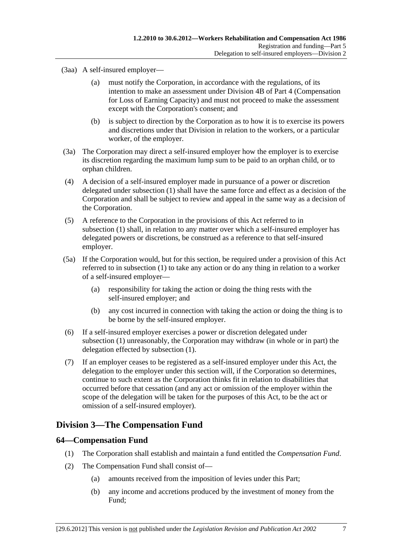(3aa) A self-insured employer—

- (a) must notify the Corporation, in accordance with the regulations, of its intention to make an assessment under Division 4B of [Part 4](#page-32-0) (Compensation for Loss of Earning Capacity) and must not proceed to make the assessment except with the Corporation's consent; and
- (b) is subject to direction by the Corporation as to how it is to exercise its powers and discretions under that Division in relation to the workers, or a particular worker, of the employer.
- (3a) The Corporation may direct a self-insured employer how the employer is to exercise its discretion regarding the maximum lump sum to be paid to an orphan child, or to orphan children.
- (4) A decision of a self-insured employer made in pursuance of a power or discretion delegated under [subsection \(1\)](#page-86-0) shall have the same force and effect as a decision of the Corporation and shall be subject to review and appeal in the same way as a decision of the Corporation.
- (5) A reference to the Corporation in the provisions of this Act referred to in [subsection \(1\)](#page-86-0) shall, in relation to any matter over which a self-insured employer has delegated powers or discretions, be construed as a reference to that self-insured employer.
- (5a) If the Corporation would, but for this section, be required under a provision of this Act referred to in [subsection \(1\)](#page-86-0) to take any action or do any thing in relation to a worker of a self-insured employer—
	- (a) responsibility for taking the action or doing the thing rests with the self-insured employer; and
	- (b) any cost incurred in connection with taking the action or doing the thing is to be borne by the self-insured employer.
- (6) If a self-insured employer exercises a power or discretion delegated under [subsection \(1\)](#page-86-0) unreasonably, the Corporation may withdraw (in whole or in part) the delegation effected by [subsection \(1\).](#page-86-0)
- (7) If an employer ceases to be registered as a self-insured employer under this Act, the delegation to the employer under this section will, if the Corporation so determines, continue to such extent as the Corporation thinks fit in relation to disabilities that occurred before that cessation (and any act or omission of the employer within the scope of the delegation will be taken for the purposes of this Act, to be the act or omission of a self-insured employer).

### **Division 3—The Compensation Fund**

### **64—Compensation Fund**

- (1) The Corporation shall establish and maintain a fund entitled the *Compensation Fund*.
- (2) The Compensation Fund shall consist of—
	- (a) amounts received from the imposition of levies under this Part;
	- (b) any income and accretions produced by the investment of money from the Fund;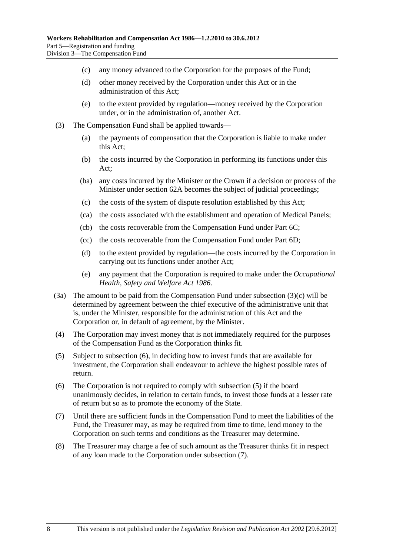- <span id="page-89-0"></span>(c) any money advanced to the Corporation for the purposes of the Fund;
- (d) other money received by the Corporation under this Act or in the administration of this Act;
- (e) to the extent provided by regulation—money received by the Corporation under, or in the administration of, another Act.
- (3) The Compensation Fund shall be applied towards—
	- (a) the payments of compensation that the Corporation is liable to make under this Act;
	- (b) the costs incurred by the Corporation in performing its functions under this Act;
	- (ba) any costs incurred by the Minister or the Crown if a decision or process of the Minister under [section 62A](#page-86-0) becomes the subject of judicial proceedings;
	- (c) the costs of the system of dispute resolution established by this Act;
	- (ca) the costs associated with the establishment and operation of Medical Panels;
	- (cb) the costs recoverable from the Compensation Fund under [Part 6C](#page-122-0);
	- (cc) the costs recoverable from the Compensation Fund under [Part 6D](#page-128-0);
	- (d) to the extent provided by regulation—the costs incurred by the Corporation in carrying out its functions under another Act;
	- (e) any payment that the Corporation is required to make under the *[Occupational](http://www.legislation.sa.gov.au/index.aspx?action=legref&type=act&legtitle=Occupational%20Health%20Safety%20and%20Welfare%20Act%201986)  [Health, Safety and Welfare Act 1986](http://www.legislation.sa.gov.au/index.aspx?action=legref&type=act&legtitle=Occupational%20Health%20Safety%20and%20Welfare%20Act%201986)*.
- (3a) The amount to be paid from the Compensation Fund under [subsection \(3\)\(c\)](#page-89-0) will be determined by agreement between the chief executive of the administrative unit that is, under the Minister, responsible for the administration of this Act and the Corporation or, in default of agreement, by the Minister.
- (4) The Corporation may invest money that is not immediately required for the purposes of the Compensation Fund as the Corporation thinks fit.
- (5) Subject to [subsection \(6\),](#page-89-0) in deciding how to invest funds that are available for investment, the Corporation shall endeavour to achieve the highest possible rates of return.
- (6) The Corporation is not required to comply with [subsection \(5\)](#page-89-0) if the board unanimously decides, in relation to certain funds, to invest those funds at a lesser rate of return but so as to promote the economy of the State.
- (7) Until there are sufficient funds in the Compensation Fund to meet the liabilities of the Fund, the Treasurer may, as may be required from time to time, lend money to the Corporation on such terms and conditions as the Treasurer may determine.
- (8) The Treasurer may charge a fee of such amount as the Treasurer thinks fit in respect of any loan made to the Corporation under [subsection \(7\)](#page-89-0).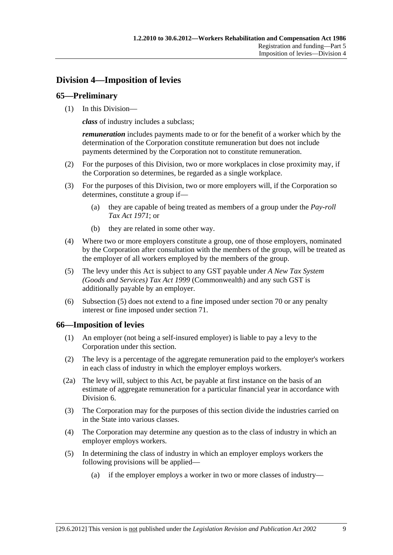# <span id="page-90-0"></span>**Division 4—Imposition of levies**

### **65—Preliminary**

(1) In this Division—

*class* of industry includes a subclass;

*remuneration* includes payments made to or for the benefit of a worker which by the determination of the Corporation constitute remuneration but does not include payments determined by the Corporation not to constitute remuneration.

- (2) For the purposes of this Division, two or more workplaces in close proximity may, if the Corporation so determines, be regarded as a single workplace.
- (3) For the purposes of this Division, two or more employers will, if the Corporation so determines, constitute a group if—
	- (a) they are capable of being treated as members of a group under the *[Pay-roll](http://www.legislation.sa.gov.au/index.aspx?action=legref&type=act&legtitle=Pay-roll%20Tax%20Act%201971)  [Tax Act 1971](http://www.legislation.sa.gov.au/index.aspx?action=legref&type=act&legtitle=Pay-roll%20Tax%20Act%201971)*; or
	- (b) they are related in some other way.
- (4) Where two or more employers constitute a group, one of those employers, nominated by the Corporation after consultation with the members of the group, will be treated as the employer of all workers employed by the members of the group.
- (5) The levy under this Act is subject to any GST payable under *A New Tax System (Goods and Services) Tax Act 1999* (Commonwealth) and any such GST is additionally payable by an employer.
- (6) [Subsection \(5\)](#page-90-0) does not extend to a fine imposed under [section 70](#page-97-0) or any penalty interest or fine imposed under [section 71.](#page-97-0)

### **66—Imposition of levies**

- (1) An employer (not being a self-insured employer) is liable to pay a levy to the Corporation under this section.
- (2) The levy is a percentage of the aggregate remuneration paid to the employer's workers in each class of industry in which the employer employs workers.
- (2a) The levy will, subject to this Act, be payable at first instance on the basis of an estimate of aggregate remuneration for a particular financial year in accordance with [Division 6](#page-94-0).
- (3) The Corporation may for the purposes of this section divide the industries carried on in the State into various classes.
- (4) The Corporation may determine any question as to the class of industry in which an employer employs workers.
- (5) In determining the class of industry in which an employer employs workers the following provisions will be applied—
	- (a) if the employer employs a worker in two or more classes of industry—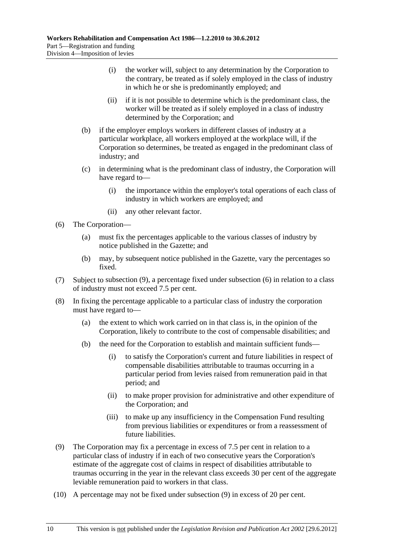- <span id="page-91-0"></span> (i) the worker will, subject to any determination by the Corporation to the contrary, be treated as if solely employed in the class of industry in which he or she is predominantly employed; and
- (ii) if it is not possible to determine which is the predominant class, the worker will be treated as if solely employed in a class of industry determined by the Corporation; and
- (b) if the employer employs workers in different classes of industry at a particular workplace, all workers employed at the workplace will, if the Corporation so determines, be treated as engaged in the predominant class of industry; and
- (c) in determining what is the predominant class of industry, the Corporation will have regard to—
	- (i) the importance within the employer's total operations of each class of industry in which workers are employed; and
	- (ii) any other relevant factor.
- (6) The Corporation—
	- (a) must fix the percentages applicable to the various classes of industry by notice published in the Gazette; and
	- (b) may, by subsequent notice published in the Gazette, vary the percentages so fixed.
- (7) Subject to [subsection \(9\),](#page-91-0) a percentage fixed under [subsection \(6\)](#page-91-0) in relation to a class of industry must not exceed 7.5 per cent.
- (8) In fixing the percentage applicable to a particular class of industry the corporation must have regard to—
	- (a) the extent to which work carried on in that class is, in the opinion of the Corporation, likely to contribute to the cost of compensable disabilities; and
	- (b) the need for the Corporation to establish and maintain sufficient funds—
		- (i) to satisfy the Corporation's current and future liabilities in respect of compensable disabilities attributable to traumas occurring in a particular period from levies raised from remuneration paid in that period; and
		- (ii) to make proper provision for administrative and other expenditure of the Corporation; and
		- (iii) to make up any insufficiency in the Compensation Fund resulting from previous liabilities or expenditures or from a reassessment of future liabilities.
- (9) The Corporation may fix a percentage in excess of 7.5 per cent in relation to a particular class of industry if in each of two consecutive years the Corporation's estimate of the aggregate cost of claims in respect of disabilities attributable to traumas occurring in the year in the relevant class exceeds 30 per cent of the aggregate leviable remuneration paid to workers in that class.
- (10) A percentage may not be fixed under [subsection \(9\)](#page-91-0) in excess of 20 per cent.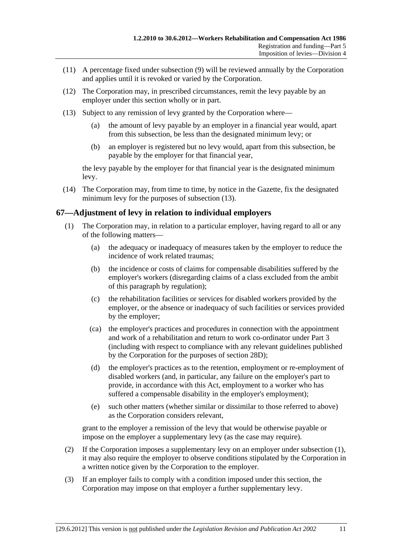- <span id="page-92-0"></span> (11) A percentage fixed under [subsection \(9\)](#page-91-0) will be reviewed annually by the Corporation and applies until it is revoked or varied by the Corporation.
- (12) The Corporation may, in prescribed circumstances, remit the levy payable by an employer under this section wholly or in part.
- (13) Subject to any remission of levy granted by the Corporation where—
	- (a) the amount of levy payable by an employer in a financial year would, apart from this subsection, be less than the designated minimum levy; or
	- (b) an employer is registered but no levy would, apart from this subsection, be payable by the employer for that financial year,

the levy payable by the employer for that financial year is the designated minimum levy.

 (14) The Corporation may, from time to time, by notice in the Gazette, fix the designated minimum levy for the purposes of [subsection \(13\)](#page-92-0).

### **67—Adjustment of levy in relation to individual employers**

- (1) The Corporation may, in relation to a particular employer, having regard to all or any of the following matters—
	- (a) the adequacy or inadequacy of measures taken by the employer to reduce the incidence of work related traumas;
	- (b) the incidence or costs of claims for compensable disabilities suffered by the employer's workers (disregarding claims of a class excluded from the ambit of this paragraph by regulation);
	- (c) the rehabilitation facilities or services for disabled workers provided by the employer, or the absence or inadequacy of such facilities or services provided by the employer;
	- (ca) the employer's practices and procedures in connection with the appointment and work of a rehabilitation and return to work co-ordinator under [Part 3](#page-26-0) (including with respect to compliance with any relevant guidelines published by the Corporation for the purposes of [section 28D\)](#page-29-0);
	- (d) the employer's practices as to the retention, employment or re-employment of disabled workers (and, in particular, any failure on the employer's part to provide, in accordance with this Act, employment to a worker who has suffered a compensable disability in the employer's employment);
	- (e) such other matters (whether similar or dissimilar to those referred to above) as the Corporation considers relevant,

grant to the employer a remission of the levy that would be otherwise payable or impose on the employer a supplementary levy (as the case may require).

- (2) If the Corporation imposes a supplementary levy on an employer under [subsection \(1\),](#page-92-0) it may also require the employer to observe conditions stipulated by the Corporation in a written notice given by the Corporation to the employer.
- (3) If an employer fails to comply with a condition imposed under this section, the Corporation may impose on that employer a further supplementary levy.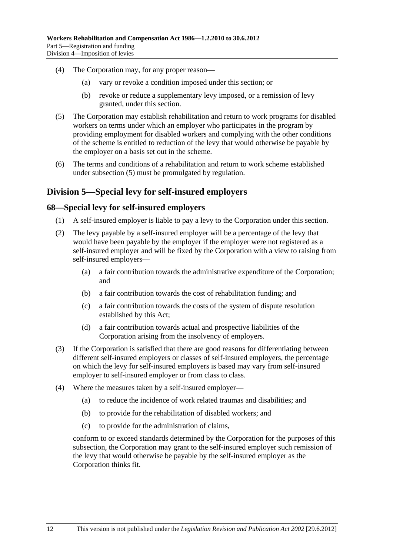- <span id="page-93-0"></span> (4) The Corporation may, for any proper reason—
	- (a) vary or revoke a condition imposed under this section; or
	- (b) revoke or reduce a supplementary levy imposed, or a remission of levy granted, under this section.
- (5) The Corporation may establish rehabilitation and return to work programs for disabled workers on terms under which an employer who participates in the program by providing employment for disabled workers and complying with the other conditions of the scheme is entitled to reduction of the levy that would otherwise be payable by the employer on a basis set out in the scheme.
- (6) The terms and conditions of a rehabilitation and return to work scheme established under [subsection \(5\)](#page-93-0) must be promulgated by regulation.

### **Division 5—Special levy for self-insured employers**

### **68—Special levy for self-insured employers**

- (1) A self-insured employer is liable to pay a levy to the Corporation under this section.
- (2) The levy payable by a self-insured employer will be a percentage of the levy that would have been payable by the employer if the employer were not registered as a self-insured employer and will be fixed by the Corporation with a view to raising from self-insured employers—
	- (a) a fair contribution towards the administrative expenditure of the Corporation; and
	- (b) a fair contribution towards the cost of rehabilitation funding; and
	- (c) a fair contribution towards the costs of the system of dispute resolution established by this Act;
	- (d) a fair contribution towards actual and prospective liabilities of the Corporation arising from the insolvency of employers.
- (3) If the Corporation is satisfied that there are good reasons for differentiating between different self-insured employers or classes of self-insured employers, the percentage on which the levy for self-insured employers is based may vary from self-insured employer to self-insured employer or from class to class.
- (4) Where the measures taken by a self-insured employer—
	- (a) to reduce the incidence of work related traumas and disabilities; and
	- (b) to provide for the rehabilitation of disabled workers; and
	- (c) to provide for the administration of claims,

conform to or exceed standards determined by the Corporation for the purposes of this subsection, the Corporation may grant to the self-insured employer such remission of the levy that would otherwise be payable by the self-insured employer as the Corporation thinks fit.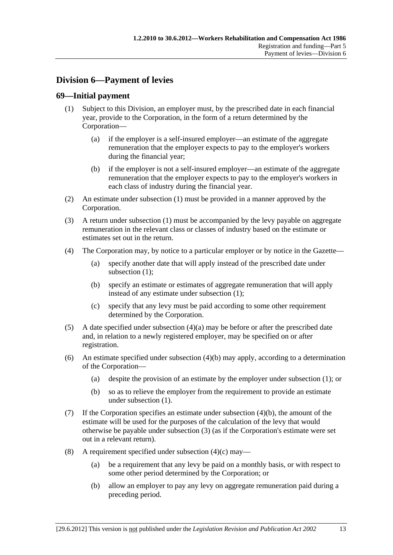# <span id="page-94-0"></span>**Division 6—Payment of levies**

### **69—Initial payment**

- (1) Subject to this Division, an employer must, by the prescribed date in each financial year, provide to the Corporation, in the form of a return determined by the Corporation—
	- (a) if the employer is a self-insured employer—an estimate of the aggregate remuneration that the employer expects to pay to the employer's workers during the financial year;
	- (b) if the employer is not a self-insured employer—an estimate of the aggregate remuneration that the employer expects to pay to the employer's workers in each class of industry during the financial year.
- (2) An estimate under [subsection \(1\)](#page-94-0) must be provided in a manner approved by the Corporation.
- (3) A return under [subsection \(1\)](#page-94-0) must be accompanied by the levy payable on aggregate remuneration in the relevant class or classes of industry based on the estimate or estimates set out in the return.
- (4) The Corporation may, by notice to a particular employer or by notice in the Gazette—
	- (a) specify another date that will apply instead of the prescribed date under [subsection \(1\)](#page-94-0):
	- (b) specify an estimate or estimates of aggregate remuneration that will apply instead of any estimate under [subsection \(1\);](#page-94-0)
	- (c) specify that any levy must be paid according to some other requirement determined by the Corporation.
- (5) A date specified under [subsection \(4\)\(a\)](#page-94-0) may be before or after the prescribed date and, in relation to a newly registered employer, may be specified on or after registration.
- (6) An estimate specified under [subsection \(4\)\(b\)](#page-94-0) may apply, according to a determination of the Corporation—
	- (a) despite the provision of an estimate by the employer under [subsection \(1\)](#page-94-0); or
	- (b) so as to relieve the employer from the requirement to provide an estimate under [subsection \(1\)](#page-94-0).
- (7) If the Corporation specifies an estimate under [subsection \(4\)\(b\)](#page-94-0), the amount of the estimate will be used for the purposes of the calculation of the levy that would otherwise be payable under [subsection \(3\)](#page-94-0) (as if the Corporation's estimate were set out in a relevant return).
- (8) A requirement specified under subsection  $(4)(c)$  may—
	- (a) be a requirement that any levy be paid on a monthly basis, or with respect to some other period determined by the Corporation; or
	- (b) allow an employer to pay any levy on aggregate remuneration paid during a preceding period.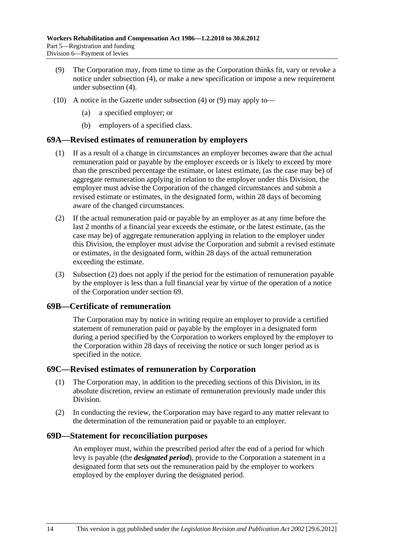- <span id="page-95-0"></span> (9) The Corporation may, from time to time as the Corporation thinks fit, vary or revoke a notice under [subsection \(4\),](#page-94-0) or make a new specification or impose a new requirement under [subsection \(4\).](#page-94-0)
- (10) A notice in the Gazette under [subsection \(4\)](#page-94-0) or [\(9\)](#page-95-0) may apply to—
	- (a) a specified employer; or
	- (b) employers of a specified class.

#### **69A—Revised estimates of remuneration by employers**

- (1) If as a result of a change in circumstances an employer becomes aware that the actual remuneration paid or payable by the employer exceeds or is likely to exceed by more than the prescribed percentage the estimate, or latest estimate, (as the case may be) of aggregate remuneration applying in relation to the employer under this Division, the employer must advise the Corporation of the changed circumstances and submit a revised estimate or estimates, in the designated form, within 28 days of becoming aware of the changed circumstances.
- (2) If the actual remuneration paid or payable by an employer as at any time before the last 2 months of a financial year exceeds the estimate, or the latest estimate, (as the case may be) of aggregate remuneration applying in relation to the employer under this Division, the employer must advise the Corporation and submit a revised estimate or estimates, in the designated form, within 28 days of the actual remuneration exceeding the estimate.
- (3) [Subsection \(2\)](#page-95-0) does not apply if the period for the estimation of remuneration payable by the employer is less than a full financial year by virtue of the operation of a notice of the Corporation under [section 69.](#page-94-0)

#### **69B—Certificate of remuneration**

The Corporation may by notice in writing require an employer to provide a certified statement of remuneration paid or payable by the employer in a designated form during a period specified by the Corporation to workers employed by the employer to the Corporation within 28 days of receiving the notice or such longer period as is specified in the notice.

#### **69C—Revised estimates of remuneration by Corporation**

- (1) The Corporation may, in addition to the preceding sections of this Division, in its absolute discretion, review an estimate of remuneration previously made under this Division.
- (2) In conducting the review, the Corporation may have regard to any matter relevant to the determination of the remuneration paid or payable to an employer.

#### **69D—Statement for reconciliation purposes**

An employer must, within the prescribed period after the end of a period for which levy is payable (the *designated period*), provide to the Corporation a statement in a designated form that sets out the remuneration paid by the employer to workers employed by the employer during the designated period.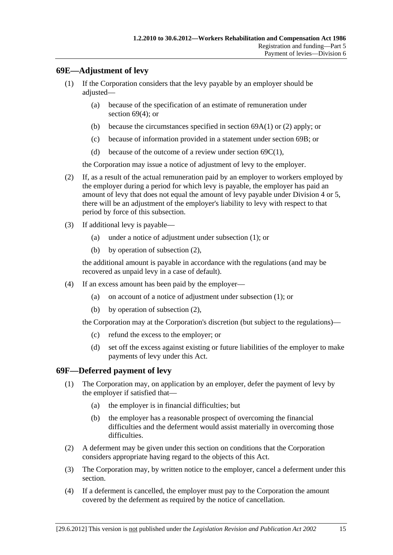### <span id="page-96-0"></span>**69E—Adjustment of levy**

- (1) If the Corporation considers that the levy payable by an employer should be adjusted—
	- (a) because of the specification of an estimate of remuneration under [section 69\(4\);](#page-94-0) or
	- (b) because the circumstances specified in section  $69A(1)$  or [\(2\)](#page-95-0) apply; or
	- (c) because of information provided in a statement under [section 69B](#page-95-0); or
	- (d) because of the outcome of a review under [section 69C\(1\)](#page-95-0),

the Corporation may issue a notice of adjustment of levy to the employer.

- (2) If, as a result of the actual remuneration paid by an employer to workers employed by the employer during a period for which levy is payable, the employer has paid an amount of levy that does not equal the amount of levy payable under [Division 4](#page-90-0) or [5](#page-93-0), there will be an adjustment of the employer's liability to levy with respect to that period by force of this subsection.
- (3) If additional levy is payable—
	- (a) under a notice of adjustment under [subsection \(1\)](#page-96-0); or
	- (b) by operation of [subsection \(2\)](#page-96-0),

the additional amount is payable in accordance with the regulations (and may be recovered as unpaid levy in a case of default).

- (4) If an excess amount has been paid by the employer—
	- (a) on account of a notice of adjustment under [subsection \(1\);](#page-96-0) or
	- (b) by operation of [subsection \(2\)](#page-96-0),

the Corporation may at the Corporation's discretion (but subject to the regulations)—

- (c) refund the excess to the employer; or
- (d) set off the excess against existing or future liabilities of the employer to make payments of levy under this Act.

#### **69F—Deferred payment of levy**

- (1) The Corporation may, on application by an employer, defer the payment of levy by the employer if satisfied that—
	- (a) the employer is in financial difficulties; but
	- (b) the employer has a reasonable prospect of overcoming the financial difficulties and the deferment would assist materially in overcoming those difficulties.
- (2) A deferment may be given under this section on conditions that the Corporation considers appropriate having regard to the objects of this Act.
- (3) The Corporation may, by written notice to the employer, cancel a deferment under this section.
- (4) If a deferment is cancelled, the employer must pay to the Corporation the amount covered by the deferment as required by the notice of cancellation.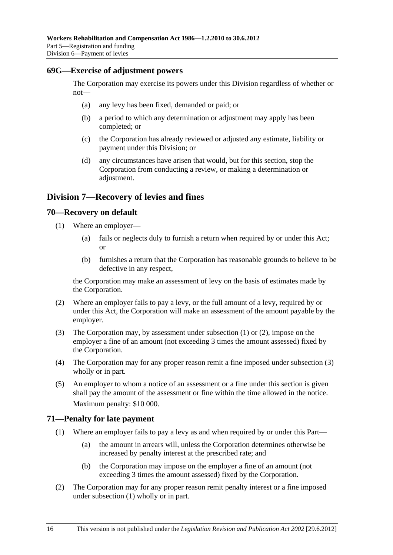#### <span id="page-97-0"></span>**69G—Exercise of adjustment powers**

The Corporation may exercise its powers under this Division regardless of whether or not—

- (a) any levy has been fixed, demanded or paid; or
- (b) a period to which any determination or adjustment may apply has been completed; or
- (c) the Corporation has already reviewed or adjusted any estimate, liability or payment under this Division; or
- (d) any circumstances have arisen that would, but for this section, stop the Corporation from conducting a review, or making a determination or adjustment.

### **Division 7—Recovery of levies and fines**

#### **70—Recovery on default**

- (1) Where an employer—
	- (a) fails or neglects duly to furnish a return when required by or under this Act; or
	- (b) furnishes a return that the Corporation has reasonable grounds to believe to be defective in any respect,

the Corporation may make an assessment of levy on the basis of estimates made by the Corporation.

- (2) Where an employer fails to pay a levy, or the full amount of a levy, required by or under this Act, the Corporation will make an assessment of the amount payable by the employer.
- (3) The Corporation may, by assessment under [subsection \(1\)](#page-97-0) or [\(2\)](#page-97-0), impose on the employer a fine of an amount (not exceeding 3 times the amount assessed) fixed by the Corporation.
- (4) The Corporation may for any proper reason remit a fine imposed under [subsection \(3\)](#page-97-0)  wholly or in part.
- (5) An employer to whom a notice of an assessment or a fine under this section is given shall pay the amount of the assessment or fine within the time allowed in the notice. Maximum penalty: \$10 000.

#### **71—Penalty for late payment**

- (1) Where an employer fails to pay a levy as and when required by or under this Part—
	- (a) the amount in arrears will, unless the Corporation determines otherwise be increased by penalty interest at the prescribed rate; and
	- (b) the Corporation may impose on the employer a fine of an amount (not exceeding 3 times the amount assessed) fixed by the Corporation.
- (2) The Corporation may for any proper reason remit penalty interest or a fine imposed under [subsection \(1\)](#page-97-0) wholly or in part.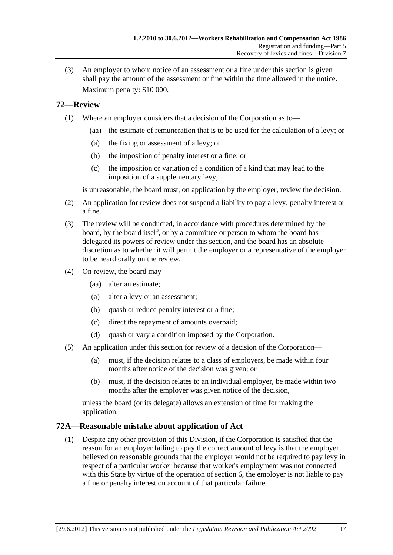<span id="page-98-0"></span> (3) An employer to whom notice of an assessment or a fine under this section is given shall pay the amount of the assessment or fine within the time allowed in the notice. Maximum penalty: \$10 000.

### **72—Review**

- (1) Where an employer considers that a decision of the Corporation as to—
	- (aa) the estimate of remuneration that is to be used for the calculation of a levy; or
	- (a) the fixing or assessment of a levy; or
	- (b) the imposition of penalty interest or a fine; or
	- (c) the imposition or variation of a condition of a kind that may lead to the imposition of a supplementary levy,

is unreasonable, the board must, on application by the employer, review the decision.

- (2) An application for review does not suspend a liability to pay a levy, penalty interest or a fine.
- (3) The review will be conducted, in accordance with procedures determined by the board, by the board itself, or by a committee or person to whom the board has delegated its powers of review under this section, and the board has an absolute discretion as to whether it will permit the employer or a representative of the employer to be heard orally on the review.
- (4) On review, the board may—
	- (aa) alter an estimate;
	- (a) alter a levy or an assessment;
	- (b) quash or reduce penalty interest or a fine;
	- (c) direct the repayment of amounts overpaid;
	- (d) quash or vary a condition imposed by the Corporation.
- (5) An application under this section for review of a decision of the Corporation—
	- (a) must, if the decision relates to a class of employers, be made within four months after notice of the decision was given; or
	- (b) must, if the decision relates to an individual employer, be made within two months after the employer was given notice of the decision,

unless the board (or its delegate) allows an extension of time for making the application.

### **72A—Reasonable mistake about application of Act**

 (1) Despite any other provision of this Division, if the Corporation is satisfied that the reason for an employer failing to pay the correct amount of levy is that the employer believed on reasonable grounds that the employer would not be required to pay levy in respect of a particular worker because that worker's employment was not connected with this State by virtue of the operation of [section 6,](#page-20-0) the employer is not liable to pay a fine or penalty interest on account of that particular failure.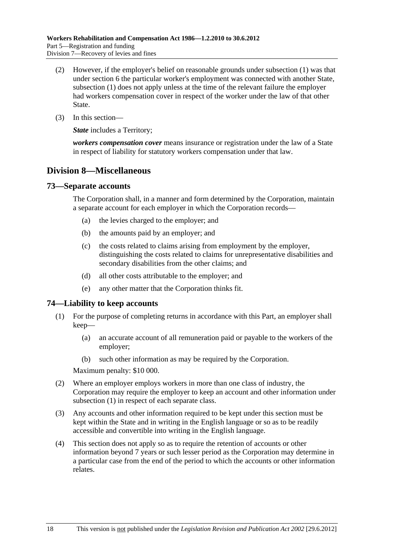- <span id="page-99-0"></span> (2) However, if the employer's belief on reasonable grounds under [subsection \(1\)](#page-98-0) was that under [section 6](#page-20-0) the particular worker's employment was connected with another State, [subsection \(1\)](#page-98-0) does not apply unless at the time of the relevant failure the employer had workers compensation cover in respect of the worker under the law of that other State.
- (3) In this section—

*State* includes a Territory:

*workers compensation cover* means insurance or registration under the law of a State in respect of liability for statutory workers compensation under that law.

### **Division 8—Miscellaneous**

### **73—Separate accounts**

The Corporation shall, in a manner and form determined by the Corporation, maintain a separate account for each employer in which the Corporation records—

- (a) the levies charged to the employer; and
- (b) the amounts paid by an employer; and
- (c) the costs related to claims arising from employment by the employer, distinguishing the costs related to claims for unrepresentative disabilities and secondary disabilities from the other claims; and
- (d) all other costs attributable to the employer; and
- (e) any other matter that the Corporation thinks fit.

#### **74—Liability to keep accounts**

- (1) For the purpose of completing returns in accordance with this Part, an employer shall keep—
	- (a) an accurate account of all remuneration paid or payable to the workers of the employer;
	- (b) such other information as may be required by the Corporation.

Maximum penalty: \$10 000.

- (2) Where an employer employs workers in more than one class of industry, the Corporation may require the employer to keep an account and other information under [subsection \(1\)](#page-99-0) in respect of each separate class.
- (3) Any accounts and other information required to be kept under this section must be kept within the State and in writing in the English language or so as to be readily accessible and convertible into writing in the English language.
- (4) This section does not apply so as to require the retention of accounts or other information beyond 7 years or such lesser period as the Corporation may determine in a particular case from the end of the period to which the accounts or other information relates.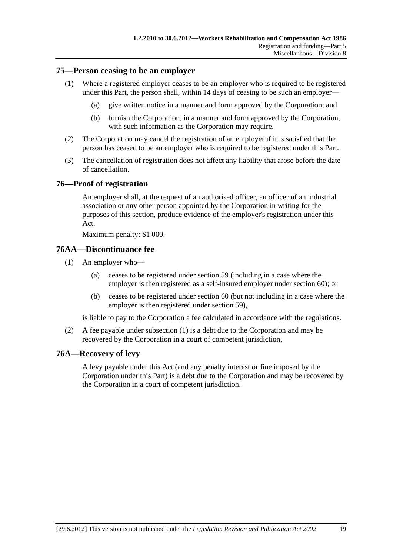#### <span id="page-100-0"></span>**75—Person ceasing to be an employer**

- (1) Where a registered employer ceases to be an employer who is required to be registered under this Part, the person shall, within 14 days of ceasing to be such an employer—
	- (a) give written notice in a manner and form approved by the Corporation; and
	- (b) furnish the Corporation, in a manner and form approved by the Corporation, with such information as the Corporation may require.
- (2) The Corporation may cancel the registration of an employer if it is satisfied that the person has ceased to be an employer who is required to be registered under this Part.
- (3) The cancellation of registration does not affect any liability that arose before the date of cancellation.

### **76—Proof of registration**

An employer shall, at the request of an authorised officer, an officer of an industrial association or any other person appointed by the Corporation in writing for the purposes of this section, produce evidence of the employer's registration under this Act.

Maximum penalty: \$1 000.

### **76AA—Discontinuance fee**

- (1) An employer who—
	- (a) ceases to be registered under [section 59](#page-82-0) (including in a case where the employer is then registered as a self-insured employer under [section 60](#page-82-0)); or
	- (b) ceases to be registered under [section 60](#page-82-0) (but not including in a case where the employer is then registered under [section 59](#page-82-0)),

is liable to pay to the Corporation a fee calculated in accordance with the regulations.

 (2) A fee payable under [subsection \(1\)](#page-100-0) is a debt due to the Corporation and may be recovered by the Corporation in a court of competent jurisdiction.

### **76A—Recovery of levy**

A levy payable under this Act (and any penalty interest or fine imposed by the Corporation under this Part) is a debt due to the Corporation and may be recovered by the Corporation in a court of competent jurisdiction.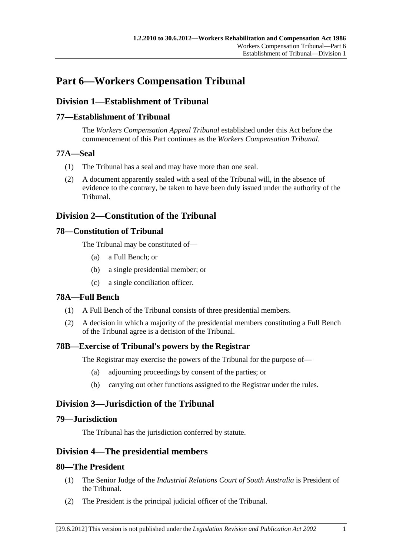# **Part 6—Workers Compensation Tribunal**

# **Division 1—Establishment of Tribunal**

### **77—Establishment of Tribunal**

The *Workers Compensation Appeal Tribunal* established under this Act before the commencement of this Part continues as the *Workers Compensation Tribunal*.

### **77A—Seal**

- (1) The Tribunal has a seal and may have more than one seal.
- (2) A document apparently sealed with a seal of the Tribunal will, in the absence of evidence to the contrary, be taken to have been duly issued under the authority of the Tribunal.

## **Division 2—Constitution of the Tribunal**

### **78—Constitution of Tribunal**

The Tribunal may be constituted of—

- (a) a Full Bench; or
- (b) a single presidential member; or
- (c) a single conciliation officer.

### **78A—Full Bench**

- (1) A Full Bench of the Tribunal consists of three presidential members.
- (2) A decision in which a majority of the presidential members constituting a Full Bench of the Tribunal agree is a decision of the Tribunal.

### **78B—Exercise of Tribunal's powers by the Registrar**

The Registrar may exercise the powers of the Tribunal for the purpose of—

- (a) adjourning proceedings by consent of the parties; or
- (b) carrying out other functions assigned to the Registrar under the rules.

# **Division 3—Jurisdiction of the Tribunal**

### **79—Jurisdiction**

The Tribunal has the jurisdiction conferred by statute.

### **Division 4—The presidential members**

### **80—The President**

- (1) The Senior Judge of the *Industrial Relations Court of South Australia* is President of the Tribunal.
- (2) The President is the principal judicial officer of the Tribunal.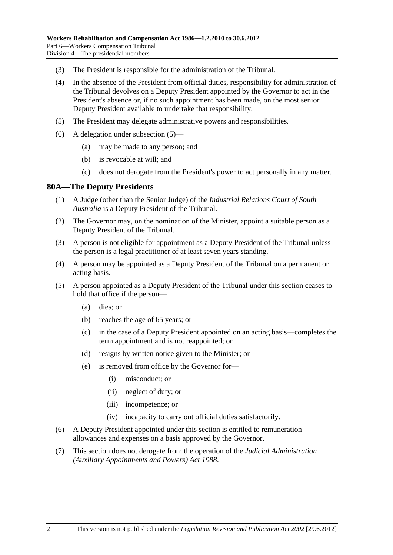- <span id="page-103-0"></span>(3) The President is responsible for the administration of the Tribunal.
- (4) In the absence of the President from official duties, responsibility for administration of the Tribunal devolves on a Deputy President appointed by the Governor to act in the President's absence or, if no such appointment has been made, on the most senior Deputy President available to undertake that responsibility.
- (5) The President may delegate administrative powers and responsibilities.
- (6) A delegation under [subsection \(5\)—](#page-103-0)
	- (a) may be made to any person; and
	- (b) is revocable at will; and
	- (c) does not derogate from the President's power to act personally in any matter.

### **80A—The Deputy Presidents**

- (1) A Judge (other than the Senior Judge) of the *Industrial Relations Court of South Australia* is a Deputy President of the Tribunal.
- (2) The Governor may, on the nomination of the Minister, appoint a suitable person as a Deputy President of the Tribunal.
- (3) A person is not eligible for appointment as a Deputy President of the Tribunal unless the person is a legal practitioner of at least seven years standing.
- (4) A person may be appointed as a Deputy President of the Tribunal on a permanent or acting basis.
- (5) A person appointed as a Deputy President of the Tribunal under this section ceases to hold that office if the person—
	- (a) dies; or
	- (b) reaches the age of 65 years; or
	- (c) in the case of a Deputy President appointed on an acting basis—completes the term appointment and is not reappointed; or
	- (d) resigns by written notice given to the Minister; or
	- (e) is removed from office by the Governor for—
		- (i) misconduct; or
		- (ii) neglect of duty; or
		- (iii) incompetence; or
		- (iv) incapacity to carry out official duties satisfactorily.
- (6) A Deputy President appointed under this section is entitled to remuneration allowances and expenses on a basis approved by the Governor.
- (7) This section does not derogate from the operation of the *[Judicial Administration](http://www.legislation.sa.gov.au/index.aspx?action=legref&type=act&legtitle=Judicial%20Administration%20(Auxiliary%20Appointments%20and%20Powers)%20Act%201988)  [\(Auxiliary Appointments and Powers\) Act 1988](http://www.legislation.sa.gov.au/index.aspx?action=legref&type=act&legtitle=Judicial%20Administration%20(Auxiliary%20Appointments%20and%20Powers)%20Act%201988)*.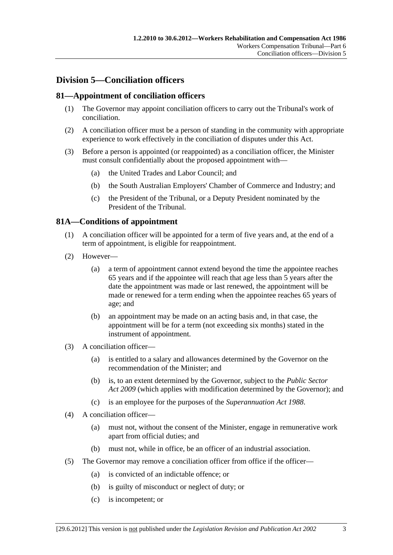# <span id="page-104-0"></span>**Division 5—Conciliation officers**

### **81—Appointment of conciliation officers**

- (1) The Governor may appoint conciliation officers to carry out the Tribunal's work of conciliation.
- (2) A conciliation officer must be a person of standing in the community with appropriate experience to work effectively in the conciliation of disputes under this Act.
- (3) Before a person is appointed (or reappointed) as a conciliation officer, the Minister must consult confidentially about the proposed appointment with—
	- (a) the United Trades and Labor Council; and
	- (b) the South Australian Employers' Chamber of Commerce and Industry; and
	- (c) the President of the Tribunal, or a Deputy President nominated by the President of the Tribunal.

### **81A—Conditions of appointment**

- (1) A conciliation officer will be appointed for a term of five years and, at the end of a term of appointment, is eligible for reappointment.
- (2) However—
	- (a) a term of appointment cannot extend beyond the time the appointee reaches 65 years and if the appointee will reach that age less than 5 years after the date the appointment was made or last renewed, the appointment will be made or renewed for a term ending when the appointee reaches 65 years of age; and
	- (b) an appointment may be made on an acting basis and, in that case, the appointment will be for a term (not exceeding six months) stated in the instrument of appointment.
- (3) A conciliation officer—
	- (a) is entitled to a salary and allowances determined by the Governor on the recommendation of the Minister; and
	- (b) is, to an extent determined by the Governor, subject to the *[Public Sector](http://www.legislation.sa.gov.au/index.aspx?action=legref&type=act&legtitle=Public%20Sector%20Act%202009)  [Act 2009](http://www.legislation.sa.gov.au/index.aspx?action=legref&type=act&legtitle=Public%20Sector%20Act%202009)* (which applies with modification determined by the Governor); and
	- (c) is an employee for the purposes of the *[Superannuation Act 1988](http://www.legislation.sa.gov.au/index.aspx?action=legref&type=act&legtitle=Superannuation%20Act%201988)*.
- (4) A conciliation officer—
	- (a) must not, without the consent of the Minister, engage in remunerative work apart from official duties; and
	- (b) must not, while in office, be an officer of an industrial association.
- (5) The Governor may remove a conciliation officer from office if the officer—
	- (a) is convicted of an indictable offence; or
	- (b) is guilty of misconduct or neglect of duty; or
	- (c) is incompetent; or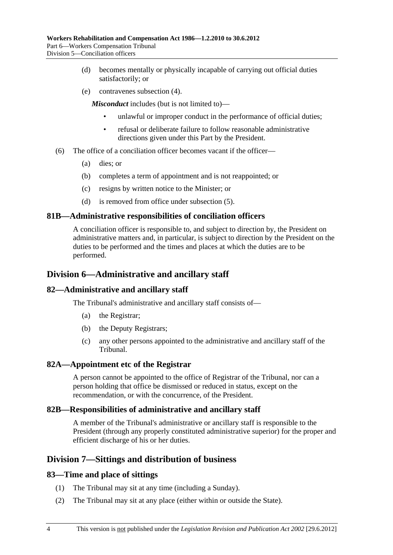- (d) becomes mentally or physically incapable of carrying out official duties satisfactorily; or
- (e) contravenes [subsection \(4\).](#page-104-0)

*Misconduct* includes (but is not limited to)—

- unlawful or improper conduct in the performance of official duties;
- refusal or deliberate failure to follow reasonable administrative directions given under this Part by the President.
- (6) The office of a conciliation officer becomes vacant if the officer—
	- (a) dies; or
	- (b) completes a term of appointment and is not reappointed; or
	- (c) resigns by written notice to the Minister; or
	- (d) is removed from office under [subsection \(5\).](#page-104-0)

#### **81B—Administrative responsibilities of conciliation officers**

A conciliation officer is responsible to, and subject to direction by, the President on administrative matters and, in particular, is subject to direction by the President on the duties to be performed and the times and places at which the duties are to be performed.

### **Division 6—Administrative and ancillary staff**

### **82—Administrative and ancillary staff**

The Tribunal's administrative and ancillary staff consists of—

- (a) the Registrar;
- (b) the Deputy Registrars;
- (c) any other persons appointed to the administrative and ancillary staff of the Tribunal.

#### **82A—Appointment etc of the Registrar**

A person cannot be appointed to the office of Registrar of the Tribunal, nor can a person holding that office be dismissed or reduced in status, except on the recommendation, or with the concurrence, of the President.

#### **82B—Responsibilities of administrative and ancillary staff**

A member of the Tribunal's administrative or ancillary staff is responsible to the President (through any properly constituted administrative superior) for the proper and efficient discharge of his or her duties.

### **Division 7—Sittings and distribution of business**

#### **83—Time and place of sittings**

- (1) The Tribunal may sit at any time (including a Sunday).
- (2) The Tribunal may sit at any place (either within or outside the State).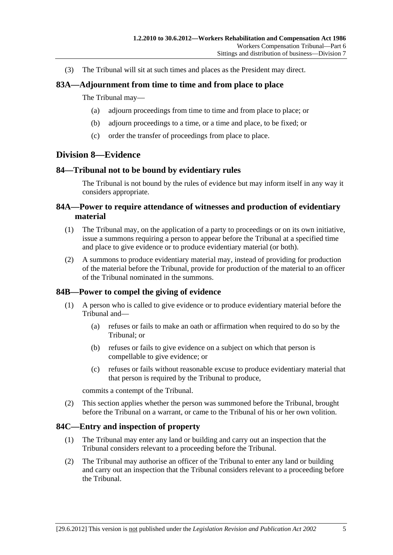(3) The Tribunal will sit at such times and places as the President may direct.

### **83A—Adjournment from time to time and from place to place**

#### The Tribunal may—

- (a) adjourn proceedings from time to time and from place to place; or
- (b) adjourn proceedings to a time, or a time and place, to be fixed; or
- (c) order the transfer of proceedings from place to place.

### **Division 8—Evidence**

#### **84—Tribunal not to be bound by evidentiary rules**

The Tribunal is not bound by the rules of evidence but may inform itself in any way it considers appropriate.

### **84A—Power to require attendance of witnesses and production of evidentiary material**

- (1) The Tribunal may, on the application of a party to proceedings or on its own initiative, issue a summons requiring a person to appear before the Tribunal at a specified time and place to give evidence or to produce evidentiary material (or both).
- (2) A summons to produce evidentiary material may, instead of providing for production of the material before the Tribunal, provide for production of the material to an officer of the Tribunal nominated in the summons.

### **84B—Power to compel the giving of evidence**

- (1) A person who is called to give evidence or to produce evidentiary material before the Tribunal and—
	- (a) refuses or fails to make an oath or affirmation when required to do so by the Tribunal; or
	- (b) refuses or fails to give evidence on a subject on which that person is compellable to give evidence; or
	- (c) refuses or fails without reasonable excuse to produce evidentiary material that that person is required by the Tribunal to produce,

commits a contempt of the Tribunal.

 (2) This section applies whether the person was summoned before the Tribunal, brought before the Tribunal on a warrant, or came to the Tribunal of his or her own volition.

#### **84C—Entry and inspection of property**

- (1) The Tribunal may enter any land or building and carry out an inspection that the Tribunal considers relevant to a proceeding before the Tribunal.
- (2) The Tribunal may authorise an officer of the Tribunal to enter any land or building and carry out an inspection that the Tribunal considers relevant to a proceeding before the Tribunal.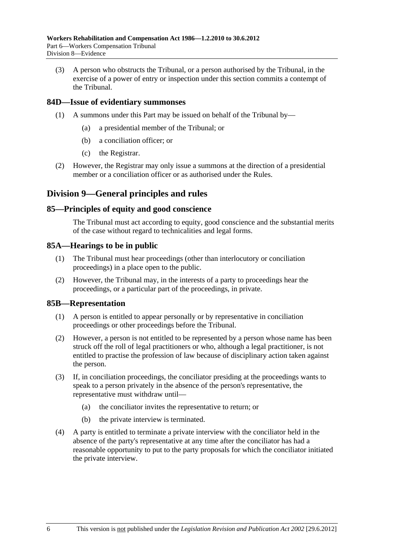(3) A person who obstructs the Tribunal, or a person authorised by the Tribunal, in the exercise of a power of entry or inspection under this section commits a contempt of the Tribunal.

### **84D—Issue of evidentiary summonses**

- (1) A summons under this Part may be issued on behalf of the Tribunal by—
	- (a) a presidential member of the Tribunal; or
	- (b) a conciliation officer; or
	- (c) the Registrar.
- (2) However, the Registrar may only issue a summons at the direction of a presidential member or a conciliation officer or as authorised under the Rules.

### **Division 9—General principles and rules**

#### **85—Principles of equity and good conscience**

The Tribunal must act according to equity, good conscience and the substantial merits of the case without regard to technicalities and legal forms.

#### **85A—Hearings to be in public**

- (1) The Tribunal must hear proceedings (other than interlocutory or conciliation proceedings) in a place open to the public.
- (2) However, the Tribunal may, in the interests of a party to proceedings hear the proceedings, or a particular part of the proceedings, in private.

#### **85B—Representation**

- (1) A person is entitled to appear personally or by representative in conciliation proceedings or other proceedings before the Tribunal.
- (2) However, a person is not entitled to be represented by a person whose name has been struck off the roll of legal practitioners or who, although a legal practitioner, is not entitled to practise the profession of law because of disciplinary action taken against the person.
- (3) If, in conciliation proceedings, the conciliator presiding at the proceedings wants to speak to a person privately in the absence of the person's representative, the representative must withdraw until—
	- (a) the conciliator invites the representative to return; or
	- (b) the private interview is terminated.
- (4) A party is entitled to terminate a private interview with the conciliator held in the absence of the party's representative at any time after the conciliator has had a reasonable opportunity to put to the party proposals for which the conciliator initiated the private interview.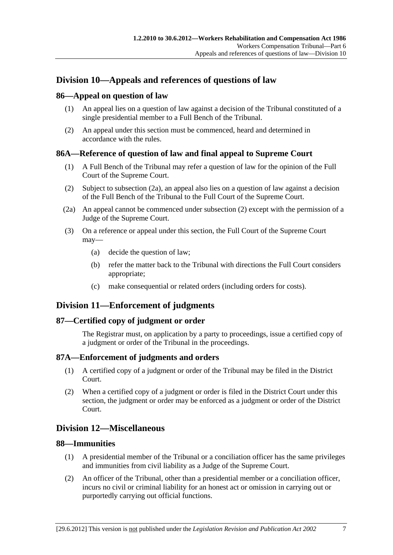## <span id="page-108-0"></span>**Division 10—Appeals and references of questions of law**

## **86—Appeal on question of law**

- (1) An appeal lies on a question of law against a decision of the Tribunal constituted of a single presidential member to a Full Bench of the Tribunal.
- (2) An appeal under this section must be commenced, heard and determined in accordance with the rules.

## **86A—Reference of question of law and final appeal to Supreme Court**

- (1) A Full Bench of the Tribunal may refer a question of law for the opinion of the Full Court of the Supreme Court.
- (2) Subject to [subsection \(2a\),](#page-108-0) an appeal also lies on a question of law against a decision of the Full Bench of the Tribunal to the Full Court of the Supreme Court.
- (2a) An appeal cannot be commenced under [subsection \(2\)](#page-108-0) except with the permission of a Judge of the Supreme Court.
- (3) On a reference or appeal under this section, the Full Court of the Supreme Court may—
	- (a) decide the question of law;
	- (b) refer the matter back to the Tribunal with directions the Full Court considers appropriate;
	- (c) make consequential or related orders (including orders for costs).

## **Division 11—Enforcement of judgments**

## **87—Certified copy of judgment or order**

The Registrar must, on application by a party to proceedings, issue a certified copy of a judgment or order of the Tribunal in the proceedings.

## **87A—Enforcement of judgments and orders**

- (1) A certified copy of a judgment or order of the Tribunal may be filed in the District Court.
- (2) When a certified copy of a judgment or order is filed in the District Court under this section, the judgment or order may be enforced as a judgment or order of the District Court.

## **Division 12—Miscellaneous**

## **88—Immunities**

- (1) A presidential member of the Tribunal or a conciliation officer has the same privileges and immunities from civil liability as a Judge of the Supreme Court.
- (2) An officer of the Tribunal, other than a presidential member or a conciliation officer, incurs no civil or criminal liability for an honest act or omission in carrying out or purportedly carrying out official functions.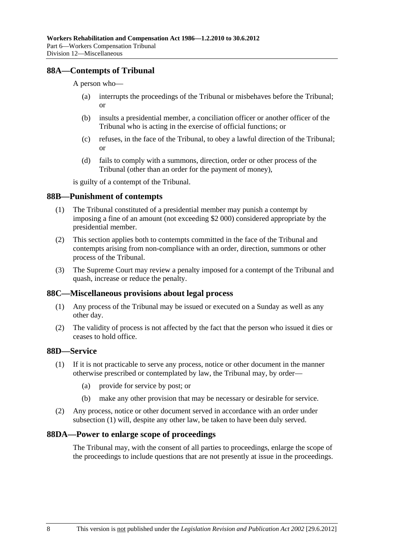## <span id="page-109-0"></span>**88A—Contempts of Tribunal**

A person who—

- (a) interrupts the proceedings of the Tribunal or misbehaves before the Tribunal; or
- (b) insults a presidential member, a conciliation officer or another officer of the Tribunal who is acting in the exercise of official functions; or
- (c) refuses, in the face of the Tribunal, to obey a lawful direction of the Tribunal; or
- (d) fails to comply with a summons, direction, order or other process of the Tribunal (other than an order for the payment of money),

is guilty of a contempt of the Tribunal.

#### **88B—Punishment of contempts**

- (1) The Tribunal constituted of a presidential member may punish a contempt by imposing a fine of an amount (not exceeding \$2 000) considered appropriate by the presidential member.
- (2) This section applies both to contempts committed in the face of the Tribunal and contempts arising from non-compliance with an order, direction, summons or other process of the Tribunal.
- (3) The Supreme Court may review a penalty imposed for a contempt of the Tribunal and quash, increase or reduce the penalty.

#### **88C—Miscellaneous provisions about legal process**

- (1) Any process of the Tribunal may be issued or executed on a Sunday as well as any other day.
- (2) The validity of process is not affected by the fact that the person who issued it dies or ceases to hold office.

## **88D—Service**

- (1) If it is not practicable to serve any process, notice or other document in the manner otherwise prescribed or contemplated by law, the Tribunal may, by order—
	- (a) provide for service by post; or
	- (b) make any other provision that may be necessary or desirable for service.
- (2) Any process, notice or other document served in accordance with an order under [subsection \(1\)](#page-109-0) will, despite any other law, be taken to have been duly served.

#### **88DA—Power to enlarge scope of proceedings**

The Tribunal may, with the consent of all parties to proceedings, enlarge the scope of the proceedings to include questions that are not presently at issue in the proceedings.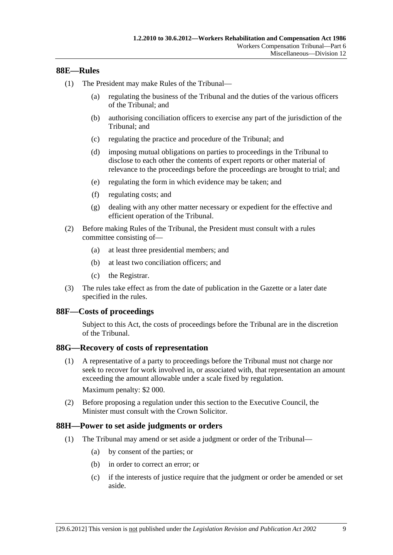### <span id="page-110-0"></span>**88E—Rules**

- (1) The President may make Rules of the Tribunal—
	- (a) regulating the business of the Tribunal and the duties of the various officers of the Tribunal; and
	- (b) authorising conciliation officers to exercise any part of the jurisdiction of the Tribunal; and
	- (c) regulating the practice and procedure of the Tribunal; and
	- (d) imposing mutual obligations on parties to proceedings in the Tribunal to disclose to each other the contents of expert reports or other material of relevance to the proceedings before the proceedings are brought to trial; and
	- (e) regulating the form in which evidence may be taken; and
	- (f) regulating costs; and
	- (g) dealing with any other matter necessary or expedient for the effective and efficient operation of the Tribunal.
- (2) Before making Rules of the Tribunal, the President must consult with a rules committee consisting of—
	- (a) at least three presidential members; and
	- (b) at least two conciliation officers; and
	- (c) the Registrar.
- (3) The rules take effect as from the date of publication in the Gazette or a later date specified in the rules.

#### **88F—Costs of proceedings**

Subject to this Act, the costs of proceedings before the Tribunal are in the discretion of the Tribunal.

#### **88G—Recovery of costs of representation**

 (1) A representative of a party to proceedings before the Tribunal must not charge nor seek to recover for work involved in, or associated with, that representation an amount exceeding the amount allowable under a scale fixed by regulation.

Maximum penalty: \$2 000.

 (2) Before proposing a regulation under this section to the Executive Council, the Minister must consult with the Crown Solicitor.

#### **88H—Power to set aside judgments or orders**

- (1) The Tribunal may amend or set aside a judgment or order of the Tribunal—
	- (a) by consent of the parties; or
	- (b) in order to correct an error; or
	- (c) if the interests of justice require that the judgment or order be amended or set aside.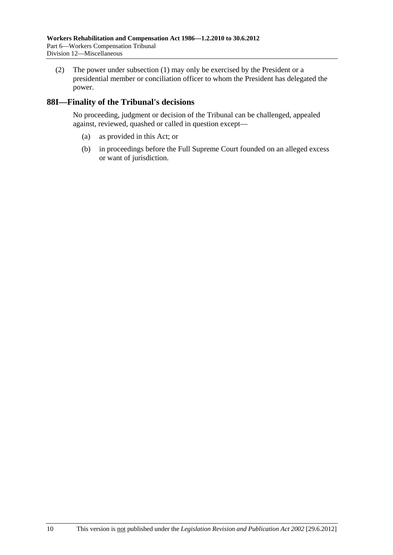(2) The power under [subsection \(1\)](#page-110-0) may only be exercised by the President or a presidential member or conciliation officer to whom the President has delegated the power.

## **88I—Finality of the Tribunal's decisions**

No proceeding, judgment or decision of the Tribunal can be challenged, appealed against, reviewed, quashed or called in question except—

- (a) as provided in this Act; or
- (b) in proceedings before the Full Supreme Court founded on an alleged excess or want of jurisdiction.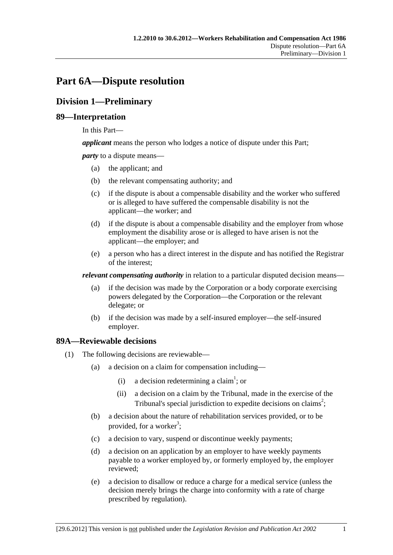# <span id="page-112-0"></span>**Part 6A—Dispute resolution**

## **Division 1—Preliminary**

## **89—Interpretation**

In this Part—

*applicant* means the person who lodges a notice of dispute under this Part;

*party* to a dispute means—

- (a) the applicant; and
- (b) the relevant compensating authority; and
- (c) if the dispute is about a compensable disability and the worker who suffered or is alleged to have suffered the compensable disability is not the applicant—the worker; and
- (d) if the dispute is about a compensable disability and the employer from whose employment the disability arose or is alleged to have arisen is not the applicant—the employer; and
- (e) a person who has a direct interest in the dispute and has notified the Registrar of the interest;

*relevant compensating authority* in relation to a particular disputed decision means—

- (a) if the decision was made by the Corporation or a body corporate exercising powers delegated by the Corporation—the Corporation or the relevant delegate; or
- (b) if the decision was made by a self-insured employer—the self-insured employer.

## **89A—Reviewable decisions**

- (1) The following decisions are reviewable—
	- (a) a decision on a claim for compensation including—
		- (i) a decision redetermining a claim<sup>1</sup>; or
			- (ii) a decision on a claim by the Tribunal, made in the exercise of the Tribunal's special jurisdiction to expedite decisions on claims<sup>2</sup>;
	- (b) a decision about the nature of rehabilitation services provided, or to be provided, for a worker<sup>3</sup>;
	- (c) a decision to vary, suspend or discontinue weekly payments;
	- (d) a decision on an application by an employer to have weekly payments payable to a worker employed by, or formerly employed by, the employer reviewed;
	- (e) a decision to disallow or reduce a charge for a medical service (unless the decision merely brings the charge into conformity with a rate of charge prescribed by regulation).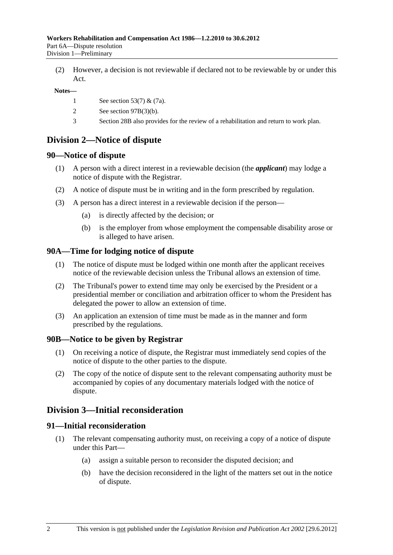(2) However, a decision is not reviewable if declared not to be reviewable by or under this Act.

#### **Notes—**

- 1 See [section 53\(7\)](#page-72-0) & [\(7a\).](#page-72-0)
- 2 See [section 97B\(3\)\(b\)](#page-120-0).
- 3 [Section 28B](#page-28-0) also provides for the review of a rehabilitation and return to work plan.

## **Division 2—Notice of dispute**

#### **90—Notice of dispute**

- (1) A person with a direct interest in a reviewable decision (the *applicant*) may lodge a notice of dispute with the Registrar.
- (2) A notice of dispute must be in writing and in the form prescribed by regulation.
- (3) A person has a direct interest in a reviewable decision if the person—
	- (a) is directly affected by the decision; or
	- (b) is the employer from whose employment the compensable disability arose or is alleged to have arisen.

#### **90A—Time for lodging notice of dispute**

- (1) The notice of dispute must be lodged within one month after the applicant receives notice of the reviewable decision unless the Tribunal allows an extension of time.
- (2) The Tribunal's power to extend time may only be exercised by the President or a presidential member or conciliation and arbitration officer to whom the President has delegated the power to allow an extension of time.
- (3) An application an extension of time must be made as in the manner and form prescribed by the regulations.

#### **90B—Notice to be given by Registrar**

- (1) On receiving a notice of dispute, the Registrar must immediately send copies of the notice of dispute to the other parties to the dispute.
- (2) The copy of the notice of dispute sent to the relevant compensating authority must be accompanied by copies of any documentary materials lodged with the notice of dispute.

## **Division 3—Initial reconsideration**

#### **91—Initial reconsideration**

- (1) The relevant compensating authority must, on receiving a copy of a notice of dispute under this Part—
	- (a) assign a suitable person to reconsider the disputed decision; and
	- (b) have the decision reconsidered in the light of the matters set out in the notice of dispute.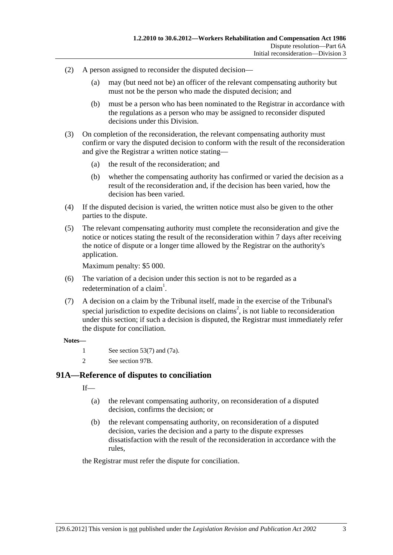- (2) A person assigned to reconsider the disputed decision—
	- (a) may (but need not be) an officer of the relevant compensating authority but must not be the person who made the disputed decision; and
	- (b) must be a person who has been nominated to the Registrar in accordance with the regulations as a person who may be assigned to reconsider disputed decisions under this Division.
- (3) On completion of the reconsideration, the relevant compensating authority must confirm or vary the disputed decision to conform with the result of the reconsideration and give the Registrar a written notice stating—
	- (a) the result of the reconsideration; and
	- (b) whether the compensating authority has confirmed or varied the decision as a result of the reconsideration and, if the decision has been varied, how the decision has been varied.
- (4) If the disputed decision is varied, the written notice must also be given to the other parties to the dispute.
- (5) The relevant compensating authority must complete the reconsideration and give the notice or notices stating the result of the reconsideration within 7 days after receiving the notice of dispute or a longer time allowed by the Registrar on the authority's application.

Maximum penalty: \$5 000.

- (6) The variation of a decision under this section is not to be regarded as a redetermination of a claim<sup>1</sup>.
- (7) A decision on a claim by the Tribunal itself, made in the exercise of the Tribunal's special jurisdiction to expedite decisions on claims<sup>2</sup>, is not liable to reconsideration under this section; if such a decision is disputed, the Registrar must immediately refer the dispute for conciliation.

#### **Notes—**

- 1 See [section 53\(7\)](#page-72-0) and [\(7a\)](#page-72-0).
- 2 See [section 97B.](#page-120-0)

## **91A—Reference of disputes to conciliation**

 $If$ <sub>—</sub>

- (a) the relevant compensating authority, on reconsideration of a disputed decision, confirms the decision; or
- (b) the relevant compensating authority, on reconsideration of a disputed decision, varies the decision and a party to the dispute expresses dissatisfaction with the result of the reconsideration in accordance with the rules,

the Registrar must refer the dispute for conciliation.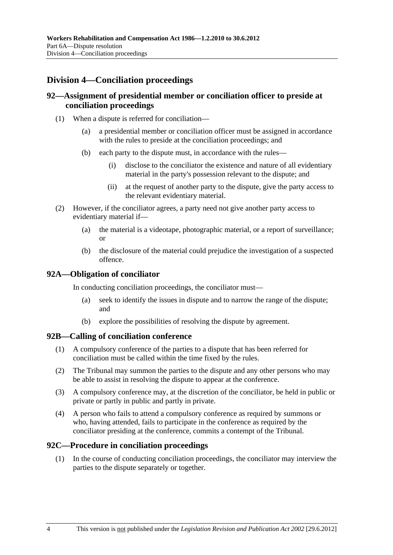## **Division 4—Conciliation proceedings**

## **92—Assignment of presidential member or conciliation officer to preside at conciliation proceedings**

- (1) When a dispute is referred for conciliation—
	- (a) a presidential member or conciliation officer must be assigned in accordance with the rules to preside at the conciliation proceedings; and
	- (b) each party to the dispute must, in accordance with the rules—
		- (i) disclose to the conciliator the existence and nature of all evidentiary material in the party's possession relevant to the dispute; and
		- (ii) at the request of another party to the dispute, give the party access to the relevant evidentiary material.
- (2) However, if the conciliator agrees, a party need not give another party access to evidentiary material if—
	- (a) the material is a videotape, photographic material, or a report of surveillance; or
	- (b) the disclosure of the material could prejudice the investigation of a suspected offence.

#### **92A—Obligation of conciliator**

In conducting conciliation proceedings, the conciliator must—

- (a) seek to identify the issues in dispute and to narrow the range of the dispute; and
- (b) explore the possibilities of resolving the dispute by agreement.

#### **92B—Calling of conciliation conference**

- (1) A compulsory conference of the parties to a dispute that has been referred for conciliation must be called within the time fixed by the rules.
- (2) The Tribunal may summon the parties to the dispute and any other persons who may be able to assist in resolving the dispute to appear at the conference.
- (3) A compulsory conference may, at the discretion of the conciliator, be held in public or private or partly in public and partly in private.
- (4) A person who fails to attend a compulsory conference as required by summons or who, having attended, fails to participate in the conference as required by the conciliator presiding at the conference, commits a contempt of the Tribunal.

#### **92C—Procedure in conciliation proceedings**

 (1) In the course of conducting conciliation proceedings, the conciliator may interview the parties to the dispute separately or together.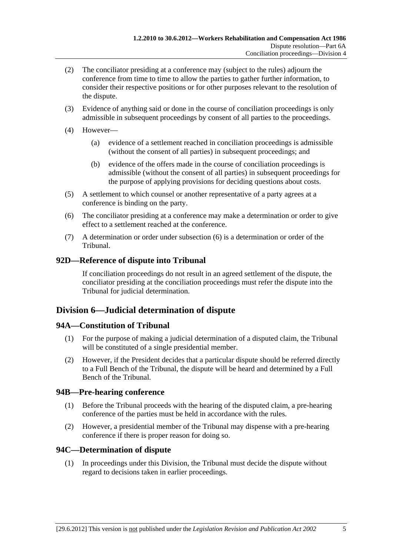- <span id="page-116-0"></span> (2) The conciliator presiding at a conference may (subject to the rules) adjourn the conference from time to time to allow the parties to gather further information, to consider their respective positions or for other purposes relevant to the resolution of the dispute.
- (3) Evidence of anything said or done in the course of conciliation proceedings is only admissible in subsequent proceedings by consent of all parties to the proceedings.
- (4) However—
	- (a) evidence of a settlement reached in conciliation proceedings is admissible (without the consent of all parties) in subsequent proceedings; and
	- (b) evidence of the offers made in the course of conciliation proceedings is admissible (without the consent of all parties) in subsequent proceedings for the purpose of applying provisions for deciding questions about costs.
- (5) A settlement to which counsel or another representative of a party agrees at a conference is binding on the party.
- (6) The conciliator presiding at a conference may make a determination or order to give effect to a settlement reached at the conference.
- (7) A determination or order under [subsection \(6\)](#page-116-0) is a determination or order of the Tribunal.

## **92D—Reference of dispute into Tribunal**

If conciliation proceedings do not result in an agreed settlement of the dispute, the conciliator presiding at the conciliation proceedings must refer the dispute into the Tribunal for judicial determination.

## **Division 6—Judicial determination of dispute**

## **94A—Constitution of Tribunal**

- (1) For the purpose of making a judicial determination of a disputed claim, the Tribunal will be constituted of a single presidential member.
- (2) However, if the President decides that a particular dispute should be referred directly to a Full Bench of the Tribunal, the dispute will be heard and determined by a Full Bench of the Tribunal.

## **94B—Pre-hearing conference**

- (1) Before the Tribunal proceeds with the hearing of the disputed claim, a pre-hearing conference of the parties must be held in accordance with the rules.
- (2) However, a presidential member of the Tribunal may dispense with a pre-hearing conference if there is proper reason for doing so.

## **94C—Determination of dispute**

 (1) In proceedings under this Division, the Tribunal must decide the dispute without regard to decisions taken in earlier proceedings.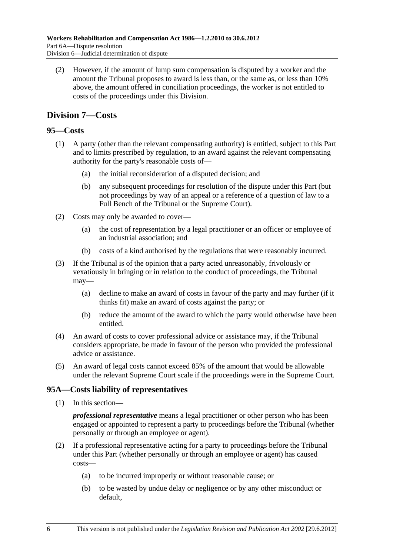<span id="page-117-0"></span> (2) However, if the amount of lump sum compensation is disputed by a worker and the amount the Tribunal proposes to award is less than, or the same as, or less than 10% above, the amount offered in conciliation proceedings, the worker is not entitled to costs of the proceedings under this Division.

## **Division 7—Costs**

## **95—Costs**

- (1) A party (other than the relevant compensating authority) is entitled, subject to this Part and to limits prescribed by regulation, to an award against the relevant compensating authority for the party's reasonable costs of—
	- (a) the initial reconsideration of a disputed decision; and
	- (b) any subsequent proceedings for resolution of the dispute under this Part (but not proceedings by way of an appeal or a reference of a question of law to a Full Bench of the Tribunal or the Supreme Court).
- (2) Costs may only be awarded to cover—
	- (a) the cost of representation by a legal practitioner or an officer or employee of an industrial association; and
	- (b) costs of a kind authorised by the regulations that were reasonably incurred.
- (3) If the Tribunal is of the opinion that a party acted unreasonably, frivolously or vexatiously in bringing or in relation to the conduct of proceedings, the Tribunal may—
	- (a) decline to make an award of costs in favour of the party and may further (if it thinks fit) make an award of costs against the party; or
	- (b) reduce the amount of the award to which the party would otherwise have been entitled.
- (4) An award of costs to cover professional advice or assistance may, if the Tribunal considers appropriate, be made in favour of the person who provided the professional advice or assistance.
- (5) An award of legal costs cannot exceed 85% of the amount that would be allowable under the relevant Supreme Court scale if the proceedings were in the Supreme Court.

## **95A—Costs liability of representatives**

(1) In this section—

*professional representative* means a legal practitioner or other person who has been engaged or appointed to represent a party to proceedings before the Tribunal (whether personally or through an employee or agent).

- (2) If a professional representative acting for a party to proceedings before the Tribunal under this Part (whether personally or through an employee or agent) has caused costs—
	- (a) to be incurred improperly or without reasonable cause; or
	- (b) to be wasted by undue delay or negligence or by any other misconduct or default,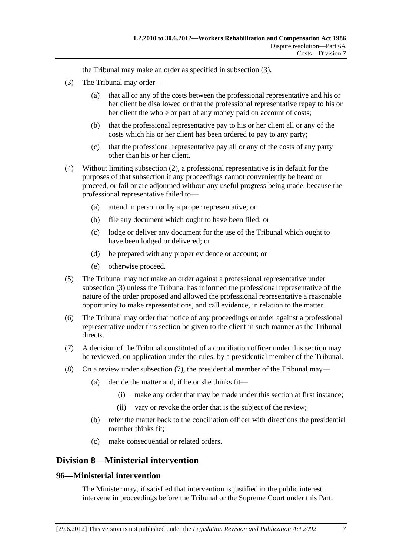the Tribunal may make an order as specified in [subsection \(3\)](#page-118-0).

- <span id="page-118-0"></span> (3) The Tribunal may order—
	- (a) that all or any of the costs between the professional representative and his or her client be disallowed or that the professional representative repay to his or her client the whole or part of any money paid on account of costs;
	- (b) that the professional representative pay to his or her client all or any of the costs which his or her client has been ordered to pay to any party;
	- (c) that the professional representative pay all or any of the costs of any party other than his or her client.
- (4) Without limiting [subsection \(2\),](#page-117-0) a professional representative is in default for the purposes of that subsection if any proceedings cannot conveniently be heard or proceed, or fail or are adjourned without any useful progress being made, because the professional representative failed to—
	- (a) attend in person or by a proper representative; or
	- (b) file any document which ought to have been filed; or
	- (c) lodge or deliver any document for the use of the Tribunal which ought to have been lodged or delivered; or
	- (d) be prepared with any proper evidence or account; or
	- (e) otherwise proceed.
- (5) The Tribunal may not make an order against a professional representative under [subsection \(3\)](#page-118-0) unless the Tribunal has informed the professional representative of the nature of the order proposed and allowed the professional representative a reasonable opportunity to make representations, and call evidence, in relation to the matter.
- (6) The Tribunal may order that notice of any proceedings or order against a professional representative under this section be given to the client in such manner as the Tribunal directs.
- (7) A decision of the Tribunal constituted of a conciliation officer under this section may be reviewed, on application under the rules, by a presidential member of the Tribunal.
- (8) On a review under [subsection \(7\),](#page-118-0) the presidential member of the Tribunal may—
	- (a) decide the matter and, if he or she thinks fit—
		- (i) make any order that may be made under this section at first instance;
		- (ii) vary or revoke the order that is the subject of the review;
	- (b) refer the matter back to the conciliation officer with directions the presidential member thinks fit;
	- (c) make consequential or related orders.

## **Division 8—Ministerial intervention**

#### **96—Ministerial intervention**

The Minister may, if satisfied that intervention is justified in the public interest, intervene in proceedings before the Tribunal or the Supreme Court under this Part.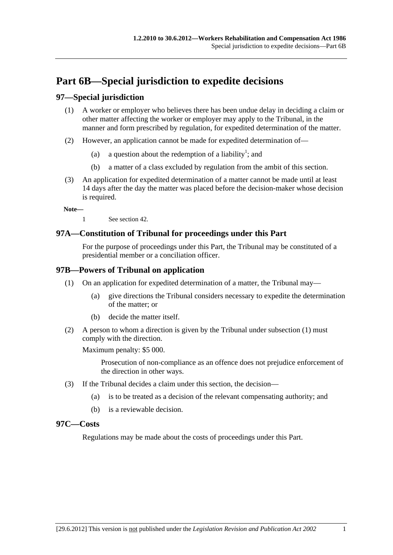# <span id="page-120-0"></span>**Part 6B—Special jurisdiction to expedite decisions**

## **97—Special jurisdiction**

- (1) A worker or employer who believes there has been undue delay in deciding a claim or other matter affecting the worker or employer may apply to the Tribunal, in the manner and form prescribed by regulation, for expedited determination of the matter.
- (2) However, an application cannot be made for expedited determination of—
	- (a) a question about the redemption of a liability<sup>1</sup>; and
		- (b) a matter of a class excluded by regulation from the ambit of this section.
- (3) An application for expedited determination of a matter cannot be made until at least 14 days after the day the matter was placed before the decision-maker whose decision is required.

**Note—** 

1 See [section 42](#page-52-0).

## **97A—Constitution of Tribunal for proceedings under this Part**

For the purpose of proceedings under this Part, the Tribunal may be constituted of a presidential member or a conciliation officer.

## **97B—Powers of Tribunal on application**

- (1) On an application for expedited determination of a matter, the Tribunal may—
	- (a) give directions the Tribunal considers necessary to expedite the determination of the matter; or
	- (b) decide the matter itself.
- (2) A person to whom a direction is given by the Tribunal under [subsection \(1\)](#page-120-0) must comply with the direction.

Maximum penalty: \$5 000.

Prosecution of non-compliance as an offence does not prejudice enforcement of the direction in other ways.

- (3) If the Tribunal decides a claim under this section, the decision—
	- (a) is to be treated as a decision of the relevant compensating authority; and
	- (b) is a reviewable decision.

#### **97C—Costs**

Regulations may be made about the costs of proceedings under this Part.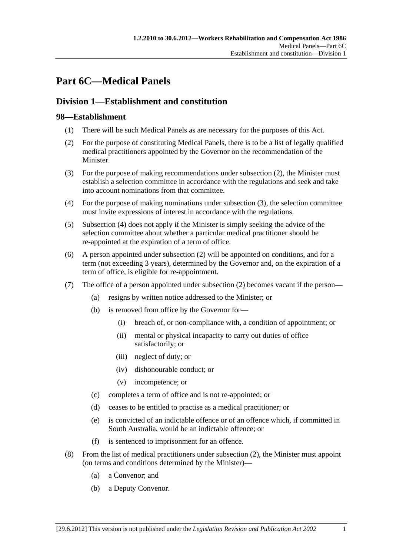# <span id="page-122-0"></span>**Part 6C—Medical Panels**

## **Division 1—Establishment and constitution**

## **98—Establishment**

- (1) There will be such Medical Panels as are necessary for the purposes of this Act.
- (2) For the purpose of constituting Medical Panels, there is to be a list of legally qualified medical practitioners appointed by the Governor on the recommendation of the Minister.
- (3) For the purpose of making recommendations under [subsection \(2\)](#page-122-0), the Minister must establish a selection committee in accordance with the regulations and seek and take into account nominations from that committee.
- (4) For the purpose of making nominations under [subsection \(3\)](#page-122-0), the selection committee must invite expressions of interest in accordance with the regulations.
- (5) [Subsection \(4\)](#page-122-0) does not apply if the Minister is simply seeking the advice of the selection committee about whether a particular medical practitioner should be re-appointed at the expiration of a term of office.
- (6) A person appointed under [subsection \(2\)](#page-122-0) will be appointed on conditions, and for a term (not exceeding 3 years), determined by the Governor and, on the expiration of a term of office, is eligible for re-appointment.
- (7) The office of a person appointed under [subsection \(2\)](#page-122-0) becomes vacant if the person—
	- (a) resigns by written notice addressed to the Minister; or
	- (b) is removed from office by the Governor for—
		- (i) breach of, or non-compliance with, a condition of appointment; or
		- (ii) mental or physical incapacity to carry out duties of office satisfactorily; or
		- (iii) neglect of duty; or
		- (iv) dishonourable conduct; or
		- (v) incompetence; or
	- (c) completes a term of office and is not re-appointed; or
	- (d) ceases to be entitled to practise as a medical practitioner; or
	- (e) is convicted of an indictable offence or of an offence which, if committed in South Australia, would be an indictable offence; or
	- (f) is sentenced to imprisonment for an offence.
- (8) From the list of medical practitioners under [subsection \(2\)](#page-122-0), the Minister must appoint (on terms and conditions determined by the Minister)—
	- (a) a Convenor; and
	- (b) a Deputy Convenor.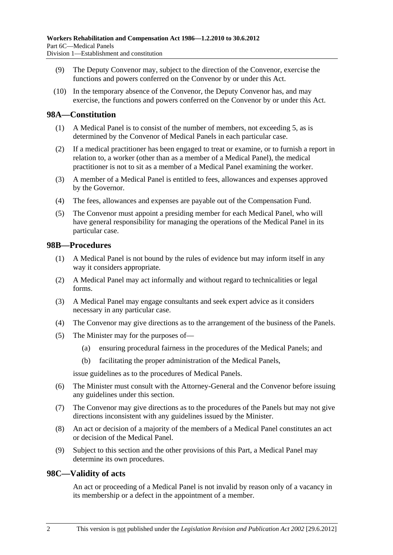- (9) The Deputy Convenor may, subject to the direction of the Convenor, exercise the functions and powers conferred on the Convenor by or under this Act.
- (10) In the temporary absence of the Convenor, the Deputy Convenor has, and may exercise, the functions and powers conferred on the Convenor by or under this Act.

### **98A—Constitution**

- (1) A Medical Panel is to consist of the number of members, not exceeding 5, as is determined by the Convenor of Medical Panels in each particular case.
- (2) If a medical practitioner has been engaged to treat or examine, or to furnish a report in relation to, a worker (other than as a member of a Medical Panel), the medical practitioner is not to sit as a member of a Medical Panel examining the worker.
- (3) A member of a Medical Panel is entitled to fees, allowances and expenses approved by the Governor.
- (4) The fees, allowances and expenses are payable out of the Compensation Fund.
- (5) The Convenor must appoint a presiding member for each Medical Panel, who will have general responsibility for managing the operations of the Medical Panel in its particular case.

#### **98B—Procedures**

- (1) A Medical Panel is not bound by the rules of evidence but may inform itself in any way it considers appropriate.
- (2) A Medical Panel may act informally and without regard to technicalities or legal forms.
- (3) A Medical Panel may engage consultants and seek expert advice as it considers necessary in any particular case.
- (4) The Convenor may give directions as to the arrangement of the business of the Panels.
- (5) The Minister may for the purposes of—
	- (a) ensuring procedural fairness in the procedures of the Medical Panels; and
	- (b) facilitating the proper administration of the Medical Panels,

issue guidelines as to the procedures of Medical Panels.

- (6) The Minister must consult with the Attorney-General and the Convenor before issuing any guidelines under this section.
- (7) The Convenor may give directions as to the procedures of the Panels but may not give directions inconsistent with any guidelines issued by the Minister.
- (8) An act or decision of a majority of the members of a Medical Panel constitutes an act or decision of the Medical Panel.
- (9) Subject to this section and the other provisions of this Part, a Medical Panel may determine its own procedures.

#### **98C—Validity of acts**

An act or proceeding of a Medical Panel is not invalid by reason only of a vacancy in its membership or a defect in the appointment of a member.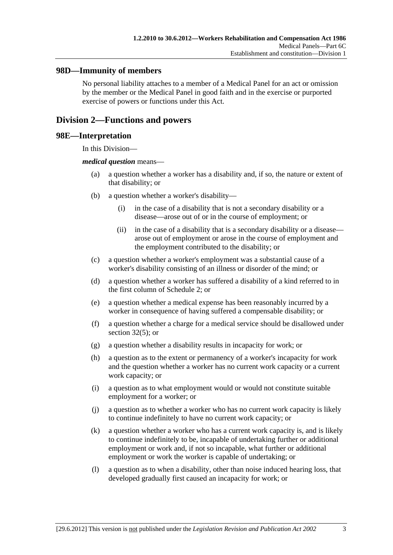### **98D—Immunity of members**

No personal liability attaches to a member of a Medical Panel for an act or omission by the member or the Medical Panel in good faith and in the exercise or purported exercise of powers or functions under this Act.

## **Division 2—Functions and powers**

#### **98E—Interpretation**

In this Division—

#### *medical question* means—

- (a) a question whether a worker has a disability and, if so, the nature or extent of that disability; or
- (b) a question whether a worker's disability—
	- (i) in the case of a disability that is not a secondary disability or a disease—arose out of or in the course of employment; or
	- (ii) in the case of a disability that is a secondary disability or a disease arose out of employment or arose in the course of employment and the employment contributed to the disability; or
- (c) a question whether a worker's employment was a substantial cause of a worker's disability consisting of an illness or disorder of the mind; or
- (d) a question whether a worker has suffered a disability of a kind referred to in the first column of [Schedule 2](#page-153-0); or
- (e) a question whether a medical expense has been reasonably incurred by a worker in consequence of having suffered a compensable disability; or
- (f) a question whether a charge for a medical service should be disallowed under [section 32\(5\);](#page-35-0) or
- (g) a question whether a disability results in incapacity for work; or
- (h) a question as to the extent or permanency of a worker's incapacity for work and the question whether a worker has no current work capacity or a current work capacity; or
- (i) a question as to what employment would or would not constitute suitable employment for a worker; or
- (j) a question as to whether a worker who has no current work capacity is likely to continue indefinitely to have no current work capacity; or
- (k) a question whether a worker who has a current work capacity is, and is likely to continue indefinitely to be, incapable of undertaking further or additional employment or work and, if not so incapable, what further or additional employment or work the worker is capable of undertaking; or
- (l) a question as to when a disability, other than noise induced hearing loss, that developed gradually first caused an incapacity for work; or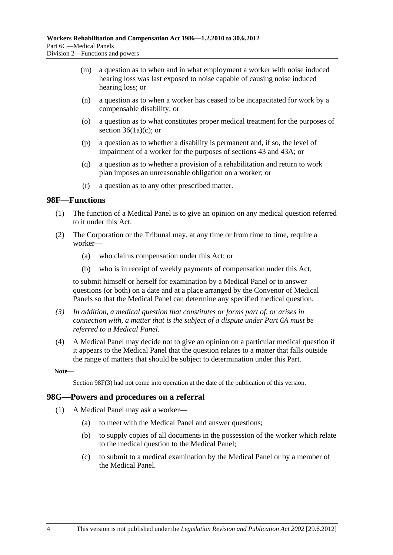- <span id="page-125-0"></span> (m) a question as to when and in what employment a worker with noise induced hearing loss was last exposed to noise capable of causing noise induced hearing loss; or
- (n) a question as to when a worker has ceased to be incapacitated for work by a compensable disability; or
- (o) a question as to what constitutes proper medical treatment for the purposes of section  $36(1a)(c)$ ; or
- (p) a question as to whether a disability is permanent and, if so, the level of impairment of a worker for the purposes of [sections 43](#page-54-0) and [43A](#page-55-0); or
- (q) a question as to whether a provision of a rehabilitation and return to work plan imposes an unreasonable obligation on a worker; or
- (r) a question as to any other prescribed matter.

#### **98F—Functions**

- (1) The function of a Medical Panel is to give an opinion on any medical question referred to it under this Act.
- (2) The Corporation or the Tribunal may, at any time or from time to time, require a worker—
	- (a) who claims compensation under this Act; or
	- (b) who is in receipt of weekly payments of compensation under this Act,

to submit himself or herself for examination by a Medical Panel or to answer questions (or both) on a date and at a place arranged by the Convenor of Medical Panels so that the Medical Panel can determine any specified medical question.

- *(3) In addition, a medical question that constitutes or forms part of, or arises in connection with, a matter that is the subject of a dispute under [Part 6A](#page-112-0) must be referred to a Medical Panel.*
- (4) A Medical Panel may decide not to give an opinion on a particular medical question if it appears to the Medical Panel that the question relates to a matter that falls outside the range of matters that should be subject to determination under this Part.

**Note—** 

Section 98F(3) had not come into operation at the date of the publication of this version.

#### **98G—Powers and procedures on a referral**

- (1) A Medical Panel may ask a worker—
	- (a) to meet with the Medical Panel and answer questions;
	- (b) to supply copies of all documents in the possession of the worker which relate to the medical question to the Medical Panel;
	- (c) to submit to a medical examination by the Medical Panel or by a member of the Medical Panel.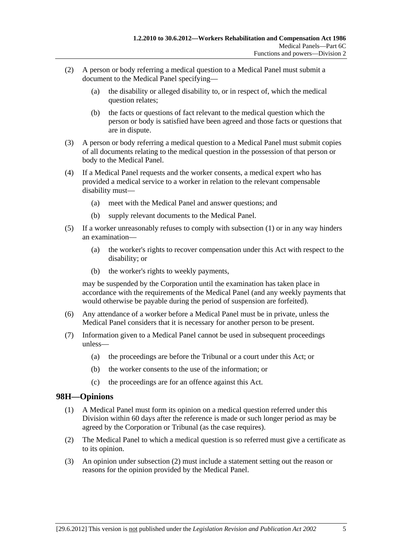- <span id="page-126-0"></span> (2) A person or body referring a medical question to a Medical Panel must submit a document to the Medical Panel specifying—
	- (a) the disability or alleged disability to, or in respect of, which the medical question relates;
	- (b) the facts or questions of fact relevant to the medical question which the person or body is satisfied have been agreed and those facts or questions that are in dispute.
- (3) A person or body referring a medical question to a Medical Panel must submit copies of all documents relating to the medical question in the possession of that person or body to the Medical Panel.
- (4) If a Medical Panel requests and the worker consents, a medical expert who has provided a medical service to a worker in relation to the relevant compensable disability must—
	- (a) meet with the Medical Panel and answer questions; and
	- (b) supply relevant documents to the Medical Panel.
- (5) If a worker unreasonably refuses to comply with [subsection \(1\)](#page-125-0) or in any way hinders an examination—
	- (a) the worker's rights to recover compensation under this Act with respect to the disability; or
	- (b) the worker's rights to weekly payments,

may be suspended by the Corporation until the examination has taken place in accordance with the requirements of the Medical Panel (and any weekly payments that would otherwise be payable during the period of suspension are forfeited).

- (6) Any attendance of a worker before a Medical Panel must be in private, unless the Medical Panel considers that it is necessary for another person to be present.
- (7) Information given to a Medical Panel cannot be used in subsequent proceedings unless—
	- (a) the proceedings are before the Tribunal or a court under this Act; or
	- (b) the worker consents to the use of the information; or
	- (c) the proceedings are for an offence against this Act.

## **98H—Opinions**

- (1) A Medical Panel must form its opinion on a medical question referred under this Division within 60 days after the reference is made or such longer period as may be agreed by the Corporation or Tribunal (as the case requires).
- (2) The Medical Panel to which a medical question is so referred must give a certificate as to its opinion.
- (3) An opinion under [subsection \(2\)](#page-126-0) must include a statement setting out the reason or reasons for the opinion provided by the Medical Panel.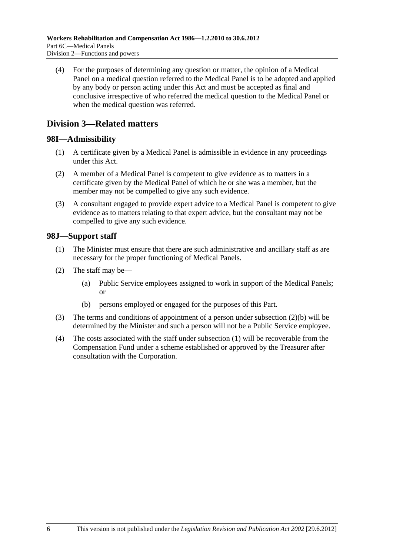<span id="page-127-0"></span> (4) For the purposes of determining any question or matter, the opinion of a Medical Panel on a medical question referred to the Medical Panel is to be adopted and applied by any body or person acting under this Act and must be accepted as final and conclusive irrespective of who referred the medical question to the Medical Panel or when the medical question was referred.

## **Division 3—Related matters**

## **98I—Admissibility**

- (1) A certificate given by a Medical Panel is admissible in evidence in any proceedings under this Act.
- (2) A member of a Medical Panel is competent to give evidence as to matters in a certificate given by the Medical Panel of which he or she was a member, but the member may not be compelled to give any such evidence.
- (3) A consultant engaged to provide expert advice to a Medical Panel is competent to give evidence as to matters relating to that expert advice, but the consultant may not be compelled to give any such evidence.

## **98J—Support staff**

- (1) The Minister must ensure that there are such administrative and ancillary staff as are necessary for the proper functioning of Medical Panels.
- (2) The staff may be—
	- (a) Public Service employees assigned to work in support of the Medical Panels; or
	- (b) persons employed or engaged for the purposes of this Part.
- (3) The terms and conditions of appointment of a person under [subsection \(2\)\(b\)](#page-127-0) will be determined by the Minister and such a person will not be a Public Service employee.
- (4) The costs associated with the staff under [subsection \(1\)](#page-127-0) will be recoverable from the Compensation Fund under a scheme established or approved by the Treasurer after consultation with the Corporation.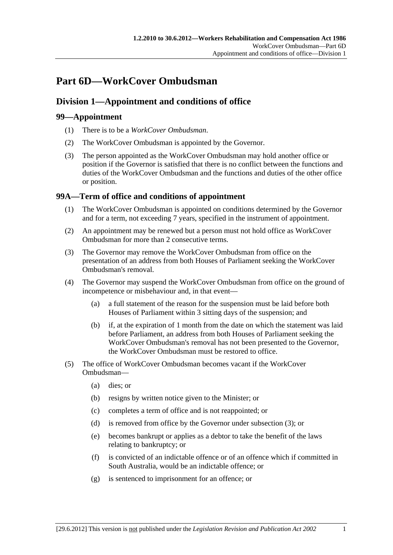# <span id="page-128-0"></span>**Part 6D—WorkCover Ombudsman**

## **Division 1—Appointment and conditions of office**

## **99—Appointment**

- (1) There is to be a *WorkCover Ombudsman*.
- (2) The WorkCover Ombudsman is appointed by the Governor.
- (3) The person appointed as the WorkCover Ombudsman may hold another office or position if the Governor is satisfied that there is no conflict between the functions and duties of the WorkCover Ombudsman and the functions and duties of the other office or position.

## **99A—Term of office and conditions of appointment**

- (1) The WorkCover Ombudsman is appointed on conditions determined by the Governor and for a term, not exceeding 7 years, specified in the instrument of appointment.
- (2) An appointment may be renewed but a person must not hold office as WorkCover Ombudsman for more than 2 consecutive terms.
- (3) The Governor may remove the WorkCover Ombudsman from office on the presentation of an address from both Houses of Parliament seeking the WorkCover Ombudsman's removal.
- (4) The Governor may suspend the WorkCover Ombudsman from office on the ground of incompetence or misbehaviour and, in that event—
	- (a) a full statement of the reason for the suspension must be laid before both Houses of Parliament within 3 sitting days of the suspension; and
	- (b) if, at the expiration of 1 month from the date on which the statement was laid before Parliament, an address from both Houses of Parliament seeking the WorkCover Ombudsman's removal has not been presented to the Governor, the WorkCover Ombudsman must be restored to office.
- (5) The office of WorkCover Ombudsman becomes vacant if the WorkCover Ombudsman—
	- (a) dies; or
	- (b) resigns by written notice given to the Minister; or
	- (c) completes a term of office and is not reappointed; or
	- (d) is removed from office by the Governor under [subsection \(3\)](#page-128-0); or
	- (e) becomes bankrupt or applies as a debtor to take the benefit of the laws relating to bankruptcy; or
	- (f) is convicted of an indictable offence or of an offence which if committed in South Australia, would be an indictable offence; or
	- (g) is sentenced to imprisonment for an offence; or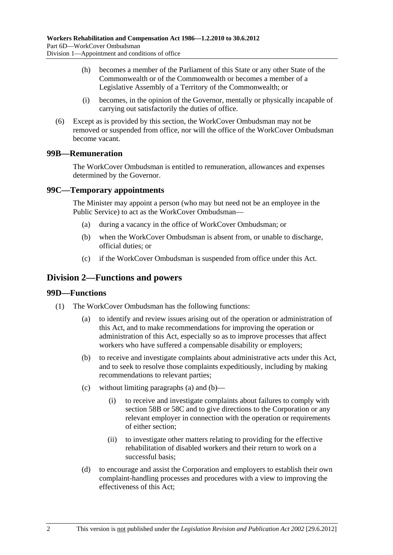- <span id="page-129-0"></span> (h) becomes a member of the Parliament of this State or any other State of the Commonwealth or of the Commonwealth or becomes a member of a Legislative Assembly of a Territory of the Commonwealth; or
- (i) becomes, in the opinion of the Governor, mentally or physically incapable of carrying out satisfactorily the duties of office.
- (6) Except as is provided by this section, the WorkCover Ombudsman may not be removed or suspended from office, nor will the office of the WorkCover Ombudsman become vacant.

## **99B—Remuneration**

The WorkCover Ombudsman is entitled to remuneration, allowances and expenses determined by the Governor.

## **99C—Temporary appointments**

The Minister may appoint a person (who may but need not be an employee in the Public Service) to act as the WorkCover Ombudsman—

- (a) during a vacancy in the office of WorkCover Ombudsman; or
- (b) when the WorkCover Ombudsman is absent from, or unable to discharge, official duties; or
- (c) if the WorkCover Ombudsman is suspended from office under this Act.

## **Division 2—Functions and powers**

#### **99D—Functions**

- (1) The WorkCover Ombudsman has the following functions:
	- (a) to identify and review issues arising out of the operation or administration of this Act, and to make recommendations for improving the operation or administration of this Act, especially so as to improve processes that affect workers who have suffered a compensable disability or employers;
	- (b) to receive and investigate complaints about administrative acts under this Act, and to seek to resolve those complaints expeditiously, including by making recommendations to relevant parties;
	- (c) without limiting [paragraphs \(a\)](#page-129-0) and [\(b\)](#page-129-0)
		- (i) to receive and investigate complaints about failures to comply with [section 58B](#page-80-0) or [58C](#page-80-0) and to give directions to the Corporation or any relevant employer in connection with the operation or requirements of either section;
		- (ii) to investigate other matters relating to providing for the effective rehabilitation of disabled workers and their return to work on a successful basis;
	- (d) to encourage and assist the Corporation and employers to establish their own complaint-handling processes and procedures with a view to improving the effectiveness of this Act;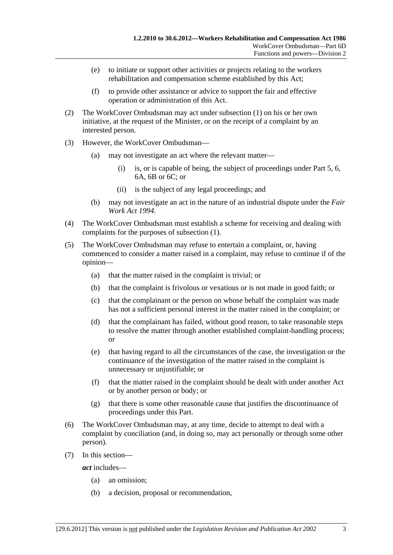- (e) to initiate or support other activities or projects relating to the workers rehabilitation and compensation scheme established by this Act;
- (f) to provide other assistance or advice to support the fair and effective operation or administration of this Act.
- (2) The WorkCover Ombudsman may act under [subsection \(1\)](#page-129-0) on his or her own initiative, at the request of the Minister, or on the receipt of a complaint by an interested person.
- (3) However, the WorkCover Ombudsman—
	- (a) may not investigate an act where the relevant matter—
		- (i) is, or is capable of being, the subject of proceedings under [Part 5,](#page-82-0) [6](#page-102-0), [6A](#page-112-0), [6B](#page-120-0) or 6C; or
		- (ii) is the subject of any legal proceedings; and
	- (b) may not investigate an act in the nature of an industrial dispute under the *[Fair](http://www.legislation.sa.gov.au/index.aspx?action=legref&type=act&legtitle=Fair%20Work%20Act%201994)  [Work Act 1994](http://www.legislation.sa.gov.au/index.aspx?action=legref&type=act&legtitle=Fair%20Work%20Act%201994)*.
- (4) The WorkCover Ombudsman must establish a scheme for receiving and dealing with complaints for the purposes of [subsection \(1\)](#page-129-0).
- (5) The WorkCover Ombudsman may refuse to entertain a complaint, or, having commenced to consider a matter raised in a complaint, may refuse to continue if of the opinion—
	- (a) that the matter raised in the complaint is trivial; or
	- (b) that the complaint is frivolous or vexatious or is not made in good faith; or
	- (c) that the complainant or the person on whose behalf the complaint was made has not a sufficient personal interest in the matter raised in the complaint; or
	- (d) that the complainant has failed, without good reason, to take reasonable steps to resolve the matter through another established complaint-handling process; or
	- (e) that having regard to all the circumstances of the case, the investigation or the continuance of the investigation of the matter raised in the complaint is unnecessary or unjustifiable; or
	- (f) that the matter raised in the complaint should be dealt with under another Act or by another person or body; or
	- (g) that there is some other reasonable cause that justifies the discontinuance of proceedings under this Part.
- (6) The WorkCover Ombudsman may, at any time, decide to attempt to deal with a complaint by conciliation (and, in doing so, may act personally or through some other person).
- (7) In this section—

*act* includes—

- (a) an omission;
- (b) a decision, proposal or recommendation,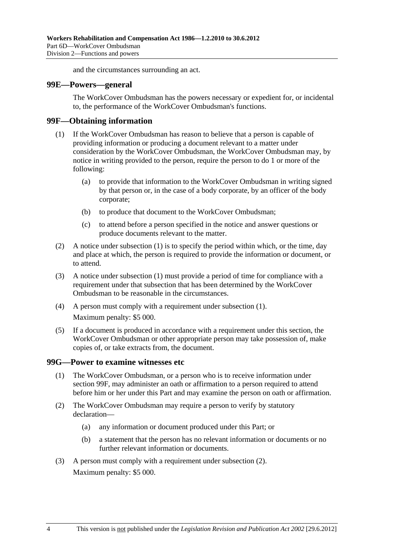and the circumstances surrounding an act.

#### <span id="page-131-0"></span>**99E—Powers—general**

The WorkCover Ombudsman has the powers necessary or expedient for, or incidental to, the performance of the WorkCover Ombudsman's functions.

#### **99F—Obtaining information**

- (1) If the WorkCover Ombudsman has reason to believe that a person is capable of providing information or producing a document relevant to a matter under consideration by the WorkCover Ombudsman, the WorkCover Ombudsman may, by notice in writing provided to the person, require the person to do 1 or more of the following:
	- (a) to provide that information to the WorkCover Ombudsman in writing signed by that person or, in the case of a body corporate, by an officer of the body corporate;
	- (b) to produce that document to the WorkCover Ombudsman;
	- (c) to attend before a person specified in the notice and answer questions or produce documents relevant to the matter.
- (2) A notice under [subsection \(1\)](#page-131-0) is to specify the period within which, or the time, day and place at which, the person is required to provide the information or document, or to attend.
- (3) A notice under [subsection \(1\)](#page-131-0) must provide a period of time for compliance with a requirement under that subsection that has been determined by the WorkCover Ombudsman to be reasonable in the circumstances.
- (4) A person must comply with a requirement under [subsection \(1\).](#page-131-0) Maximum penalty: \$5 000.
- (5) If a document is produced in accordance with a requirement under this section, the WorkCover Ombudsman or other appropriate person may take possession of, make copies of, or take extracts from, the document.

#### **99G—Power to examine witnesses etc**

- (1) The WorkCover Ombudsman, or a person who is to receive information under [section 99F](#page-131-0), may administer an oath or affirmation to a person required to attend before him or her under this Part and may examine the person on oath or affirmation.
- (2) The WorkCover Ombudsman may require a person to verify by statutory declaration—
	- (a) any information or document produced under this Part; or
	- (b) a statement that the person has no relevant information or documents or no further relevant information or documents.
- (3) A person must comply with a requirement under [subsection \(2\).](#page-131-0) Maximum penalty: \$5 000.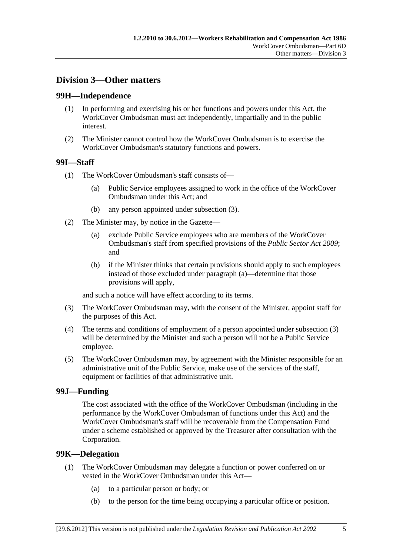## <span id="page-132-0"></span>**Division 3—Other matters**

### **99H—Independence**

- (1) In performing and exercising his or her functions and powers under this Act, the WorkCover Ombudsman must act independently, impartially and in the public interest.
- (2) The Minister cannot control how the WorkCover Ombudsman is to exercise the WorkCover Ombudsman's statutory functions and powers.

## **99I—Staff**

- (1) The WorkCover Ombudsman's staff consists of—
	- (a) Public Service employees assigned to work in the office of the WorkCover Ombudsman under this Act; and
	- (b) any person appointed under [subsection \(3\).](#page-132-0)
- (2) The Minister may, by notice in the Gazette—
	- (a) exclude Public Service employees who are members of the WorkCover Ombudsman's staff from specified provisions of the *[Public Sector Act 2009](http://www.legislation.sa.gov.au/index.aspx?action=legref&type=act&legtitle=Public%20Sector%20Act%202009)*; and
	- (b) if the Minister thinks that certain provisions should apply to such employees instead of those excluded under [paragraph \(a\)—](#page-132-0)determine that those provisions will apply,

and such a notice will have effect according to its terms.

- (3) The WorkCover Ombudsman may, with the consent of the Minister, appoint staff for the purposes of this Act.
- (4) The terms and conditions of employment of a person appointed under [subsection \(3\)](#page-132-0) will be determined by the Minister and such a person will not be a Public Service employee.
- (5) The WorkCover Ombudsman may, by agreement with the Minister responsible for an administrative unit of the Public Service, make use of the services of the staff, equipment or facilities of that administrative unit.

#### **99J—Funding**

The cost associated with the office of the WorkCover Ombudsman (including in the performance by the WorkCover Ombudsman of functions under this Act) and the WorkCover Ombudsman's staff will be recoverable from the Compensation Fund under a scheme established or approved by the Treasurer after consultation with the Corporation.

#### **99K—Delegation**

- (1) The WorkCover Ombudsman may delegate a function or power conferred on or vested in the WorkCover Ombudsman under this Act—
	- (a) to a particular person or body; or
	- (b) to the person for the time being occupying a particular office or position.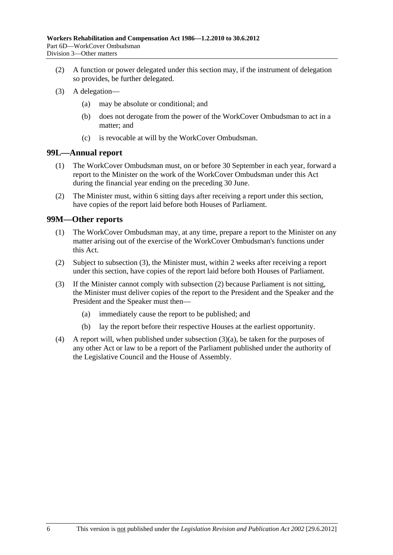- <span id="page-133-0"></span> (2) A function or power delegated under this section may, if the instrument of delegation so provides, be further delegated.
- (3) A delegation—
	- (a) may be absolute or conditional; and
	- (b) does not derogate from the power of the WorkCover Ombudsman to act in a matter; and
	- (c) is revocable at will by the WorkCover Ombudsman.

#### **99L—Annual report**

- (1) The WorkCover Ombudsman must, on or before 30 September in each year, forward a report to the Minister on the work of the WorkCover Ombudsman under this Act during the financial year ending on the preceding 30 June.
- (2) The Minister must, within 6 sitting days after receiving a report under this section, have copies of the report laid before both Houses of Parliament.

#### **99M—Other reports**

- (1) The WorkCover Ombudsman may, at any time, prepare a report to the Minister on any matter arising out of the exercise of the WorkCover Ombudsman's functions under this Act.
- (2) Subject to [subsection \(3\),](#page-133-0) the Minister must, within 2 weeks after receiving a report under this section, have copies of the report laid before both Houses of Parliament.
- (3) If the Minister cannot comply with [subsection \(2\)](#page-133-0) because Parliament is not sitting, the Minister must deliver copies of the report to the President and the Speaker and the President and the Speaker must then—
	- (a) immediately cause the report to be published; and
	- (b) lay the report before their respective Houses at the earliest opportunity.
- (4) A report will, when published under [subsection \(3\)\(a\),](#page-133-0) be taken for the purposes of any other Act or law to be a report of the Parliament published under the authority of the Legislative Council and the House of Assembly.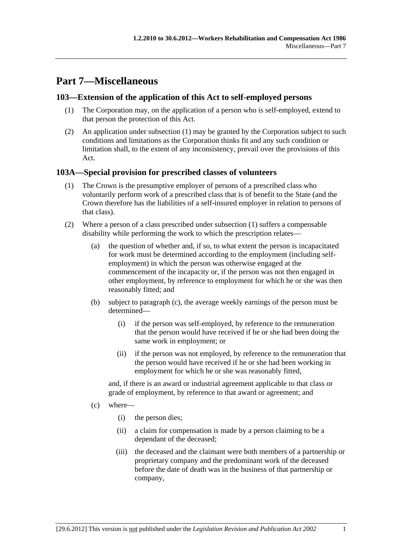# <span id="page-134-0"></span>**Part 7—Miscellaneous**

## **103—Extension of the application of this Act to self-employed persons**

- (1) The Corporation may, on the application of a person who is self-employed, extend to that person the protection of this Act.
- (2) An application under [subsection \(1\)](#page-134-0) may be granted by the Corporation subject to such conditions and limitations as the Corporation thinks fit and any such condition or limitation shall, to the extent of any inconsistency, prevail over the provisions of this Act.

## **103A—Special provision for prescribed classes of volunteers**

- (1) The Crown is the presumptive employer of persons of a prescribed class who voluntarily perform work of a prescribed class that is of benefit to the State (and the Crown therefore has the liabilities of a self-insured employer in relation to persons of that class).
- (2) Where a person of a class prescribed under [subsection \(1\)](#page-134-0) suffers a compensable disability while performing the work to which the prescription relates—
	- (a) the question of whether and, if so, to what extent the person is incapacitated for work must be determined according to the employment (including selfemployment) in which the person was otherwise engaged at the commencement of the incapacity or, if the person was not then engaged in other employment, by reference to employment for which he or she was then reasonably fitted; and
	- (b) subject to [paragraph \(c\)](#page-134-0), the average weekly earnings of the person must be determined—
		- (i) if the person was self-employed, by reference to the remuneration that the person would have received if he or she had been doing the same work in employment; or
		- (ii) if the person was not employed, by reference to the remuneration that the person would have received if he or she had been working in employment for which he or she was reasonably fitted,

and, if there is an award or industrial agreement applicable to that class or grade of employment, by reference to that award or agreement; and

- (c) where—
	- (i) the person dies;
	- (ii) a claim for compensation is made by a person claiming to be a dependant of the deceased;
	- (iii) the deceased and the claimant were both members of a partnership or proprietary company and the predominant work of the deceased before the date of death was in the business of that partnership or company,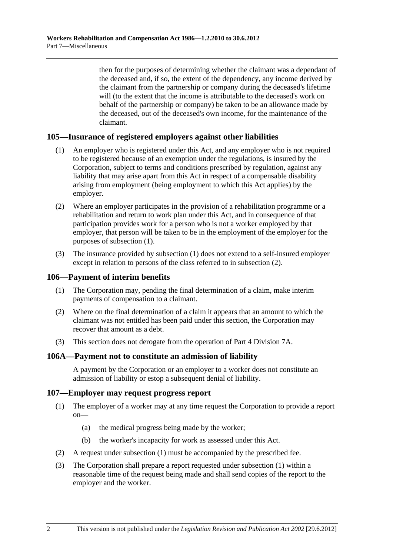<span id="page-135-0"></span>then for the purposes of determining whether the claimant was a dependant of the deceased and, if so, the extent of the dependency, any income derived by the claimant from the partnership or company during the deceased's lifetime will (to the extent that the income is attributable to the deceased's work on behalf of the partnership or company) be taken to be an allowance made by the deceased, out of the deceased's own income, for the maintenance of the claimant.

## **105—Insurance of registered employers against other liabilities**

- (1) An employer who is registered under this Act, and any employer who is not required to be registered because of an exemption under the regulations, is insured by the Corporation, subject to terms and conditions prescribed by regulation, against any liability that may arise apart from this Act in respect of a compensable disability arising from employment (being employment to which this Act applies) by the employer.
- (2) Where an employer participates in the provision of a rehabilitation programme or a rehabilitation and return to work plan under this Act, and in consequence of that participation provides work for a person who is not a worker employed by that employer, that person will be taken to be in the employment of the employer for the purposes of [subsection \(1\).](#page-135-0)
- (3) The insurance provided by [subsection \(1\)](#page-135-0) does not extend to a self-insured employer except in relation to persons of the class referred to in [subsection \(2\).](#page-135-0)

#### **106—Payment of interim benefits**

- (1) The Corporation may, pending the final determination of a claim, make interim payments of compensation to a claimant.
- (2) Where on the final determination of a claim it appears that an amount to which the claimant was not entitled has been paid under this section, the Corporation may recover that amount as a debt.
- (3) This section does not derogate from the operation of [Part 4 Division 7A.](#page-66-0)

#### **106A—Payment not to constitute an admission of liability**

A payment by the Corporation or an employer to a worker does not constitute an admission of liability or estop a subsequent denial of liability.

#### **107—Employer may request progress report**

- (1) The employer of a worker may at any time request the Corporation to provide a report on—
	- (a) the medical progress being made by the worker;
	- (b) the worker's incapacity for work as assessed under this Act.
- (2) A request under [subsection \(1\)](#page-135-0) must be accompanied by the prescribed fee.
- (3) The Corporation shall prepare a report requested under [subsection \(1\)](#page-135-0) within a reasonable time of the request being made and shall send copies of the report to the employer and the worker.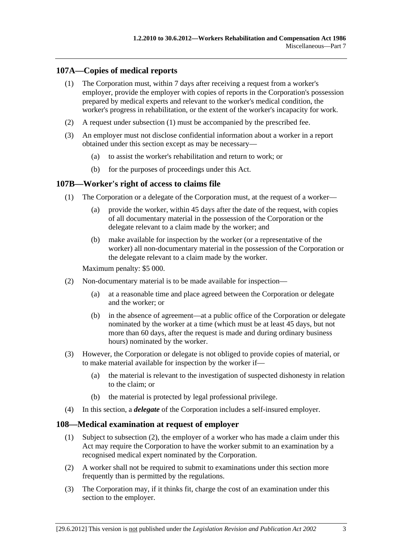## <span id="page-136-0"></span>**107A—Copies of medical reports**

- (1) The Corporation must, within 7 days after receiving a request from a worker's employer, provide the employer with copies of reports in the Corporation's possession prepared by medical experts and relevant to the worker's medical condition, the worker's progress in rehabilitation, or the extent of the worker's incapacity for work.
- (2) A request under [subsection \(1\)](#page-136-0) must be accompanied by the prescribed fee.
- (3) An employer must not disclose confidential information about a worker in a report obtained under this section except as may be necessary—
	- (a) to assist the worker's rehabilitation and return to work; or
	- (b) for the purposes of proceedings under this Act.

#### **107B—Worker's right of access to claims file**

- (1) The Corporation or a delegate of the Corporation must, at the request of a worker—
	- (a) provide the worker, within 45 days after the date of the request, with copies of all documentary material in the possession of the Corporation or the delegate relevant to a claim made by the worker; and
	- (b) make available for inspection by the worker (or a representative of the worker) all non-documentary material in the possession of the Corporation or the delegate relevant to a claim made by the worker.

Maximum penalty: \$5 000.

- (2) Non-documentary material is to be made available for inspection—
	- (a) at a reasonable time and place agreed between the Corporation or delegate and the worker; or
	- (b) in the absence of agreement—at a public office of the Corporation or delegate nominated by the worker at a time (which must be at least 45 days, but not more than 60 days, after the request is made and during ordinary business hours) nominated by the worker.
- (3) However, the Corporation or delegate is not obliged to provide copies of material, or to make material available for inspection by the worker if—
	- (a) the material is relevant to the investigation of suspected dishonesty in relation to the claim; or
	- (b) the material is protected by legal professional privilege.
- (4) In this section, a *delegate* of the Corporation includes a self-insured employer.

#### **108—Medical examination at request of employer**

- (1) Subject to [subsection \(2\),](#page-136-0) the employer of a worker who has made a claim under this Act may require the Corporation to have the worker submit to an examination by a recognised medical expert nominated by the Corporation.
- (2) A worker shall not be required to submit to examinations under this section more frequently than is permitted by the regulations.
- (3) The Corporation may, if it thinks fit, charge the cost of an examination under this section to the employer.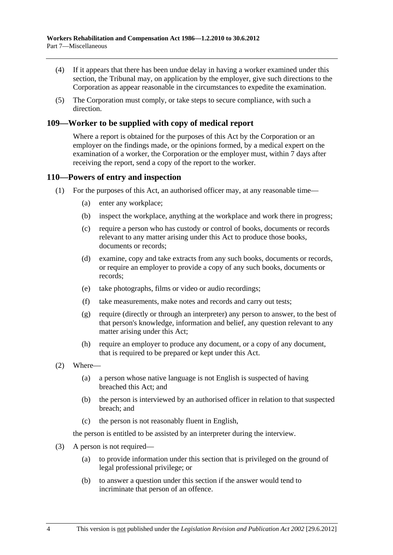- (4) If it appears that there has been undue delay in having a worker examined under this section, the Tribunal may, on application by the employer, give such directions to the Corporation as appear reasonable in the circumstances to expedite the examination.
- (5) The Corporation must comply, or take steps to secure compliance, with such a direction.

## **109—Worker to be supplied with copy of medical report**

Where a report is obtained for the purposes of this Act by the Corporation or an employer on the findings made, or the opinions formed, by a medical expert on the examination of a worker, the Corporation or the employer must, within 7 days after receiving the report, send a copy of the report to the worker.

#### **110—Powers of entry and inspection**

- (1) For the purposes of this Act, an authorised officer may, at any reasonable time—
	- (a) enter any workplace;
	- (b) inspect the workplace, anything at the workplace and work there in progress;
	- (c) require a person who has custody or control of books, documents or records relevant to any matter arising under this Act to produce those books, documents or records;
	- (d) examine, copy and take extracts from any such books, documents or records, or require an employer to provide a copy of any such books, documents or records;
	- (e) take photographs, films or video or audio recordings;
	- (f) take measurements, make notes and records and carry out tests;
	- (g) require (directly or through an interpreter) any person to answer, to the best of that person's knowledge, information and belief, any question relevant to any matter arising under this Act;
	- (h) require an employer to produce any document, or a copy of any document, that is required to be prepared or kept under this Act.
- (2) Where—
	- (a) a person whose native language is not English is suspected of having breached this Act; and
	- (b) the person is interviewed by an authorised officer in relation to that suspected breach; and
	- (c) the person is not reasonably fluent in English,

the person is entitled to be assisted by an interpreter during the interview.

- (3) A person is not required—
	- (a) to provide information under this section that is privileged on the ground of legal professional privilege; or
	- (b) to answer a question under this section if the answer would tend to incriminate that person of an offence.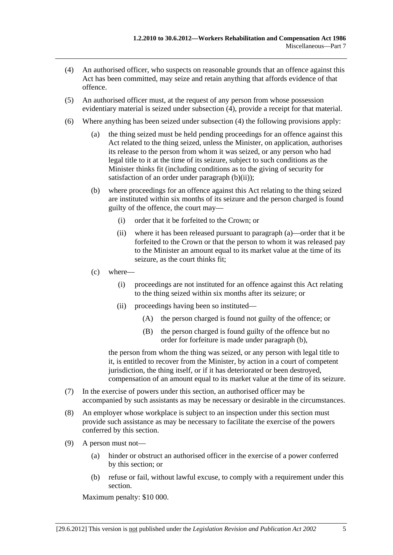- <span id="page-138-0"></span> (4) An authorised officer, who suspects on reasonable grounds that an offence against this Act has been committed, may seize and retain anything that affords evidence of that offence.
- (5) An authorised officer must, at the request of any person from whose possession evidentiary material is seized under [subsection \(4\),](#page-138-0) provide a receipt for that material.
- (6) Where anything has been seized under [subsection \(4\)](#page-138-0) the following provisions apply:
	- (a) the thing seized must be held pending proceedings for an offence against this Act related to the thing seized, unless the Minister, on application, authorises its release to the person from whom it was seized, or any person who had legal title to it at the time of its seizure, subject to such conditions as the Minister thinks fit (including conditions as to the giving of security for satisfaction of an order under paragraph  $(b)(ii)$ ;
	- (b) where proceedings for an offence against this Act relating to the thing seized are instituted within six months of its seizure and the person charged is found guilty of the offence, the court may—
		- (i) order that it be forfeited to the Crown; or
		- (ii) where it has been released pursuant to [paragraph \(a\)—](#page-138-0)order that it be forfeited to the Crown or that the person to whom it was released pay to the Minister an amount equal to its market value at the time of its seizure, as the court thinks fit;
	- (c) where—
		- (i) proceedings are not instituted for an offence against this Act relating to the thing seized within six months after its seizure; or
		- (ii) proceedings having been so instituted—
			- (A) the person charged is found not guilty of the offence; or
			- (B) the person charged is found guilty of the offence but no order for forfeiture is made under [paragraph \(b\)](#page-138-0),

the person from whom the thing was seized, or any person with legal title to it, is entitled to recover from the Minister, by action in a court of competent jurisdiction, the thing itself, or if it has deteriorated or been destroyed, compensation of an amount equal to its market value at the time of its seizure.

- (7) In the exercise of powers under this section, an authorised officer may be accompanied by such assistants as may be necessary or desirable in the circumstances.
- (8) An employer whose workplace is subject to an inspection under this section must provide such assistance as may be necessary to facilitate the exercise of the powers conferred by this section.
- (9) A person must not—
	- (a) hinder or obstruct an authorised officer in the exercise of a power conferred by this section; or
	- (b) refuse or fail, without lawful excuse, to comply with a requirement under this section.

Maximum penalty: \$10 000.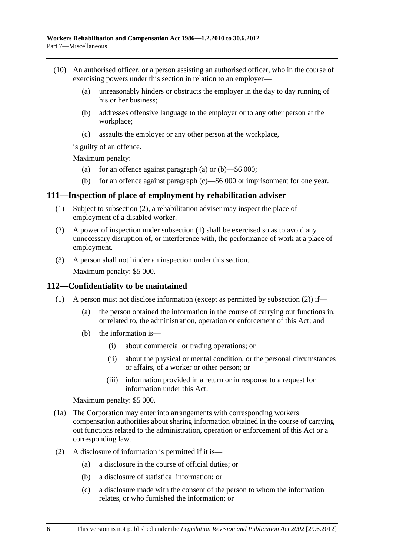- <span id="page-139-0"></span> (10) An authorised officer, or a person assisting an authorised officer, who in the course of exercising powers under this section in relation to an employer—
	- (a) unreasonably hinders or obstructs the employer in the day to day running of his or her business;
	- (b) addresses offensive language to the employer or to any other person at the workplace;
	- (c) assaults the employer or any other person at the workplace,

is guilty of an offence.

Maximum penalty:

- (a) for an offence against [paragraph \(a\)](#page-139-0) or  $(b)$ —\$6 000;
- (b) for an offence against [paragraph \(c\)—](#page-139-0)\$6 000 or imprisonment for one year.

#### **111—Inspection of place of employment by rehabilitation adviser**

- (1) Subject to [subsection \(2\),](#page-139-0) a rehabilitation adviser may inspect the place of employment of a disabled worker.
- (2) A power of inspection under [subsection \(1\)](#page-139-0) shall be exercised so as to avoid any unnecessary disruption of, or interference with, the performance of work at a place of employment.
- (3) A person shall not hinder an inspection under this section.

Maximum penalty: \$5 000.

#### **112—Confidentiality to be maintained**

- (1) A person must not disclose information (except as permitted by subsection  $(2)$ ) if—
	- (a) the person obtained the information in the course of carrying out functions in, or related to, the administration, operation or enforcement of this Act; and
	- (b) the information is—
		- (i) about commercial or trading operations; or
		- (ii) about the physical or mental condition, or the personal circumstances or affairs, of a worker or other person; or
		- (iii) information provided in a return or in response to a request for information under this Act.

Maximum penalty: \$5 000.

- (1a) The Corporation may enter into arrangements with corresponding workers compensation authorities about sharing information obtained in the course of carrying out functions related to the administration, operation or enforcement of this Act or a corresponding law.
- (2) A disclosure of information is permitted if it is—
	- (a) a disclosure in the course of official duties; or
	- (b) a disclosure of statistical information; or
	- (c) a disclosure made with the consent of the person to whom the information relates, or who furnished the information; or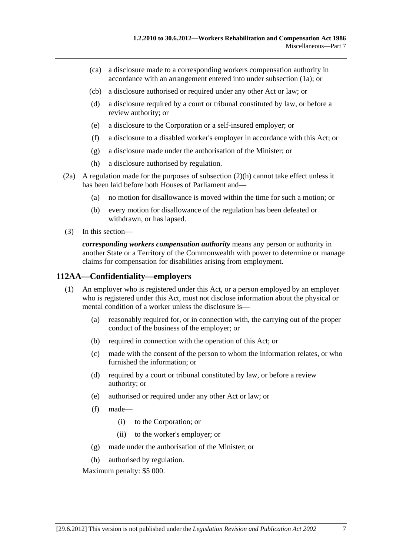- <span id="page-140-0"></span> (ca) a disclosure made to a corresponding workers compensation authority in accordance with an arrangement entered into under [subsection \(1a\);](#page-139-0) or
- (cb) a disclosure authorised or required under any other Act or law; or
- (d) a disclosure required by a court or tribunal constituted by law, or before a review authority; or
- (e) a disclosure to the Corporation or a self-insured employer; or
- (f) a disclosure to a disabled worker's employer in accordance with this Act; or
- (g) a disclosure made under the authorisation of the Minister; or
- (h) a disclosure authorised by regulation.
- (2a) A regulation made for the purposes of [subsection \(2\)\(h\)](#page-140-0) cannot take effect unless it has been laid before both Houses of Parliament and—
	- (a) no motion for disallowance is moved within the time for such a motion; or
	- (b) every motion for disallowance of the regulation has been defeated or withdrawn, or has lapsed.
- (3) In this section—

*corresponding workers compensation authority* means any person or authority in another State or a Territory of the Commonwealth with power to determine or manage claims for compensation for disabilities arising from employment.

## **112AA—Confidentiality—employers**

- (1) An employer who is registered under this Act, or a person employed by an employer who is registered under this Act, must not disclose information about the physical or mental condition of a worker unless the disclosure is—
	- (a) reasonably required for, or in connection with, the carrying out of the proper conduct of the business of the employer; or
	- (b) required in connection with the operation of this Act; or
	- (c) made with the consent of the person to whom the information relates, or who furnished the information; or
	- (d) required by a court or tribunal constituted by law, or before a review authority; or
	- (e) authorised or required under any other Act or law; or
	- (f) made—
		- (i) to the Corporation; or
		- (ii) to the worker's employer; or
	- (g) made under the authorisation of the Minister; or
	- (h) authorised by regulation.

Maximum penalty: \$5 000.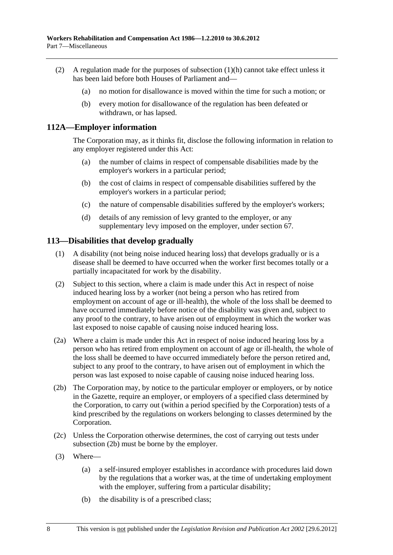- <span id="page-141-0"></span> (2) A regulation made for the purposes of [subsection \(1\)\(h\)](#page-140-0) cannot take effect unless it has been laid before both Houses of Parliament and—
	- (a) no motion for disallowance is moved within the time for such a motion; or
	- (b) every motion for disallowance of the regulation has been defeated or withdrawn, or has lapsed.

#### **112A—Employer information**

The Corporation may, as it thinks fit, disclose the following information in relation to any employer registered under this Act:

- (a) the number of claims in respect of compensable disabilities made by the employer's workers in a particular period;
- (b) the cost of claims in respect of compensable disabilities suffered by the employer's workers in a particular period;
- (c) the nature of compensable disabilities suffered by the employer's workers;
- (d) details of any remission of levy granted to the employer, or any supplementary levy imposed on the employer, under [section 67.](#page-92-0)

#### **113—Disabilities that develop gradually**

- (1) A disability (not being noise induced hearing loss) that develops gradually or is a disease shall be deemed to have occurred when the worker first becomes totally or a partially incapacitated for work by the disability.
- (2) Subject to this section, where a claim is made under this Act in respect of noise induced hearing loss by a worker (not being a person who has retired from employment on account of age or ill-health), the whole of the loss shall be deemed to have occurred immediately before notice of the disability was given and, subject to any proof to the contrary, to have arisen out of employment in which the worker was last exposed to noise capable of causing noise induced hearing loss.
- (2a) Where a claim is made under this Act in respect of noise induced hearing loss by a person who has retired from employment on account of age or ill-health, the whole of the loss shall be deemed to have occurred immediately before the person retired and, subject to any proof to the contrary, to have arisen out of employment in which the person was last exposed to noise capable of causing noise induced hearing loss.
- (2b) The Corporation may, by notice to the particular employer or employers, or by notice in the Gazette, require an employer, or employers of a specified class determined by the Corporation, to carry out (within a period specified by the Corporation) tests of a kind prescribed by the regulations on workers belonging to classes determined by the Corporation.
- (2c) Unless the Corporation otherwise determines, the cost of carrying out tests under [subsection \(2b\)](#page-141-0) must be borne by the employer.
- (3) Where—
	- (a) a self-insured employer establishes in accordance with procedures laid down by the regulations that a worker was, at the time of undertaking employment with the employer, suffering from a particular disability;
	- (b) the disability is of a prescribed class;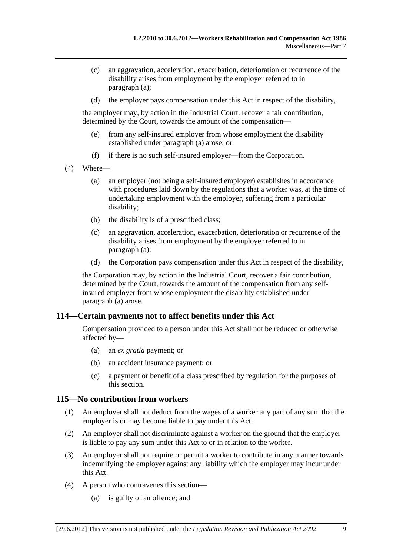- <span id="page-142-0"></span> (c) an aggravation, acceleration, exacerbation, deterioration or recurrence of the disability arises from employment by the employer referred to in [paragraph \(a\)](#page-141-0);
- (d) the employer pays compensation under this Act in respect of the disability,

the employer may, by action in the Industrial Court, recover a fair contribution, determined by the Court, towards the amount of the compensation—

- (e) from any self-insured employer from whose employment the disability established under [paragraph \(a\)](#page-141-0) arose; or
- (f) if there is no such self-insured employer—from the Corporation.
- (4) Where—
	- (a) an employer (not being a self-insured employer) establishes in accordance with procedures laid down by the regulations that a worker was, at the time of undertaking employment with the employer, suffering from a particular disability;
	- (b) the disability is of a prescribed class;
	- (c) an aggravation, acceleration, exacerbation, deterioration or recurrence of the disability arises from employment by the employer referred to in [paragraph \(a\)](#page-142-0);
	- (d) the Corporation pays compensation under this Act in respect of the disability,

the Corporation may, by action in the Industrial Court, recover a fair contribution, determined by the Court, towards the amount of the compensation from any selfinsured employer from whose employment the disability established under [paragraph \(a\)](#page-142-0) arose.

#### **114—Certain payments not to affect benefits under this Act**

Compensation provided to a person under this Act shall not be reduced or otherwise affected by—

- (a) an *ex gratia* payment; or
- (b) an accident insurance payment; or
- (c) a payment or benefit of a class prescribed by regulation for the purposes of this section.

#### **115—No contribution from workers**

- (1) An employer shall not deduct from the wages of a worker any part of any sum that the employer is or may become liable to pay under this Act.
- (2) An employer shall not discriminate against a worker on the ground that the employer is liable to pay any sum under this Act to or in relation to the worker.
- (3) An employer shall not require or permit a worker to contribute in any manner towards indemnifying the employer against any liability which the employer may incur under this Act.
- (4) A person who contravenes this section—
	- (a) is guilty of an offence; and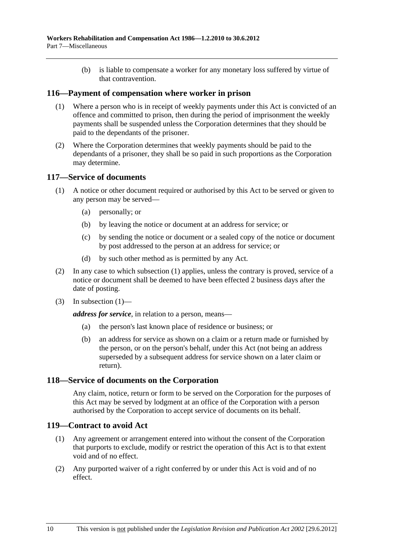(b) is liable to compensate a worker for any monetary loss suffered by virtue of that contravention.

#### <span id="page-143-0"></span>**116—Payment of compensation where worker in prison**

- (1) Where a person who is in receipt of weekly payments under this Act is convicted of an offence and committed to prison, then during the period of imprisonment the weekly payments shall be suspended unless the Corporation determines that they should be paid to the dependants of the prisoner.
- (2) Where the Corporation determines that weekly payments should be paid to the dependants of a prisoner, they shall be so paid in such proportions as the Corporation may determine.

#### **117—Service of documents**

- (1) A notice or other document required or authorised by this Act to be served or given to any person may be served—
	- (a) personally; or
	- (b) by leaving the notice or document at an address for service; or
	- (c) by sending the notice or document or a sealed copy of the notice or document by post addressed to the person at an address for service; or
	- (d) by such other method as is permitted by any Act.
- (2) In any case to which [subsection \(1\)](#page-143-0) applies, unless the contrary is proved, service of a notice or document shall be deemed to have been effected 2 business days after the date of posting.
- $(3)$  In subsection  $(1)$ —

*address for service*, in relation to a person, means—

- (a) the person's last known place of residence or business; or
- (b) an address for service as shown on a claim or a return made or furnished by the person, or on the person's behalf, under this Act (not being an address superseded by a subsequent address for service shown on a later claim or return).

#### **118—Service of documents on the Corporation**

Any claim, notice, return or form to be served on the Corporation for the purposes of this Act may be served by lodgment at an office of the Corporation with a person authorised by the Corporation to accept service of documents on its behalf.

#### **119—Contract to avoid Act**

- (1) Any agreement or arrangement entered into without the consent of the Corporation that purports to exclude, modify or restrict the operation of this Act is to that extent void and of no effect.
- (2) Any purported waiver of a right conferred by or under this Act is void and of no effect.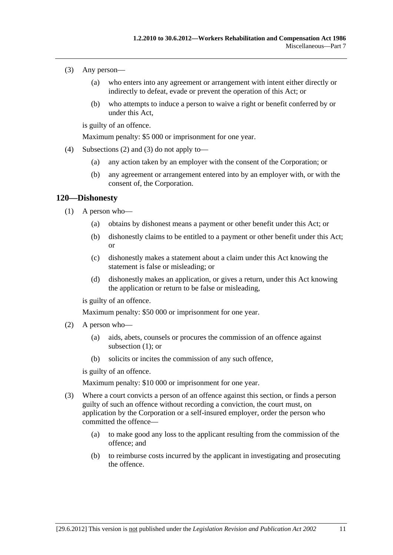- <span id="page-144-0"></span> (3) Any person—
	- (a) who enters into any agreement or arrangement with intent either directly or indirectly to defeat, evade or prevent the operation of this Act; or
	- (b) who attempts to induce a person to waive a right or benefit conferred by or under this Act,

is guilty of an offence.

Maximum penalty: \$5 000 or imprisonment for one year.

- (4) [Subsections \(2\)](#page-143-0) and [\(3\)](#page-144-0) do not apply to—
	- (a) any action taken by an employer with the consent of the Corporation; or
	- (b) any agreement or arrangement entered into by an employer with, or with the consent of, the Corporation.

### **120—Dishonesty**

- (1) A person who—
	- (a) obtains by dishonest means a payment or other benefit under this Act; or
	- (b) dishonestly claims to be entitled to a payment or other benefit under this Act; or
	- (c) dishonestly makes a statement about a claim under this Act knowing the statement is false or misleading; or
	- (d) dishonestly makes an application, or gives a return, under this Act knowing the application or return to be false or misleading,

is guilty of an offence.

Maximum penalty: \$50 000 or imprisonment for one year.

- (2) A person who—
	- (a) aids, abets, counsels or procures the commission of an offence against [subsection \(1\)](#page-144-0); or
	- (b) solicits or incites the commission of any such offence,

is guilty of an offence.

Maximum penalty: \$10 000 or imprisonment for one year.

- (3) Where a court convicts a person of an offence against this section, or finds a person guilty of such an offence without recording a conviction, the court must, on application by the Corporation or a self-insured employer, order the person who committed the offence—
	- (a) to make good any loss to the applicant resulting from the commission of the offence; and
	- (b) to reimburse costs incurred by the applicant in investigating and prosecuting the offence.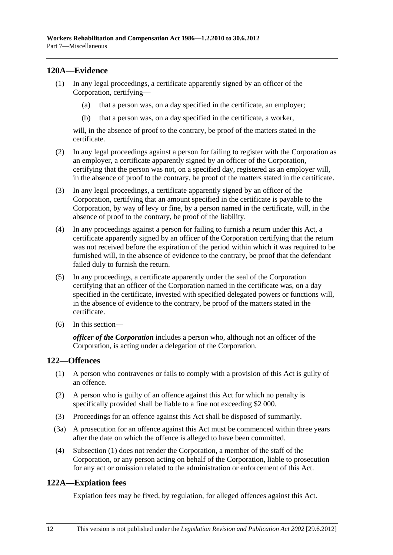# <span id="page-145-0"></span>**120A—Evidence**

- (1) In any legal proceedings, a certificate apparently signed by an officer of the Corporation, certifying—
	- (a) that a person was, on a day specified in the certificate, an employer;
	- (b) that a person was, on a day specified in the certificate, a worker,

will, in the absence of proof to the contrary, be proof of the matters stated in the certificate.

- (2) In any legal proceedings against a person for failing to register with the Corporation as an employer, a certificate apparently signed by an officer of the Corporation, certifying that the person was not, on a specified day, registered as an employer will, in the absence of proof to the contrary, be proof of the matters stated in the certificate.
- (3) In any legal proceedings, a certificate apparently signed by an officer of the Corporation, certifying that an amount specified in the certificate is payable to the Corporation, by way of levy or fine, by a person named in the certificate, will, in the absence of proof to the contrary, be proof of the liability.
- (4) In any proceedings against a person for failing to furnish a return under this Act, a certificate apparently signed by an officer of the Corporation certifying that the return was not received before the expiration of the period within which it was required to be furnished will, in the absence of evidence to the contrary, be proof that the defendant failed duly to furnish the return.
- (5) In any proceedings, a certificate apparently under the seal of the Corporation certifying that an officer of the Corporation named in the certificate was, on a day specified in the certificate, invested with specified delegated powers or functions will, in the absence of evidence to the contrary, be proof of the matters stated in the certificate.
- (6) In this section—

*officer of the Corporation* includes a person who, although not an officer of the Corporation, is acting under a delegation of the Corporation.

# **122—Offences**

- (1) A person who contravenes or fails to comply with a provision of this Act is guilty of an offence.
- (2) A person who is guilty of an offence against this Act for which no penalty is specifically provided shall be liable to a fine not exceeding \$2 000.
- (3) Proceedings for an offence against this Act shall be disposed of summarily.
- (3a) A prosecution for an offence against this Act must be commenced within three years after the date on which the offence is alleged to have been committed.
- (4) [Subsection \(1\)](#page-145-0) does not render the Corporation, a member of the staff of the Corporation, or any person acting on behalf of the Corporation, liable to prosecution for any act or omission related to the administration or enforcement of this Act.

## **122A—Expiation fees**

Expiation fees may be fixed, by regulation, for alleged offences against this Act.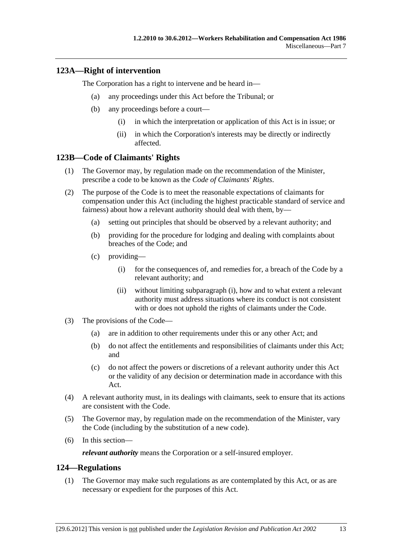# <span id="page-146-0"></span>**123A—Right of intervention**

The Corporation has a right to intervene and be heard in—

- (a) any proceedings under this Act before the Tribunal; or
- (b) any proceedings before a court—
	- (i) in which the interpretation or application of this Act is in issue; or
	- (ii) in which the Corporation's interests may be directly or indirectly affected.

### **123B—Code of Claimants' Rights**

- (1) The Governor may, by regulation made on the recommendation of the Minister, prescribe a code to be known as the *Code of Claimants' Rights*.
- (2) The purpose of the Code is to meet the reasonable expectations of claimants for compensation under this Act (including the highest practicable standard of service and fairness) about how a relevant authority should deal with them, by—
	- (a) setting out principles that should be observed by a relevant authority; and
	- (b) providing for the procedure for lodging and dealing with complaints about breaches of the Code; and
	- (c) providing—
		- (i) for the consequences of, and remedies for, a breach of the Code by a relevant authority; and
		- (ii) without limiting [subparagraph \(i\)](#page-146-0), how and to what extent a relevant authority must address situations where its conduct is not consistent with or does not uphold the rights of claimants under the Code.
- (3) The provisions of the Code—
	- (a) are in addition to other requirements under this or any other Act; and
	- (b) do not affect the entitlements and responsibilities of claimants under this Act; and
	- (c) do not affect the powers or discretions of a relevant authority under this Act or the validity of any decision or determination made in accordance with this Act.
- (4) A relevant authority must, in its dealings with claimants, seek to ensure that its actions are consistent with the Code.
- (5) The Governor may, by regulation made on the recommendation of the Minister, vary the Code (including by the substitution of a new code).
- (6) In this section—

*relevant authority* means the Corporation or a self-insured employer.

### **124—Regulations**

 (1) The Governor may make such regulations as are contemplated by this Act, or as are necessary or expedient for the purposes of this Act.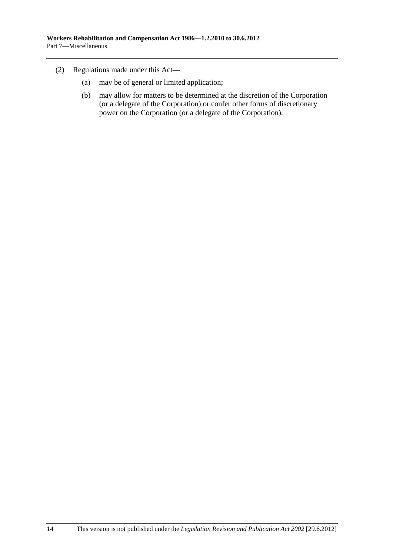- (2) Regulations made under this Act—
	- (a) may be of general or limited application;
	- (b) may allow for matters to be determined at the discretion of the Corporation (or a delegate of the Corporation) or confer other forms of discretionary power on the Corporation (or a delegate of the Corporation).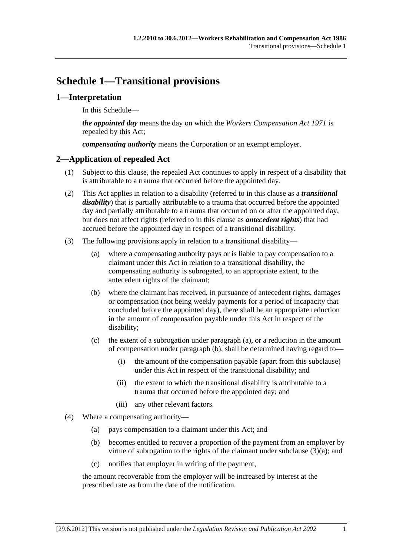# <span id="page-148-0"></span>**Schedule 1—Transitional provisions**

# **1—Interpretation**

In this Schedule—

*the appointed day* means the day on which the *[Workers Compensation Act 1971](http://www.legislation.sa.gov.au/index.aspx?action=legref&type=act&legtitle=Workers%20Compensation%20Act%201971)* is repealed by this Act;

*compensating authority* means the Corporation or an exempt employer.

# **2—Application of repealed Act**

- (1) Subject to this clause, the repealed Act continues to apply in respect of a disability that is attributable to a trauma that occurred before the appointed day.
- (2) This Act applies in relation to a disability (referred to in this clause as a *transitional disability*) that is partially attributable to a trauma that occurred before the appointed day and partially attributable to a trauma that occurred on or after the appointed day, but does not affect rights (referred to in this clause as *antecedent rights*) that had accrued before the appointed day in respect of a transitional disability.
- (3) The following provisions apply in relation to a transitional disability—
	- (a) where a compensating authority pays or is liable to pay compensation to a claimant under this Act in relation to a transitional disability, the compensating authority is subrogated, to an appropriate extent, to the antecedent rights of the claimant;
	- (b) where the claimant has received, in pursuance of antecedent rights, damages or compensation (not being weekly payments for a period of incapacity that concluded before the appointed day), there shall be an appropriate reduction in the amount of compensation payable under this Act in respect of the disability;
	- (c) the extent of a subrogation under [paragraph \(a\),](#page-148-0) or a reduction in the amount of compensation under [paragraph \(b\)](#page-148-0), shall be determined having regard to—
		- (i) the amount of the compensation payable (apart from this subclause) under this Act in respect of the transitional disability; and
		- (ii) the extent to which the transitional disability is attributable to a trauma that occurred before the appointed day; and
		- (iii) any other relevant factors.
- (4) Where a compensating authority—
	- (a) pays compensation to a claimant under this Act; and
	- (b) becomes entitled to recover a proportion of the payment from an employer by virtue of subrogation to the rights of the claimant under subclause  $(3)(a)$ ; and
	- (c) notifies that employer in writing of the payment,

the amount recoverable from the employer will be increased by interest at the prescribed rate as from the date of the notification.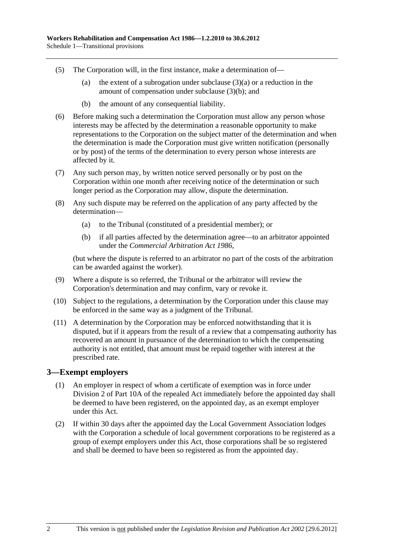- (5) The Corporation will, in the first instance, make a determination of—
	- (a) the extent of a subrogation under subclause  $(3)(a)$  or a reduction in the amount of compensation under [subclause \(3\)\(b\)](#page-148-0); and
	- (b) the amount of any consequential liability.
- (6) Before making such a determination the Corporation must allow any person whose interests may be affected by the determination a reasonable opportunity to make representations to the Corporation on the subject matter of the determination and when the determination is made the Corporation must give written notification (personally or by post) of the terms of the determination to every person whose interests are affected by it.
- (7) Any such person may, by written notice served personally or by post on the Corporation within one month after receiving notice of the determination or such longer period as the Corporation may allow, dispute the determination.
- (8) Any such dispute may be referred on the application of any party affected by the determination—
	- (a) to the Tribunal (constituted of a presidential member); or
	- (b) if all parties affected by the determination agree—to an arbitrator appointed under the *[Commercial Arbitration Act 1986](http://www.legislation.sa.gov.au/index.aspx?action=legref&type=act&legtitle=Commercial%20Arbitration%20Act%201986)*,

(but where the dispute is referred to an arbitrator no part of the costs of the arbitration can be awarded against the worker).

- (9) Where a dispute is so referred, the Tribunal or the arbitrator will review the Corporation's determination and may confirm, vary or revoke it.
- (10) Subject to the regulations, a determination by the Corporation under this clause may be enforced in the same way as a judgment of the Tribunal.
- (11) A determination by the Corporation may be enforced notwithstanding that it is disputed, but if it appears from the result of a review that a compensating authority has recovered an amount in pursuance of the determination to which the compensating authority is not entitled, that amount must be repaid together with interest at the prescribed rate.

### **3—Exempt employers**

- (1) An employer in respect of whom a certificate of exemption was in force under Division 2 of Part 10A of the repealed Act immediately before the appointed day shall be deemed to have been registered, on the appointed day, as an exempt employer under this Act.
- (2) If within 30 days after the appointed day the Local Government Association lodges with the Corporation a schedule of local government corporations to be registered as a group of exempt employers under this Act, those corporations shall be so registered and shall be deemed to have been so registered as from the appointed day.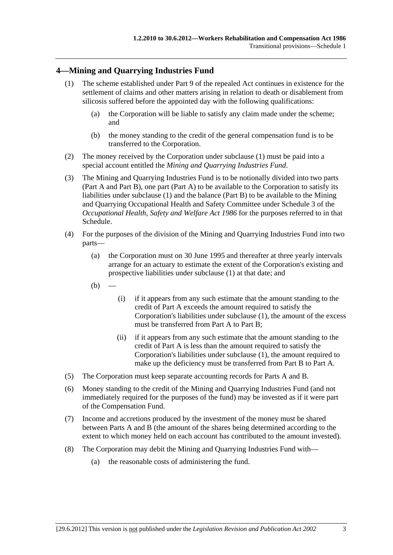# <span id="page-150-0"></span>**4—Mining and Quarrying Industries Fund**

- (1) The scheme established under Part 9 of the repealed Act continues in existence for the settlement of claims and other matters arising in relation to death or disablement from silicosis suffered before the appointed day with the following qualifications:
	- (a) the Corporation will be liable to satisfy any claim made under the scheme; and
	- (b) the money standing to the credit of the general compensation fund is to be transferred to the Corporation.
- (2) The money received by the Corporation under [subclause \(1\)](#page-150-0) must be paid into a special account entitled the *Mining and Quarrying Industries Fund*.
- (3) The Mining and Quarrying Industries Fund is to be notionally divided into two parts (Part A and Part B), one part (Part A) to be available to the Corporation to satisfy its liabilities under [subclause \(1\)](#page-150-0) and the balance (Part B) to be available to the Mining and Quarrying Occupational Health and Safety Committee under Schedule 3 of the *[Occupational Health, Safety and Welfare Act 1986](http://www.legislation.sa.gov.au/index.aspx?action=legref&type=act&legtitle=Occupational%20Health%20Safety%20and%20Welfare%20Act%201986)* for the purposes referred to in that Schedule.
- (4) For the purposes of the division of the Mining and Quarrying Industries Fund into two parts—
	- (a) the Corporation must on 30 June 1995 and thereafter at three yearly intervals arrange for an actuary to estimate the extent of the Corporation's existing and prospective liabilities under [subclause \(1\)](#page-150-0) at that date; and
	- $(b)$
- (i) if it appears from any such estimate that the amount standing to the credit of Part A exceeds the amount required to satisfy the Corporation's liabilities under [subclause \(1\),](#page-150-0) the amount of the excess must be transferred from Part A to Part B;
- (ii) if it appears from any such estimate that the amount standing to the credit of Part A is less than the amount required to satisfy the Corporation's liabilities under [subclause \(1\),](#page-150-0) the amount required to make up the deficiency must be transferred from Part B to Part A.
- (5) The Corporation must keep separate accounting records for Parts A and B.
- (6) Money standing to the credit of the Mining and Quarrying Industries Fund (and not immediately required for the purposes of the fund) may be invested as if it were part of the Compensation Fund.
- (7) Income and accretions produced by the investment of the money must be shared between Parts A and B (the amount of the shares being determined according to the extent to which money held on each account has contributed to the amount invested).
- (8) The Corporation may debit the Mining and Quarrying Industries Fund with—
	- (a) the reasonable costs of administering the fund.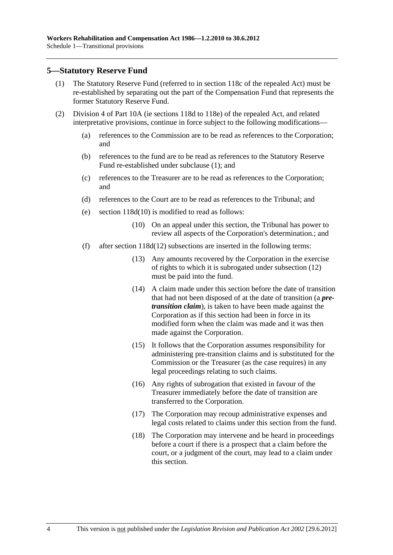### <span id="page-151-0"></span>**5—Statutory Reserve Fund**

- (1) The Statutory Reserve Fund (referred to in section 118c of the repealed Act) must be re-established by separating out the part of the Compensation Fund that represents the former Statutory Reserve Fund.
- (2) Division 4 of Part 10A (ie sections 118d to 118e) of the repealed Act, and related interpretative provisions, continue in force subject to the following modifications—
	- (a) references to the Commission are to be read as references to the Corporation; and
	- (b) references to the fund are to be read as references to the Statutory Reserve Fund re-established under [subclause \(1\);](#page-151-0) and
	- (c) references to the Treasurer are to be read as references to the Corporation; and
	- (d) references to the Court are to be read as references to the Tribunal; and
	- (e) section 118d(10) is modified to read as follows:
		- (10) On an appeal under this section, the Tribunal has power to review all aspects of the Corporation's determination.; and
	- (f) after section 118d(12) subsections are inserted in the following terms:
		- (13) Any amounts recovered by the Corporation in the exercise of rights to which it is subrogated under subsection (12) must be paid into the fund.
		- (14) A claim made under this section before the date of transition that had not been disposed of at the date of transition (a *pretransition claim*), is taken to have been made against the Corporation as if this section had been in force in its modified form when the claim was made and it was then made against the Corporation.
		- (15) It follows that the Corporation assumes responsibility for administering pre-transition claims and is substituted for the Commission or the Treasurer (as the case requires) in any legal proceedings relating to such claims.
		- (16) Any rights of subrogation that existed in favour of the Treasurer immediately before the date of transition are transferred to the Corporation.
		- (17) The Corporation may recoup administrative expenses and legal costs related to claims under this section from the fund.
		- (18) The Corporation may intervene and be heard in proceedings before a court if there is a prospect that a claim before the court, or a judgment of the court, may lead to a claim under this section.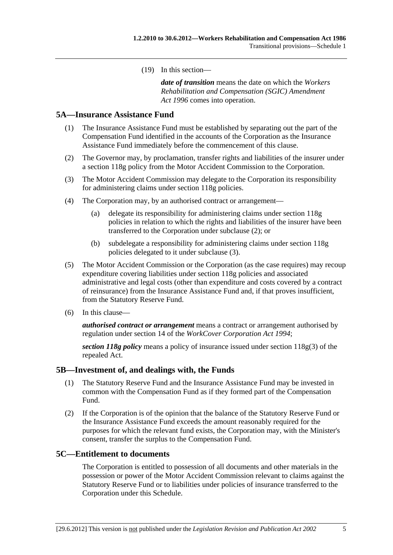(19) In this section—

*date of transition* means the date on which the *[Workers](http://www.legislation.sa.gov.au/index.aspx?action=legref&type=act&legtitle=Workers%20Rehabilitation%20and%20Compensation%20(SGIC)%20Amendment%20Act%201996)  [Rehabilitation and Compensation \(SGIC\) Amendment](http://www.legislation.sa.gov.au/index.aspx?action=legref&type=act&legtitle=Workers%20Rehabilitation%20and%20Compensation%20(SGIC)%20Amendment%20Act%201996)  [Act 1996](http://www.legislation.sa.gov.au/index.aspx?action=legref&type=act&legtitle=Workers%20Rehabilitation%20and%20Compensation%20(SGIC)%20Amendment%20Act%201996)* comes into operation.

### <span id="page-152-0"></span>**5A—Insurance Assistance Fund**

- (1) The Insurance Assistance Fund must be established by separating out the part of the Compensation Fund identified in the accounts of the Corporation as the Insurance Assistance Fund immediately before the commencement of this clause.
- (2) The Governor may, by proclamation, transfer rights and liabilities of the insurer under a section 118g policy from the Motor Accident Commission to the Corporation.
- (3) The Motor Accident Commission may delegate to the Corporation its responsibility for administering claims under section 118g policies.
- (4) The Corporation may, by an authorised contract or arrangement—
	- (a) delegate its responsibility for administering claims under section 118g policies in relation to which the rights and liabilities of the insurer have been transferred to the Corporation under [subclause \(2\)](#page-152-0); or
	- (b) subdelegate a responsibility for administering claims under section 118g policies delegated to it under [subclause \(3\)](#page-152-0).
- (5) The Motor Accident Commission or the Corporation (as the case requires) may recoup expenditure covering liabilities under section 118g policies and associated administrative and legal costs (other than expenditure and costs covered by a contract of reinsurance) from the Insurance Assistance Fund and, if that proves insufficient, from the Statutory Reserve Fund.
- (6) In this clause—

*authorised contract or arrangement* means a contract or arrangement authorised by regulation under section 14 of the *[WorkCover Corporation Act 1994](http://www.legislation.sa.gov.au/index.aspx?action=legref&type=act&legtitle=WorkCover%20Corporation%20Act%201994)*;

*section 118g policy* means a policy of insurance issued under section 118g(3) of the repealed Act.

#### **5B—Investment of, and dealings with, the Funds**

- (1) The Statutory Reserve Fund and the Insurance Assistance Fund may be invested in common with the Compensation Fund as if they formed part of the Compensation Fund.
- (2) If the Corporation is of the opinion that the balance of the Statutory Reserve Fund or the Insurance Assistance Fund exceeds the amount reasonably required for the purposes for which the relevant fund exists, the Corporation may, with the Minister's consent, transfer the surplus to the Compensation Fund.

#### **5C—Entitlement to documents**

The Corporation is entitled to possession of all documents and other materials in the possession or power of the Motor Accident Commission relevant to claims against the Statutory Reserve Fund or to liabilities under policies of insurance transferred to the Corporation under this Schedule.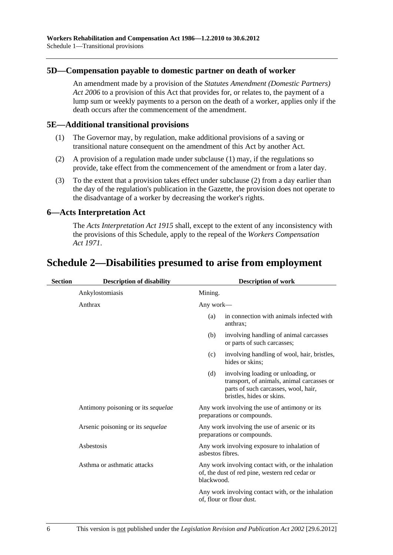### <span id="page-153-0"></span>**5D—Compensation payable to domestic partner on death of worker**

An amendment made by a provision of the *[Statutes Amendment \(Domestic Partners\)](http://www.legislation.sa.gov.au/index.aspx?action=legref&type=act&legtitle=Statutes%20Amendment%20(Domestic%20Partners)%20Act%202006)  [Act 2006](http://www.legislation.sa.gov.au/index.aspx?action=legref&type=act&legtitle=Statutes%20Amendment%20(Domestic%20Partners)%20Act%202006)* to a provision of this Act that provides for, or relates to, the payment of a lump sum or weekly payments to a person on the death of a worker, applies only if the death occurs after the commencement of the amendment.

### **5E—Additional transitional provisions**

- (1) The Governor may, by regulation, make additional provisions of a saving or transitional nature consequent on the amendment of this Act by another Act.
- (2) A provision of a regulation made under [subclause \(1\)](#page-153-0) may, if the regulations so provide, take effect from the commencement of the amendment or from a later day.
- (3) To the extent that a provision takes effect under [subclause \(2\)](#page-153-0) from a day earlier than the day of the regulation's publication in the Gazette, the provision does not operate to the disadvantage of a worker by decreasing the worker's rights.

## **6—Acts Interpretation Act**

The *[Acts Interpretation Act 1915](http://www.legislation.sa.gov.au/index.aspx?action=legref&type=act&legtitle=Acts%20Interpretation%20Act%201915)* shall, except to the extent of any inconsistency with the provisions of this Schedule, apply to the repeal of the *[Workers Compensation](http://www.legislation.sa.gov.au/index.aspx?action=legref&type=act&legtitle=Workers%20Compensation%20Act%201971)  [Act 1971](http://www.legislation.sa.gov.au/index.aspx?action=legref&type=act&legtitle=Workers%20Compensation%20Act%201971)*.

# **Schedule 2—Disabilities presumed to arise from employment**

| <b>Section</b> | <b>Description of disability</b>   | <b>Description of work</b> |                                                                                                                                                       |
|----------------|------------------------------------|----------------------------|-------------------------------------------------------------------------------------------------------------------------------------------------------|
|                | Ankylostomiasis                    | Mining.                    |                                                                                                                                                       |
|                | Anthrax                            | Any work—                  |                                                                                                                                                       |
|                |                                    | (a)                        | in connection with animals infected with<br>anthrax;                                                                                                  |
|                |                                    | (b)                        | involving handling of animal carcasses<br>or parts of such carcasses;                                                                                 |
|                |                                    | (c)                        | involving handling of wool, hair, bristles,<br>hides or skins;                                                                                        |
|                |                                    | (d)                        | involving loading or unloading, or<br>transport, of animals, animal carcasses or<br>parts of such carcasses, wool, hair,<br>bristles, hides or skins. |
|                | Antimony poisoning or its sequelae |                            | Any work involving the use of antimony or its<br>preparations or compounds.                                                                           |
|                | Arsenic poisoning or its sequelae  |                            | Any work involving the use of arsenic or its<br>preparations or compounds.                                                                            |
|                | Asbestosis                         | asbestos fibres.           | Any work involving exposure to inhalation of                                                                                                          |
|                | Asthma or asthmatic attacks        | blackwood.                 | Any work involving contact with, or the inhalation<br>of, the dust of red pine, western red cedar or                                                  |
|                |                                    |                            | Any work involving contact with, or the inhalation<br>of, flour or flour dust.                                                                        |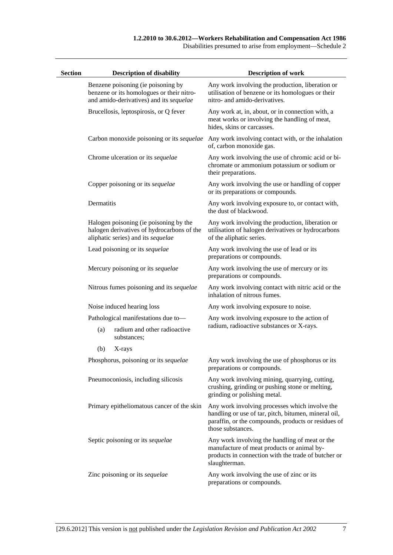Disabilities presumed to arise from employment—Schedule 2

| <b>Section</b> |            | <b>Description of disability</b>                                                                                           | <b>Description of work</b>                                                                                                                                                         |
|----------------|------------|----------------------------------------------------------------------------------------------------------------------------|------------------------------------------------------------------------------------------------------------------------------------------------------------------------------------|
|                |            | Benzene poisoning (ie poisoning by<br>benzene or its homologues or their nitro-<br>and amido-derivatives) and its sequelae | Any work involving the production, liberation or<br>utilisation of benzene or its homologues or their<br>nitro- and amido-derivatives.                                             |
|                |            | Brucellosis, leptospirosis, or Q fever                                                                                     | Any work at, in, about, or in connection with, a<br>meat works or involving the handling of meat,<br>hides, skins or carcasses.                                                    |
|                |            | Carbon monoxide poisoning or its sequelae                                                                                  | Any work involving contact with, or the inhalation<br>of, carbon monoxide gas.                                                                                                     |
|                |            | Chrome ulceration or its sequelae                                                                                          | Any work involving the use of chromic acid or bi-<br>chromate or ammonium potassium or sodium or<br>their preparations.                                                            |
|                |            | Copper poisoning or its sequelae                                                                                           | Any work involving the use or handling of copper<br>or its preparations or compounds.                                                                                              |
|                | Dermatitis |                                                                                                                            | Any work involving exposure to, or contact with,<br>the dust of blackwood.                                                                                                         |
|                |            | Halogen poisoning (ie poisoning by the<br>halogen derivatives of hydrocarbons of the<br>aliphatic series) and its sequelae | Any work involving the production, liberation or<br>utilisation of halogen derivatives or hydrocarbons<br>of the aliphatic series.                                                 |
|                |            | Lead poisoning or its sequelae                                                                                             | Any work involving the use of lead or its<br>preparations or compounds.                                                                                                            |
|                |            | Mercury poisoning or its sequelae                                                                                          | Any work involving the use of mercury or its<br>preparations or compounds.                                                                                                         |
|                |            | Nitrous fumes poisoning and its sequelae                                                                                   | Any work involving contact with nitric acid or the<br>inhalation of nitrous fumes.                                                                                                 |
|                |            | Noise induced hearing loss                                                                                                 | Any work involving exposure to noise.                                                                                                                                              |
|                |            | Pathological manifestations due to-                                                                                        | Any work involving exposure to the action of                                                                                                                                       |
|                | (a)        | radium and other radioactive<br>substances;                                                                                | radium, radioactive substances or X-rays.                                                                                                                                          |
|                | (b)        | X-rays                                                                                                                     |                                                                                                                                                                                    |
|                |            | Phosphorus, poisoning or its sequelae                                                                                      | Any work involving the use of phosphorus or its<br>preparations or compounds.                                                                                                      |
|                |            | Pneumoconiosis, including silicosis                                                                                        | Any work involving mining, quarrying, cutting,<br>crushing, grinding or pushing stone or melting,<br>grinding or polishing metal.                                                  |
|                |            | Primary epitheliomatous cancer of the skin                                                                                 | Any work involving processes which involve the<br>handling or use of tar, pitch, bitumen, mineral oil,<br>paraffin, or the compounds, products or residues of<br>those substances. |
|                |            | Septic poisoning or its sequelae                                                                                           | Any work involving the handling of meat or the<br>manufacture of meat products or animal by-<br>products in connection with the trade of butcher or<br>slaughterman.               |
|                |            | Zinc poisoning or its sequelae                                                                                             | Any work involving the use of zinc or its<br>preparations or compounds.                                                                                                            |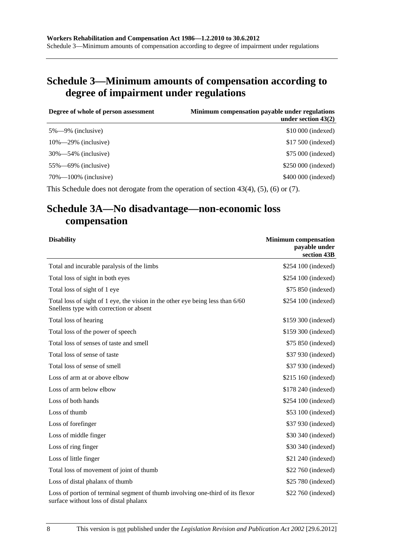# **Schedule 3—Minimum amounts of compensation according to degree of impairment under regulations**

| Degree of whole of person assessment | Minimum compensation payable under regulations<br>under section $43(2)$ |
|--------------------------------------|-------------------------------------------------------------------------|
| $5\% - 9\%$ (inclusive)              | \$10 000 (indexed)                                                      |
| $10\% - 29\%$ (inclusive)            | \$17,500 (indexed)                                                      |
| $30\% - 54\%$ (inclusive)            | \$75,000 (indexed)                                                      |
| $55\%$ —69% (inclusive)              | \$250 000 (indexed)                                                     |
| $70\% - 100\%$ (inclusive)           | \$400 000 (indexed)                                                     |
|                                      |                                                                         |

This Schedule does not derogate from the operation of [section 43\(4\), \(5\),](#page-54-0) [\(6\)](#page-54-0) or [\(7\).](#page-54-0)

# **Schedule 3A—No disadvantage—non-economic loss compensation**

| <b>Disability</b>                                                                                                         | <b>Minimum</b> compensation<br>payable under<br>section 43B |
|---------------------------------------------------------------------------------------------------------------------------|-------------------------------------------------------------|
| Total and incurable paralysis of the limbs                                                                                | \$254 100 (indexed)                                         |
| Total loss of sight in both eyes                                                                                          | \$254 100 (indexed)                                         |
| Total loss of sight of 1 eye                                                                                              | \$75 850 (indexed)                                          |
| Total loss of sight of 1 eye, the vision in the other eye being less than 6/60<br>Snellens type with correction or absent | \$254 100 (indexed)                                         |
| Total loss of hearing                                                                                                     | \$159 300 (indexed)                                         |
| Total loss of the power of speech                                                                                         | \$159 300 (indexed)                                         |
| Total loss of senses of taste and smell                                                                                   | \$75 850 (indexed)                                          |
| Total loss of sense of taste                                                                                              | \$37 930 (indexed)                                          |
| Total loss of sense of smell                                                                                              | \$37 930 (indexed)                                          |
| Loss of arm at or above elbow                                                                                             | \$215 160 (indexed)                                         |
| Loss of arm below elbow                                                                                                   | \$178 240 (indexed)                                         |
| Loss of both hands                                                                                                        | \$254 100 (indexed)                                         |
| Loss of thumb                                                                                                             | \$53 100 (indexed)                                          |
| Loss of forefinger                                                                                                        | \$37 930 (indexed)                                          |
| Loss of middle finger                                                                                                     | \$30 340 (indexed)                                          |
| Loss of ring finger                                                                                                       | \$30 340 (indexed)                                          |
| Loss of little finger                                                                                                     | \$21 240 (indexed)                                          |
| Total loss of movement of joint of thumb                                                                                  | \$22 760 (indexed)                                          |
| Loss of distal phalanx of thumb                                                                                           | \$25 780 (indexed)                                          |
| Loss of portion of terminal segment of thumb involving one-third of its flexor<br>surface without loss of distal phalanx  | \$22 760 (indexed)                                          |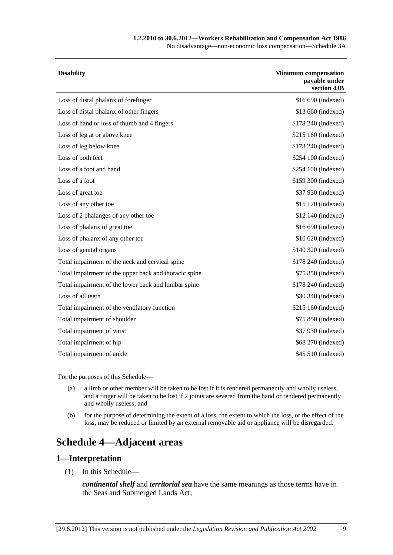#### **1.2.2010 to 30.6.2012—Workers Rehabilitation and Compensation Act 1986**

No disadvantage—non-economic loss compensation—Schedule 3A

| <b>Disability</b>                                     | <b>Minimum compensation</b><br>payable under<br>section 43B |
|-------------------------------------------------------|-------------------------------------------------------------|
| Loss of distal phalanx of forefinger                  | \$16 690 (indexed)                                          |
| Loss of distal phalanx of other fingers               | \$13 660 (indexed)                                          |
| Loss of hand or loss of thumb and 4 fingers           | \$178 240 (indexed)                                         |
| Loss of leg at or above knee                          | \$215 160 (indexed)                                         |
| Loss of leg below knee                                | \$178 240 (indexed)                                         |
| Loss of both feet                                     | \$254 100 (indexed)                                         |
| Loss of a foot and hand                               | \$254 100 (indexed)                                         |
| Loss of a foot                                        | \$159 300 (indexed)                                         |
| Loss of great toe                                     | \$37 930 (indexed)                                          |
| Loss of any other toe                                 | \$15 170 (indexed)                                          |
| Loss of 2 phalanges of any other toe                  | \$12 140 (indexed)                                          |
| Loss of phalanx of great toe                          | \$16 690 (indexed)                                          |
| Loss of phalanx of any other toe                      | \$10 620 (indexed)                                          |
| Loss of genital organs                                | \$140 320 (indexed)                                         |
| Total impairment of the neck and cervical spine       | \$178 240 (indexed)                                         |
| Total impairment of the upper back and thoracic spine | \$75 850 (indexed)                                          |
| Total impairment of the lower back and lumbar spine   | \$178 240 (indexed)                                         |
| Loss of all teeth                                     | \$30 340 (indexed)                                          |
| Total impairment of the ventilatory function          | \$215 160 (indexed)                                         |
| Total impairment of shoulder                          | \$75 850 (indexed)                                          |
| Total impairment of wrist                             | \$37 930 (indexed)                                          |
| Total impairment of hip                               | \$68 270 (indexed)                                          |
| Total impairment of ankle                             | \$45 510 (indexed)                                          |
|                                                       |                                                             |

For the purposes of this Schedule—

- (a) a limb or other member will be taken to be lost if it is rendered permanently and wholly useless, and a finger will be taken to be lost if 2 joints are severed from the hand or rendered permanently and wholly useless; and
- (b) for the purpose of determining the extent of a loss, the extent to which the loss, or the effect of the loss, may be reduced or limited by an external removable aid or appliance will be disregarded.

# **Schedule 4—Adjacent areas**

### **1—Interpretation**

(1) In this Schedule—

*continental shelf* and *territorial sea* have the same meanings as those terms have in the Seas and Submerged Lands Act;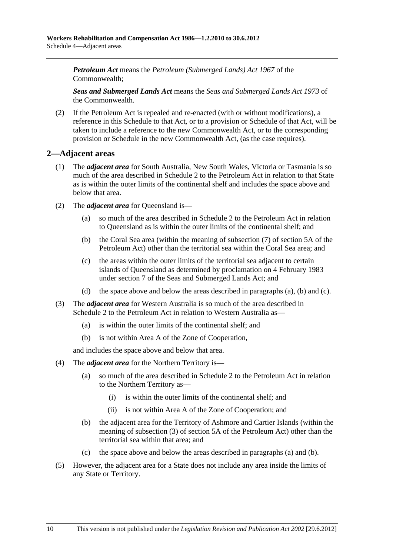<span id="page-157-0"></span>*Petroleum Act* means the *Petroleum (Submerged Lands) Act 1967* of the Commonwealth;

*Seas and Submerged Lands Act* means the *Seas and Submerged Lands Act 1973* of the Commonwealth.

 (2) If the Petroleum Act is repealed and re-enacted (with or without modifications), a reference in this Schedule to that Act, or to a provision or Schedule of that Act, will be taken to include a reference to the new Commonwealth Act, or to the corresponding provision or Schedule in the new Commonwealth Act, (as the case requires).

## **2—Adjacent areas**

- (1) The *adjacent area* for South Australia, New South Wales, Victoria or Tasmania is so much of the area described in Schedule 2 to the Petroleum Act in relation to that State as is within the outer limits of the continental shelf and includes the space above and below that area.
- (2) The *adjacent area* for Queensland is—
	- (a) so much of the area described in Schedule 2 to the Petroleum Act in relation to Queensland as is within the outer limits of the continental shelf; and
	- (b) the Coral Sea area (within the meaning of subsection (7) of section 5A of the Petroleum Act) other than the territorial sea within the Coral Sea area; and
	- (c) the areas within the outer limits of the territorial sea adjacent to certain islands of Queensland as determined by proclamation on 4 February 1983 under section 7 of the Seas and Submerged Lands Act; and
	- (d) the space above and below the areas described in [paragraphs \(a\), \(b\)](#page-157-0) and [\(c\).](#page-157-0)
- (3) The *adjacent area* for Western Australia is so much of the area described in Schedule 2 to the Petroleum Act in relation to Western Australia as—
	- (a) is within the outer limits of the continental shelf; and
	- (b) is not within Area A of the Zone of Cooperation,

and includes the space above and below that area.

- (4) The *adjacent area* for the Northern Territory is—
	- (a) so much of the area described in Schedule 2 to the Petroleum Act in relation to the Northern Territory as—
		- (i) is within the outer limits of the continental shelf; and
		- (ii) is not within Area A of the Zone of Cooperation; and
	- (b) the adjacent area for the Territory of Ashmore and Cartier Islands (within the meaning of subsection (3) of section 5A of the Petroleum Act) other than the territorial sea within that area; and
	- (c) the space above and below the areas described in [paragraphs \(a\)](#page-157-0) and [\(b\)](#page-157-0).
- (5) However, the adjacent area for a State does not include any area inside the limits of any State or Territory.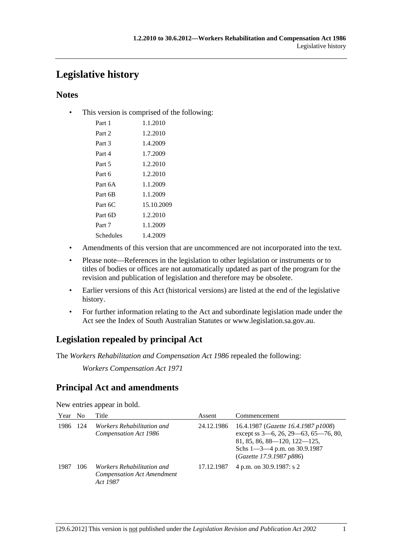# **Legislative history**

# **Notes**

• This version is comprised of the following:

| Part 1    | 1.1.2010   |
|-----------|------------|
| Part 2    | 1.2.2010   |
| Part 3    | 1.4.2009   |
| Part 4    | 1.7.2009   |
| Part 5    | 1.2.2010   |
| Part 6    | 1.2.2010   |
| Part 6A   | 1.1.2009   |
| Part 6B   | 1.1.2009   |
| Part 6C   | 15.10.2009 |
| Part 6D   | 1.2.2010   |
| Part 7    | 1.1.2009   |
| Schedules | 1.4.2009   |

- Amendments of this version that are uncommenced are not incorporated into the text.
- Please note—References in the legislation to other legislation or instruments or to titles of bodies or offices are not automatically updated as part of the program for the revision and publication of legislation and therefore may be obsolete.
- Earlier versions of this Act (historical versions) are listed at the end of the legislative history.
- For further information relating to the Act and subordinate legislation made under the Act see the Index of South Australian Statutes or www.legislation.sa.gov.au.

# **Legislation repealed by principal Act**

The *Workers Rehabilitation and Compensation Act 1986* repealed the following:

*Workers Compensation Act 1971*

# **Principal Act and amendments**

New entries appear in bold.

| Year | N <sub>0</sub> | Title                                                                              | Assent     | Commencement                                                                                                                                                                  |
|------|----------------|------------------------------------------------------------------------------------|------------|-------------------------------------------------------------------------------------------------------------------------------------------------------------------------------|
| 1986 | 124            | <i>Workers Rehabilitation and</i><br>Compensation Act 1986                         | 24.12.1986 | 16.4.1987 (Gazette 16.4.1987 p1008)<br>except ss 3-6, 26, 29-63, 65-76, 80,<br>81, 85, 86, 88-120, 122-125,<br>Schs $1 - 3 - 4$ p.m. on 30.9.1987<br>(Gazette 17.9.1987 p886) |
| 1987 | 106            | <i>Workers Rehabilitation and</i><br><b>Compensation Act Amendment</b><br>Act 1987 | 17.12.1987 | 4 p.m. on 30.9.1987: s 2                                                                                                                                                      |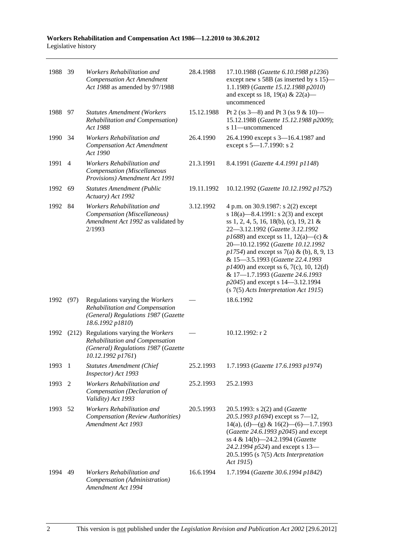| 1988 39 |                | Workers Rehabilitation and<br><b>Compensation Act Amendment</b><br>Act 1988 as amended by 97/1988                                    | 28.4.1988  | 17.10.1988 (Gazette 6.10.1988 p1236)<br>except new s 58B (as inserted by s 15)—<br>1.1.1989 (Gazette 15.12.1988 p2010)<br>and except ss 18, 19(a) & 22(a)—<br>uncommenced                                                                                                                                                                                                                                                                                                                    |
|---------|----------------|--------------------------------------------------------------------------------------------------------------------------------------|------------|----------------------------------------------------------------------------------------------------------------------------------------------------------------------------------------------------------------------------------------------------------------------------------------------------------------------------------------------------------------------------------------------------------------------------------------------------------------------------------------------|
| 1988 97 |                | <b>Statutes Amendment (Workers</b><br>Rehabilitation and Compensation)<br>Act 1988                                                   | 15.12.1988 | Pt 2 (ss $3-8$ ) and Pt 3 (ss $9 & 10$ )<br>15.12.1988 (Gazette 15.12.1988 p2009);<br>s 11-uncommenced                                                                                                                                                                                                                                                                                                                                                                                       |
| 1990 34 |                | Workers Rehabilitation and<br><b>Compensation Act Amendment</b><br>Act 1990                                                          | 26.4.1990  | 26.4.1990 except s 3-16.4.1987 and<br>except s 5-1.7.1990: s 2                                                                                                                                                                                                                                                                                                                                                                                                                               |
| 1991    | $\overline{4}$ | Workers Rehabilitation and<br>Compensation (Miscellaneous<br>Provisions) Amendment Act 1991                                          | 21.3.1991  | 8.4.1991 (Gazette 4.4.1991 p1148)                                                                                                                                                                                                                                                                                                                                                                                                                                                            |
| 1992 69 |                | <b>Statutes Amendment (Public</b><br>Actuary) Act 1992                                                                               | 19.11.1992 | 10.12.1992 (Gazette 10.12.1992 p1752)                                                                                                                                                                                                                                                                                                                                                                                                                                                        |
| 1992 84 |                | Workers Rehabilitation and<br>Compensation (Miscellaneous)<br>Amendment Act 1992 as validated by<br>2/1993                           | 3.12.1992  | 4 p.m. on 30.9.1987: s 2(2) except<br>s 18(a)—8.4.1991: s 2(3) and except<br>ss 1, 2, 4, 5, 16, 18(b), (c), 19, 21 &<br>22-3.12.1992 (Gazette 3.12.1992<br>$p1688$ ) and except ss 11, 12(a)—(c) &<br>20-10.12.1992 (Gazette 10.12.1992<br>$p1754$ ) and except ss 7(a) & (b), 8, 9, 13<br>& 15-3.5.1993 (Gazette 22.4.1993<br>$p1400$ ) and except ss 6, 7(c), 10, 12(d)<br>& 17-1.7.1993 (Gazette 24.6.1993<br>p2045) and except s 14-3.12.1994<br>$(s 7(5)$ Acts Interpretation Act 1915) |
| 1992    | (97)           | Regulations varying the Workers<br>Rehabilitation and Compensation<br>(General) Regulations 1987 (Gazette<br>18.6.1992 p1810)        |            | 18.6.1992                                                                                                                                                                                                                                                                                                                                                                                                                                                                                    |
| 1992    |                | (212) Regulations varying the Workers<br>Rehabilitation and Compensation<br>(General) Regulations 1987 (Gazette<br>10.12.1992 p1761) |            | $10.12.1992:$ r 2                                                                                                                                                                                                                                                                                                                                                                                                                                                                            |
| 1993    | -1             | <b>Statutes Amendment (Chief</b><br>Inspector) Act 1993                                                                              | 25.2.1993  | 1.7.1993 (Gazette 17.6.1993 p1974)                                                                                                                                                                                                                                                                                                                                                                                                                                                           |
| 1993    | 2              | Workers Rehabilitation and<br>Compensation (Declaration of<br>Validity) Act 1993                                                     | 25.2.1993  | 25.2.1993                                                                                                                                                                                                                                                                                                                                                                                                                                                                                    |
| 1993    | - 52           | Workers Rehabilitation and<br>Compensation (Review Authorities)<br>Amendment Act 1993                                                | 20.5.1993  | 20.5.1993: s 2(2) and ( <i>Gazette</i><br>20.5.1993 p1694) except ss $7-12$ ,<br>$14(a)$ , (d) - (g) & $16(2)$ - (6) - 1.7.1993<br>(Gazette 24.6.1993 p2045) and except<br>ss 4 & 14(b)-24.2.1994 (Gazette<br>24.2.1994 p524) and except s 13-<br>$20.5.1995$ (s $7(5)$ Acts Interpretation<br>Act 1915)                                                                                                                                                                                     |
| 1994    | 49             | Workers Rehabilitation and<br>Compensation (Administration)<br>Amendment Act 1994                                                    | 16.6.1994  | 1.7.1994 (Gazette 30.6.1994 p1842)                                                                                                                                                                                                                                                                                                                                                                                                                                                           |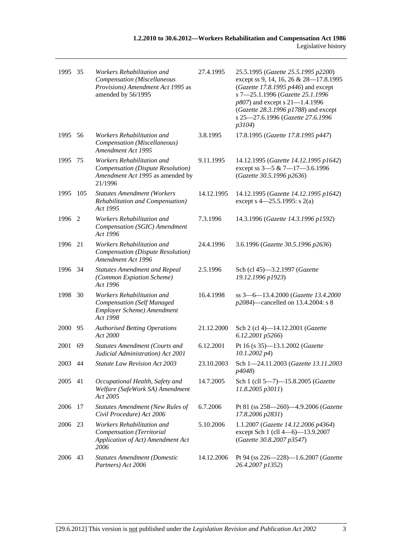| 1995 35 |      | Workers Rehabilitation and<br><b>Compensation</b> (Miscellaneous<br>Provisions) Amendment Act 1995 as<br>amended by 56/1995 | 27.4.1995  | 25.5.1995 (Gazette 25.5.1995 p2200)<br>except ss 9, 14, 16, 26 & 28-17.8.1995<br>(Gazette 17.8.1995 $p446$ ) and except<br>s 7-25.1.1996 (Gazette 25.1.1996<br>p807) and except s 21-1.4.1996<br>(Gazette 28.3.1996 p1788) and except<br>s 25-27.6.1996 (Gazette 27.6.1996<br>p3104) |
|---------|------|-----------------------------------------------------------------------------------------------------------------------------|------------|--------------------------------------------------------------------------------------------------------------------------------------------------------------------------------------------------------------------------------------------------------------------------------------|
| 1995 56 |      | Workers Rehabilitation and<br>Compensation (Miscellaneous)<br>Amendment Act 1995                                            | 3.8.1995   | 17.8.1995 (Gazette 17.8.1995 p447)                                                                                                                                                                                                                                                   |
| 1995    | 75   | Workers Rehabilitation and<br>Compensation (Dispute Resolution)<br>Amendment Act 1995 as amended by<br>21/1996              | 9.11.1995  | 14.12.1995 (Gazette 14.12.1995 p1642)<br>except ss 3-5 & 7-17-3.6.1996<br>(Gazette 30.5.1996 p2636)                                                                                                                                                                                  |
| 1995    | 105  | <b>Statutes Amendment (Workers</b><br>Rehabilitation and Compensation)<br>Act 1995                                          | 14.12.1995 | 14.12.1995 (Gazette 14.12.1995 p1642)<br>except s $4 - 25.5.1995$ : s 2(a)                                                                                                                                                                                                           |
| 1996    | 2    | Workers Rehabilitation and<br>Compensation (SGIC) Amendment<br>Act 1996                                                     | 7.3.1996   | 14.3.1996 (Gazette 14.3.1996 p1592)                                                                                                                                                                                                                                                  |
| 1996    | 21   | Workers Rehabilitation and<br>Compensation (Dispute Resolution)<br>Amendment Act 1996                                       | 24.4.1996  | 3.6.1996 (Gazette 30.5.1996 p2636)                                                                                                                                                                                                                                                   |
| 1996    | - 34 | <b>Statutes Amendment and Repeal</b><br>(Common Expiation Scheme)<br>Act 1996                                               | 2.5.1996   | Sch (cl 45)-3.2.1997 (Gazette<br>19.12.1996 p1923)                                                                                                                                                                                                                                   |
| 1998    | 30   | Workers Rehabilitation and<br><b>Compensation (Self Managed</b><br>Employer Scheme) Amendment<br>Act 1998                   | 16.4.1998  | ss 3-6-13.4.2000 (Gazette 13.4.2000<br>p2084)—cancelled on 13.4.2004: s 8                                                                                                                                                                                                            |
| 2000    | - 95 | <b>Authorised Betting Operations</b><br>Act 2000                                                                            | 21.12.2000 | Sch 2 (cl 4)-14.12.2001 (Gazette<br>6.12.2001 p5266)                                                                                                                                                                                                                                 |
| 2001    | 69   | <b>Statutes Amendment (Courts and</b><br>Judicial Administration) Act 2001                                                  | 6.12.2001  | Pt 16 (s 35)-13.1.2002 (Gazette<br>$10.1.2002\ p4)$                                                                                                                                                                                                                                  |
| 2003 44 |      | Statute Law Revision Act 2003                                                                                               | 23.10.2003 | Sch 1-24.11.2003 (Gazette 13.11.2003<br>p4048)                                                                                                                                                                                                                                       |
| 2005    | 41   | Occupational Health, Safety and<br>Welfare (SafeWork SA) Amendment<br>Act 2005                                              | 14.7.2005  | Sch 1 (cll 5-7)-15.8.2005 (Gazette<br>11.8.2005 p3011)                                                                                                                                                                                                                               |
| 2006    | 17   | <b>Statutes Amendment (New Rules of</b><br>Civil Procedure) Act 2006                                                        | 6.7.2006   | Pt 81 (ss 258-260)-4.9.2006 (Gazette<br>17.8.2006 p2831)                                                                                                                                                                                                                             |
| 2006    | 23   | Workers Rehabilitation and<br>Compensation (Territorial<br>Application of Act) Amendment Act<br>2006                        | 5.10.2006  | 1.1.2007 (Gazette 14.12.2006 p4364)<br>except Sch 1 (cll 4-6)-13.9.2007<br>(Gazette 30.8.2007 p3547)                                                                                                                                                                                 |
| 2006    | 43   | <b>Statutes Amendment (Domestic</b><br>Partners) Act 2006                                                                   | 14.12.2006 | Pt 94 (ss 226-228)-1.6.2007 (Gazette<br>26.4.2007 p1352)                                                                                                                                                                                                                             |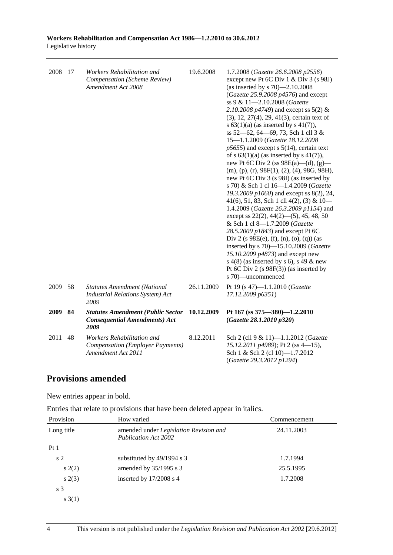| 2008 17 |    | Workers Rehabilitation and<br>Compensation (Scheme Review)<br>Amendment Act 2008            | 19.6.2008  | 1.7.2008 (Gazette 26.6.2008 p2556)<br>except new Pt 6C Div 1 & Div 3 (s 98J)<br>(as inserted by s 70)-2.10.2008<br>(Gazette 25.9.2008 p4576) and except<br>ss 9 & 11-2.10.2008 (Gazette<br>2.10.2008 $p4749$ ) and except ss 5(2) &<br>(3), 12, 27(4), 29, 41(3), certain text of<br>s $63(1)(a)$ (as inserted by s $41(7)$ ),<br>ss 52-62, 64-69, 73, Sch 1 cll 3 &<br>15-1.1.2009 (Gazette 18.12.2008<br>$p5655$ ) and except s $5(14)$ , certain text<br>of s $63(1)(a)$ (as inserted by s $41(7)$ ),<br>new Pt 6C Div 2 (ss $98E(a)$ —(d), (g)—<br>$(m), (p), (r), 98F(1), (2), (4), 98G, 98H),$<br>new Pt 6C Div 3 (s 98I) (as inserted by<br>s 70) & Sch 1 cl 16-1.4.2009 (Gazette<br>19.3.2009 p1060) and except ss 8(2), 24,<br>41(6), 51, 83, Sch 1 cll 4(2), (3) & $10-$<br>1.4.2009 (Gazette 26.3.2009 p1154) and<br>except ss $22(2)$ , $44(2)$ — $(5)$ , $45$ , $48$ , $50$<br>& Sch 1 cl 8-1.7.2009 (Gazette<br>28.5.2009 p1843) and except Pt 6C<br>Div 2 (s $98E(e)$ , (f), (n), (o), (q)) (as<br>inserted by s 70)-15.10.2009 (Gazette<br>15.10.2009 p4873) and except new<br>s $4(8)$ (as inserted by s 6), s 49 & new<br>Pt 6C Div 2 (s $98F(3)$ ) (as inserted by<br>s 70)-uncommenced |
|---------|----|---------------------------------------------------------------------------------------------|------------|------------------------------------------------------------------------------------------------------------------------------------------------------------------------------------------------------------------------------------------------------------------------------------------------------------------------------------------------------------------------------------------------------------------------------------------------------------------------------------------------------------------------------------------------------------------------------------------------------------------------------------------------------------------------------------------------------------------------------------------------------------------------------------------------------------------------------------------------------------------------------------------------------------------------------------------------------------------------------------------------------------------------------------------------------------------------------------------------------------------------------------------------------------------------------------------------------------|
| 2009 58 |    | <b>Statutes Amendment (National</b><br><b>Industrial Relations System)</b> Act<br>2009      | 26.11.2009 | Pt 19 (s 47)-1.1.2010 (Gazette<br>17.12.2009 p6351)                                                                                                                                                                                                                                                                                                                                                                                                                                                                                                                                                                                                                                                                                                                                                                                                                                                                                                                                                                                                                                                                                                                                                        |
| 2009    | 84 | <b>Statutes Amendment (Public Sector</b><br><b>Consequential Amendments) Act</b><br>2009    | 10.12.2009 | Pt 167 (ss 375-380)-1.2.2010<br>(Gazette 28.1.2010 p320)                                                                                                                                                                                                                                                                                                                                                                                                                                                                                                                                                                                                                                                                                                                                                                                                                                                                                                                                                                                                                                                                                                                                                   |
| 2011    | 48 | Workers Rehabilitation and<br><b>Compensation (Employer Payments)</b><br>Amendment Act 2011 | 8.12.2011  | Sch 2 (cll 9 & 11)-1.1.2012 (Gazette<br>15.12.2011 p4989); Pt 2 (ss 4-15),<br>Sch 1 & Sch 2 (cl 10)-1.7.2012<br>(Gazette 29.3.2012 p1294)                                                                                                                                                                                                                                                                                                                                                                                                                                                                                                                                                                                                                                                                                                                                                                                                                                                                                                                                                                                                                                                                  |

# **Provisions amended**

New entries appear in bold.

Entries that relate to provisions that have been deleted appear in italics.

| Provision      | How varied                                                            | Commencement |
|----------------|-----------------------------------------------------------------------|--------------|
| Long title     | amended under Legislation Revision and<br><b>Publication Act 2002</b> | 24.11.2003   |
| Pt1            |                                                                       |              |
| s <sub>2</sub> | substituted by $49/1994$ s 3                                          | 1.7.1994     |
| s(2)           | amended by 35/1995 s 3                                                | 25.5.1995    |
| s(2(3))        | inserted by 17/2008 s 4                                               | 1.7.2008     |
| s <sub>3</sub> |                                                                       |              |
| s(1)           |                                                                       |              |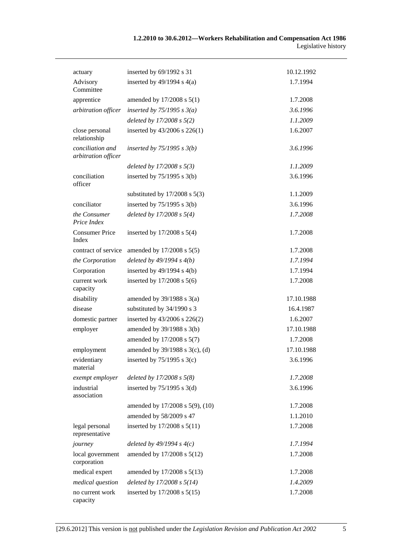| actuary                                 | inserted by 69/1992 s 31          | 10.12.1992 |
|-----------------------------------------|-----------------------------------|------------|
| Advisory<br>Committee                   | inserted by $49/1994$ s $4(a)$    | 1.7.1994   |
| apprentice                              | amended by 17/2008 s 5(1)         | 1.7.2008   |
| arbitration officer                     | inserted by $75/1995 s 3(a)$      | 3.6.1996   |
|                                         | deleted by $17/2008 s 5(2)$       | 1.1.2009   |
| close personal<br>relationship          | inserted by 43/2006 s 226(1)      | 1.6.2007   |
| conciliation and<br>arbitration officer | inserted by $75/1995$ s $3(b)$    | 3.6.1996   |
|                                         | deleted by $17/2008 s 5(3)$       | 1.1.2009   |
| conciliation<br>officer                 | inserted by $75/1995$ s 3(b)      | 3.6.1996   |
|                                         | substituted by $17/2008$ s $5(3)$ | 1.1.2009   |
| conciliator                             | inserted by $75/1995$ s $3(b)$    | 3.6.1996   |
| the Consumer<br>Price Index             | deleted by $17/2008 s 5(4)$       | 1.7.2008   |
| <b>Consumer Price</b><br>Index          | inserted by $17/2008$ s $5(4)$    | 1.7.2008   |
| contract of service                     | amended by 17/2008 s 5(5)         | 1.7.2008   |
| the Corporation                         | deleted by $49/1994 s 4(b)$       | 1.7.1994   |
| Corporation                             | inserted by $49/1994$ s $4(b)$    | 1.7.1994   |
| current work<br>capacity                | inserted by $17/2008$ s $5(6)$    | 1.7.2008   |
| disability                              | amended by $39/1988$ s $3(a)$     | 17.10.1988 |
| disease                                 | substituted by 34/1990 s 3        | 16.4.1987  |
| domestic partner                        | inserted by 43/2006 s 226(2)      | 1.6.2007   |
| employer                                | amended by 39/1988 s 3(b)         | 17.10.1988 |
|                                         | amended by 17/2008 s 5(7)         | 1.7.2008   |
| employment                              | amended by 39/1988 s 3(c), (d)    | 17.10.1988 |
| evidentiary<br>material                 | inserted by $75/1995$ s 3(c)      | 3.6.1996   |
| exempt employer                         | deleted by $17/2008 s 5(8)$       | 1.7.2008   |
| industrial<br>association               | inserted by $75/1995$ s 3(d)      | 3.6.1996   |
|                                         | amended by 17/2008 s 5(9), (10)   | 1.7.2008   |
|                                         | amended by 58/2009 s 47           | 1.1.2010   |
| legal personal<br>representative        | inserted by 17/2008 s 5(11)       | 1.7.2008   |
| journey                                 | deleted by $49/1994 s 4(c)$       | 1.7.1994   |
| local government<br>corporation         | amended by 17/2008 s 5(12)        | 1.7.2008   |
| medical expert                          | amended by 17/2008 s 5(13)        | 1.7.2008   |
| medical question                        | deleted by $17/2008 s 5(14)$      | 1.4.2009   |
| no current work<br>capacity             | inserted by 17/2008 s 5(15)       | 1.7.2008   |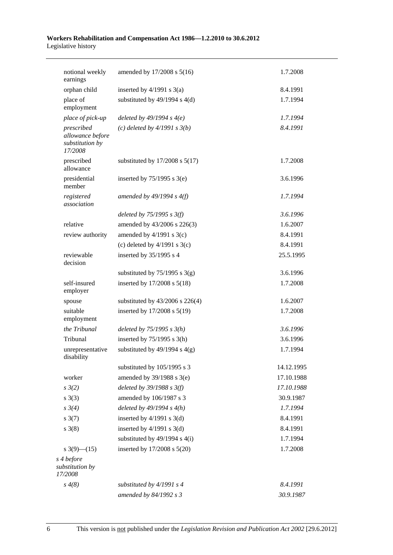| notional weekly<br>earnings                                  | amended by 17/2008 s 5(16)         | 1.7.2008   |
|--------------------------------------------------------------|------------------------------------|------------|
| orphan child                                                 | inserted by $4/1991$ s $3(a)$      | 8.4.1991   |
| place of<br>employment                                       | substituted by $49/1994$ s $4(d)$  | 1.7.1994   |
| place of pick-up                                             | deleted by $49/1994 s 4(e)$        | 1.7.1994   |
| prescribed<br>allowance before<br>substitution by<br>17/2008 | (c) deleted by $4/1991 s 3(b)$     | 8.4.1991   |
| prescribed<br>allowance                                      | substituted by $17/2008$ s $5(17)$ | 1.7.2008   |
| presidential<br>member                                       | inserted by $75/1995$ s $3(e)$     | 3.6.1996   |
| registered<br>association                                    | amended by $49/1994 s 4(f)$        | 1.7.1994   |
|                                                              | deleted by $75/1995$ s $3(f)$      | 3.6.1996   |
| relative                                                     | amended by 43/2006 s 226(3)        | 1.6.2007   |
| review authority                                             | amended by $4/1991$ s $3(c)$       | 8.4.1991   |
|                                                              | (c) deleted by $4/1991$ s $3(c)$   | 8.4.1991   |
| reviewable<br>decision                                       | inserted by 35/1995 s 4            | 25.5.1995  |
|                                                              | substituted by $75/1995$ s 3(g)    | 3.6.1996   |
| self-insured<br>employer                                     | inserted by 17/2008 s 5(18)        | 1.7.2008   |
| spouse                                                       | substituted by 43/2006 s 226(4)    | 1.6.2007   |
| suitable<br>employment                                       | inserted by 17/2008 s 5(19)        | 1.7.2008   |
| the Tribunal                                                 | deleted by $75/1995 s 3(h)$        | 3.6.1996   |
| Tribunal                                                     | inserted by $75/1995$ s 3(h)       | 3.6.1996   |
| unrepresentative<br>disability                               | substituted by $49/1994$ s $4(g)$  | 1.7.1994   |
|                                                              | substituted by 105/1995 s 3        | 14.12.1995 |
| worker                                                       | amended by $39/1988$ s $3(e)$      | 17.10.1988 |
| $s \frac{3}{2}$                                              | deleted by $39/1988$ s $3(f)$      | 17.10.1988 |
| $s \; 3(3)$                                                  | amended by 106/1987 s 3            | 30.9.1987  |
| $s \, 3(4)$                                                  | deleted by $49/1994 s 4(h)$        | 1.7.1994   |
| $s \frac{3(7)}{2}$                                           | inserted by $4/1991$ s $3(d)$      | 8.4.1991   |
| $s \; 3(8)$                                                  | inserted by $4/1991$ s $3(d)$      | 8.4.1991   |
|                                                              | substituted by $49/1994$ s $4(i)$  | 1.7.1994   |
| s $3(9)$ — $(15)$                                            | inserted by 17/2008 s 5(20)        | 1.7.2008   |
| s 4 before<br>substitution by<br>17/2008                     |                                    |            |
| $s \, 4(8)$                                                  | substituted by 4/1991 s 4          | 8.4.1991   |
|                                                              | amended by 84/1992 s 3             | 30.9.1987  |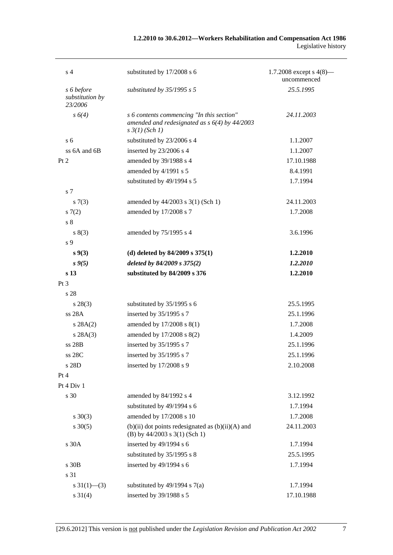## **1.2.2010 to 30.6.2012—Workers Rehabilitation and Compensation Act 1986**  Legislative history

| s 4                                      | substituted by 17/2008 s 6                                                                                              | 1.7.2008 except s $4(8)$ —<br>uncommenced |
|------------------------------------------|-------------------------------------------------------------------------------------------------------------------------|-------------------------------------------|
| s 6 before<br>substitution by<br>23/2006 | substituted by $35/1995$ s 5                                                                                            | 25.5.1995                                 |
| $s\ 6(4)$                                | s 6 contents commencing "In this section"<br>amended and redesignated as $s$ 6(4) by 44/2003<br>$s \frac{3}{1}$ (Sch 1) | 24.11.2003                                |
| s <sub>6</sub>                           | substituted by 23/2006 s 4                                                                                              | 1.1.2007                                  |
| ss 6A and 6B                             | inserted by 23/2006 s 4                                                                                                 | 1.1.2007                                  |
| Pt 2                                     | amended by 39/1988 s 4                                                                                                  | 17.10.1988                                |
|                                          | amended by 4/1991 s 5                                                                                                   | 8.4.1991                                  |
|                                          | substituted by 49/1994 s 5                                                                                              | 1.7.1994                                  |
| s <sub>7</sub>                           |                                                                                                                         |                                           |
| s(7(3))                                  | amended by 44/2003 s 3(1) (Sch 1)                                                                                       | 24.11.2003                                |
| s(7(2)                                   | amended by 17/2008 s 7                                                                                                  | 1.7.2008                                  |
| s <sub>8</sub>                           |                                                                                                                         |                                           |
| s(3)                                     | amended by 75/1995 s 4                                                                                                  | 3.6.1996                                  |
| s 9                                      |                                                                                                                         |                                           |
| $s\,9(3)$                                | (d) deleted by $84/2009$ s $375(1)$                                                                                     | 1.2.2010                                  |
| $s \, 9(5)$                              | deleted by 84/2009 s 375(2)                                                                                             | 1.2.2010                                  |
| s <sub>13</sub>                          | substituted by 84/2009 s 376                                                                                            | 1.2.2010                                  |
| Pt 3                                     |                                                                                                                         |                                           |
| s 28                                     |                                                                                                                         |                                           |
| $s\,28(3)$                               | substituted by 35/1995 s 6                                                                                              | 25.5.1995                                 |
| ss 28A                                   | inserted by 35/1995 s 7                                                                                                 | 25.1.1996                                 |
| s 28A(2)                                 | amended by 17/2008 s 8(1)                                                                                               | 1.7.2008                                  |
| s 28A(3)                                 | amended by 17/2008 s 8(2)                                                                                               | 1.4.2009                                  |
| ss 28B                                   | inserted by 35/1995 s 7                                                                                                 | 25.1.1996                                 |
| ss 28C                                   | inserted by 35/1995 s 7                                                                                                 | 25.1.1996                                 |
| s 28D                                    | inserted by 17/2008 s 9                                                                                                 | 2.10.2008                                 |
| Pt 4                                     |                                                                                                                         |                                           |
| Pt 4 Div 1                               |                                                                                                                         |                                           |
| s 30                                     | amended by 84/1992 s 4                                                                                                  | 3.12.1992                                 |
|                                          | substituted by 49/1994 s 6                                                                                              | 1.7.1994                                  |
| $s \ 30(3)$                              | amended by 17/2008 s 10                                                                                                 | 1.7.2008                                  |
| $s \ 30(5)$                              | $(b)(ii)$ dot points redesignated as $(b)(ii)(A)$ and<br>(B) by $44/2003$ s $3(1)$ (Sch 1)                              | 24.11.2003                                |
| s 30A                                    | inserted by 49/1994 s 6                                                                                                 | 1.7.1994                                  |
|                                          | substituted by 35/1995 s 8                                                                                              | 25.5.1995                                 |
| s 30B                                    | inserted by 49/1994 s 6                                                                                                 | 1.7.1994                                  |
| s 31                                     |                                                                                                                         |                                           |
| s $31(1)$ —(3)                           | substituted by $49/1994$ s $7(a)$                                                                                       | 1.7.1994                                  |
| $s \ 31(4)$                              | inserted by 39/1988 s 5                                                                                                 | 17.10.1988                                |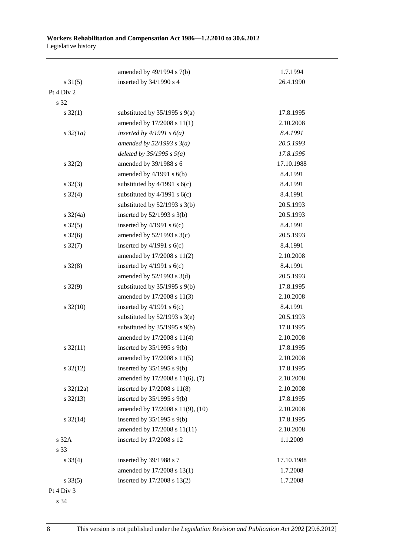|                       | amended by 49/1994 s 7(b)         | 1.7.1994   |
|-----------------------|-----------------------------------|------------|
| $s \, 31(5)$          | inserted by 34/1990 s 4           | 26.4.1990  |
| Pt 4 Div 2            |                                   |            |
| s 32                  |                                   |            |
| $s \, 32(1)$          | substituted by $35/1995$ s $9(a)$ | 17.8.1995  |
|                       | amended by 17/2008 s 11(1)        | 2.10.2008  |
| $s\,32(1a)$           | inserted by $4/1991 s 6(a)$       | 8.4.1991   |
|                       | amended by $52/1993$ s $3(a)$     | 20.5.1993  |
|                       | deleted by $35/1995 s 9(a)$       | 17.8.1995  |
| $s \, 32(2)$          | amended by 39/1988 s 6            | 17.10.1988 |
|                       | amended by $4/1991$ s $6(b)$      | 8.4.1991   |
| $s \, 32(3)$          | substituted by $4/1991$ s $6(c)$  | 8.4.1991   |
| $s \, 32(4)$          | substituted by $4/1991$ s $6(c)$  | 8.4.1991   |
|                       | substituted by $52/1993$ s $3(b)$ | 20.5.1993  |
| $s \frac{32}{4a}$     | inserted by $52/1993$ s $3(b)$    | 20.5.1993  |
| $s \, 32(5)$          | inserted by $4/1991$ s $6(c)$     | 8.4.1991   |
| $s \frac{32(6)}{2}$   | amended by $52/1993$ s $3(c)$     | 20.5.1993  |
| $s \, 32(7)$          | inserted by $4/1991$ s $6(c)$     | 8.4.1991   |
|                       | amended by 17/2008 s 11(2)        | 2.10.2008  |
| $s \, 32(8)$          | inserted by $4/1991$ s $6(c)$     | 8.4.1991   |
|                       | amended by $52/1993$ s $3(d)$     | 20.5.1993  |
| $s \, 32(9)$          | substituted by $35/1995$ s $9(b)$ | 17.8.1995  |
|                       | amended by 17/2008 s 11(3)        | 2.10.2008  |
| $s \frac{32(10)}{2}$  | inserted by $4/1991$ s $6(c)$     | 8.4.1991   |
|                       | substituted by $52/1993$ s $3(e)$ | 20.5.1993  |
|                       | substituted by 35/1995 s 9(b)     | 17.8.1995  |
|                       | amended by 17/2008 s 11(4)        | 2.10.2008  |
| $s \frac{32(11)}{2}$  | inserted by $35/1995$ s $9(b)$    | 17.8.1995  |
|                       | amended by 17/2008 s 11(5)        | 2.10.2008  |
| $s \frac{32(12)}{2}$  | inserted by $35/1995$ s $9(b)$    | 17.8.1995  |
|                       | amended by 17/2008 s 11(6), (7)   | 2.10.2008  |
| $s \frac{32(12a)}{2}$ | inserted by 17/2008 s 11(8)       | 2.10.2008  |
| $s \, 32(13)$         | inserted by $35/1995$ s $9(b)$    | 17.8.1995  |
|                       | amended by 17/2008 s 11(9), (10)  | 2.10.2008  |
| $s \frac{32(14)}{2}$  | inserted by $35/1995$ s $9(b)$    | 17.8.1995  |
|                       | amended by 17/2008 s 11(11)       | 2.10.2008  |
| s 32A                 | inserted by 17/2008 s 12          | 1.1.2009   |
| s 33                  |                                   |            |
| $s \, 33(4)$          | inserted by 39/1988 s 7           | 17.10.1988 |
|                       | amended by 17/2008 s 13(1)        | 1.7.2008   |
| $s \, 33(5)$          | inserted by 17/2008 s 13(2)       | 1.7.2008   |
| Pt 4 Div 3            |                                   |            |

s 34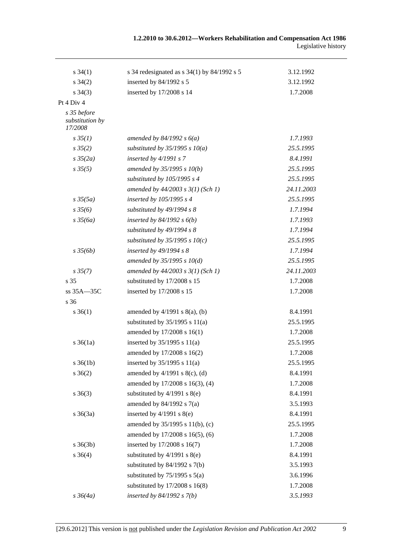| $s \, 34(1)$                              | s 34 redesignated as $s$ 34(1) by 84/1992 s 5 | 3.12.1992  |
|-------------------------------------------|-----------------------------------------------|------------|
| $s \, 34(2)$                              | inserted by 84/1992 s 5                       | 3.12.1992  |
| $s \, 34(3)$                              | inserted by 17/2008 s 14                      | 1.7.2008   |
| Pt 4 Div 4                                |                                               |            |
| s 35 before<br>substitution by<br>17/2008 |                                               |            |
| $s \, 35(1)$                              | amended by $84/1992 s 6(a)$                   | 1.7.1993   |
| $s \frac{35(2)}{2}$                       | substituted by $35/1995$ s $10(a)$            | 25.5.1995  |
| $s \frac{35}{2a}$                         | inserted by $4/1991 s 7$                      | 8.4.1991   |
| $s \, 35(5)$                              | amended by $35/1995 s 10(b)$                  | 25.5.1995  |
|                                           | substituted by 105/1995 s 4                   | 25.5.1995  |
|                                           | amended by $44/2003$ s $3(1)$ (Sch 1)         | 24.11.2003 |
| $s\,35(5a)$                               | inserted by 105/1995 s 4                      | 25.5.1995  |
| $s \frac{35}{6}$                          | substituted by 49/1994 s 8                    | 1.7.1994   |
| $s \frac{35}{6a}$                         | inserted by $84/1992$ s $6(b)$                | 1.7.1993   |
|                                           | substituted by 49/1994 s 8                    | 1.7.1994   |
|                                           | substituted by $35/1995$ s $10(c)$            | 25.5.1995  |
| $s \frac{35}{6b}$                         | inserted by $49/1994 s 8$                     | 1.7.1994   |
|                                           | amended by $35/1995 s 10(d)$                  | 25.5.1995  |
| $s\,35(7)$                                | amended by $44/2003$ s $3(1)$ (Sch 1)         | 24.11.2003 |
| s <sub>35</sub>                           | substituted by 17/2008 s 15                   | 1.7.2008   |
| $ss 35A - 35C$                            | inserted by 17/2008 s 15                      | 1.7.2008   |
| s 36                                      |                                               |            |
| $s \, 36(1)$                              | amended by $4/1991$ s $8(a)$ , (b)            | 8.4.1991   |
|                                           | substituted by $35/1995$ s $11(a)$            | 25.5.1995  |
|                                           | amended by 17/2008 s 16(1)                    | 1.7.2008   |
| $s \, 36(1a)$                             | inserted by $35/1995$ s $11(a)$               | 25.5.1995  |
|                                           | amended by 17/2008 s 16(2)                    | 1.7.2008   |
| $s \, 36(1b)$                             | inserted by $35/1995$ s $11(a)$               | 25.5.1995  |
| $s \; 36(2)$                              | amended by $4/1991$ s $8(c)$ , (d)            | 8.4.1991   |
|                                           | amended by 17/2008 s 16(3), (4)               | 1.7.2008   |
| $s \; 36(3)$                              | substituted by $4/1991$ s $8(e)$              | 8.4.1991   |
|                                           | amended by $84/1992$ s $7(a)$                 | 3.5.1993   |
| $s \; 36(3a)$                             | inserted by $4/1991$ s $8(e)$                 | 8.4.1991   |
|                                           | amended by 35/1995 s 11(b), (c)               | 25.5.1995  |
|                                           | amended by 17/2008 s 16(5), (6)               | 1.7.2008   |
| $s \; 36(3b)$                             | inserted by 17/2008 s 16(7)                   | 1.7.2008   |
| $s \; 36(4)$                              | substituted by $4/1991$ s $8(e)$              | 8.4.1991   |
|                                           | substituted by $84/1992$ s $7(b)$             | 3.5.1993   |
|                                           | substituted by $75/1995$ s $5(a)$             | 3.6.1996   |
|                                           | substituted by $17/2008$ s $16(8)$            | 1.7.2008   |
| $s \frac{36}{4a}$                         | inserted by $84/1992 s 7(b)$                  | 3.5.1993   |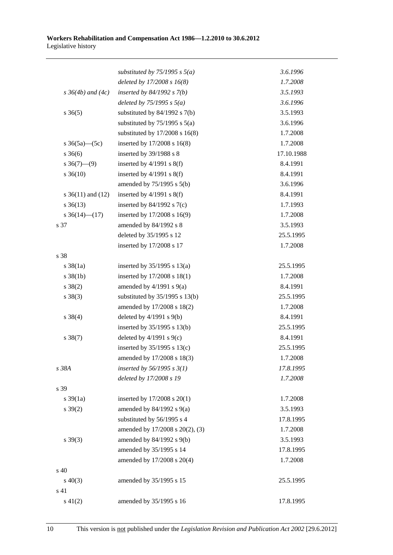|                          | substituted by $75/1995$ s $5(a)$  | 3.6.1996   |
|--------------------------|------------------------------------|------------|
|                          | deleted by $17/2008 s 16(8)$       | 1.7.2008   |
| $s \, 36(4b)$ and $(4c)$ | inserted by $84/1992 s 7(b)$       | 3.5.1993   |
|                          | deleted by $75/1995 s 5(a)$        | 3.6.1996   |
| $s \; 36(5)$             | substituted by $84/1992$ s $7(b)$  | 3.5.1993   |
|                          | substituted by $75/1995$ s $5(a)$  | 3.6.1996   |
|                          | substituted by $17/2008$ s $16(8)$ | 1.7.2008   |
| s $36(5a)$ (5c)          | inserted by 17/2008 s 16(8)        | 1.7.2008   |
| $s \; 36(6)$             | inserted by 39/1988 s 8            | 17.10.1988 |
| $s \ 36(7)$ (9)          | inserted by $4/1991$ s $8(f)$      | 8.4.1991   |
| $s \, 36(10)$            | inserted by $4/1991$ s $8(f)$      | 8.4.1991   |
|                          | amended by 75/1995 s 5(b)          | 3.6.1996   |
| s $36(11)$ and $(12)$    | inserted by $4/1991$ s $8(f)$      | 8.4.1991   |
| $s \, 36(13)$            | inserted by $84/1992$ s $7(c)$     | 1.7.1993   |
| s $36(14)$ (17)          | inserted by 17/2008 s 16(9)        | 1.7.2008   |
| s 37                     | amended by 84/1992 s 8             | 3.5.1993   |
|                          | deleted by 35/1995 s 12            | 25.5.1995  |
|                          | inserted by 17/2008 s 17           | 1.7.2008   |
| s 38                     |                                    |            |
| $s \, 38(1a)$            | inserted by $35/1995$ s $13(a)$    | 25.5.1995  |
| $s \, 38(1b)$            | inserted by 17/2008 s 18(1)        | 1.7.2008   |
| $s \ 38(2)$              | amended by $4/1991$ s $9(a)$       | 8.4.1991   |
| $s \ 38(3)$              | substituted by $35/1995$ s $13(b)$ | 25.5.1995  |
|                          | amended by 17/2008 s 18(2)         | 1.7.2008   |
| $s \ 38(4)$              | deleted by $4/1991$ s $9(b)$       | 8.4.1991   |
|                          | inserted by 35/1995 s 13(b)        | 25.5.1995  |
| $s \ 38(7)$              | deleted by $4/1991$ s $9(c)$       | 8.4.1991   |
|                          | inserted by $35/1995$ s $13(c)$    | 25.5.1995  |
|                          | amended by 17/2008 s 18(3)         | 1.7.2008   |
| s 38A                    | inserted by $56/1995 s 3(1)$       | 17.8.1995  |
|                          | deleted by 17/2008 s 19            | 1.7.2008   |
| s 39                     |                                    |            |
| $s \frac{39(1a)}{2}$     | inserted by $17/2008$ s $20(1)$    | 1.7.2008   |
| $s \, 39(2)$             | amended by $84/1992$ s $9(a)$      | 3.5.1993   |
|                          | substituted by 56/1995 s 4         | 17.8.1995  |
|                          | amended by 17/2008 s 20(2), (3)    | 1.7.2008   |
| $s \, 39(3)$             | amended by 84/1992 s 9(b)          | 3.5.1993   |
|                          | amended by 35/1995 s 14            | 17.8.1995  |
|                          | amended by 17/2008 s 20(4)         | 1.7.2008   |
| s 40                     |                                    |            |
| $s\ 40(3)$               | amended by 35/1995 s 15            | 25.5.1995  |
| s 41                     |                                    |            |
| $s\ 41(2)$               | amended by 35/1995 s 16            | 17.8.1995  |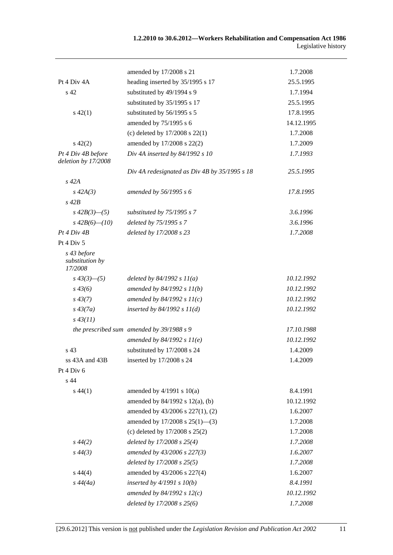|                                           | amended by 17/2008 s 21                       | 1.7.2008   |
|-------------------------------------------|-----------------------------------------------|------------|
| Pt 4 Div 4A                               | heading inserted by 35/1995 s 17              | 25.5.1995  |
| s <sub>42</sub>                           | substituted by 49/1994 s 9                    | 1.7.1994   |
|                                           | substituted by 35/1995 s 17                   | 25.5.1995  |
| $s\ 42(1)$                                | substituted by 56/1995 s 5                    | 17.8.1995  |
|                                           | amended by 75/1995 s 6                        | 14.12.1995 |
|                                           | (c) deleted by $17/2008$ s $22(1)$            | 1.7.2008   |
| $s\ 42(2)$                                | amended by 17/2008 s 22(2)                    | 1.7.2009   |
| Pt 4 Div 4B before<br>deletion by 17/2008 | Div 4A inserted by 84/1992 s 10               | 1.7.1993   |
|                                           | Div 4A redesignated as Div 4B by 35/1995 s 18 | 25.5.1995  |
| $s$ 42 $A$                                |                                               |            |
| $s\,42A(3)$                               | amended by 56/1995 s 6                        | 17.8.1995  |
| $s\ 42B$                                  |                                               |            |
| $s\,42B(3)$ —(5)                          | substituted by 75/1995 s 7                    | 3.6.1996   |
| $s\,42B(6)$ - (10)                        | deleted by 75/1995 s 7                        | 3.6.1996   |
| Pt 4 Div 4B                               | deleted by 17/2008 s 23                       | 1.7.2008   |
| Pt 4 Div 5                                |                                               |            |
| s 43 before<br>substitution by<br>17/2008 |                                               |            |
| $s\,43(3)$ - (5)                          | deleted by $84/1992 s 11(a)$                  | 10.12.1992 |
| $s\,43(6)$                                | amended by $84/1992 s 11(b)$                  | 10.12.1992 |
| $s\,43(7)$                                | amended by $84/1992 s 11(c)$                  | 10.12.1992 |
| $s\,43(7a)$                               | inserted by $84/1992 s 11(d)$                 | 10.12.1992 |
| $s\,43(11)$                               |                                               |            |
|                                           | the prescribed sum amended by 39/1988 s 9     | 17.10.1988 |
|                                           | amended by $84/1992 s 11(e)$                  | 10.12.1992 |
| s 43                                      | substituted by 17/2008 s 24                   | 1.4.2009   |
| ss 43A and 43B                            | inserted by 17/2008 s 24                      | 1.4.2009   |
| Pt 4 Div 6                                |                                               |            |
| s 44                                      |                                               |            |
| $s\,44(1)$                                | amended by $4/1991$ s $10(a)$                 | 8.4.1991   |
|                                           | amended by 84/1992 s 12(a), (b)               | 10.12.1992 |
|                                           | amended by 43/2006 s 227(1), (2)              | 1.6.2007   |
|                                           | amended by $17/2008$ s $25(1)$ —(3)           | 1.7.2008   |
|                                           | (c) deleted by $17/2008$ s $25(2)$            | 1.7.2008   |
| $s\,44(2)$                                | deleted by 17/2008 s 25(4)                    | 1.7.2008   |
| $s\,44(3)$                                | amended by 43/2006 s 227(3)                   | 1.6.2007   |
|                                           | deleted by 17/2008 s 25(5)                    | 1.7.2008   |
| $s\,44(4)$                                | amended by 43/2006 s 227(4)                   | 1.6.2007   |
| $s\,44(4a)$                               | inserted by $4/1991 s 10(b)$                  | 8.4.1991   |
|                                           | amended by 84/1992 s $12(c)$                  | 10.12.1992 |
|                                           | deleted by 17/2008 s 25(6)                    | 1.7.2008   |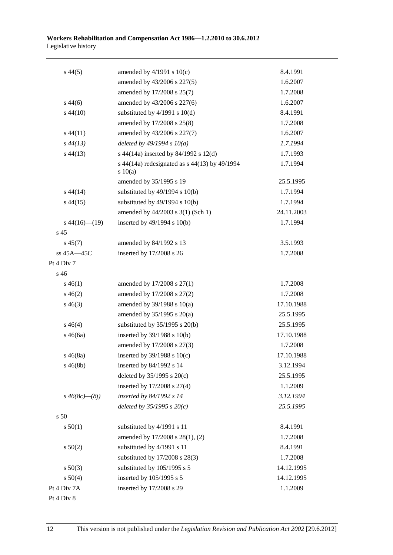| $s\,44(5)$           | amended by $4/1991$ s $10(c)$                          | 8.4.1991   |
|----------------------|--------------------------------------------------------|------------|
|                      | amended by 43/2006 s 227(5)                            | 1.6.2007   |
|                      | amended by 17/2008 s 25(7)                             | 1.7.2008   |
| $s\,44(6)$           | amended by 43/2006 s 227(6)                            | 1.6.2007   |
| $s\,44(10)$          | substituted by $4/1991$ s $10(d)$                      | 8.4.1991   |
|                      | amended by 17/2008 s 25(8)                             | 1.7.2008   |
| $s\,44(11)$          | amended by 43/2006 s 227(7)                            | 1.6.2007   |
| $s\,44(13)$          | deleted by $49/1994 s 10(a)$                           | 1.7.1994   |
| $s\,44(13)$          | s 44(14a) inserted by 84/1992 s 12(d)                  | 1.7.1993   |
|                      | s 44(14a) redesignated as s 44(13) by 49/1994<br>10(a) | 1.7.1994   |
|                      | amended by 35/1995 s 19                                | 25.5.1995  |
| $s\,44(14)$          | substituted by $49/1994$ s $10(b)$                     | 1.7.1994   |
| $s\,44(15)$          | substituted by $49/1994$ s $10(b)$                     | 1.7.1994   |
|                      | amended by 44/2003 s 3(1) (Sch 1)                      | 24.11.2003 |
| $s\,44(16)$ (19)     | inserted by 49/1994 s 10(b)                            | 1.7.1994   |
| s 45                 |                                                        |            |
| $s\,45(7)$           | amended by 84/1992 s 13                                | 3.5.1993   |
| ss 45A-45C           | inserted by 17/2008 s 26                               | 1.7.2008   |
| Pt 4 Div 7           |                                                        |            |
| s 46                 |                                                        |            |
| $s\,46(1)$           | amended by 17/2008 s 27(1)                             | 1.7.2008   |
| $s\,46(2)$           | amended by 17/2008 s 27(2)                             | 1.7.2008   |
| $s\,46(3)$           | amended by $39/1988$ s $10(a)$                         | 17.10.1988 |
|                      | amended by $35/1995$ s $20(a)$                         | 25.5.1995  |
| $s\,46(4)$           | substituted by $35/1995$ s $20(b)$                     | 25.5.1995  |
| $s\,46(6a)$          | inserted by $39/1988$ s $10(b)$                        | 17.10.1988 |
|                      | amended by 17/2008 s 27(3)                             | 1.7.2008   |
| $s\,46(8a)$          | inserted by $39/1988$ s $10(c)$                        | 17.10.1988 |
| $s\,46(8b)$          | inserted by 84/1992 s 14                               | 3.12.1994  |
|                      | deleted by $35/1995$ s $20(c)$                         | 25.5.1995  |
|                      | inserted by $17/2008$ s $27(4)$                        | 1.1.2009   |
| $s\,46(8c)$ — $(8j)$ | inserted by 84/1992 s 14                               | 3.12.1994  |
|                      | deleted by $35/1995 s 20(c)$                           | 25.5.1995  |
| s 50                 |                                                        |            |
| s 50(1)              | substituted by 4/1991 s 11                             | 8.4.1991   |
|                      | amended by 17/2008 s 28(1), (2)                        | 1.7.2008   |
| s 50(2)              | substituted by 4/1991 s 11                             | 8.4.1991   |
|                      | substituted by 17/2008 s 28(3)                         | 1.7.2008   |
| $s\ 50(3)$           | substituted by 105/1995 s 5                            | 14.12.1995 |
| s 50(4)              | inserted by 105/1995 s 5                               | 14.12.1995 |
| Pt 4 Div 7A          | inserted by 17/2008 s 29                               | 1.1.2009   |
| Pt 4 Div 8           |                                                        |            |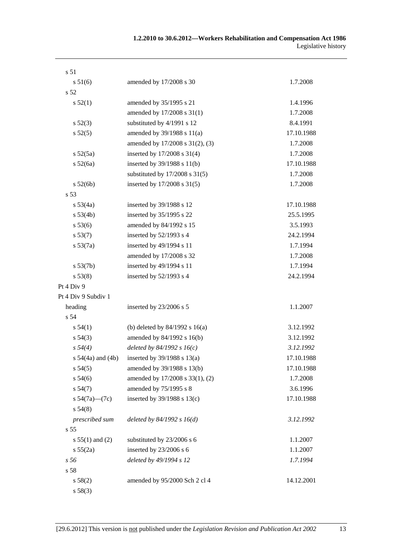| s 51                  |                                    |            |
|-----------------------|------------------------------------|------------|
| s 51(6)               | amended by 17/2008 s 30            | 1.7.2008   |
| s 52                  |                                    |            |
| s 52(1)               | amended by 35/1995 s 21            | 1.4.1996   |
|                       | amended by 17/2008 s 31(1)         | 1.7.2008   |
| s 52(3)               | substituted by 4/1991 s 12         | 8.4.1991   |
| s 52(5)               | amended by 39/1988 s 11(a)         | 17.10.1988 |
|                       | amended by 17/2008 s 31(2), (3)    | 1.7.2008   |
| s 52(5a)              | inserted by 17/2008 s 31(4)        | 1.7.2008   |
| s 52(6a)              | inserted by 39/1988 s 11(b)        | 17.10.1988 |
|                       | substituted by $17/2008$ s $31(5)$ | 1.7.2008   |
| s 52(6b)              | inserted by 17/2008 s 31(5)        | 1.7.2008   |
| s 53                  |                                    |            |
| s 53(4a)              | inserted by 39/1988 s 12           | 17.10.1988 |
| s 53(4b)              | inserted by 35/1995 s 22           | 25.5.1995  |
| s 53(6)               | amended by 84/1992 s 15            | 3.5.1993   |
| s 53(7)               | inserted by $52/1993$ s 4          | 24.2.1994  |
| $s\,53(7a)$           | inserted by 49/1994 s 11           | 1.7.1994   |
|                       | amended by 17/2008 s 32            | 1.7.2008   |
| s 53(7b)              | inserted by 49/1994 s 11           | 1.7.1994   |
| s 53(8)               | inserted by $52/1993$ s 4          | 24.2.1994  |
| Pt 4 Div 9            |                                    |            |
| Pt 4 Div 9 Subdiv 1   |                                    |            |
| heading               | inserted by 23/2006 s 5            | 1.1.2007   |
| s 54                  |                                    |            |
| s 54(1)               | (b) deleted by $84/1992$ s $16(a)$ | 3.12.1992  |
| $s\,54(3)$            | amended by 84/1992 s 16(b)         | 3.12.1992  |
| s 54(4)               | deleted by $84/1992 s 16(c)$       | 3.12.1992  |
| s $54(4a)$ and $(4b)$ | inserted by $39/1988$ s $13(a)$    | 17.10.1988 |
| s 54(5)               | amended by 39/1988 s 13(b)         | 17.10.1988 |
| s 54(6)               | amended by 17/2008 s 33(1), (2)    | 1.7.2008   |
| s 54(7)               | amended by 75/1995 s 8             | 3.6.1996   |
| s $54(7a)$ (7c)       | inserted by 39/1988 s 13(c)        | 17.10.1988 |
| s 54(8)               |                                    |            |
| prescribed sum        | deleted by $84/1992 s 16(d)$       | 3.12.1992  |
| s <sub>55</sub>       |                                    |            |
| s $55(1)$ and (2)     | substituted by 23/2006 s 6         | 1.1.2007   |
| s 55(2a)              | inserted by 23/2006 s 6            | 1.1.2007   |
| s 56                  | deleted by 49/1994 s 12            | 1.7.1994   |
| s 58                  |                                    |            |
| s 58(2)               | amended by 95/2000 Sch 2 cl 4      | 14.12.2001 |
| s 58(3)               |                                    |            |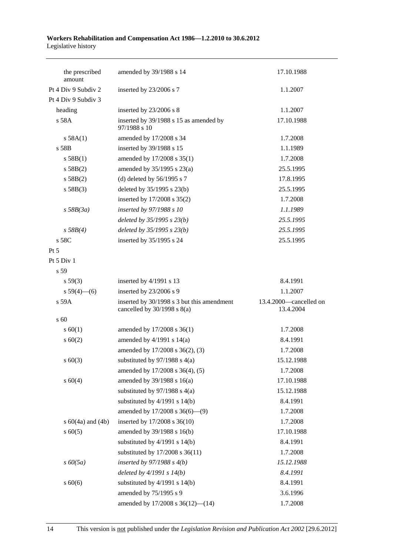| the prescribed<br>amount | amended by 39/1988 s 14                                                       | 17.10.1988                          |
|--------------------------|-------------------------------------------------------------------------------|-------------------------------------|
| Pt 4 Div 9 Subdiv 2      | inserted by 23/2006 s 7                                                       | 1.1.2007                            |
| Pt 4 Div 9 Subdiv 3      |                                                                               |                                     |
| heading                  | inserted by 23/2006 s 8                                                       | 1.1.2007                            |
| s 58A                    | inserted by 39/1988 s 15 as amended by<br>97/1988 s 10                        | 17.10.1988                          |
| s 58A(1)                 | amended by 17/2008 s 34                                                       | 1.7.2008                            |
| s 58B                    | inserted by 39/1988 s 15                                                      | 1.1.1989                            |
| s 58B(1)                 | amended by 17/2008 s 35(1)                                                    | 1.7.2008                            |
| s 58B(2)                 | amended by $35/1995$ s $23(a)$                                                | 25.5.1995                           |
| s 58B(2)                 | (d) deleted by $56/1995$ s 7                                                  | 17.8.1995                           |
| s 58B(3)                 | deleted by $35/1995$ s $23(b)$                                                | 25.5.1995                           |
|                          | inserted by 17/2008 s 35(2)                                                   | 1.7.2008                            |
| $s$ 58B(3a)              | inserted by 97/1988 s 10                                                      | 1.1.1989                            |
|                          | deleted by $35/1995 s 23(b)$                                                  | 25.5.1995                           |
| $s\,58B(4)$              | deleted by $35/1995 s 23(b)$                                                  | 25.5.1995                           |
| s 58C                    | inserted by 35/1995 s 24                                                      | 25.5.1995                           |
| Pt 5                     |                                                                               |                                     |
| Pt 5 Div 1               |                                                                               |                                     |
| s 59                     |                                                                               |                                     |
| s 59(3)                  | inserted by 4/1991 s 13                                                       | 8.4.1991                            |
| s $59(4)$ (6)            | inserted by 23/2006 s 9                                                       | 1.1.2007                            |
| s 59A                    | inserted by 30/1998 s 3 but this amendment<br>cancelled by $30/1998$ s $8(a)$ | 13.4.2000-cancelled on<br>13.4.2004 |
| s 60                     |                                                                               |                                     |
| s 60(1)                  | amended by 17/2008 s 36(1)                                                    | 1.7.2008                            |
| $s \ 60(2)$              | amended by $4/1991$ s $14(a)$                                                 | 8.4.1991                            |
|                          | amended by 17/2008 s 36(2), (3)                                               | 1.7.2008                            |
| $s \ 60(3)$              | substituted by $97/1988$ s $4(a)$                                             | 15.12.1988                          |
|                          | amended by 17/2008 s 36(4), (5)                                               | 1.7.2008                            |
| s 60(4)                  | amended by 39/1988 s 16(a)                                                    | 17.10.1988                          |
|                          | substituted by $97/1988$ s $4(a)$                                             | 15.12.1988                          |
|                          | substituted by $4/1991$ s $14(b)$                                             | 8.4.1991                            |
|                          | amended by 17/2008 s 36(6)-(9)                                                | 1.7.2008                            |
| s $60(4a)$ and $(4b)$    | inserted by 17/2008 s 36(10)                                                  | 1.7.2008                            |
| $s \ 60(5)$              | amended by 39/1988 s 16(b)                                                    | 17.10.1988                          |
|                          | substituted by $4/1991$ s $14(b)$                                             | 8.4.1991                            |
|                          | substituted by 17/2008 s 36(11)                                               | 1.7.2008                            |
| $s\,60(5a)$              | inserted by $97/1988$ s $4(b)$                                                | 15.12.1988                          |
|                          | deleted by $4/1991 s 14(b)$                                                   | 8.4.1991                            |
| $s\ 60(6)$               | substituted by $4/1991$ s $14(b)$                                             | 8.4.1991                            |
|                          | amended by 75/1995 s 9                                                        | 3.6.1996                            |
|                          | amended by 17/2008 s 36(12)-(14)                                              | 1.7.2008                            |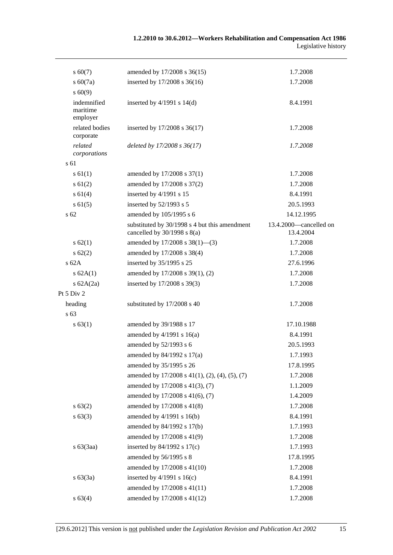| $s\ 60(7)$                          | amended by 17/2008 s 36(15)                                                      | 1.7.2008                            |
|-------------------------------------|----------------------------------------------------------------------------------|-------------------------------------|
| $s\ 60(7a)$                         | inserted by 17/2008 s 36(16)                                                     | 1.7.2008                            |
| s 60(9)                             |                                                                                  |                                     |
| indemnified<br>maritime<br>employer | inserted by $4/1991$ s $14(d)$                                                   | 8.4.1991                            |
| related bodies<br>corporate         | inserted by 17/2008 s 36(17)                                                     | 1.7.2008                            |
| related<br>corporations             | deleted by 17/2008 s 36(17)                                                      | 1.7.2008                            |
| s 61                                |                                                                                  |                                     |
| $s \, 61(1)$                        | amended by 17/2008 s 37(1)                                                       | 1.7.2008                            |
| $s \, 61(2)$                        | amended by 17/2008 s 37(2)                                                       | 1.7.2008                            |
| s 61(4)                             | inserted by 4/1991 s 15                                                          | 8.4.1991                            |
| $s \, 61(5)$                        | inserted by 52/1993 s 5                                                          | 20.5.1993                           |
| s <sub>62</sub>                     | amended by 105/1995 s 6                                                          | 14.12.1995                          |
|                                     | substituted by 30/1998 s 4 but this amendment<br>cancelled by $30/1998$ s $8(a)$ | 13.4.2000-cancelled on<br>13.4.2004 |
| s 62(1)                             | amended by 17/2008 s 38(1)–(3)                                                   | 1.7.2008                            |
| s 62(2)                             | amended by 17/2008 s 38(4)                                                       | 1.7.2008                            |
| $s$ 62A                             | inserted by 35/1995 s 25                                                         | 27.6.1996                           |
| s 62A(1)                            | amended by 17/2008 s 39(1), (2)                                                  | 1.7.2008                            |
| s $62A(2a)$                         | inserted by 17/2008 s 39(3)                                                      | 1.7.2008                            |
| Pt 5 Div 2                          |                                                                                  |                                     |
| heading                             | substituted by 17/2008 s 40                                                      | 1.7.2008                            |
| s 63                                |                                                                                  |                                     |
| s 63(1)                             | amended by 39/1988 s 17                                                          | 17.10.1988                          |
|                                     | amended by $4/1991$ s $16(a)$                                                    | 8.4.1991                            |
|                                     | amended by 52/1993 s 6                                                           | 20.5.1993                           |
|                                     | amended by 84/1992 s 17(a)                                                       | 1.7.1993                            |
|                                     | amended by 35/1995 s 26                                                          | 17.8.1995                           |
|                                     | amended by 17/2008 s 41(1), (2), (4), (5), (7)                                   | 1.7.2008                            |
|                                     | amended by 17/2008 s 41(3), (7)                                                  | 1.1.2009                            |
|                                     | amended by 17/2008 s 41(6), (7)                                                  | 1.4.2009                            |
| s 63(2)                             | amended by 17/2008 s 41(8)                                                       | 1.7.2008                            |
| s 63(3)                             | amended by 4/1991 s 16(b)                                                        | 8.4.1991                            |
|                                     | amended by 84/1992 s 17(b)                                                       | 1.7.1993                            |
|                                     | amended by 17/2008 s 41(9)                                                       | 1.7.2008                            |
| $s\ 63(3aa)$                        | inserted by $84/1992$ s $17(c)$                                                  | 1.7.1993                            |
|                                     | amended by 56/1995 s 8                                                           | 17.8.1995                           |
|                                     | amended by 17/2008 s 41(10)                                                      | 1.7.2008                            |
| s 63(3a)                            | inserted by $4/1991$ s $16(c)$                                                   | 8.4.1991                            |
|                                     | amended by 17/2008 s 41(11)                                                      | 1.7.2008                            |
| s 63(4)                             | amended by 17/2008 s 41(12)                                                      | 1.7.2008                            |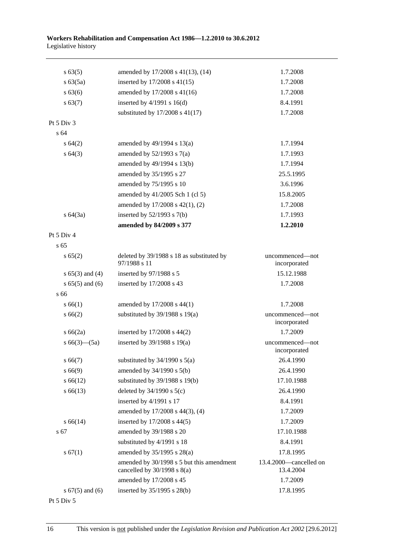| s 63(5)             | amended by 17/2008 s 41(13), (14)                                            | 1.7.2008                            |
|---------------------|------------------------------------------------------------------------------|-------------------------------------|
| $s\,63(5a)$         | inserted by 17/2008 s 41(15)                                                 | 1.7.2008                            |
| s 63(6)             | amended by 17/2008 s 41(16)                                                  | 1.7.2008                            |
| s 63(7)             | inserted by $4/1991$ s $16(d)$                                               | 8.4.1991                            |
|                     | substituted by $17/2008$ s $41(17)$                                          | 1.7.2008                            |
| Pt 5 Div 3          |                                                                              |                                     |
| s 64                |                                                                              |                                     |
| s 64(2)             | amended by $49/1994$ s $13(a)$                                               | 1.7.1994                            |
| s 64(3)             | amended by $52/1993$ s $7(a)$                                                | 1.7.1993                            |
|                     | amended by 49/1994 s 13(b)                                                   | 1.7.1994                            |
|                     | amended by 35/1995 s 27                                                      | 25.5.1995                           |
|                     | amended by 75/1995 s 10                                                      | 3.6.1996                            |
|                     | amended by 41/2005 Sch 1 (cl 5)                                              | 15.8.2005                           |
|                     | amended by 17/2008 s 42(1), (2)                                              | 1.7.2008                            |
| s 64(3a)            | inserted by $52/1993$ s $7(b)$                                               | 1.7.1993                            |
|                     | amended by 84/2009 s 377                                                     | 1.2.2010                            |
| Pt $5$ Div $4$      |                                                                              |                                     |
| s <sub>65</sub>     |                                                                              |                                     |
| s 65(2)             | deleted by 39/1988 s 18 as substituted by<br>97/1988 s 11                    | uncommenced—not<br>incorporated     |
| $s 65(3)$ and (4)   | inserted by 97/1988 s 5                                                      | 15.12.1988                          |
| $s 65(5)$ and (6)   | inserted by 17/2008 s 43                                                     | 1.7.2008                            |
| s 66                |                                                                              |                                     |
| s 66(1)             | amended by 17/2008 s 44(1)                                                   | 1.7.2008                            |
| s 66(2)             | substituted by $39/1988$ s $19(a)$                                           | uncommenced—not<br>incorporated     |
| s 66(2a)            | inserted by 17/2008 s 44(2)                                                  | 1.7.2009                            |
| s $66(3)$ — $(5a)$  | inserted by $39/1988$ s $19(a)$                                              | uncommenced-not<br>incorporated     |
| s 66(7)             | substituted by $34/1990$ s $5(a)$                                            | 26.4.1990                           |
| s 66(9)             | amended by 34/1990 s 5(b)                                                    | 26.4.1990                           |
| $s\,66(12)$         | substituted by $39/1988$ s $19(b)$                                           | 17.10.1988                          |
| $s\,66(13)$         | deleted by $34/1990$ s $5(c)$                                                | 26.4.1990                           |
|                     | inserted by 4/1991 s 17                                                      | 8.4.1991                            |
|                     | amended by 17/2008 s 44(3), (4)                                              | 1.7.2009                            |
| $s\,66(14)$         | inserted by 17/2008 s 44(5)                                                  | 1.7.2009                            |
| s 67                | amended by 39/1988 s 20                                                      | 17.10.1988                          |
|                     | substituted by 4/1991 s 18                                                   | 8.4.1991                            |
| s 67(1)             | amended by 35/1995 s 28(a)                                                   | 17.8.1995                           |
|                     | amended by 30/1998 s 5 but this amendment<br>cancelled by $30/1998$ s $8(a)$ | 13.4.2000-cancelled on<br>13.4.2004 |
|                     | amended by 17/2008 s 45                                                      | 1.7.2009                            |
| s $67(5)$ and $(6)$ | inserted by 35/1995 s 28(b)                                                  | 17.8.1995                           |
|                     |                                                                              |                                     |

Pt 5 Div 5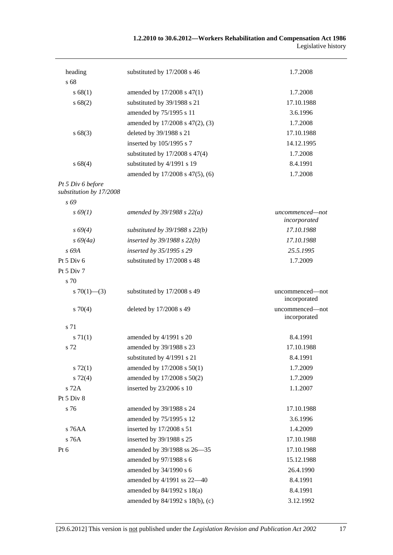### **1.2.2010 to 30.6.2012—Workers Rehabilitation and Compensation Act 1986**  Legislative history

| heading                 | substituted by 17/2008 s 46        | 1.7.2008                        |
|-------------------------|------------------------------------|---------------------------------|
| s 68                    |                                    |                                 |
| s 68(1)                 | amended by 17/2008 s 47(1)         | 1.7.2008                        |
| s 68(2)                 | substituted by 39/1988 s 21        | 17.10.1988                      |
|                         | amended by 75/1995 s 11            | 3.6.1996                        |
|                         | amended by 17/2008 s 47(2), (3)    | 1.7.2008                        |
| s68(3)                  | deleted by 39/1988 s 21            | 17.10.1988                      |
|                         | inserted by 105/1995 s 7           | 14.12.1995                      |
|                         | substituted by $17/2008$ s $47(4)$ | 1.7.2008                        |
| s68(4)                  | substituted by 4/1991 s 19         | 8.4.1991                        |
|                         | amended by 17/2008 s 47(5), (6)    | 1.7.2008                        |
| Pt 5 Div 6 before       |                                    |                                 |
| substitution by 17/2008 |                                    |                                 |
| s 69                    |                                    |                                 |
| $s\,69(1)$              | amended by $39/1988 s 22(a)$       | uncommenced-not<br>incorporated |
| $s\,69(4)$              | substituted by $39/1988$ s $22(b)$ | 17.10.1988                      |
| $s\,69(4a)$             | inserted by $39/1988$ s $22(b)$    | 17.10.1988                      |
| s 69A                   | inserted by 35/1995 s 29           | 25.5.1995                       |
| Pt 5 Div 6              | substituted by 17/2008 s 48        | 1.7.2009                        |
| Pt 5 Div 7              |                                    |                                 |
| s 70                    |                                    |                                 |
| s $70(1)$ — $(3)$       | substituted by 17/2008 s 49        | uncommenced-not<br>incorporated |
| 570(4)                  | deleted by 17/2008 s 49            | uncommenced-not<br>incorporated |
| s 71                    |                                    |                                 |
| $s \, 71(1)$            | amended by 4/1991 s 20             | 8.4.1991                        |
| s 72                    | amended by 39/1988 s 23            | 17.10.1988                      |
|                         | substituted by 4/1991 s 21         | 8.4.1991                        |
| $s \, 72(1)$            | amended by 17/2008 s 50(1)         | 1.7.2009                        |
| $s\ 72(4)$              | amended by 17/2008 s 50(2)         | 1.7.2009                        |
| s 72A                   | inserted by 23/2006 s 10           | 1.1.2007                        |
| Pt 5 Div 8              |                                    |                                 |
| s 76                    | amended by 39/1988 s 24            | 17.10.1988                      |
|                         | amended by 75/1995 s 12            | 3.6.1996                        |
| s 76AA                  | inserted by 17/2008 s 51           | 1.4.2009                        |
| s 76A                   | inserted by 39/1988 s 25           | 17.10.1988                      |
| Pt 6                    | amended by 39/1988 ss 26-35        | 17.10.1988                      |
|                         | amended by 97/1988 s 6             | 15.12.1988                      |
|                         | amended by 34/1990 s 6             | 26.4.1990                       |
|                         | amended by 4/1991 ss 22-40         | 8.4.1991                        |
|                         |                                    |                                 |
|                         | amended by 84/1992 s 18(a)         | 8.4.1991                        |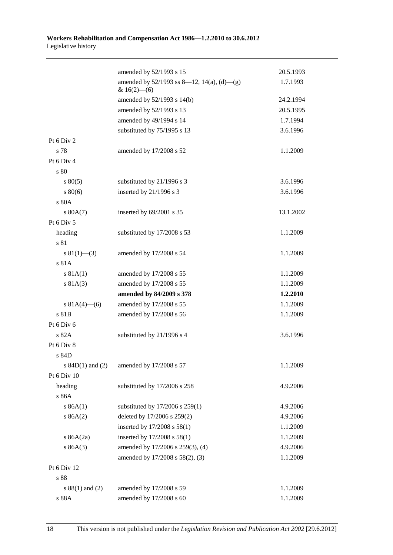|                      | amended by 52/1993 s 15                                         | 20.5.1993 |
|----------------------|-----------------------------------------------------------------|-----------|
|                      | amended by $52/1993$ ss 8—12, 14(a), (d)—(g)<br>& $16(2)$ - (6) | 1.7.1993  |
|                      | amended by 52/1993 s 14(b)                                      | 24.2.1994 |
|                      | amended by 52/1993 s 13                                         | 20.5.1995 |
|                      | amended by 49/1994 s 14                                         | 1.7.1994  |
|                      | substituted by 75/1995 s 13                                     | 3.6.1996  |
| Pt 6 Div 2           |                                                                 |           |
| s 78                 | amended by 17/2008 s 52                                         | 1.1.2009  |
| Pt 6 Div 4           |                                                                 |           |
| s 80                 |                                                                 |           |
| $s\,80(5)$           | substituted by 21/1996 s 3                                      | 3.6.1996  |
| $s\,80(6)$           | inserted by 21/1996 s 3                                         | 3.6.1996  |
| s 80A                |                                                                 |           |
| s 80A(7)             | inserted by 69/2001 s 35                                        | 13.1.2002 |
| Pt 6 Div 5           |                                                                 |           |
| heading              | substituted by 17/2008 s 53                                     | 1.1.2009  |
| s 81                 |                                                                 |           |
| $s \ 81(1)$ (3)      | amended by 17/2008 s 54                                         | 1.1.2009  |
| s 81A                |                                                                 |           |
| s 81A(1)             | amended by 17/2008 s 55                                         | 1.1.2009  |
| s 81A(3)             | amended by 17/2008 s 55                                         | 1.1.2009  |
|                      | amended by 84/2009 s 378                                        | 1.2.2010  |
| s $81A(4)$ (6)       | amended by 17/2008 s 55                                         | 1.1.2009  |
| s 81B                | amended by 17/2008 s 56                                         | 1.1.2009  |
| Pt 6 Div 6           |                                                                 |           |
| s 82A                | substituted by 21/1996 s 4                                      | 3.6.1996  |
| Pt 6 Div 8           |                                                                 |           |
| s 84D                |                                                                 |           |
| s $84D(1)$ and $(2)$ | amended by 17/2008 s 57                                         | 1.1.2009  |
| Pt 6 Div 10          |                                                                 |           |
| heading              | substituted by 17/2006 s 258                                    | 4.9.2006  |
| s 86A                |                                                                 |           |
| s 86A(1)             | substituted by 17/2006 s 259(1)                                 | 4.9.2006  |
| s 86A(2)             | deleted by 17/2006 s 259(2)                                     | 4.9.2006  |
|                      | inserted by $17/2008$ s $58(1)$                                 | 1.1.2009  |
| s $86A(2a)$          | inserted by 17/2008 s 58(1)                                     | 1.1.2009  |
| s 86A(3)             | amended by 17/2006 s 259(3), (4)                                | 4.9.2006  |
|                      | amended by 17/2008 s 58(2), (3)                                 | 1.1.2009  |
| Pt 6 Div 12          |                                                                 |           |
| $\sqrt{s}$ 88        |                                                                 |           |
| $s 88(1)$ and (2)    | amended by 17/2008 s 59                                         | 1.1.2009  |
| s 88A                | amended by $17/2008~{\rm s}$ $60$                               | 1.1.2009  |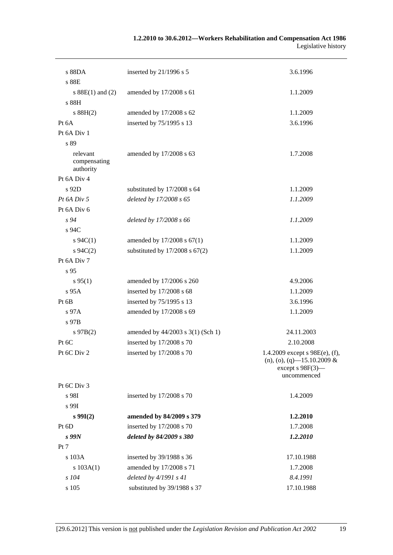| 1.2.2010 to 30.6.2012—Workers Rehabilitation and Compensation Act 1986 |                     |
|------------------------------------------------------------------------|---------------------|
|                                                                        | Legislative history |

| s 88DA                                | inserted by 21/1996 s 5            | 3.6.1996                                                                                                    |
|---------------------------------------|------------------------------------|-------------------------------------------------------------------------------------------------------------|
| s 88E                                 |                                    |                                                                                                             |
| s $88E(1)$ and (2)<br>s 88H           | amended by 17/2008 s 61            | 1.1.2009                                                                                                    |
| s 88H(2)                              | amended by 17/2008 s 62            | 1.1.2009                                                                                                    |
| Pt 6A                                 | inserted by 75/1995 s 13           | 3.6.1996                                                                                                    |
| Pt 6A Div 1                           |                                    |                                                                                                             |
| s 89                                  |                                    |                                                                                                             |
| relevant<br>compensating<br>authority | amended by 17/2008 s 63            | 1.7.2008                                                                                                    |
| Pt 6A Div 4                           |                                    |                                                                                                             |
| s 92D                                 | substituted by 17/2008 s 64        | 1.1.2009                                                                                                    |
| $Pt\,6A\,Div\,5$                      | deleted by 17/2008 s 65            | 1.1.2009                                                                                                    |
| Pt 6A Div 6                           |                                    |                                                                                                             |
| s94                                   | deleted by 17/2008 s 66            | 1.1.2009                                                                                                    |
| s 94C                                 |                                    |                                                                                                             |
| $s \, 94C(1)$                         | amended by 17/2008 s 67(1)         | 1.1.2009                                                                                                    |
| $s \, 94C(2)$                         | substituted by $17/2008$ s $67(2)$ | 1.1.2009                                                                                                    |
| Pt 6A Div 7                           |                                    |                                                                                                             |
| s 95                                  |                                    |                                                                                                             |
| s 95(1)                               | amended by 17/2006 s 260           | 4.9.2006                                                                                                    |
| s 95A                                 | inserted by 17/2008 s 68           | 1.1.2009                                                                                                    |
| Pt 6B                                 | inserted by 75/1995 s 13           | 3.6.1996                                                                                                    |
| $s\,97A$                              | amended by 17/2008 s 69            | 1.1.2009                                                                                                    |
| s 97B                                 |                                    |                                                                                                             |
| $s\ 97B(2)$                           | amended by 44/2003 s 3(1) (Sch 1)  | 24.11.2003                                                                                                  |
| Pt 6C                                 | inserted by 17/2008 s 70           | 2.10.2008                                                                                                   |
| Pt 6C Div 2                           | inserted by $17/2008$ s 70         | 1.4.2009 except s $98E(e)$ , (f),<br>$(n), (o), (q)$ -15.10.2009 &<br>except $s$ 98 $F(3)$ —<br>uncommenced |
| Pt 6C Div 3                           |                                    |                                                                                                             |
| s 98I                                 | inserted by 17/2008 s 70           | 1.4.2009                                                                                                    |
| s 99I                                 |                                    |                                                                                                             |
| s 99I(2)                              | amended by 84/2009 s 379           | 1.2.2010                                                                                                    |
| Pt 6D                                 | inserted by 17/2008 s 70           | 1.7.2008                                                                                                    |
| $s$ 99 $N$                            | deleted by 84/2009 s 380           | 1.2.2010                                                                                                    |
| Pt 7                                  |                                    |                                                                                                             |
| s 103A                                | inserted by 39/1988 s 36           | 17.10.1988                                                                                                  |
| s 103A(1)                             | amended by 17/2008 s 71            | 1.7.2008                                                                                                    |
| $s$ 104                               | deleted by $4/1991 s 41$           | 8.4.1991                                                                                                    |
| s 105                                 | substituted by 39/1988 s 37        | 17.10.1988                                                                                                  |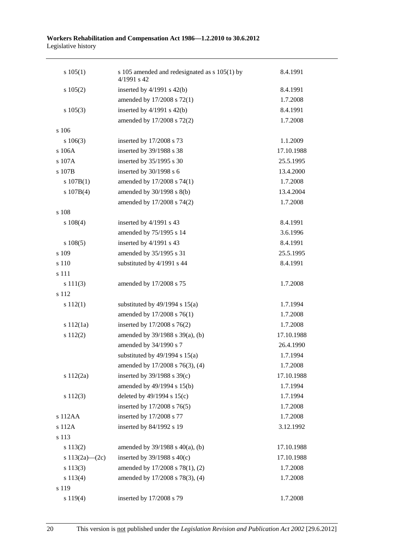| $s\ 105(1)$        | s 105 amended and redesignated as $s$ 105(1) by<br>4/1991 s 42 | 8.4.1991   |
|--------------------|----------------------------------------------------------------|------------|
| s 105(2)           | inserted by $4/1991$ s $42(b)$                                 | 8.4.1991   |
|                    | amended by 17/2008 s 72(1)                                     | 1.7.2008   |
| $s\ 105(3)$        | inserted by $4/1991$ s $42(b)$                                 | 8.4.1991   |
|                    | amended by 17/2008 s 72(2)                                     | 1.7.2008   |
| s 106              |                                                                |            |
| $s\ 106(3)$        | inserted by 17/2008 s 73                                       | 1.1.2009   |
| s 106A             | inserted by 39/1988 s 38                                       | 17.10.1988 |
| s 107A             | inserted by 35/1995 s 30                                       | 25.5.1995  |
| s 107B             | inserted by 30/1998 s 6                                        | 13.4.2000  |
| s 107B(1)          | amended by 17/2008 s 74(1)                                     | 1.7.2008   |
| s 107B(4)          | amended by 30/1998 s 8(b)                                      | 13.4.2004  |
|                    | amended by 17/2008 s 74(2)                                     | 1.7.2008   |
| s 108              |                                                                |            |
| $s\ 108(4)$        | inserted by 4/1991 s 43                                        | 8.4.1991   |
|                    | amended by 75/1995 s 14                                        | 3.6.1996   |
| $s\ 108(5)$        | inserted by 4/1991 s 43                                        | 8.4.1991   |
| s 109              | amended by 35/1995 s 31                                        | 25.5.1995  |
| s 110              | substituted by 4/1991 s 44                                     | 8.4.1991   |
| s 111              |                                                                |            |
| s 111(3)           | amended by 17/2008 s 75                                        | 1.7.2008   |
| s 112              |                                                                |            |
| $s\ 112(1)$        | substituted by $49/1994$ s $15(a)$                             | 1.7.1994   |
|                    | amended by 17/2008 s 76(1)                                     | 1.7.2008   |
| s 112(1a)          | inserted by 17/2008 s 76(2)                                    | 1.7.2008   |
| s 112(2)           | amended by 39/1988 s 39(a), (b)                                | 17.10.1988 |
|                    | amended by 34/1990 s 7                                         | 26.4.1990  |
|                    | substituted by $49/1994$ s $15(a)$                             | 1.7.1994   |
|                    | amended by 17/2008 s 76(3), (4)                                | 1.7.2008   |
| s 112(2a)          | inserted by $39/1988$ s $39(c)$                                | 17.10.1988 |
|                    | amended by 49/1994 s 15(b)                                     | 1.7.1994   |
| s112(3)            | deleted by $49/1994$ s $15(c)$                                 | 1.7.1994   |
|                    | inserted by 17/2008 s 76(5)                                    | 1.7.2008   |
| s 112AA            | inserted by 17/2008 s 77                                       | 1.7.2008   |
| s 112A             | inserted by 84/1992 s 19                                       | 3.12.1992  |
| s 113              |                                                                |            |
| s 113(2)           | amended by $39/1988$ s $40(a)$ , (b)                           | 17.10.1988 |
| s $113(2a) - (2c)$ | inserted by $39/1988$ s $40(c)$                                | 17.10.1988 |
| s 113(3)           | amended by 17/2008 s 78(1), (2)                                | 1.7.2008   |
| s 113(4)           | amended by 17/2008 s 78(3), (4)                                | 1.7.2008   |
| s 119              |                                                                |            |
| s 119(4)           | inserted by 17/2008 s 79                                       | 1.7.2008   |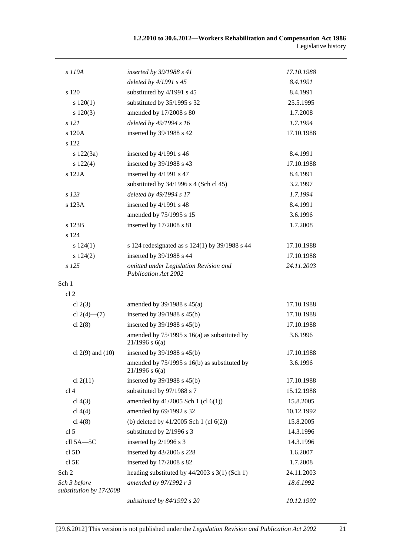| s 119A                                  | inserted by 39/1988 s 41                                              | 17.10.1988 |
|-----------------------------------------|-----------------------------------------------------------------------|------------|
|                                         | deleted by 4/1991 s 45                                                | 8.4.1991   |
| s 120                                   | substituted by 4/1991 s 45                                            | 8.4.1991   |
| s 120(1)                                | substituted by 35/1995 s 32                                           | 25.5.1995  |
| 120(3)                                  | amended by 17/2008 s 80                                               | 1.7.2008   |
| $s$ 121                                 | deleted by 49/1994 s 16                                               | 1.7.1994   |
| s 120A                                  | inserted by 39/1988 s 42                                              | 17.10.1988 |
| s 122                                   |                                                                       |            |
| s 122(3a)                               | inserted by 4/1991 s 46                                               | 8.4.1991   |
| s 122(4)                                | inserted by 39/1988 s 43                                              | 17.10.1988 |
| s 122A                                  | inserted by 4/1991 s 47                                               | 8.4.1991   |
|                                         | substituted by $34/1996$ s 4 (Sch cl 45)                              | 3.2.1997   |
| s 123                                   | deleted by 49/1994 s 17                                               | 1.7.1994   |
| s 123A                                  | inserted by 4/1991 s 48                                               | 8.4.1991   |
|                                         | amended by 75/1995 s 15                                               | 3.6.1996   |
| s 123B                                  | inserted by 17/2008 s 81                                              | 1.7.2008   |
| s 124                                   |                                                                       |            |
| s 124(1)                                | s 124 redesignated as $s$ 124(1) by 39/1988 s 44                      | 17.10.1988 |
| s 124(2)                                | inserted by 39/1988 s 44                                              | 17.10.1988 |
| $s$ 125                                 | omitted under Legislation Revision and<br><b>Publication Act 2002</b> | 24.11.2003 |
| Sch 1                                   |                                                                       |            |
| cl <sub>2</sub>                         |                                                                       |            |
| cl $2(3)$                               | amended by $39/1988$ s $45(a)$                                        | 17.10.1988 |
| cl $2(4)$ — $(7)$                       | inserted by $39/1988$ s $45(b)$                                       | 17.10.1988 |
| cl $2(8)$                               | inserted by 39/1988 s 45(b)                                           | 17.10.1988 |
|                                         | amended by 75/1995 s 16(a) as substituted by<br>$21/1996$ s $6(a)$    | 3.6.1996   |
| cl $2(9)$ and $(10)$                    | inserted by $39/1988$ s $45(b)$                                       | 17.10.1988 |
|                                         | amended by $75/1995$ s 16(b) as substituted by<br>$21/1996$ s 6(a)    | 3.6.1996   |
| cl $2(11)$                              | inserted by 39/1988 s 45(b)                                           | 17.10.1988 |
| cl 4                                    | substituted by 97/1988 s 7                                            | 15.12.1988 |
| cl $4(3)$                               | amended by $41/2005$ Sch 1 (cl $6(1)$ )                               | 15.8.2005  |
| cl $4(4)$                               | amended by 69/1992 s 32                                               | 10.12.1992 |
| cl $4(8)$                               | (b) deleted by $41/2005$ Sch 1 (cl $6(2)$ )                           | 15.8.2005  |
| cl <sub>5</sub>                         | substituted by 2/1996 s 3                                             | 14.3.1996  |
| cll 5A-5C                               | inserted by 2/1996 s 3                                                | 14.3.1996  |
| cl <sub>5D</sub>                        | inserted by 43/2006 s 228                                             | 1.6.2007   |
| $cl$ 5E                                 | inserted by 17/2008 s 82                                              | 1.7.2008   |
| Sch 2                                   | heading substituted by $44/2003$ s 3(1) (Sch 1)                       | 24.11.2003 |
| Sch 3 before<br>substitution by 17/2008 | amended by 97/1992 r 3                                                | 18.6.1992  |
|                                         | substituted by 84/1992 s 20                                           | 10.12.1992 |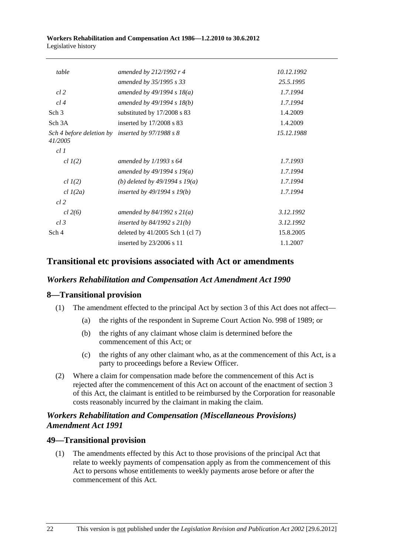| table                                                       | amended by 212/1992 r 4          | 10.12.1992 |
|-------------------------------------------------------------|----------------------------------|------------|
|                                                             | amended by 35/1995 s 33          | 25.5.1995  |
| cl 2                                                        | amended by $49/1994 s 18(a)$     | 1.7.1994   |
| cl4                                                         | amended by 49/1994 s 18(b)       | 1.7.1994   |
| Sch <sub>3</sub>                                            | substituted by 17/2008 s 83      | 1.4.2009   |
| Sch <sub>3A</sub>                                           | inserted by 17/2008 s 83         | 1.4.2009   |
| Sch 4 before deletion by inserted by 97/1988 s 8<br>41/2005 |                                  | 15.12.1988 |
| cl1                                                         |                                  |            |
| $cl$ $I(2)$                                                 | amended by $1/1993$ s 64         | 1.7.1993   |
|                                                             | amended by $49/1994 s 19(a)$     | 1.7.1994   |
| $cl$ $I(2)$                                                 | (b) deleted by $49/1994 s 19(a)$ | 1.7.1994   |
| $cl$ $1(2a)$                                                | inserted by $49/1994 s 19(b)$    | 1.7.1994   |
| $cl$ 2                                                      |                                  |            |
| cl 2(6)                                                     | amended by $84/1992$ s $21(a)$   | 3.12.1992  |
| $cl$ 3                                                      | inserted by $84/1992$ s $21(b)$  | 3.12.1992  |
| Sch 4                                                       | deleted by 41/2005 Sch 1 (cl 7)  | 15.8.2005  |
|                                                             | inserted by $23/2006$ s 11       | 1.1.2007   |

# **Transitional etc provisions associated with Act or amendments**

## *Workers Rehabilitation and Compensation Act Amendment Act 1990*

## **8—Transitional provision**

- (1) The amendment effected to the principal Act by section 3 of this Act does not affect—
	- (a) the rights of the respondent in Supreme Court Action No. 998 of 1989; or
	- (b) the rights of any claimant whose claim is determined before the commencement of this Act; or
	- (c) the rights of any other claimant who, as at the commencement of this Act, is a party to proceedings before a Review Officer.
- (2) Where a claim for compensation made before the commencement of this Act is rejected after the commencement of this Act on account of the enactment of section 3 of this Act, the claimant is entitled to be reimbursed by the Corporation for reasonable costs reasonably incurred by the claimant in making the claim.

# *Workers Rehabilitation and Compensation (Miscellaneous Provisions) Amendment Act 1991*

## **49—Transitional provision**

 (1) The amendments effected by this Act to those provisions of the principal Act that relate to weekly payments of compensation apply as from the commencement of this Act to persons whose entitlements to weekly payments arose before or after the commencement of this Act.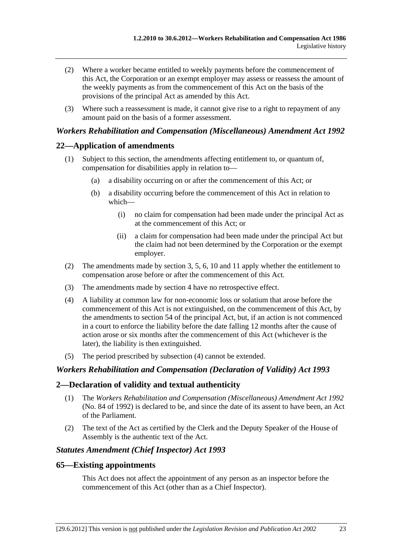- (2) Where a worker became entitled to weekly payments before the commencement of this Act, the Corporation or an exempt employer may assess or reassess the amount of the weekly payments as from the commencement of this Act on the basis of the provisions of the principal Act as amended by this Act.
- (3) Where such a reassessment is made, it cannot give rise to a right to repayment of any amount paid on the basis of a former assessment.

### *Workers Rehabilitation and Compensation (Miscellaneous) Amendment Act 1992*

### **22—Application of amendments**

- (1) Subject to this section, the amendments affecting entitlement to, or quantum of, compensation for disabilities apply in relation to—
	- (a) a disability occurring on or after the commencement of this Act; or
	- (b) a disability occurring before the commencement of this Act in relation to which—
		- (i) no claim for compensation had been made under the principal Act as at the commencement of this Act; or
		- (ii) a claim for compensation had been made under the principal Act but the claim had not been determined by the Corporation or the exempt employer.
- (2) The amendments made by section 3, 5, 6, 10 and 11 apply whether the entitlement to compensation arose before or after the commencement of this Act.
- (3) The amendments made by section 4 have no retrospective effect.
- (4) A liability at common law for non-economic loss or solatium that arose before the commencement of this Act is not extinguished, on the commencement of this Act, by the amendments to section 54 of the principal Act, but, if an action is not commenced in a court to enforce the liability before the date falling 12 months after the cause of action arose or six months after the commencement of this Act (whichever is the later), the liability is then extinguished.
- (5) The period prescribed by subsection (4) cannot be extended.

#### *Workers Rehabilitation and Compensation (Declaration of Validity) Act 1993*

#### **2—Declaration of validity and textual authenticity**

- (1) The *[Workers Rehabilitation and Compensation \(Miscellaneous\) Amendment Act 1992](http://www.legislation.sa.gov.au/index.aspx?action=legref&type=act&legtitle=Workers%20Rehabilitation%20and%20Compensation%20(Miscellaneous)%20Amendment%20Act%201992)* (No. 84 of 1992) is declared to be, and since the date of its assent to have been, an Act of the Parliament.
- (2) The text of the Act as certified by the Clerk and the Deputy Speaker of the House of Assembly is the authentic text of the Act.

#### *Statutes Amendment (Chief Inspector) Act 1993*

#### **65—Existing appointments**

This Act does not affect the appointment of any person as an inspector before the commencement of this Act (other than as a Chief Inspector).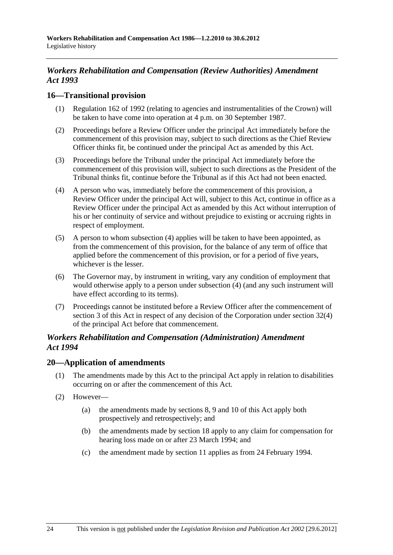# *Workers Rehabilitation and Compensation (Review Authorities) Amendment Act 1993*

### **16—Transitional provision**

- (1) Regulation 162 of 1992 (relating to agencies and instrumentalities of the Crown) will be taken to have come into operation at 4 p.m. on 30 September 1987.
- (2) Proceedings before a Review Officer under the principal Act immediately before the commencement of this provision may, subject to such directions as the Chief Review Officer thinks fit, be continued under the principal Act as amended by this Act.
- (3) Proceedings before the Tribunal under the principal Act immediately before the commencement of this provision will, subject to such directions as the President of the Tribunal thinks fit, continue before the Tribunal as if this Act had not been enacted.
- (4) A person who was, immediately before the commencement of this provision, a Review Officer under the principal Act will, subject to this Act, continue in office as a Review Officer under the principal Act as amended by this Act without interruption of his or her continuity of service and without prejudice to existing or accruing rights in respect of employment.
- (5) A person to whom subsection (4) applies will be taken to have been appointed, as from the commencement of this provision, for the balance of any term of office that applied before the commencement of this provision, or for a period of five years, whichever is the lesser.
- (6) The Governor may, by instrument in writing, vary any condition of employment that would otherwise apply to a person under subsection (4) (and any such instrument will have effect according to its terms).
- (7) Proceedings cannot be instituted before a Review Officer after the commencement of section 3 of this Act in respect of any decision of the Corporation under section 32(4) of the principal Act before that commencement.

### *Workers Rehabilitation and Compensation (Administration) Amendment Act 1994*

### **20—Application of amendments**

- (1) The amendments made by this Act to the principal Act apply in relation to disabilities occurring on or after the commencement of this Act.
- (2) However—
	- (a) the amendments made by sections 8, 9 and 10 of this Act apply both prospectively and retrospectively; and
	- (b) the amendments made by section 18 apply to any claim for compensation for hearing loss made on or after 23 March 1994; and
	- (c) the amendment made by section 11 applies as from 24 February 1994.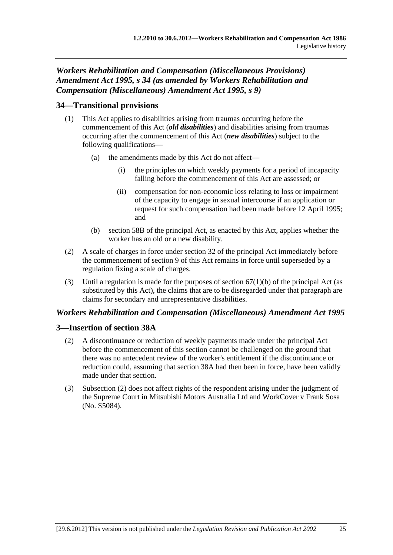# *Workers Rehabilitation and Compensation (Miscellaneous Provisions) Amendment Act 1995, s 34 (as amended by Workers Rehabilitation and Compensation (Miscellaneous) Amendment Act 1995, s 9)*

# **34—Transitional provisions**

- (1) This Act applies to disabilities arising from traumas occurring before the commencement of this Act (*old disabilities*) and disabilities arising from traumas occurring after the commencement of this Act (*new disabilities*) subject to the following qualifications—
	- (a) the amendments made by this Act do not affect
		- the principles on which weekly payments for a period of incapacity falling before the commencement of this Act are assessed; or
		- (ii) compensation for non-economic loss relating to loss or impairment of the capacity to engage in sexual intercourse if an application or request for such compensation had been made before 12 April 1995; and
	- (b) section 58B of the principal Act, as enacted by this Act, applies whether the worker has an old or a new disability.
- (2) A scale of charges in force under section 32 of the principal Act immediately before the commencement of section 9 of this Act remains in force until superseded by a regulation fixing a scale of charges.
- (3) Until a regulation is made for the purposes of section  $67(1)(b)$  of the principal Act (as substituted by this Act), the claims that are to be disregarded under that paragraph are claims for secondary and unrepresentative disabilities.

## *Workers Rehabilitation and Compensation (Miscellaneous) Amendment Act 1995*

## **3—Insertion of section 38A**

- (2) A discontinuance or reduction of weekly payments made under the principal Act before the commencement of this section cannot be challenged on the ground that there was no antecedent review of the worker's entitlement if the discontinuance or reduction could, assuming that section 38A had then been in force, have been validly made under that section.
- (3) Subsection (2) does not affect rights of the respondent arising under the judgment of the Supreme Court in Mitsubishi Motors Australia Ltd and WorkCover v Frank Sosa (No. S5084).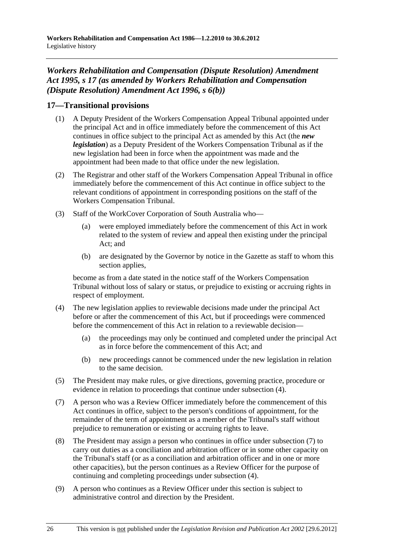# *Workers Rehabilitation and Compensation (Dispute Resolution) Amendment Act 1995, s 17 (as amended by Workers Rehabilitation and Compensation (Dispute Resolution) Amendment Act 1996, s 6(b))*

## **17—Transitional provisions**

- (1) A Deputy President of the Workers Compensation Appeal Tribunal appointed under the principal Act and in office immediately before the commencement of this Act continues in office subject to the principal Act as amended by this Act (the *new legislation*) as a Deputy President of the Workers Compensation Tribunal as if the new legislation had been in force when the appointment was made and the appointment had been made to that office under the new legislation.
- (2) The Registrar and other staff of the Workers Compensation Appeal Tribunal in office immediately before the commencement of this Act continue in office subject to the relevant conditions of appointment in corresponding positions on the staff of the Workers Compensation Tribunal.
- (3) Staff of the WorkCover Corporation of South Australia who—
	- (a) were employed immediately before the commencement of this Act in work related to the system of review and appeal then existing under the principal Act; and
	- (b) are designated by the Governor by notice in the Gazette as staff to whom this section applies.

become as from a date stated in the notice staff of the Workers Compensation Tribunal without loss of salary or status, or prejudice to existing or accruing rights in respect of employment.

- (4) The new legislation applies to reviewable decisions made under the principal Act before or after the commencement of this Act, but if proceedings were commenced before the commencement of this Act in relation to a reviewable decision—
	- (a) the proceedings may only be continued and completed under the principal Act as in force before the commencement of this Act; and
	- (b) new proceedings cannot be commenced under the new legislation in relation to the same decision.
- (5) The President may make rules, or give directions, governing practice, procedure or evidence in relation to proceedings that continue under subsection (4).
- (7) A person who was a Review Officer immediately before the commencement of this Act continues in office, subject to the person's conditions of appointment, for the remainder of the term of appointment as a member of the Tribunal's staff without prejudice to remuneration or existing or accruing rights to leave.
- (8) The President may assign a person who continues in office under subsection (7) to carry out duties as a conciliation and arbitration officer or in some other capacity on the Tribunal's staff (or as a conciliation and arbitration officer and in one or more other capacities), but the person continues as a Review Officer for the purpose of continuing and completing proceedings under subsection (4).
- (9) A person who continues as a Review Officer under this section is subject to administrative control and direction by the President.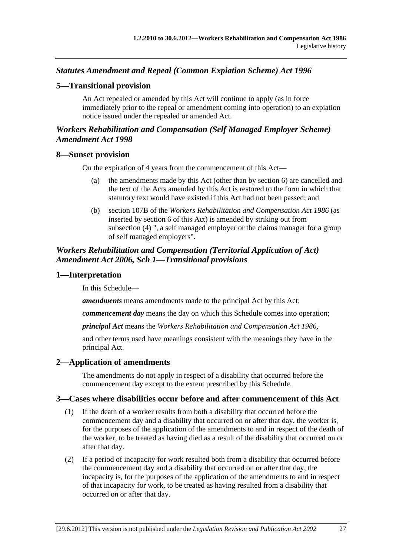## <span id="page-184-0"></span>*Statutes Amendment and Repeal (Common Expiation Scheme) Act 1996*

### **5—Transitional provision**

An Act repealed or amended by this Act will continue to apply (as in force immediately prior to the repeal or amendment coming into operation) to an expiation notice issued under the repealed or amended Act.

### *Workers Rehabilitation and Compensation (Self Managed Employer Scheme) Amendment Act 1998*

#### **8—Sunset provision**

On the expiration of 4 years from the commencement of this Act—

- (a) the amendments made by this Act (other than by section 6) are cancelled and the text of the Acts amended by this Act is restored to the form in which that statutory text would have existed if this Act had not been passed; and
- (b) section 107B of the *[Workers Rehabilitation and Compensation Act 1986](http://www.legislation.sa.gov.au/index.aspx?action=legref&type=act&legtitle=Workers%20Rehabilitation%20and%20Compensation%20Act%201986)* (as inserted by section 6 of this Act) is amended by striking out from subsection (4) ", a self managed employer or the claims manager for a group of self managed employers".

### *Workers Rehabilitation and Compensation (Territorial Application of Act) Amendment Act 2006, Sch 1—Transitional provisions*

#### **1—Interpretation**

In this Schedule—

*amendments* means amendments made to the principal Act by this Act;

*commencement day* means the day on which this Schedule comes into operation;

*principal Act* means the *[Workers Rehabilitation and Compensation Act 1986](http://www.legislation.sa.gov.au/index.aspx?action=legref&type=act&legtitle=Workers%20Rehabilitation%20and%20Compensation%20Act%201986)*,

and other terms used have meanings consistent with the meanings they have in the principal Act.

### **2—Application of amendments**

The amendments do not apply in respect of a disability that occurred before the commencement day except to the extent prescribed by this Schedule.

### **3—Cases where disabilities occur before and after commencement of this Act**

- (1) If the death of a worker results from both a disability that occurred before the commencement day and a disability that occurred on or after that day, the worker is, for the purposes of the application of the amendments to and in respect of the death of the worker, to be treated as having died as a result of the disability that occurred on or after that day.
- (2) If a period of incapacity for work resulted both from a disability that occurred before the commencement day and a disability that occurred on or after that day, the incapacity is, for the purposes of the application of the amendments to and in respect of that incapacity for work, to be treated as having resulted from a disability that occurred on or after that day.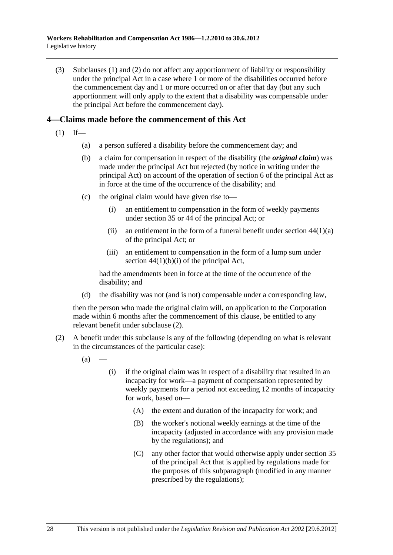<span id="page-185-0"></span> (3) [Subclauses \(1\)](#page-184-0) and [\(2\)](#page-184-0) do not affect any apportionment of liability or responsibility under the principal Act in a case where 1 or more of the disabilities occurred before the commencement day and 1 or more occurred on or after that day (but any such apportionment will only apply to the extent that a disability was compensable under the principal Act before the commencement day).

### **4—Claims made before the commencement of this Act**

- $(1)$  If—
	- (a) a person suffered a disability before the commencement day; and
	- (b) a claim for compensation in respect of the disability (the *original claim*) was made under the principal Act but rejected (by notice in writing under the principal Act) on account of the operation of section 6 of the principal Act as in force at the time of the occurrence of the disability; and
	- (c) the original claim would have given rise to—
		- (i) an entitlement to compensation in the form of weekly payments under section 35 or 44 of the principal Act; or
		- (ii) an entitlement in the form of a funeral benefit under section  $44(1)(a)$ of the principal Act; or
		- (iii) an entitlement to compensation in the form of a lump sum under section  $44(1)(b)(i)$  of the principal Act,

had the amendments been in force at the time of the occurrence of the disability; and

(d) the disability was not (and is not) compensable under a corresponding law,

then the person who made the original claim will, on application to the Corporation made within 6 months after the commencement of this clause, be entitled to any relevant benefit under [subclause \(2\)](#page-185-0).

- (2) A benefit under this subclause is any of the following (depending on what is relevant in the circumstances of the particular case):
	- $(a)$
- (i) if the original claim was in respect of a disability that resulted in an incapacity for work—a payment of compensation represented by weekly payments for a period not exceeding 12 months of incapacity for work, based on—
	- (A) the extent and duration of the incapacity for work; and
	- (B) the worker's notional weekly earnings at the time of the incapacity (adjusted in accordance with any provision made by the regulations); and
	- (C) any other factor that would otherwise apply under section 35 of the principal Act that is applied by regulations made for the purposes of this subparagraph (modified in any manner prescribed by the regulations);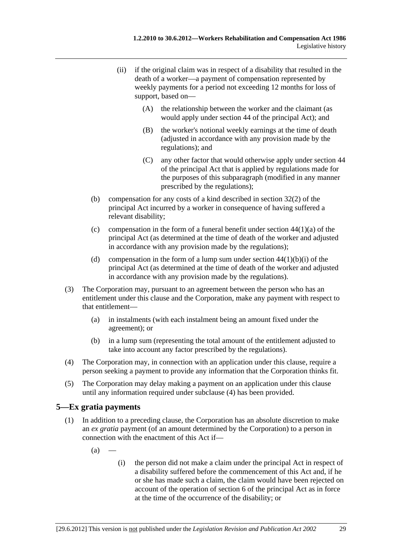- <span id="page-186-0"></span> (ii) if the original claim was in respect of a disability that resulted in the death of a worker—a payment of compensation represented by weekly payments for a period not exceeding 12 months for loss of support, based on—
	- (A) the relationship between the worker and the claimant (as would apply under section 44 of the principal Act); and
	- (B) the worker's notional weekly earnings at the time of death (adjusted in accordance with any provision made by the regulations); and
	- (C) any other factor that would otherwise apply under section 44 of the principal Act that is applied by regulations made for the purposes of this subparagraph (modified in any manner prescribed by the regulations);
- (b) compensation for any costs of a kind described in section 32(2) of the principal Act incurred by a worker in consequence of having suffered a relevant disability;
- (c) compensation in the form of a funeral benefit under section  $44(1)(a)$  of the principal Act (as determined at the time of death of the worker and adjusted in accordance with any provision made by the regulations);
- (d) compensation in the form of a lump sum under section  $44(1)(b)(i)$  of the principal Act (as determined at the time of death of the worker and adjusted in accordance with any provision made by the regulations).
- (3) The Corporation may, pursuant to an agreement between the person who has an entitlement under this clause and the Corporation, make any payment with respect to that entitlement—
	- (a) in instalments (with each instalment being an amount fixed under the agreement); or
	- (b) in a lump sum (representing the total amount of the entitlement adjusted to take into account any factor prescribed by the regulations).
- (4) The Corporation may, in connection with an application under this clause, require a person seeking a payment to provide any information that the Corporation thinks fit.
- (5) The Corporation may delay making a payment on an application under this clause until any information required under [subclause \(4\)](#page-186-0) has been provided.

## **5—Ex gratia payments**

- (1) In addition to a preceding clause, the Corporation has an absolute discretion to make an *ex gratia* payment (of an amount determined by the Corporation) to a person in connection with the enactment of this Act if—
	- $(a)$
- (i) the person did not make a claim under the principal Act in respect of a disability suffered before the commencement of this Act and, if he or she has made such a claim, the claim would have been rejected on account of the operation of section 6 of the principal Act as in force at the time of the occurrence of the disability; or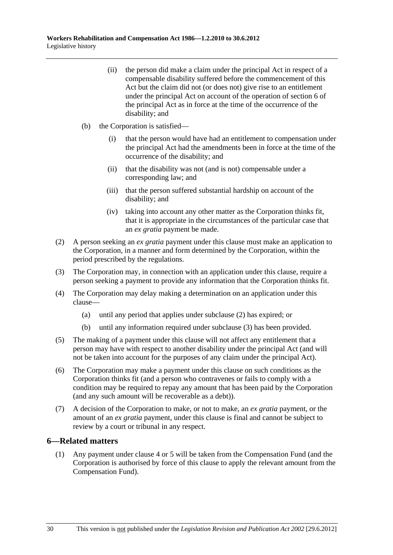- <span id="page-187-0"></span> (ii) the person did make a claim under the principal Act in respect of a compensable disability suffered before the commencement of this Act but the claim did not (or does not) give rise to an entitlement under the principal Act on account of the operation of section 6 of the principal Act as in force at the time of the occurrence of the disability; and
- (b) the Corporation is satisfied—
	- (i) that the person would have had an entitlement to compensation under the principal Act had the amendments been in force at the time of the occurrence of the disability; and
	- (ii) that the disability was not (and is not) compensable under a corresponding law; and
	- (iii) that the person suffered substantial hardship on account of the disability; and
	- (iv) taking into account any other matter as the Corporation thinks fit, that it is appropriate in the circumstances of the particular case that an *ex gratia* payment be made.
- (2) A person seeking an *ex gratia* payment under this clause must make an application to the Corporation, in a manner and form determined by the Corporation, within the period prescribed by the regulations.
- (3) The Corporation may, in connection with an application under this clause, require a person seeking a payment to provide any information that the Corporation thinks fit.
- (4) The Corporation may delay making a determination on an application under this clause—
	- (a) until any period that applies under [subclause \(2\)](#page-187-0) has expired; or
	- (b) until any information required under [subclause \(3\)](#page-187-0) has been provided.
- (5) The making of a payment under this clause will not affect any entitlement that a person may have with respect to another disability under the principal Act (and will not be taken into account for the purposes of any claim under the principal Act).
- (6) The Corporation may make a payment under this clause on such conditions as the Corporation thinks fit (and a person who contravenes or fails to comply with a condition may be required to repay any amount that has been paid by the Corporation (and any such amount will be recoverable as a debt)).
- (7) A decision of the Corporation to make, or not to make, an *ex gratia* payment, or the amount of an *ex gratia* payment, under this clause is final and cannot be subject to review by a court or tribunal in any respect.

#### **6—Related matters**

 (1) Any payment under [clause 4](#page-185-0) or [5](#page-186-0) will be taken from the Compensation Fund (and the Corporation is authorised by force of this clause to apply the relevant amount from the Compensation Fund).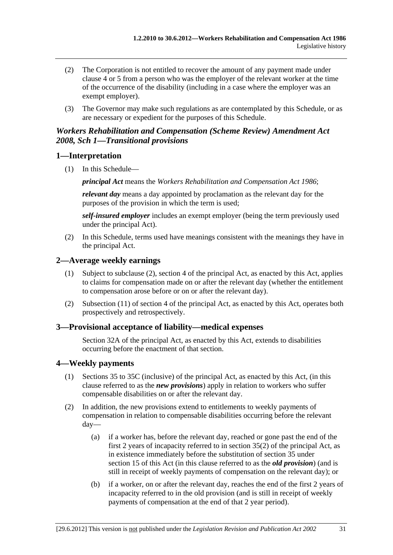- <span id="page-188-0"></span> (2) The Corporation is not entitled to recover the amount of any payment made under [clause 4](#page-185-0) or [5](#page-186-0) from a person who was the employer of the relevant worker at the time of the occurrence of the disability (including in a case where the employer was an exempt employer).
- (3) The Governor may make such regulations as are contemplated by this Schedule, or as are necessary or expedient for the purposes of this Schedule.

### *Workers Rehabilitation and Compensation (Scheme Review) Amendment Act 2008, Sch 1—Transitional provisions*

### **1—Interpretation**

(1) In this Schedule—

*principal Act* means the *[Workers Rehabilitation and Compensation Act 1986](http://www.legislation.sa.gov.au/index.aspx?action=legref&type=act&legtitle=Workers%20Rehabilitation%20and%20Compensation%20Act%201986)*;

*relevant day* means a day appointed by proclamation as the relevant day for the purposes of the provision in which the term is used;

*self-insured employer* includes an exempt employer (being the term previously used under the principal Act).

 (2) In this Schedule, terms used have meanings consistent with the meanings they have in the principal Act.

### **2—Average weekly earnings**

- (1) Subject to subclause (2), section 4 of the principal Act, as enacted by this Act, applies to claims for compensation made on or after the relevant day (whether the entitlement to compensation arose before or on or after the relevant day).
- (2) Subsection (11) of section 4 of the principal Act, as enacted by this Act, operates both prospectively and retrospectively.

### **3—Provisional acceptance of liability—medical expenses**

Section 32A of the principal Act, as enacted by this Act, extends to disabilities occurring before the enactment of that section.

### **4—Weekly payments**

- (1) Sections 35 to 35C (inclusive) of the principal Act, as enacted by this Act, (in this clause referred to as the *new provisions*) apply in relation to workers who suffer compensable disabilities on or after the relevant day.
- (2) In addition, the new provisions extend to entitlements to weekly payments of compensation in relation to compensable disabilities occurring before the relevant day—
	- (a) if a worker has, before the relevant day, reached or gone past the end of the first 2 years of incapacity referred to in section  $35(2)$  of the principal Act, as in existence immediately before the substitution of section 35 under [section 15](#page-0-0) of this Act (in this clause referred to as the *old provision*) (and is still in receipt of weekly payments of compensation on the relevant day); or
	- (b) if a worker, on or after the relevant day, reaches the end of the first 2 years of incapacity referred to in the old provision (and is still in receipt of weekly payments of compensation at the end of that 2 year period).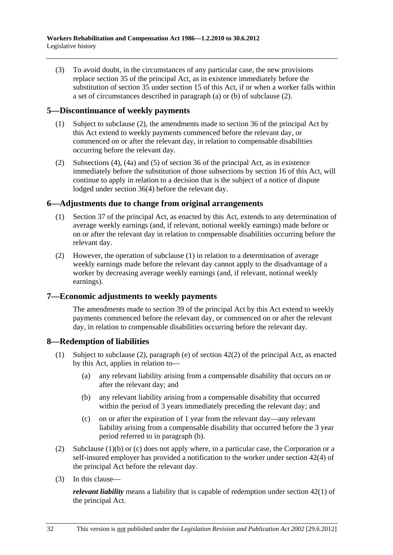(3) To avoid doubt, in the circumstances of any particular case, the new provisions replace section 35 of the principal Act, as in existence immediately before the substitution of section 35 under [section 15](#page-0-0) of this Act, if or when a worker falls within a set of circumstances described in [paragraph \(a\)](#page-188-0) or [\(b\)](#page-188-0) of subclause (2).

### **5—Discontinuance of weekly payments**

- (1) Subject to subclause (2), the amendments made to section 36 of the principal Act by this Act extend to weekly payments commenced before the relevant day, or commenced on or after the relevant day, in relation to compensable disabilities occurring before the relevant day.
- (2) Subsections (4), (4a) and (5) of section 36 of the principal Act, as in existence immediately before the substitution of those subsections by [section 16](#page-0-0) of this Act, will continue to apply in relation to a decision that is the subject of a notice of dispute lodged under section 36(4) before the relevant day.

### **6—Adjustments due to change from original arrangements**

- (1) Section 37 of the principal Act, as enacted by this Act, extends to any determination of average weekly earnings (and, if relevant, notional weekly earnings) made before or on or after the relevant day in relation to compensable disabilities occurring before the relevant day.
- (2) However, the operation of subclause (1) in relation to a determination of average weekly earnings made before the relevant day cannot apply to the disadvantage of a worker by decreasing average weekly earnings (and, if relevant, notional weekly earnings).

## **7—Economic adjustments to weekly payments**

The amendments made to section 39 of the principal Act by this Act extend to weekly payments commenced before the relevant day, or commenced on or after the relevant day, in relation to compensable disabilities occurring before the relevant day.

### **8—Redemption of liabilities**

- (1) Subject to subclause (2), paragraph (e) of section 42(2) of the principal Act, as enacted by this Act, applies in relation to—
	- (a) any relevant liability arising from a compensable disability that occurs on or after the relevant day; and
	- (b) any relevant liability arising from a compensable disability that occurred within the period of 3 years immediately preceding the relevant day; and
	- (c) on or after the expiration of 1 year from the relevant day—any relevant liability arising from a compensable disability that occurred before the 3 year period referred to in paragraph (b).
- (2) Subclause (1)(b) or (c) does not apply where, in a particular case, the Corporation or a self-insured employer has provided a notification to the worker under section 42(4) of the principal Act before the relevant day.
- (3) In this clause—

*relevant liability* means a liability that is capable of redemption under section 42(1) of the principal Act.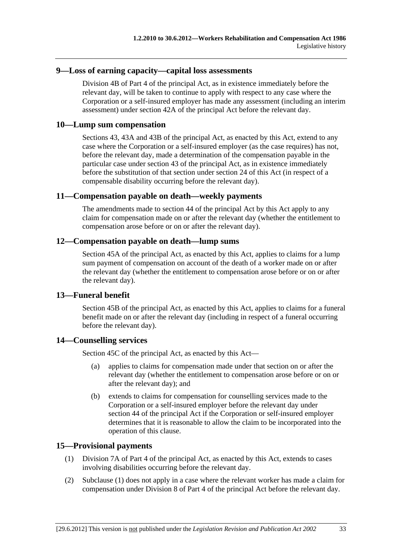#### **9—Loss of earning capacity—capital loss assessments**

Division 4B of Part 4 of the principal Act, as in existence immediately before the relevant day, will be taken to continue to apply with respect to any case where the Corporation or a self-insured employer has made any assessment (including an interim assessment) under section 42A of the principal Act before the relevant day.

#### **10—Lump sum compensation**

Sections 43, 43A and 43B of the principal Act, as enacted by this Act, extend to any case where the Corporation or a self-insured employer (as the case requires) has not, before the relevant day, made a determination of the compensation payable in the particular case under section 43 of the principal Act, as in existence immediately before the substitution of that section under [section 24](#page-0-0) of this Act (in respect of a compensable disability occurring before the relevant day).

#### **11—Compensation payable on death—weekly payments**

The amendments made to section 44 of the principal Act by this Act apply to any claim for compensation made on or after the relevant day (whether the entitlement to compensation arose before or on or after the relevant day).

#### **12—Compensation payable on death—lump sums**

Section 45A of the principal Act, as enacted by this Act, applies to claims for a lump sum payment of compensation on account of the death of a worker made on or after the relevant day (whether the entitlement to compensation arose before or on or after the relevant day).

### **13—Funeral benefit**

Section 45B of the principal Act, as enacted by this Act, applies to claims for a funeral benefit made on or after the relevant day (including in respect of a funeral occurring before the relevant day).

### **14—Counselling services**

Section 45C of the principal Act, as enacted by this Act—

- (a) applies to claims for compensation made under that section on or after the relevant day (whether the entitlement to compensation arose before or on or after the relevant day); and
- (b) extends to claims for compensation for counselling services made to the Corporation or a self-insured employer before the relevant day under section 44 of the principal Act if the Corporation or self-insured employer determines that it is reasonable to allow the claim to be incorporated into the operation of this clause.

#### **15—Provisional payments**

- (1) Division 7A of Part 4 of the principal Act, as enacted by this Act, extends to cases involving disabilities occurring before the relevant day.
- (2) Subclause (1) does not apply in a case where the relevant worker has made a claim for compensation under Division 8 of Part 4 of the principal Act before the relevant day.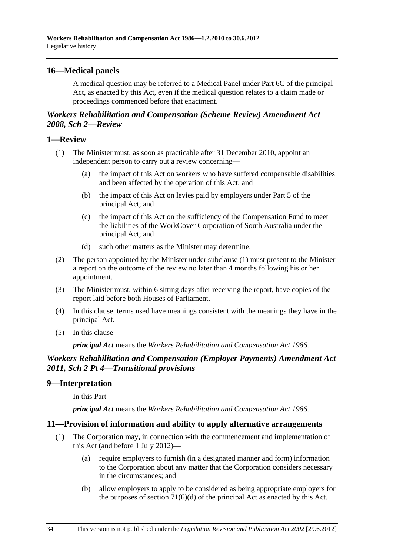### <span id="page-191-0"></span>**16—Medical panels**

A medical question may be referred to a Medical Panel under Part 6C of the principal Act, as enacted by this Act, even if the medical question relates to a claim made or proceedings commenced before that enactment.

### *Workers Rehabilitation and Compensation (Scheme Review) Amendment Act 2008, Sch 2—Review*

#### **1—Review**

- (1) The Minister must, as soon as practicable after 31 December 2010, appoint an independent person to carry out a review concerning—
	- (a) the impact of this Act on workers who have suffered compensable disabilities and been affected by the operation of this Act; and
	- (b) the impact of this Act on levies paid by employers under Part 5 of the principal Act; and
	- (c) the impact of this Act on the sufficiency of the Compensation Fund to meet the liabilities of the WorkCover Corporation of South Australia under the principal Act; and
	- (d) such other matters as the Minister may determine.
- (2) The person appointed by the Minister under [subclause \(1\)](#page-191-0) must present to the Minister a report on the outcome of the review no later than 4 months following his or her appointment.
- (3) The Minister must, within 6 sitting days after receiving the report, have copies of the report laid before both Houses of Parliament.
- (4) In this clause, terms used have meanings consistent with the meanings they have in the principal Act.
- (5) In this clause—

*principal Act* means the *[Workers Rehabilitation and Compensation Act 1986](http://www.legislation.sa.gov.au/index.aspx?action=legref&type=act&legtitle=Workers%20Rehabilitation%20and%20Compensation%20Act%201986)*.

### *Workers Rehabilitation and Compensation (Employer Payments) Amendment Act 2011, Sch 2 Pt 4—Transitional provisions*

### **9—Interpretation**

In this Part—

*principal Act* means the *[Workers Rehabilitation and Compensation Act 1986](http://www.legislation.sa.gov.au/index.aspx?action=legref&type=act&legtitle=Workers%20Rehabilitation%20and%20Compensation%20Act%201986)*.

### **11—Provision of information and ability to apply alternative arrangements**

- (1) The Corporation may, in connection with the commencement and implementation of this Act (and before 1 July 2012)—
	- (a) require employers to furnish (in a designated manner and form) information to the Corporation about any matter that the Corporation considers necessary in the circumstances; and
	- (b) allow employers to apply to be considered as being appropriate employers for the purposes of section  $71(6)(d)$  of the principal Act as enacted by this Act.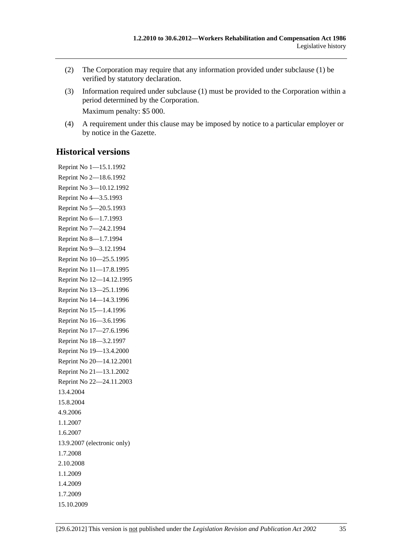- (2) The Corporation may require that any information provided under [subclause \(1\)](#page-191-0) be verified by statutory declaration.
- (3) Information required under [subclause \(1\)](#page-191-0) must be provided to the Corporation within a period determined by the Corporation. Maximum penalty: \$5 000.

 (4) A requirement under this clause may be imposed by notice to a particular employer or by notice in the Gazette.

# **Historical versions**

Reprint No 1—15.1.1992 Reprint No 2—18.6.1992 Reprint No 3—10.12.1992 Reprint No 4—3.5.1993 Reprint No 5—20.5.1993 Reprint No 6—1.7.1993 Reprint No 7—24.2.1994 Reprint No 8—1.7.1994 Reprint No 9—3.12.1994 Reprint No 10—25.5.1995 Reprint No 11—17.8.1995 Reprint No 12—14.12.1995 Reprint No 13—25.1.1996 Reprint No 14—14.3.1996 Reprint No 15—1.4.1996 Reprint No 16—3.6.1996 Reprint No 17—27.6.1996 Reprint No 18—3.2.1997 Reprint No 19—13.4.2000 Reprint No 20—14.12.2001 Reprint No 21—13.1.2002 Reprint No 22—24.11.2003 13.4.2004 15.8.2004 4.9.2006 1.1.2007 1.6.2007 13.9.2007 (electronic only) 1.7.2008 2.10.2008 1.1.2009 1.4.2009 1.7.2009 15.10.2009